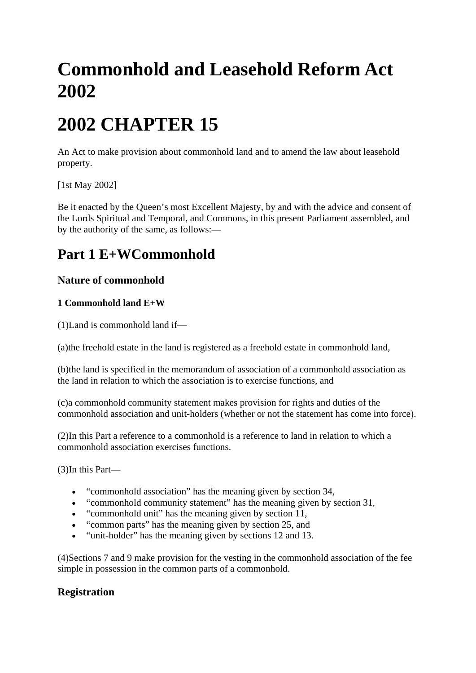# **Commonhold and Leasehold Reform Act 2002**

# **2002 CHAPTER 15**

An Act to make provision about commonhold land and to amend the law about leasehold property.

[1st May 2002]

Be it enacted by the Queen's most Excellent Majesty, by and with the advice and consent of the Lords Spiritual and Temporal, and Commons, in this present Parliament assembled, and by the authority of the same, as follows:—

# **Part 1 E+WCommonhold**

# **Nature of commonhold**

# **1 Commonhold land E+W**

(1)Land is commonhold land if—

(a)the freehold estate in the land is registered as a freehold estate in commonhold land,

(b)the land is specified in the memorandum of association of a commonhold association as the land in relation to which the association is to exercise functions, and

(c)a commonhold community statement makes provision for rights and duties of the commonhold association and unit-holders (whether or not the statement has come into force).

(2)In this Part a reference to a commonhold is a reference to land in relation to which a commonhold association exercises functions.

(3)In this Part—

- "commonhold association" has the meaning given by section 34,
- "commonhold community statement" has the meaning given by section 31,
- "commonhold unit" has the meaning given by section 11,
- "common parts" has the meaning given by section 25, and
- "unit-holder" has the meaning given by sections 12 and 13.

(4)Sections 7 and 9 make provision for the vesting in the commonhold association of the fee simple in possession in the common parts of a commonhold.

# **Registration**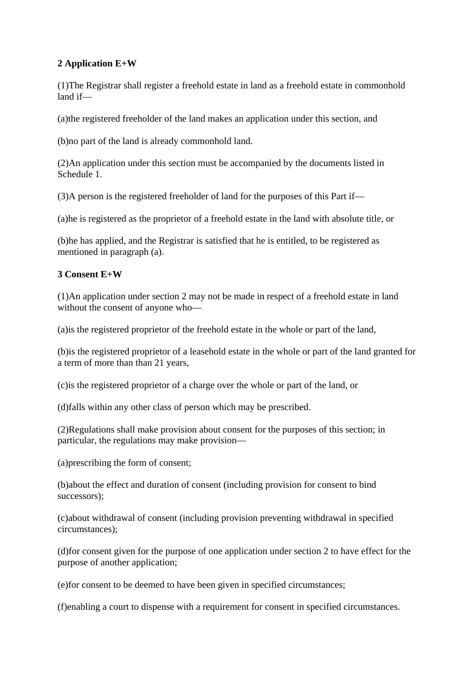### **2 Application E+W**

(1)The Registrar shall register a freehold estate in land as a freehold estate in commonhold land if—

(a)the registered freeholder of the land makes an application under this section, and

(b)no part of the land is already commonhold land.

(2)An application under this section must be accompanied by the documents listed in Schedule 1.

(3)A person is the registered freeholder of land for the purposes of this Part if—

(a)he is registered as the proprietor of a freehold estate in the land with absolute title, or

(b)he has applied, and the Registrar is satisfied that he is entitled, to be registered as mentioned in paragraph (a).

#### **3 Consent E+W**

(1)An application under section 2 may not be made in respect of a freehold estate in land without the consent of anyone who—

(a)is the registered proprietor of the freehold estate in the whole or part of the land,

(b)is the registered proprietor of a leasehold estate in the whole or part of the land granted for a term of more than than 21 years,

(c)is the registered proprietor of a charge over the whole or part of the land, or

(d)falls within any other class of person which may be prescribed.

(2)Regulations shall make provision about consent for the purposes of this section; in particular, the regulations may make provision—

(a)prescribing the form of consent;

(b)about the effect and duration of consent (including provision for consent to bind successors);

(c)about withdrawal of consent (including provision preventing withdrawal in specified circumstances);

(d)for consent given for the purpose of one application under section 2 to have effect for the purpose of another application;

(e)for consent to be deemed to have been given in specified circumstances;

(f)enabling a court to dispense with a requirement for consent in specified circumstances.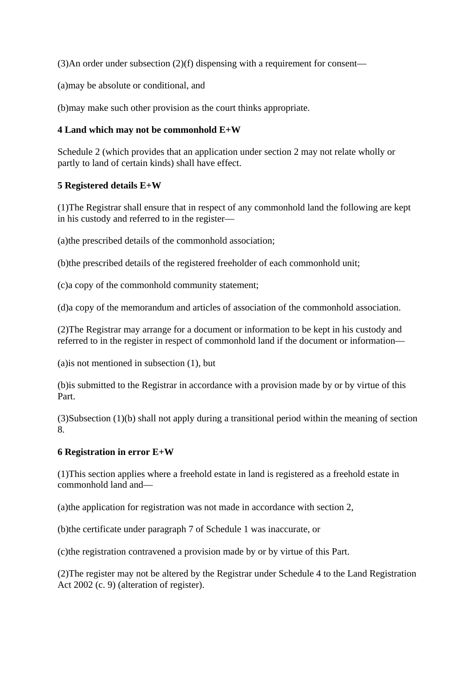(3)An order under subsection (2)(f) dispensing with a requirement for consent—

(a)may be absolute or conditional, and

(b)may make such other provision as the court thinks appropriate.

#### **4 Land which may not be commonhold E+W**

Schedule 2 (which provides that an application under section 2 may not relate wholly or partly to land of certain kinds) shall have effect.

#### **5 Registered details E+W**

(1)The Registrar shall ensure that in respect of any commonhold land the following are kept in his custody and referred to in the register—

(a)the prescribed details of the commonhold association;

(b)the prescribed details of the registered freeholder of each commonhold unit;

(c)a copy of the commonhold community statement;

(d)a copy of the memorandum and articles of association of the commonhold association.

(2)The Registrar may arrange for a document or information to be kept in his custody and referred to in the register in respect of commonhold land if the document or information—

(a)is not mentioned in subsection (1), but

(b)is submitted to the Registrar in accordance with a provision made by or by virtue of this Part.

(3)Subsection (1)(b) shall not apply during a transitional period within the meaning of section 8.

#### **6 Registration in error E+W**

(1)This section applies where a freehold estate in land is registered as a freehold estate in commonhold land and—

(a)the application for registration was not made in accordance with section 2,

(b)the certificate under paragraph 7 of Schedule 1 was inaccurate, or

(c)the registration contravened a provision made by or by virtue of this Part.

(2)The register may not be altered by the Registrar under Schedule 4 to the Land Registration Act 2002 (c. 9) (alteration of register).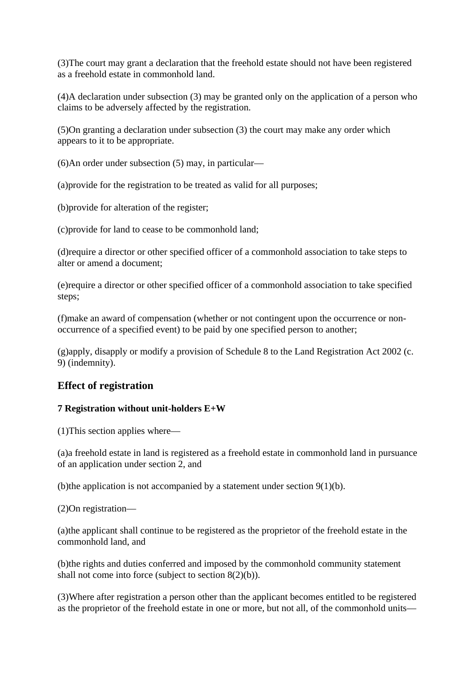(3)The court may grant a declaration that the freehold estate should not have been registered as a freehold estate in commonhold land.

(4)A declaration under subsection (3) may be granted only on the application of a person who claims to be adversely affected by the registration.

(5)On granting a declaration under subsection (3) the court may make any order which appears to it to be appropriate.

(6)An order under subsection (5) may, in particular—

(a)provide for the registration to be treated as valid for all purposes;

(b)provide for alteration of the register;

(c)provide for land to cease to be commonhold land;

(d)require a director or other specified officer of a commonhold association to take steps to alter or amend a document;

(e)require a director or other specified officer of a commonhold association to take specified steps;

(f)make an award of compensation (whether or not contingent upon the occurrence or nonoccurrence of a specified event) to be paid by one specified person to another;

(g)apply, disapply or modify a provision of Schedule 8 to the Land Registration Act 2002 (c. 9) (indemnity).

# **Effect of registration**

#### **7 Registration without unit-holders E+W**

(1)This section applies where—

(a)a freehold estate in land is registered as a freehold estate in commonhold land in pursuance of an application under section 2, and

(b)the application is not accompanied by a statement under section 9(1)(b).

(2)On registration—

(a)the applicant shall continue to be registered as the proprietor of the freehold estate in the commonhold land, and

(b)the rights and duties conferred and imposed by the commonhold community statement shall not come into force (subject to section 8(2)(b)).

(3)Where after registration a person other than the applicant becomes entitled to be registered as the proprietor of the freehold estate in one or more, but not all, of the commonhold units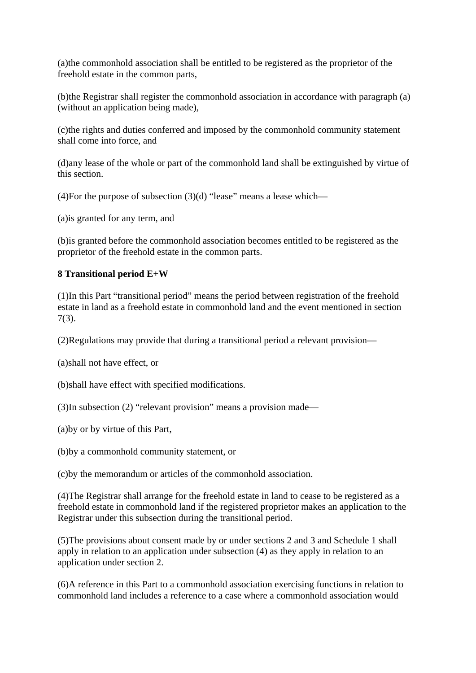(a)the commonhold association shall be entitled to be registered as the proprietor of the freehold estate in the common parts,

(b)the Registrar shall register the commonhold association in accordance with paragraph (a) (without an application being made),

(c)the rights and duties conferred and imposed by the commonhold community statement shall come into force, and

(d)any lease of the whole or part of the commonhold land shall be extinguished by virtue of this section.

(4)For the purpose of subsection  $(3)(d)$  "lease" means a lease which—

(a)is granted for any term, and

(b)is granted before the commonhold association becomes entitled to be registered as the proprietor of the freehold estate in the common parts.

#### **8 Transitional period E+W**

(1)In this Part "transitional period" means the period between registration of the freehold estate in land as a freehold estate in commonhold land and the event mentioned in section 7(3).

(2)Regulations may provide that during a transitional period a relevant provision—

(a)shall not have effect, or

(b)shall have effect with specified modifications.

(3)In subsection (2) "relevant provision" means a provision made—

(a)by or by virtue of this Part,

(b)by a commonhold community statement, or

(c)by the memorandum or articles of the commonhold association.

(4)The Registrar shall arrange for the freehold estate in land to cease to be registered as a freehold estate in commonhold land if the registered proprietor makes an application to the Registrar under this subsection during the transitional period.

(5)The provisions about consent made by or under sections 2 and 3 and Schedule 1 shall apply in relation to an application under subsection (4) as they apply in relation to an application under section 2.

(6)A reference in this Part to a commonhold association exercising functions in relation to commonhold land includes a reference to a case where a commonhold association would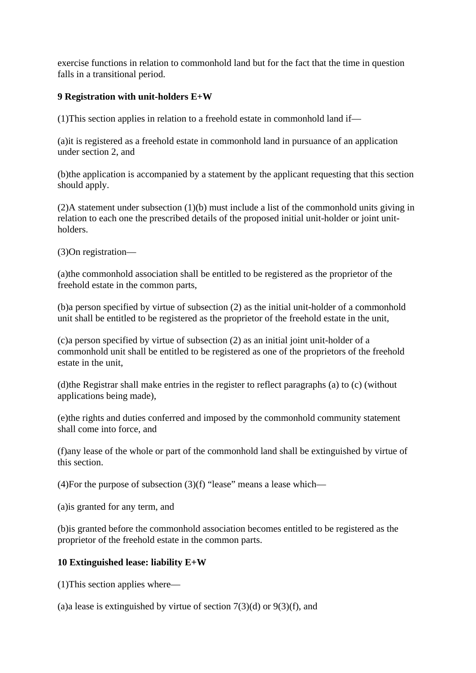exercise functions in relation to commonhold land but for the fact that the time in question falls in a transitional period.

#### **9 Registration with unit-holders E+W**

(1)This section applies in relation to a freehold estate in commonhold land if—

(a)it is registered as a freehold estate in commonhold land in pursuance of an application under section 2, and

(b)the application is accompanied by a statement by the applicant requesting that this section should apply.

(2)A statement under subsection (1)(b) must include a list of the commonhold units giving in relation to each one the prescribed details of the proposed initial unit-holder or joint unitholders.

(3)On registration—

(a)the commonhold association shall be entitled to be registered as the proprietor of the freehold estate in the common parts,

(b)a person specified by virtue of subsection (2) as the initial unit-holder of a commonhold unit shall be entitled to be registered as the proprietor of the freehold estate in the unit,

(c)a person specified by virtue of subsection (2) as an initial joint unit-holder of a commonhold unit shall be entitled to be registered as one of the proprietors of the freehold estate in the unit,

(d)the Registrar shall make entries in the register to reflect paragraphs (a) to (c) (without applications being made),

(e)the rights and duties conferred and imposed by the commonhold community statement shall come into force, and

(f)any lease of the whole or part of the commonhold land shall be extinguished by virtue of this section.

(4)For the purpose of subsection  $(3)(f)$  "lease" means a lease which—

(a)is granted for any term, and

(b)is granted before the commonhold association becomes entitled to be registered as the proprietor of the freehold estate in the common parts.

#### **10 Extinguished lease: liability E+W**

(1)This section applies where—

(a)a lease is extinguished by virtue of section  $7(3)(d)$  or  $9(3)(f)$ , and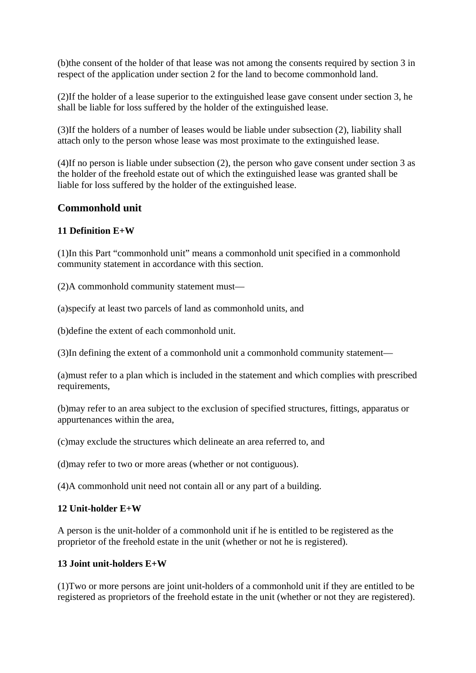(b)the consent of the holder of that lease was not among the consents required by section 3 in respect of the application under section 2 for the land to become commonhold land.

(2)If the holder of a lease superior to the extinguished lease gave consent under section 3, he shall be liable for loss suffered by the holder of the extinguished lease.

(3)If the holders of a number of leases would be liable under subsection (2), liability shall attach only to the person whose lease was most proximate to the extinguished lease.

(4)If no person is liable under subsection (2), the person who gave consent under section 3 as the holder of the freehold estate out of which the extinguished lease was granted shall be liable for loss suffered by the holder of the extinguished lease.

## **Commonhold unit**

#### **11 Definition E+W**

(1)In this Part "commonhold unit" means a commonhold unit specified in a commonhold community statement in accordance with this section.

(2)A commonhold community statement must—

(a)specify at least two parcels of land as commonhold units, and

(b)define the extent of each commonhold unit.

(3)In defining the extent of a commonhold unit a commonhold community statement—

(a)must refer to a plan which is included in the statement and which complies with prescribed requirements,

(b)may refer to an area subject to the exclusion of specified structures, fittings, apparatus or appurtenances within the area,

(c)may exclude the structures which delineate an area referred to, and

(d)may refer to two or more areas (whether or not contiguous).

(4)A commonhold unit need not contain all or any part of a building.

#### **12 Unit-holder E+W**

A person is the unit-holder of a commonhold unit if he is entitled to be registered as the proprietor of the freehold estate in the unit (whether or not he is registered).

#### **13 Joint unit-holders E+W**

(1)Two or more persons are joint unit-holders of a commonhold unit if they are entitled to be registered as proprietors of the freehold estate in the unit (whether or not they are registered).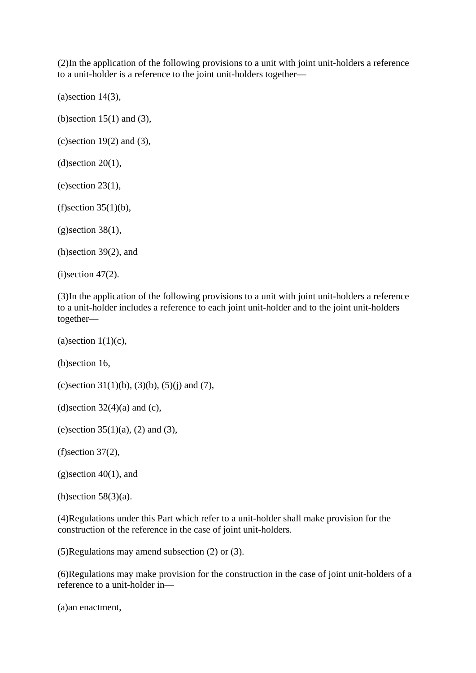(2)In the application of the following provisions to a unit with joint unit-holders a reference to a unit-holder is a reference to the joint unit-holders together—

 $(a)$ section 14 $(3)$ ,

(b)section 15(1) and (3),

 $(c)$  section 19(2) and (3),

 $(d)$ section 20 $(1)$ ,

 $(e)$  section 23(1),

 $(f)$ section 35 $(1)(b)$ ,

 $(g)$ section 38 $(1)$ ,

(h)section 39(2), and

 $(i)$ section 47 $(2)$ .

(3)In the application of the following provisions to a unit with joint unit-holders a reference to a unit-holder includes a reference to each joint unit-holder and to the joint unit-holders together—

 $(a)$ section  $1(1)(c)$ ,

(b)section 16,

(c) section  $31(1)(b)$ ,  $(3)(b)$ ,  $(5)(j)$  and  $(7)$ ,

(d) section  $32(4)(a)$  and (c),

(e)section  $35(1)(a)$ , (2) and (3),

(f)section 37(2),

 $(g)$ section  $40(1)$ , and

 $(h)$ section 58 $(3)(a)$ .

(4)Regulations under this Part which refer to a unit-holder shall make provision for the construction of the reference in the case of joint unit-holders.

(5)Regulations may amend subsection (2) or (3).

(6)Regulations may make provision for the construction in the case of joint unit-holders of a reference to a unit-holder in—

(a)an enactment,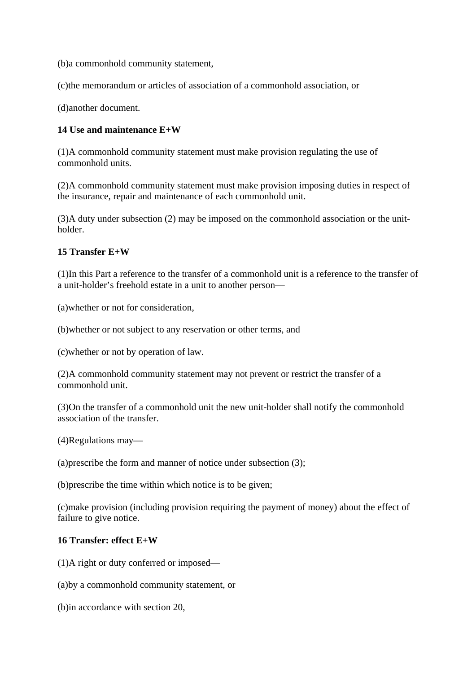(b)a commonhold community statement,

(c)the memorandum or articles of association of a commonhold association, or

(d)another document.

#### **14 Use and maintenance E+W**

(1)A commonhold community statement must make provision regulating the use of commonhold units.

(2)A commonhold community statement must make provision imposing duties in respect of the insurance, repair and maintenance of each commonhold unit.

(3)A duty under subsection (2) may be imposed on the commonhold association or the unitholder.

#### **15 Transfer E+W**

(1)In this Part a reference to the transfer of a commonhold unit is a reference to the transfer of a unit-holder's freehold estate in a unit to another person—

(a)whether or not for consideration,

(b)whether or not subject to any reservation or other terms, and

(c)whether or not by operation of law.

(2)A commonhold community statement may not prevent or restrict the transfer of a commonhold unit.

(3)On the transfer of a commonhold unit the new unit-holder shall notify the commonhold association of the transfer.

(4)Regulations may—

(a)prescribe the form and manner of notice under subsection (3);

(b)prescribe the time within which notice is to be given;

(c)make provision (including provision requiring the payment of money) about the effect of failure to give notice.

#### **16 Transfer: effect E+W**

(1)A right or duty conferred or imposed—

(a)by a commonhold community statement, or

(b)in accordance with section 20,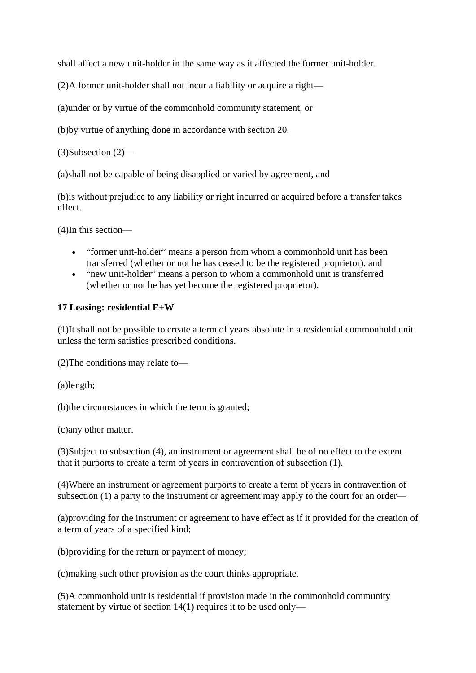shall affect a new unit-holder in the same way as it affected the former unit-holder.

(2)A former unit-holder shall not incur a liability or acquire a right—

(a)under or by virtue of the commonhold community statement, or

(b)by virtue of anything done in accordance with section 20.

(3)Subsection (2)—

(a)shall not be capable of being disapplied or varied by agreement, and

(b)is without prejudice to any liability or right incurred or acquired before a transfer takes effect.

(4)In this section—

- "former unit-holder" means a person from whom a commonhold unit has been transferred (whether or not he has ceased to be the registered proprietor), and
- "new unit-holder" means a person to whom a commonhold unit is transferred (whether or not he has yet become the registered proprietor).

#### **17 Leasing: residential E+W**

(1)It shall not be possible to create a term of years absolute in a residential commonhold unit unless the term satisfies prescribed conditions.

(2)The conditions may relate to—

(a)length;

(b)the circumstances in which the term is granted;

(c)any other matter.

(3)Subject to subsection (4), an instrument or agreement shall be of no effect to the extent that it purports to create a term of years in contravention of subsection (1).

(4)Where an instrument or agreement purports to create a term of years in contravention of subsection (1) a party to the instrument or agreement may apply to the court for an order—

(a)providing for the instrument or agreement to have effect as if it provided for the creation of a term of years of a specified kind;

(b)providing for the return or payment of money;

(c)making such other provision as the court thinks appropriate.

(5)A commonhold unit is residential if provision made in the commonhold community statement by virtue of section 14(1) requires it to be used only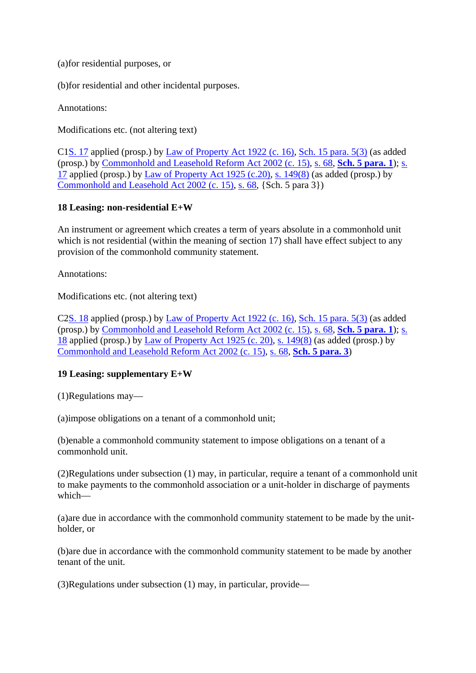(a)for residential purposes, or

(b)for residential and other incidental purposes.

Annotations:

Modifications etc. (not altering text)

C1S. 17 applied (prosp.) by Law of Property Act 1922 (c. 16), Sch. 15 para. 5(3) (as added (prosp.) by Commonhold and Leasehold Reform Act 2002 (c. 15), s. 68, **Sch. 5 para. 1**); s. 17 applied (prosp.) by Law of Property Act 1925 (c.20), s. 149(8) (as added (prosp.) by Commonhold and Leasehold Act 2002 (c. 15), s. 68, {Sch. 5 para 3})

#### **18 Leasing: non-residential E+W**

An instrument or agreement which creates a term of years absolute in a commonhold unit which is not residential (within the meaning of section 17) shall have effect subject to any provision of the commonhold community statement.

Annotations:

Modifications etc. (not altering text)

C2S. 18 applied (prosp.) by Law of Property Act 1922 (c. 16), Sch. 15 para. 5(3) (as added (prosp.) by Commonhold and Leasehold Reform Act 2002 (c. 15), s. 68, **Sch. 5 para. 1**); s. 18 applied (prosp.) by Law of Property Act 1925 (c. 20), s. 149(8) (as added (prosp.) by Commonhold and Leasehold Reform Act 2002 (c. 15), s. 68, **Sch. 5 para. 3**)

#### **19 Leasing: supplementary E+W**

(1)Regulations may—

(a)impose obligations on a tenant of a commonhold unit;

(b)enable a commonhold community statement to impose obligations on a tenant of a commonhold unit.

(2)Regulations under subsection (1) may, in particular, require a tenant of a commonhold unit to make payments to the commonhold association or a unit-holder in discharge of payments which—

(a)are due in accordance with the commonhold community statement to be made by the unitholder, or

(b)are due in accordance with the commonhold community statement to be made by another tenant of the unit.

(3)Regulations under subsection (1) may, in particular, provide—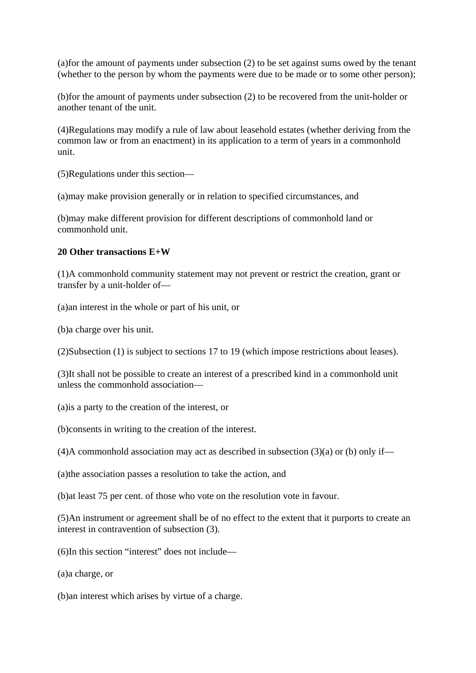(a)for the amount of payments under subsection (2) to be set against sums owed by the tenant (whether to the person by whom the payments were due to be made or to some other person);

(b)for the amount of payments under subsection (2) to be recovered from the unit-holder or another tenant of the unit.

(4)Regulations may modify a rule of law about leasehold estates (whether deriving from the common law or from an enactment) in its application to a term of years in a commonhold unit.

(5)Regulations under this section—

(a)may make provision generally or in relation to specified circumstances, and

(b)may make different provision for different descriptions of commonhold land or commonhold unit.

#### **20 Other transactions E+W**

(1)A commonhold community statement may not prevent or restrict the creation, grant or transfer by a unit-holder of—

(a)an interest in the whole or part of his unit, or

(b)a charge over his unit.

(2)Subsection (1) is subject to sections 17 to 19 (which impose restrictions about leases).

(3)It shall not be possible to create an interest of a prescribed kind in a commonhold unit unless the commonhold association—

(a)is a party to the creation of the interest, or

(b)consents in writing to the creation of the interest.

(4)A commonhold association may act as described in subsection  $(3)(a)$  or (b) only if—

(a)the association passes a resolution to take the action, and

(b)at least 75 per cent. of those who vote on the resolution vote in favour.

(5)An instrument or agreement shall be of no effect to the extent that it purports to create an interest in contravention of subsection (3).

(6)In this section "interest" does not include—

(a)a charge, or

(b)an interest which arises by virtue of a charge.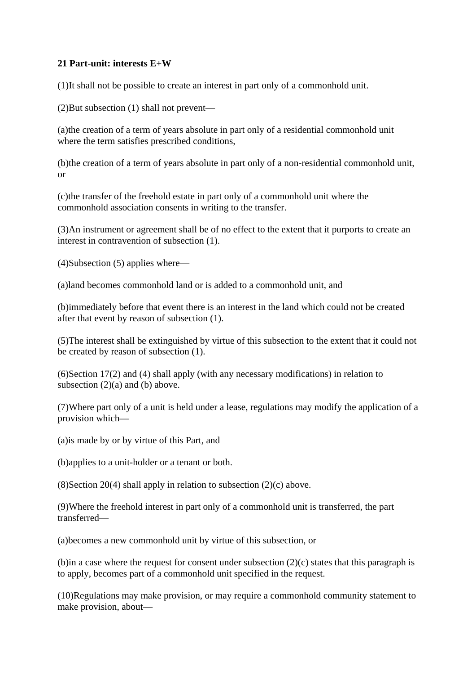#### **21 Part-unit: interests E+W**

(1)It shall not be possible to create an interest in part only of a commonhold unit.

(2)But subsection (1) shall not prevent—

(a)the creation of a term of years absolute in part only of a residential commonhold unit where the term satisfies prescribed conditions.

(b)the creation of a term of years absolute in part only of a non-residential commonhold unit, or

(c)the transfer of the freehold estate in part only of a commonhold unit where the commonhold association consents in writing to the transfer.

(3)An instrument or agreement shall be of no effect to the extent that it purports to create an interest in contravention of subsection (1).

(4)Subsection (5) applies where—

(a)land becomes commonhold land or is added to a commonhold unit, and

(b)immediately before that event there is an interest in the land which could not be created after that event by reason of subsection (1).

(5)The interest shall be extinguished by virtue of this subsection to the extent that it could not be created by reason of subsection (1).

(6)Section 17(2) and (4) shall apply (with any necessary modifications) in relation to subsection (2)(a) and (b) above.

(7)Where part only of a unit is held under a lease, regulations may modify the application of a provision which—

(a)is made by or by virtue of this Part, and

(b)applies to a unit-holder or a tenant or both.

(8) Section 20(4) shall apply in relation to subsection  $(2)(c)$  above.

(9)Where the freehold interest in part only of a commonhold unit is transferred, the part transferred—

(a)becomes a new commonhold unit by virtue of this subsection, or

(b)in a case where the request for consent under subsection (2)(c) states that this paragraph is to apply, becomes part of a commonhold unit specified in the request.

(10)Regulations may make provision, or may require a commonhold community statement to make provision, about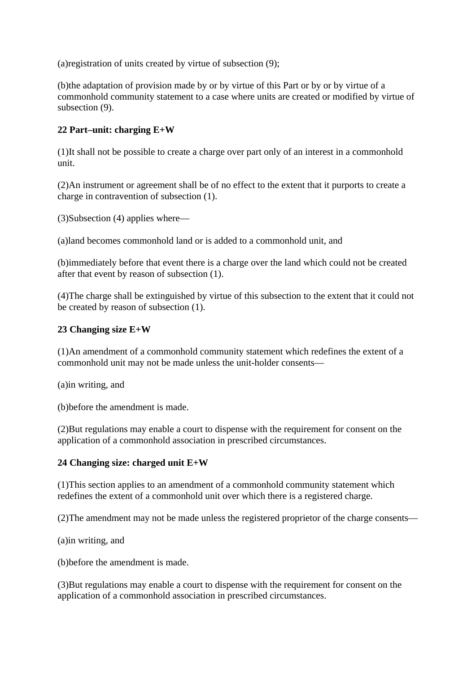(a)registration of units created by virtue of subsection (9);

(b)the adaptation of provision made by or by virtue of this Part or by or by virtue of a commonhold community statement to a case where units are created or modified by virtue of subsection (9).

#### **22 Part–unit: charging E+W**

(1)It shall not be possible to create a charge over part only of an interest in a commonhold unit.

(2)An instrument or agreement shall be of no effect to the extent that it purports to create a charge in contravention of subsection (1).

(3)Subsection (4) applies where—

(a)land becomes commonhold land or is added to a commonhold unit, and

(b)immediately before that event there is a charge over the land which could not be created after that event by reason of subsection (1).

(4)The charge shall be extinguished by virtue of this subsection to the extent that it could not be created by reason of subsection (1).

#### **23 Changing size E+W**

(1)An amendment of a commonhold community statement which redefines the extent of a commonhold unit may not be made unless the unit-holder consents—

(a)in writing, and

(b)before the amendment is made.

(2)But regulations may enable a court to dispense with the requirement for consent on the application of a commonhold association in prescribed circumstances.

#### **24 Changing size: charged unit E+W**

(1)This section applies to an amendment of a commonhold community statement which redefines the extent of a commonhold unit over which there is a registered charge.

(2)The amendment may not be made unless the registered proprietor of the charge consents—

(a)in writing, and

(b)before the amendment is made.

(3)But regulations may enable a court to dispense with the requirement for consent on the application of a commonhold association in prescribed circumstances.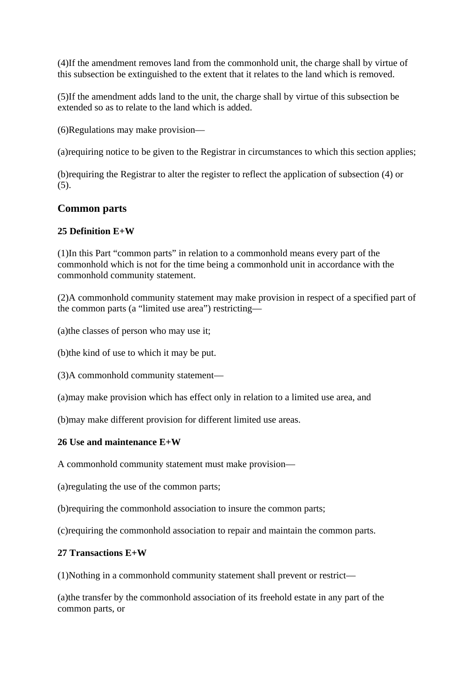(4)If the amendment removes land from the commonhold unit, the charge shall by virtue of this subsection be extinguished to the extent that it relates to the land which is removed.

(5)If the amendment adds land to the unit, the charge shall by virtue of this subsection be extended so as to relate to the land which is added.

(6)Regulations may make provision—

(a)requiring notice to be given to the Registrar in circumstances to which this section applies;

(b)requiring the Registrar to alter the register to reflect the application of subsection (4) or (5).

# **Common parts**

#### **25 Definition E+W**

(1)In this Part "common parts" in relation to a commonhold means every part of the commonhold which is not for the time being a commonhold unit in accordance with the commonhold community statement.

(2)A commonhold community statement may make provision in respect of a specified part of the common parts (a "limited use area") restricting—

(a)the classes of person who may use it;

(b)the kind of use to which it may be put.

(3)A commonhold community statement—

(a)may make provision which has effect only in relation to a limited use area, and

(b)may make different provision for different limited use areas.

#### **26 Use and maintenance E+W**

A commonhold community statement must make provision—

(a)regulating the use of the common parts;

(b)requiring the commonhold association to insure the common parts;

(c)requiring the commonhold association to repair and maintain the common parts.

#### **27 Transactions E+W**

(1)Nothing in a commonhold community statement shall prevent or restrict—

(a)the transfer by the commonhold association of its freehold estate in any part of the common parts, or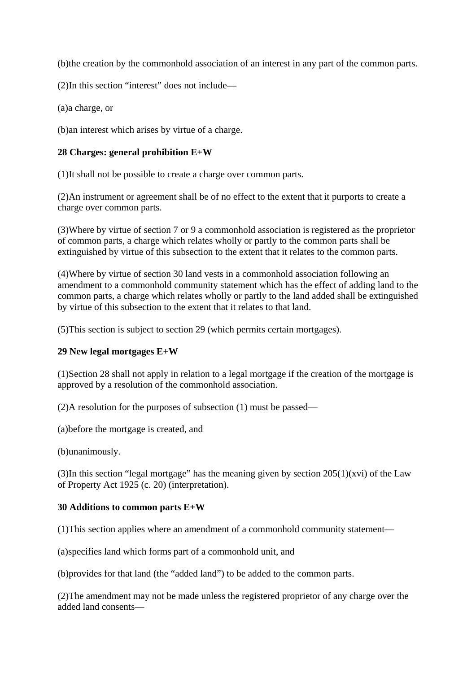(b)the creation by the commonhold association of an interest in any part of the common parts.

(2)In this section "interest" does not include—

(a)a charge, or

(b)an interest which arises by virtue of a charge.

#### **28 Charges: general prohibition E+W**

(1)It shall not be possible to create a charge over common parts.

(2)An instrument or agreement shall be of no effect to the extent that it purports to create a charge over common parts.

(3)Where by virtue of section 7 or 9 a commonhold association is registered as the proprietor of common parts, a charge which relates wholly or partly to the common parts shall be extinguished by virtue of this subsection to the extent that it relates to the common parts.

(4)Where by virtue of section 30 land vests in a commonhold association following an amendment to a commonhold community statement which has the effect of adding land to the common parts, a charge which relates wholly or partly to the land added shall be extinguished by virtue of this subsection to the extent that it relates to that land.

(5)This section is subject to section 29 (which permits certain mortgages).

#### **29 New legal mortgages E+W**

(1)Section 28 shall not apply in relation to a legal mortgage if the creation of the mortgage is approved by a resolution of the commonhold association.

(2)A resolution for the purposes of subsection (1) must be passed—

(a)before the mortgage is created, and

(b)unanimously.

(3)In this section "legal mortgage" has the meaning given by section  $205(1)(xvi)$  of the Law of Property Act 1925 (c. 20) (interpretation).

#### **30 Additions to common parts E+W**

(1)This section applies where an amendment of a commonhold community statement—

(a)specifies land which forms part of a commonhold unit, and

(b)provides for that land (the "added land") to be added to the common parts.

(2)The amendment may not be made unless the registered proprietor of any charge over the added land consents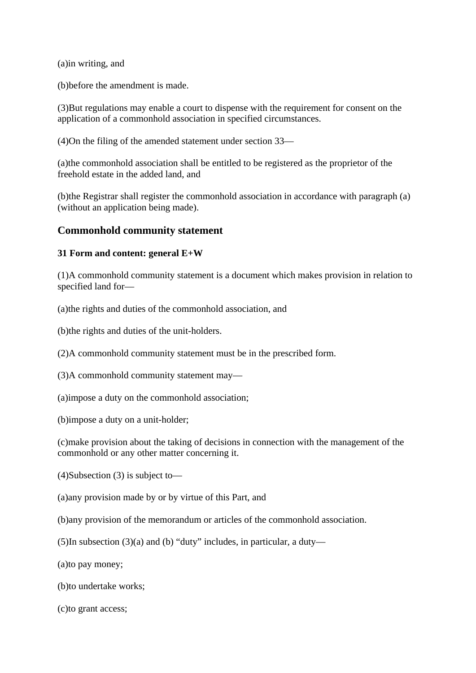(a)in writing, and

(b)before the amendment is made.

(3)But regulations may enable a court to dispense with the requirement for consent on the application of a commonhold association in specified circumstances.

(4)On the filing of the amended statement under section 33—

(a)the commonhold association shall be entitled to be registered as the proprietor of the freehold estate in the added land, and

(b)the Registrar shall register the commonhold association in accordance with paragraph (a) (without an application being made).

## **Commonhold community statement**

#### **31 Form and content: general E+W**

(1)A commonhold community statement is a document which makes provision in relation to specified land for—

(a)the rights and duties of the commonhold association, and

(b)the rights and duties of the unit-holders.

(2)A commonhold community statement must be in the prescribed form.

(3)A commonhold community statement may—

(a)impose a duty on the commonhold association;

(b)impose a duty on a unit-holder;

(c)make provision about the taking of decisions in connection with the management of the commonhold or any other matter concerning it.

(4)Subsection (3) is subject to—

(a)any provision made by or by virtue of this Part, and

(b)any provision of the memorandum or articles of the commonhold association.

(5)In subsection (3)(a) and (b) "duty" includes, in particular, a duty—

(a)to pay money;

(b)to undertake works;

(c)to grant access;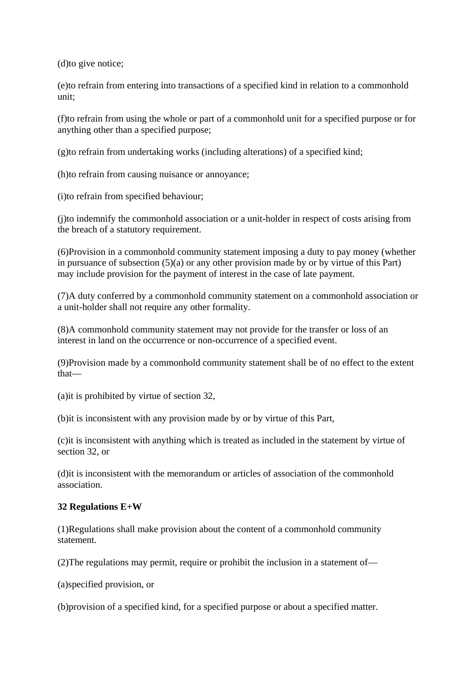(d)to give notice;

(e)to refrain from entering into transactions of a specified kind in relation to a commonhold unit;

(f)to refrain from using the whole or part of a commonhold unit for a specified purpose or for anything other than a specified purpose;

(g)to refrain from undertaking works (including alterations) of a specified kind;

(h)to refrain from causing nuisance or annoyance;

(i)to refrain from specified behaviour;

(j)to indemnify the commonhold association or a unit-holder in respect of costs arising from the breach of a statutory requirement.

(6)Provision in a commonhold community statement imposing a duty to pay money (whether in pursuance of subsection  $(5)(a)$  or any other provision made by or by virtue of this Part) may include provision for the payment of interest in the case of late payment.

(7)A duty conferred by a commonhold community statement on a commonhold association or a unit-holder shall not require any other formality.

(8)A commonhold community statement may not provide for the transfer or loss of an interest in land on the occurrence or non-occurrence of a specified event.

(9)Provision made by a commonhold community statement shall be of no effect to the extent that—

(a)it is prohibited by virtue of section 32,

(b)it is inconsistent with any provision made by or by virtue of this Part,

(c)it is inconsistent with anything which is treated as included in the statement by virtue of section 32, or

(d)it is inconsistent with the memorandum or articles of association of the commonhold association.

#### **32 Regulations E+W**

(1)Regulations shall make provision about the content of a commonhold community statement.

(2)The regulations may permit, require or prohibit the inclusion in a statement of—

(a)specified provision, or

(b)provision of a specified kind, for a specified purpose or about a specified matter.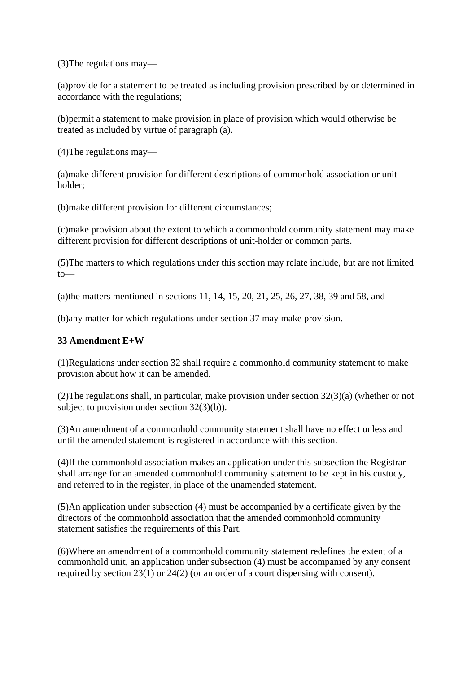(3)The regulations may—

(a)provide for a statement to be treated as including provision prescribed by or determined in accordance with the regulations;

(b)permit a statement to make provision in place of provision which would otherwise be treated as included by virtue of paragraph (a).

(4)The regulations may—

(a)make different provision for different descriptions of commonhold association or unitholder;

(b)make different provision for different circumstances;

(c)make provision about the extent to which a commonhold community statement may make different provision for different descriptions of unit-holder or common parts.

(5)The matters to which regulations under this section may relate include, but are not limited to—

(a)the matters mentioned in sections 11, 14, 15, 20, 21, 25, 26, 27, 38, 39 and 58, and

(b)any matter for which regulations under section 37 may make provision.

#### **33 Amendment E+W**

(1)Regulations under section 32 shall require a commonhold community statement to make provision about how it can be amended.

(2)The regulations shall, in particular, make provision under section 32(3)(a) (whether or not subject to provision under section 32(3)(b)).

(3)An amendment of a commonhold community statement shall have no effect unless and until the amended statement is registered in accordance with this section.

(4)If the commonhold association makes an application under this subsection the Registrar shall arrange for an amended commonhold community statement to be kept in his custody, and referred to in the register, in place of the unamended statement.

(5)An application under subsection (4) must be accompanied by a certificate given by the directors of the commonhold association that the amended commonhold community statement satisfies the requirements of this Part.

(6)Where an amendment of a commonhold community statement redefines the extent of a commonhold unit, an application under subsection (4) must be accompanied by any consent required by section 23(1) or 24(2) (or an order of a court dispensing with consent).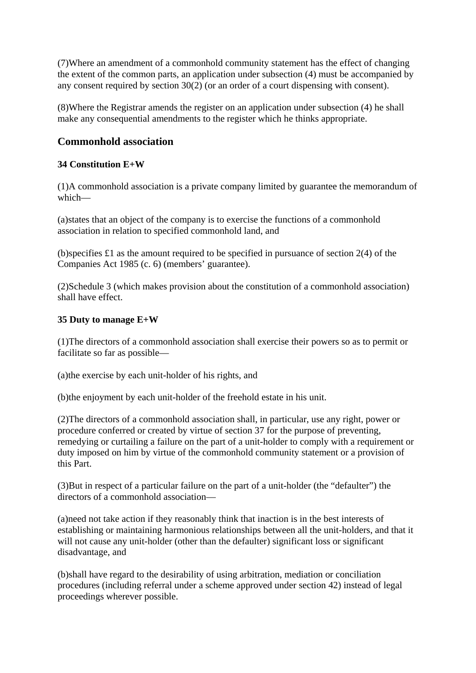(7)Where an amendment of a commonhold community statement has the effect of changing the extent of the common parts, an application under subsection (4) must be accompanied by any consent required by section 30(2) (or an order of a court dispensing with consent).

(8)Where the Registrar amends the register on an application under subsection (4) he shall make any consequential amendments to the register which he thinks appropriate.

# **Commonhold association**

#### **34 Constitution E+W**

(1)A commonhold association is a private company limited by guarantee the memorandum of which—

(a)states that an object of the company is to exercise the functions of a commonhold association in relation to specified commonhold land, and

(b)specifies  $\pounds 1$  as the amount required to be specified in pursuance of section 2(4) of the Companies Act 1985 (c. 6) (members' guarantee).

(2)Schedule 3 (which makes provision about the constitution of a commonhold association) shall have effect.

#### **35 Duty to manage E+W**

(1)The directors of a commonhold association shall exercise their powers so as to permit or facilitate so far as possible—

(a)the exercise by each unit-holder of his rights, and

(b)the enjoyment by each unit-holder of the freehold estate in his unit.

(2)The directors of a commonhold association shall, in particular, use any right, power or procedure conferred or created by virtue of section 37 for the purpose of preventing, remedying or curtailing a failure on the part of a unit-holder to comply with a requirement or duty imposed on him by virtue of the commonhold community statement or a provision of this Part.

(3)But in respect of a particular failure on the part of a unit-holder (the "defaulter") the directors of a commonhold association—

(a)need not take action if they reasonably think that inaction is in the best interests of establishing or maintaining harmonious relationships between all the unit-holders, and that it will not cause any unit-holder (other than the defaulter) significant loss or significant disadvantage, and

(b)shall have regard to the desirability of using arbitration, mediation or conciliation procedures (including referral under a scheme approved under section 42) instead of legal proceedings wherever possible.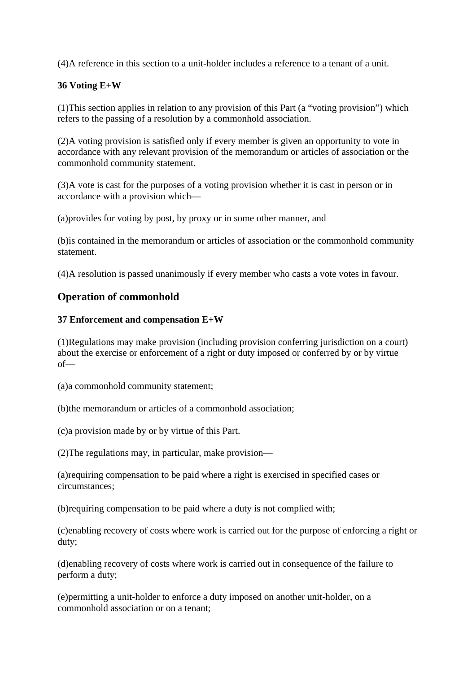(4)A reference in this section to a unit-holder includes a reference to a tenant of a unit.

#### **36 Voting E+W**

(1)This section applies in relation to any provision of this Part (a "voting provision") which refers to the passing of a resolution by a commonhold association.

(2)A voting provision is satisfied only if every member is given an opportunity to vote in accordance with any relevant provision of the memorandum or articles of association or the commonhold community statement.

(3)A vote is cast for the purposes of a voting provision whether it is cast in person or in accordance with a provision which—

(a)provides for voting by post, by proxy or in some other manner, and

(b)is contained in the memorandum or articles of association or the commonhold community statement.

(4)A resolution is passed unanimously if every member who casts a vote votes in favour.

# **Operation of commonhold**

#### **37 Enforcement and compensation E+W**

(1)Regulations may make provision (including provision conferring jurisdiction on a court) about the exercise or enforcement of a right or duty imposed or conferred by or by virtue of—

(a)a commonhold community statement;

(b)the memorandum or articles of a commonhold association;

(c)a provision made by or by virtue of this Part.

(2)The regulations may, in particular, make provision—

(a)requiring compensation to be paid where a right is exercised in specified cases or circumstances;

(b)requiring compensation to be paid where a duty is not complied with;

(c)enabling recovery of costs where work is carried out for the purpose of enforcing a right or duty;

(d)enabling recovery of costs where work is carried out in consequence of the failure to perform a duty;

(e)permitting a unit-holder to enforce a duty imposed on another unit-holder, on a commonhold association or on a tenant;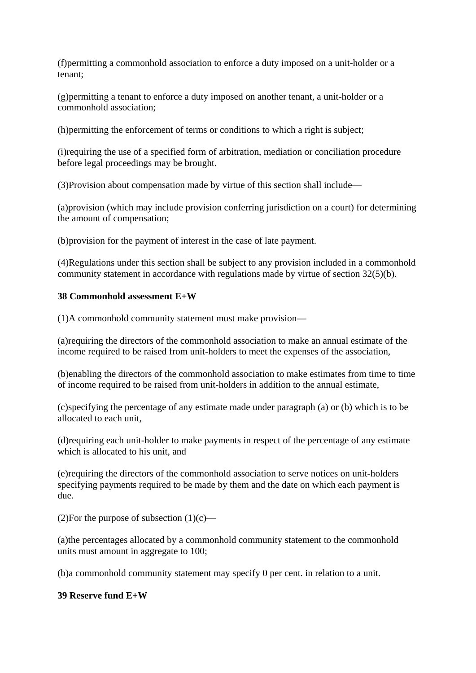(f)permitting a commonhold association to enforce a duty imposed on a unit-holder or a tenant;

(g)permitting a tenant to enforce a duty imposed on another tenant, a unit-holder or a commonhold association;

(h)permitting the enforcement of terms or conditions to which a right is subject;

(i)requiring the use of a specified form of arbitration, mediation or conciliation procedure before legal proceedings may be brought.

(3)Provision about compensation made by virtue of this section shall include—

(a)provision (which may include provision conferring jurisdiction on a court) for determining the amount of compensation;

(b)provision for the payment of interest in the case of late payment.

(4)Regulations under this section shall be subject to any provision included in a commonhold community statement in accordance with regulations made by virtue of section 32(5)(b).

#### **38 Commonhold assessment E+W**

(1)A commonhold community statement must make provision—

(a)requiring the directors of the commonhold association to make an annual estimate of the income required to be raised from unit-holders to meet the expenses of the association,

(b)enabling the directors of the commonhold association to make estimates from time to time of income required to be raised from unit-holders in addition to the annual estimate,

(c)specifying the percentage of any estimate made under paragraph (a) or (b) which is to be allocated to each unit,

(d)requiring each unit-holder to make payments in respect of the percentage of any estimate which is allocated to his unit, and

(e)requiring the directors of the commonhold association to serve notices on unit-holders specifying payments required to be made by them and the date on which each payment is due.

(2)For the purpose of subsection  $(1)(c)$ —

(a)the percentages allocated by a commonhold community statement to the commonhold units must amount in aggregate to 100;

(b)a commonhold community statement may specify 0 per cent. in relation to a unit.

#### **39 Reserve fund E+W**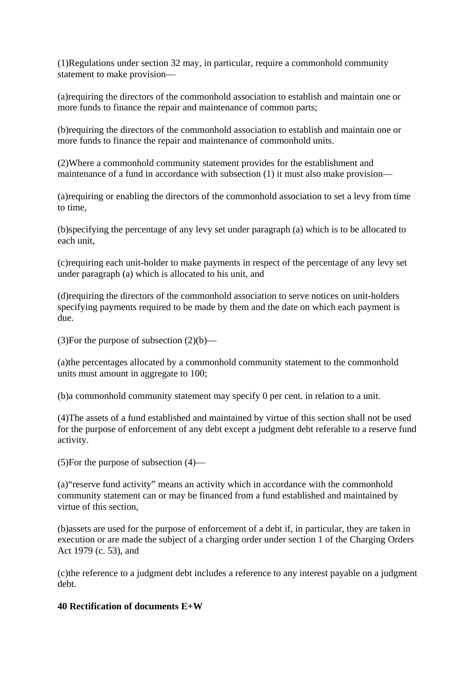(1)Regulations under section 32 may, in particular, require a commonhold community statement to make provision—

(a)requiring the directors of the commonhold association to establish and maintain one or more funds to finance the repair and maintenance of common parts;

(b)requiring the directors of the commonhold association to establish and maintain one or more funds to finance the repair and maintenance of commonhold units.

(2)Where a commonhold community statement provides for the establishment and maintenance of a fund in accordance with subsection (1) it must also make provision—

(a)requiring or enabling the directors of the commonhold association to set a levy from time to time,

(b)specifying the percentage of any levy set under paragraph (a) which is to be allocated to each unit,

(c)requiring each unit-holder to make payments in respect of the percentage of any levy set under paragraph (a) which is allocated to his unit, and

(d)requiring the directors of the commonhold association to serve notices on unit-holders specifying payments required to be made by them and the date on which each payment is due.

(3) For the purpose of subsection  $(2)(b)$ —

(a)the percentages allocated by a commonhold community statement to the commonhold units must amount in aggregate to 100;

(b)a commonhold community statement may specify 0 per cent. in relation to a unit.

(4)The assets of a fund established and maintained by virtue of this section shall not be used for the purpose of enforcement of any debt except a judgment debt referable to a reserve fund activity.

(5)For the purpose of subsection (4)—

(a)"reserve fund activity" means an activity which in accordance with the commonhold community statement can or may be financed from a fund established and maintained by virtue of this section,

(b)assets are used for the purpose of enforcement of a debt if, in particular, they are taken in execution or are made the subject of a charging order under section 1 of the Charging Orders Act 1979 (c. 53), and

(c)the reference to a judgment debt includes a reference to any interest payable on a judgment debt.

#### **40 Rectification of documents E+W**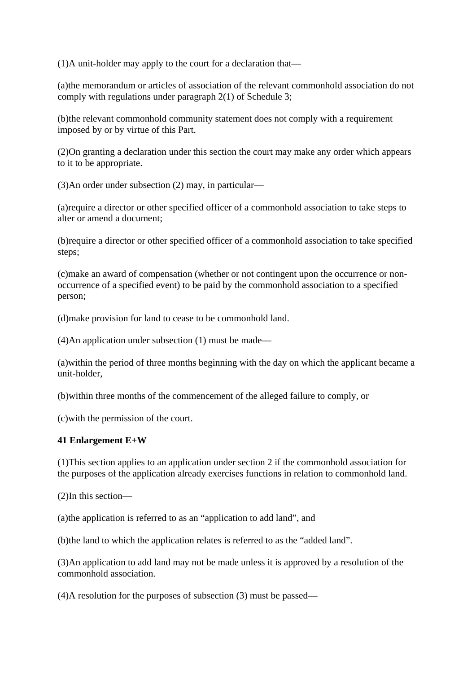(1)A unit-holder may apply to the court for a declaration that—

(a)the memorandum or articles of association of the relevant commonhold association do not comply with regulations under paragraph 2(1) of Schedule 3;

(b)the relevant commonhold community statement does not comply with a requirement imposed by or by virtue of this Part.

(2)On granting a declaration under this section the court may make any order which appears to it to be appropriate.

(3)An order under subsection (2) may, in particular—

(a)require a director or other specified officer of a commonhold association to take steps to alter or amend a document;

(b)require a director or other specified officer of a commonhold association to take specified steps;

(c)make an award of compensation (whether or not contingent upon the occurrence or nonoccurrence of a specified event) to be paid by the commonhold association to a specified person;

(d)make provision for land to cease to be commonhold land.

(4)An application under subsection (1) must be made—

(a)within the period of three months beginning with the day on which the applicant became a unit-holder,

(b)within three months of the commencement of the alleged failure to comply, or

(c)with the permission of the court.

#### **41 Enlargement E+W**

(1)This section applies to an application under section 2 if the commonhold association for the purposes of the application already exercises functions in relation to commonhold land.

(2)In this section—

(a)the application is referred to as an "application to add land", and

(b)the land to which the application relates is referred to as the "added land".

(3)An application to add land may not be made unless it is approved by a resolution of the commonhold association.

(4)A resolution for the purposes of subsection (3) must be passed—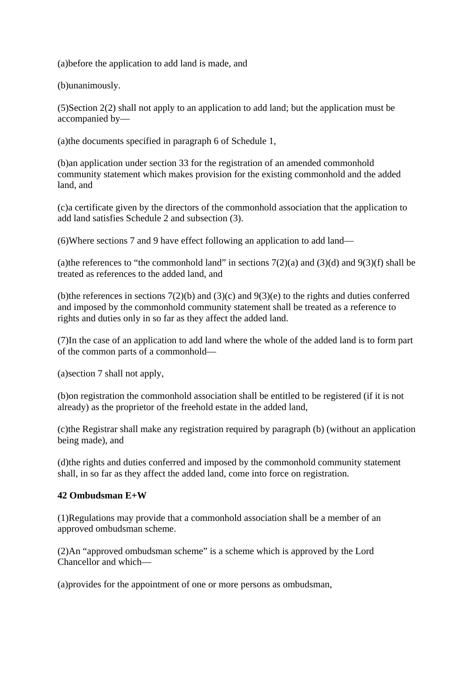(a)before the application to add land is made, and

(b)unanimously.

(5)Section 2(2) shall not apply to an application to add land; but the application must be accompanied by—

(a)the documents specified in paragraph 6 of Schedule 1,

(b)an application under section 33 for the registration of an amended commonhold community statement which makes provision for the existing commonhold and the added land, and

(c)a certificate given by the directors of the commonhold association that the application to add land satisfies Schedule 2 and subsection (3).

(6)Where sections 7 and 9 have effect following an application to add land—

(a)the references to "the commonhold land" in sections  $7(2)(a)$  and  $(3)(d)$  and  $9(3)(f)$  shall be treated as references to the added land, and

(b)the references in sections  $7(2)(b)$  and  $(3)(c)$  and  $9(3)(e)$  to the rights and duties conferred and imposed by the commonhold community statement shall be treated as a reference to rights and duties only in so far as they affect the added land.

(7)In the case of an application to add land where the whole of the added land is to form part of the common parts of a commonhold—

(a)section 7 shall not apply,

(b)on registration the commonhold association shall be entitled to be registered (if it is not already) as the proprietor of the freehold estate in the added land,

(c)the Registrar shall make any registration required by paragraph (b) (without an application being made), and

(d)the rights and duties conferred and imposed by the commonhold community statement shall, in so far as they affect the added land, come into force on registration.

#### **42 Ombudsman E+W**

(1)Regulations may provide that a commonhold association shall be a member of an approved ombudsman scheme.

(2)An "approved ombudsman scheme" is a scheme which is approved by the Lord Chancellor and which—

(a)provides for the appointment of one or more persons as ombudsman,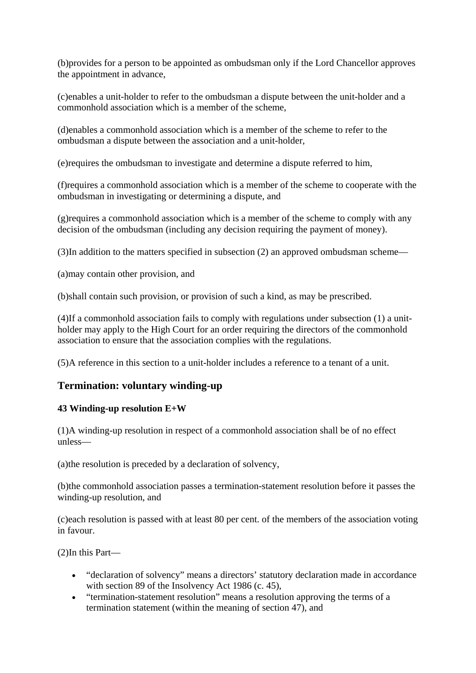(b)provides for a person to be appointed as ombudsman only if the Lord Chancellor approves the appointment in advance,

(c)enables a unit-holder to refer to the ombudsman a dispute between the unit-holder and a commonhold association which is a member of the scheme,

(d)enables a commonhold association which is a member of the scheme to refer to the ombudsman a dispute between the association and a unit-holder,

(e)requires the ombudsman to investigate and determine a dispute referred to him,

(f)requires a commonhold association which is a member of the scheme to cooperate with the ombudsman in investigating or determining a dispute, and

(g)requires a commonhold association which is a member of the scheme to comply with any decision of the ombudsman (including any decision requiring the payment of money).

(3)In addition to the matters specified in subsection (2) an approved ombudsman scheme—

(a)may contain other provision, and

(b)shall contain such provision, or provision of such a kind, as may be prescribed.

(4)If a commonhold association fails to comply with regulations under subsection (1) a unitholder may apply to the High Court for an order requiring the directors of the commonhold association to ensure that the association complies with the regulations.

(5)A reference in this section to a unit-holder includes a reference to a tenant of a unit.

# **Termination: voluntary winding-up**

#### **43 Winding-up resolution E+W**

(1)A winding-up resolution in respect of a commonhold association shall be of no effect unless—

(a)the resolution is preceded by a declaration of solvency,

(b)the commonhold association passes a termination-statement resolution before it passes the winding-up resolution, and

(c)each resolution is passed with at least 80 per cent. of the members of the association voting in favour.

(2)In this Part—

- "declaration of solvency" means a directors' statutory declaration made in accordance with section 89 of the Insolvency Act 1986 (c. 45),
- "termination-statement resolution" means a resolution approving the terms of a termination statement (within the meaning of section 47), and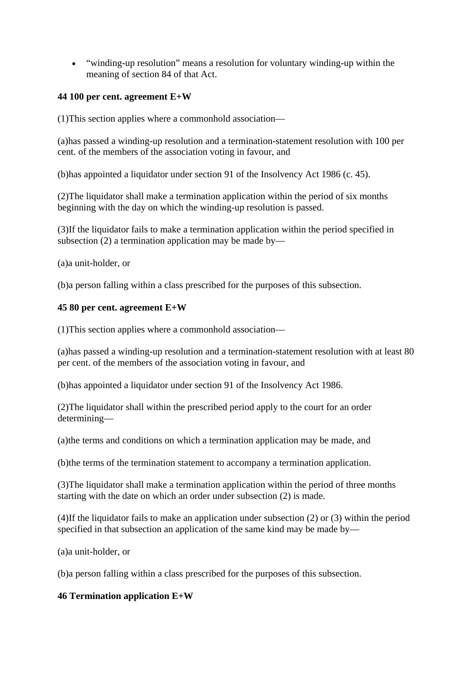"winding-up resolution" means a resolution for voluntary winding-up within the meaning of section 84 of that Act.

#### **44 100 per cent. agreement E+W**

(1)This section applies where a commonhold association—

(a)has passed a winding-up resolution and a termination-statement resolution with 100 per cent. of the members of the association voting in favour, and

(b)has appointed a liquidator under section 91 of the Insolvency Act 1986 (c. 45).

(2)The liquidator shall make a termination application within the period of six months beginning with the day on which the winding-up resolution is passed.

(3)If the liquidator fails to make a termination application within the period specified in subsection (2) a termination application may be made by—

(a)a unit-holder, or

(b)a person falling within a class prescribed for the purposes of this subsection.

#### **45 80 per cent. agreement E+W**

(1)This section applies where a commonhold association—

(a)has passed a winding-up resolution and a termination-statement resolution with at least 80 per cent. of the members of the association voting in favour, and

(b)has appointed a liquidator under section 91 of the Insolvency Act 1986.

(2)The liquidator shall within the prescribed period apply to the court for an order determining—

(a)the terms and conditions on which a termination application may be made, and

(b)the terms of the termination statement to accompany a termination application.

(3)The liquidator shall make a termination application within the period of three months starting with the date on which an order under subsection (2) is made.

(4)If the liquidator fails to make an application under subsection (2) or (3) within the period specified in that subsection an application of the same kind may be made by—

(a)a unit-holder, or

(b)a person falling within a class prescribed for the purposes of this subsection.

#### **46 Termination application E+W**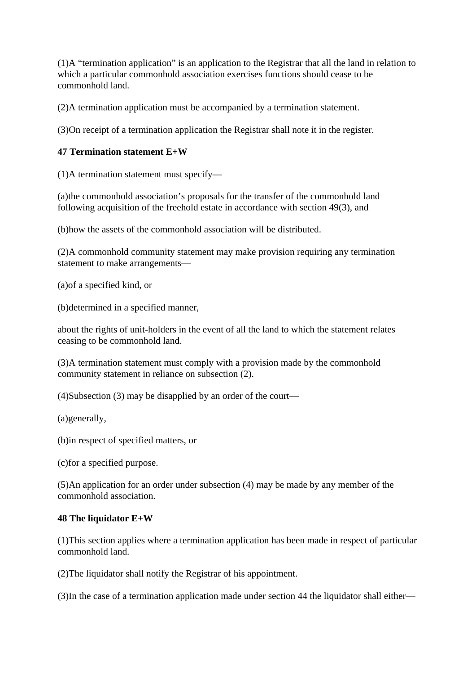(1)A "termination application" is an application to the Registrar that all the land in relation to which a particular commonhold association exercises functions should cease to be commonhold land.

(2)A termination application must be accompanied by a termination statement.

(3)On receipt of a termination application the Registrar shall note it in the register.

#### **47 Termination statement E+W**

(1)A termination statement must specify—

(a)the commonhold association's proposals for the transfer of the commonhold land following acquisition of the freehold estate in accordance with section 49(3), and

(b)how the assets of the commonhold association will be distributed.

(2)A commonhold community statement may make provision requiring any termination statement to make arrangements—

(a)of a specified kind, or

(b)determined in a specified manner,

about the rights of unit-holders in the event of all the land to which the statement relates ceasing to be commonhold land.

(3)A termination statement must comply with a provision made by the commonhold community statement in reliance on subsection (2).

(4)Subsection (3) may be disapplied by an order of the court—

(a)generally,

(b)in respect of specified matters, or

(c)for a specified purpose.

(5)An application for an order under subsection (4) may be made by any member of the commonhold association.

#### **48 The liquidator E+W**

(1)This section applies where a termination application has been made in respect of particular commonhold land.

(2)The liquidator shall notify the Registrar of his appointment.

(3)In the case of a termination application made under section 44 the liquidator shall either—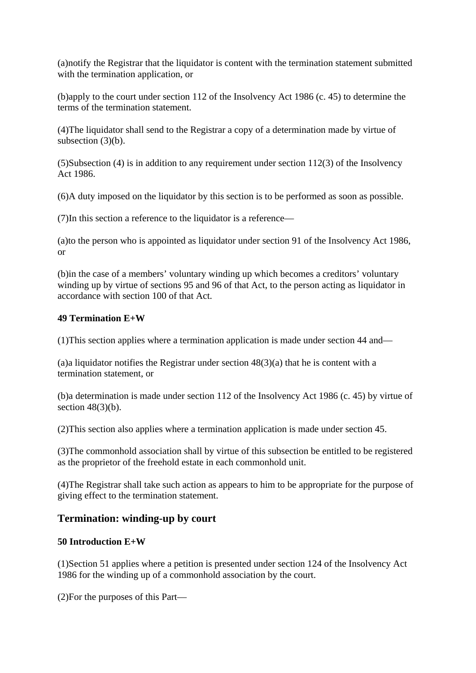(a)notify the Registrar that the liquidator is content with the termination statement submitted with the termination application, or

(b)apply to the court under section 112 of the Insolvency Act 1986 (c. 45) to determine the terms of the termination statement.

(4)The liquidator shall send to the Registrar a copy of a determination made by virtue of subsection (3)(b).

(5)Subsection (4) is in addition to any requirement under section 112(3) of the Insolvency Act 1986.

(6)A duty imposed on the liquidator by this section is to be performed as soon as possible.

(7)In this section a reference to the liquidator is a reference—

(a)to the person who is appointed as liquidator under section 91 of the Insolvency Act 1986, or

(b)in the case of a members' voluntary winding up which becomes a creditors' voluntary winding up by virtue of sections 95 and 96 of that Act, to the person acting as liquidator in accordance with section 100 of that Act.

#### **49 Termination E+W**

(1)This section applies where a termination application is made under section 44 and—

(a)a liquidator notifies the Registrar under section  $48(3)(a)$  that he is content with a termination statement, or

(b)a determination is made under section 112 of the Insolvency Act 1986 (c. 45) by virtue of section  $48(3)(b)$ .

(2)This section also applies where a termination application is made under section 45.

(3)The commonhold association shall by virtue of this subsection be entitled to be registered as the proprietor of the freehold estate in each commonhold unit.

(4)The Registrar shall take such action as appears to him to be appropriate for the purpose of giving effect to the termination statement.

# **Termination: winding-up by court**

# **50 Introduction E+W**

(1)Section 51 applies where a petition is presented under section 124 of the Insolvency Act 1986 for the winding up of a commonhold association by the court.

(2)For the purposes of this Part—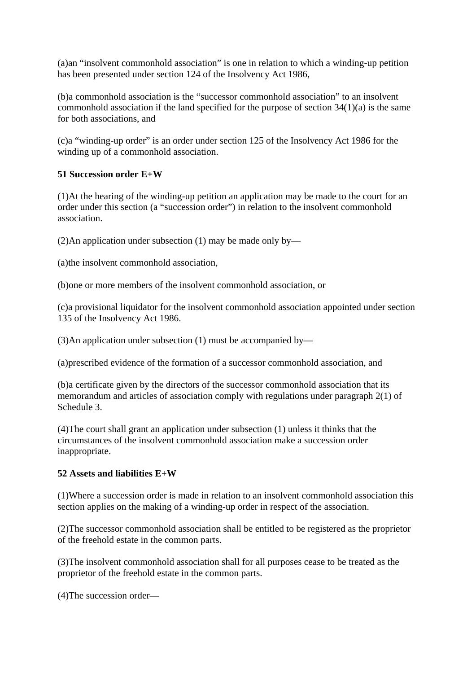(a)an "insolvent commonhold association" is one in relation to which a winding-up petition has been presented under section 124 of the Insolvency Act 1986,

(b)a commonhold association is the "successor commonhold association" to an insolvent commonhold association if the land specified for the purpose of section  $34(1)(a)$  is the same for both associations, and

(c)a "winding-up order" is an order under section 125 of the Insolvency Act 1986 for the winding up of a commonhold association.

#### **51 Succession order E+W**

(1)At the hearing of the winding-up petition an application may be made to the court for an order under this section (a "succession order") in relation to the insolvent commonhold association.

(2)An application under subsection (1) may be made only by—

(a)the insolvent commonhold association,

(b)one or more members of the insolvent commonhold association, or

(c)a provisional liquidator for the insolvent commonhold association appointed under section 135 of the Insolvency Act 1986.

(3)An application under subsection (1) must be accompanied by—

(a)prescribed evidence of the formation of a successor commonhold association, and

(b)a certificate given by the directors of the successor commonhold association that its memorandum and articles of association comply with regulations under paragraph 2(1) of Schedule 3.

(4)The court shall grant an application under subsection (1) unless it thinks that the circumstances of the insolvent commonhold association make a succession order inappropriate.

#### **52 Assets and liabilities E+W**

(1)Where a succession order is made in relation to an insolvent commonhold association this section applies on the making of a winding-up order in respect of the association.

(2)The successor commonhold association shall be entitled to be registered as the proprietor of the freehold estate in the common parts.

(3)The insolvent commonhold association shall for all purposes cease to be treated as the proprietor of the freehold estate in the common parts.

(4)The succession order—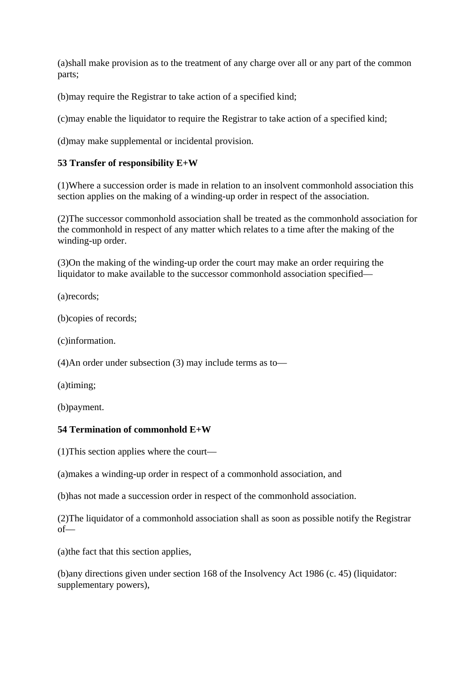(a)shall make provision as to the treatment of any charge over all or any part of the common parts;

(b)may require the Registrar to take action of a specified kind;

(c)may enable the liquidator to require the Registrar to take action of a specified kind;

(d)may make supplemental or incidental provision.

# **53 Transfer of responsibility E+W**

(1)Where a succession order is made in relation to an insolvent commonhold association this section applies on the making of a winding-up order in respect of the association.

(2)The successor commonhold association shall be treated as the commonhold association for the commonhold in respect of any matter which relates to a time after the making of the winding-up order.

(3)On the making of the winding-up order the court may make an order requiring the liquidator to make available to the successor commonhold association specified—

(a)records;

(b)copies of records;

(c)information.

(4)An order under subsection (3) may include terms as to—

(a)timing;

(b)payment.

#### **54 Termination of commonhold E+W**

(1)This section applies where the court—

(a)makes a winding-up order in respect of a commonhold association, and

(b)has not made a succession order in respect of the commonhold association.

(2)The liquidator of a commonhold association shall as soon as possible notify the Registrar of—

(a)the fact that this section applies,

(b)any directions given under section 168 of the Insolvency Act 1986 (c. 45) (liquidator: supplementary powers),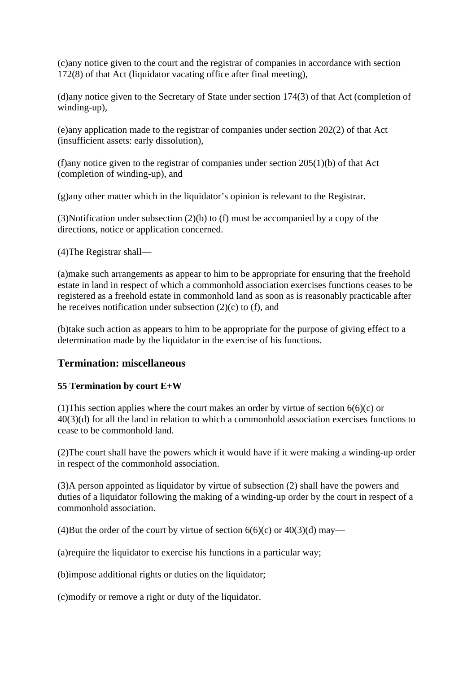(c)any notice given to the court and the registrar of companies in accordance with section 172(8) of that Act (liquidator vacating office after final meeting),

(d)any notice given to the Secretary of State under section 174(3) of that Act (completion of winding-up),

(e)any application made to the registrar of companies under section 202(2) of that Act (insufficient assets: early dissolution),

(f)any notice given to the registrar of companies under section  $205(1)(b)$  of that Act (completion of winding-up), and

(g)any other matter which in the liquidator's opinion is relevant to the Registrar.

(3)Notification under subsection (2)(b) to (f) must be accompanied by a copy of the directions, notice or application concerned.

(4)The Registrar shall—

(a)make such arrangements as appear to him to be appropriate for ensuring that the freehold estate in land in respect of which a commonhold association exercises functions ceases to be registered as a freehold estate in commonhold land as soon as is reasonably practicable after he receives notification under subsection  $(2)(c)$  to  $(f)$ , and

(b)take such action as appears to him to be appropriate for the purpose of giving effect to a determination made by the liquidator in the exercise of his functions.

#### **Termination: miscellaneous**

#### **55 Termination by court E+W**

(1) This section applies where the court makes an order by virtue of section  $6(6)(c)$  or 40(3)(d) for all the land in relation to which a commonhold association exercises functions to cease to be commonhold land.

(2)The court shall have the powers which it would have if it were making a winding-up order in respect of the commonhold association.

(3)A person appointed as liquidator by virtue of subsection (2) shall have the powers and duties of a liquidator following the making of a winding-up order by the court in respect of a commonhold association.

(4)But the order of the court by virtue of section  $6(6)(c)$  or  $40(3)(d)$  may—

(a)require the liquidator to exercise his functions in a particular way;

(b)impose additional rights or duties on the liquidator;

(c)modify or remove a right or duty of the liquidator.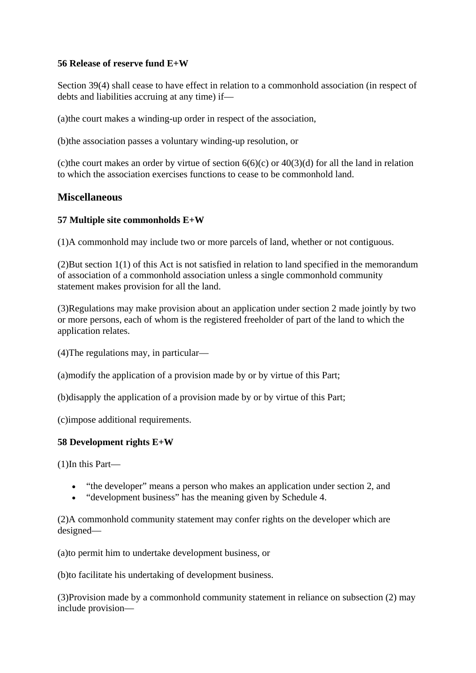#### **56 Release of reserve fund E+W**

Section 39(4) shall cease to have effect in relation to a commonhold association (in respect of debts and liabilities accruing at any time) if—

(a)the court makes a winding-up order in respect of the association,

(b)the association passes a voluntary winding-up resolution, or

(c) the court makes an order by virtue of section  $6(6)(c)$  or  $40(3)(d)$  for all the land in relation to which the association exercises functions to cease to be commonhold land.

# **Miscellaneous**

#### **57 Multiple site commonholds E+W**

(1)A commonhold may include two or more parcels of land, whether or not contiguous.

(2)But section 1(1) of this Act is not satisfied in relation to land specified in the memorandum of association of a commonhold association unless a single commonhold community statement makes provision for all the land.

(3)Regulations may make provision about an application under section 2 made jointly by two or more persons, each of whom is the registered freeholder of part of the land to which the application relates.

(4)The regulations may, in particular—

(a)modify the application of a provision made by or by virtue of this Part;

(b)disapply the application of a provision made by or by virtue of this Part;

(c)impose additional requirements.

#### **58 Development rights E+W**

(1)In this Part—

- "the developer" means a person who makes an application under section 2, and
- "development business" has the meaning given by Schedule 4.

(2)A commonhold community statement may confer rights on the developer which are designed—

(a)to permit him to undertake development business, or

(b)to facilitate his undertaking of development business.

(3)Provision made by a commonhold community statement in reliance on subsection (2) may include provision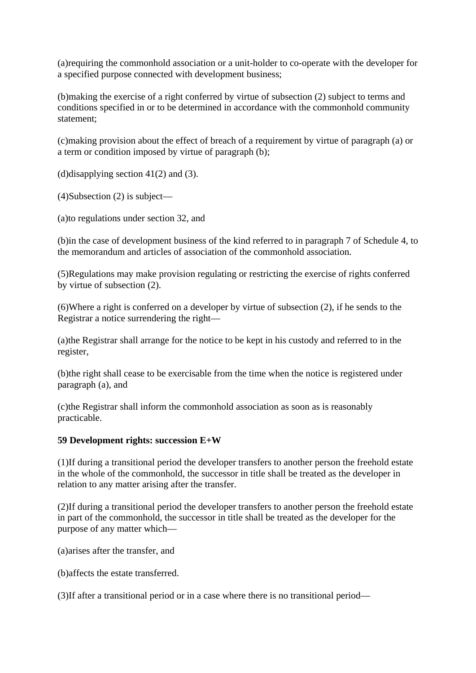(a)requiring the commonhold association or a unit-holder to co-operate with the developer for a specified purpose connected with development business;

(b)making the exercise of a right conferred by virtue of subsection (2) subject to terms and conditions specified in or to be determined in accordance with the commonhold community statement;

(c)making provision about the effect of breach of a requirement by virtue of paragraph (a) or a term or condition imposed by virtue of paragraph (b);

(d)disapplying section  $41(2)$  and (3).

(4)Subsection (2) is subject—

(a)to regulations under section 32, and

(b)in the case of development business of the kind referred to in paragraph 7 of Schedule 4, to the memorandum and articles of association of the commonhold association.

(5)Regulations may make provision regulating or restricting the exercise of rights conferred by virtue of subsection (2).

(6)Where a right is conferred on a developer by virtue of subsection (2), if he sends to the Registrar a notice surrendering the right—

(a)the Registrar shall arrange for the notice to be kept in his custody and referred to in the register,

(b)the right shall cease to be exercisable from the time when the notice is registered under paragraph (a), and

(c)the Registrar shall inform the commonhold association as soon as is reasonably practicable.

#### **59 Development rights: succession E+W**

(1)If during a transitional period the developer transfers to another person the freehold estate in the whole of the commonhold, the successor in title shall be treated as the developer in relation to any matter arising after the transfer.

(2)If during a transitional period the developer transfers to another person the freehold estate in part of the commonhold, the successor in title shall be treated as the developer for the purpose of any matter which—

(a)arises after the transfer, and

(b)affects the estate transferred.

(3)If after a transitional period or in a case where there is no transitional period—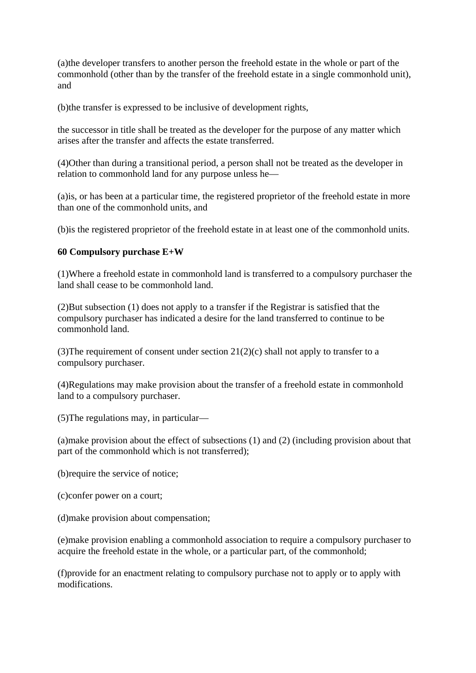(a)the developer transfers to another person the freehold estate in the whole or part of the commonhold (other than by the transfer of the freehold estate in a single commonhold unit), and

(b)the transfer is expressed to be inclusive of development rights,

the successor in title shall be treated as the developer for the purpose of any matter which arises after the transfer and affects the estate transferred.

(4)Other than during a transitional period, a person shall not be treated as the developer in relation to commonhold land for any purpose unless he—

(a)is, or has been at a particular time, the registered proprietor of the freehold estate in more than one of the commonhold units, and

(b)is the registered proprietor of the freehold estate in at least one of the commonhold units.

#### **60 Compulsory purchase E+W**

(1)Where a freehold estate in commonhold land is transferred to a compulsory purchaser the land shall cease to be commonhold land.

(2)But subsection (1) does not apply to a transfer if the Registrar is satisfied that the compulsory purchaser has indicated a desire for the land transferred to continue to be commonhold land.

(3) The requirement of consent under section  $21(2)(c)$  shall not apply to transfer to a compulsory purchaser.

(4)Regulations may make provision about the transfer of a freehold estate in commonhold land to a compulsory purchaser.

(5)The regulations may, in particular—

(a)make provision about the effect of subsections (1) and (2) (including provision about that part of the commonhold which is not transferred);

(b)require the service of notice;

(c)confer power on a court;

(d)make provision about compensation;

(e)make provision enabling a commonhold association to require a compulsory purchaser to acquire the freehold estate in the whole, or a particular part, of the commonhold;

(f)provide for an enactment relating to compulsory purchase not to apply or to apply with modifications.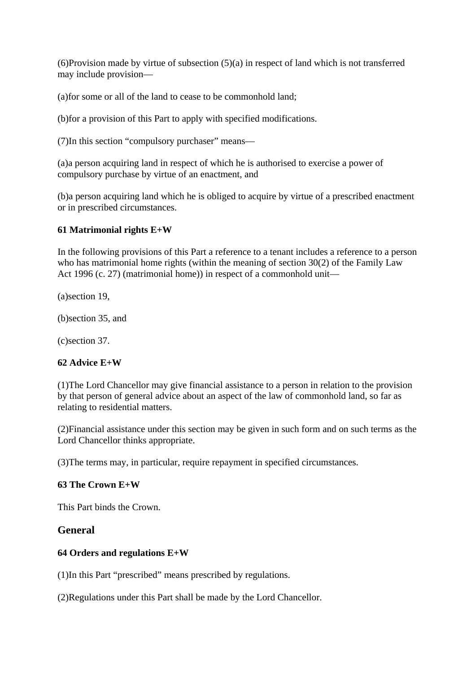$(6)$ Provision made by virtue of subsection  $(5)(a)$  in respect of land which is not transferred may include provision—

(a)for some or all of the land to cease to be commonhold land;

(b)for a provision of this Part to apply with specified modifications.

(7)In this section "compulsory purchaser" means—

(a)a person acquiring land in respect of which he is authorised to exercise a power of compulsory purchase by virtue of an enactment, and

(b)a person acquiring land which he is obliged to acquire by virtue of a prescribed enactment or in prescribed circumstances.

#### **61 Matrimonial rights E+W**

In the following provisions of this Part a reference to a tenant includes a reference to a person who has matrimonial home rights (within the meaning of section 30(2) of the Family Law Act 1996 (c. 27) (matrimonial home)) in respect of a commonhold unit—

(a)section 19,

(b)section 35, and

(c)section 37.

#### **62 Advice E+W**

(1)The Lord Chancellor may give financial assistance to a person in relation to the provision by that person of general advice about an aspect of the law of commonhold land, so far as relating to residential matters.

(2)Financial assistance under this section may be given in such form and on such terms as the Lord Chancellor thinks appropriate.

(3)The terms may, in particular, require repayment in specified circumstances.

#### **63 The Crown E+W**

This Part binds the Crown.

#### **General**

#### **64 Orders and regulations E+W**

(1)In this Part "prescribed" means prescribed by regulations.

(2)Regulations under this Part shall be made by the Lord Chancellor.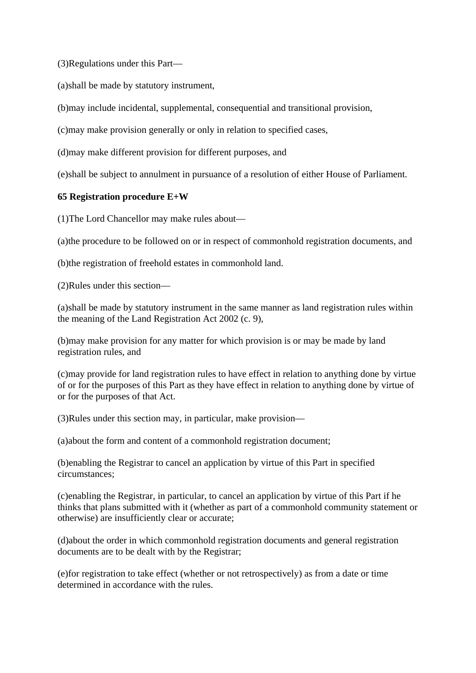(3)Regulations under this Part—

(a)shall be made by statutory instrument,

(b)may include incidental, supplemental, consequential and transitional provision,

(c)may make provision generally or only in relation to specified cases,

(d)may make different provision for different purposes, and

(e)shall be subject to annulment in pursuance of a resolution of either House of Parliament.

# **65 Registration procedure E+W**

(1)The Lord Chancellor may make rules about—

(a)the procedure to be followed on or in respect of commonhold registration documents, and

(b)the registration of freehold estates in commonhold land.

(2)Rules under this section—

(a)shall be made by statutory instrument in the same manner as land registration rules within the meaning of the Land Registration Act 2002 (c. 9),

(b)may make provision for any matter for which provision is or may be made by land registration rules, and

(c)may provide for land registration rules to have effect in relation to anything done by virtue of or for the purposes of this Part as they have effect in relation to anything done by virtue of or for the purposes of that Act.

(3)Rules under this section may, in particular, make provision—

(a)about the form and content of a commonhold registration document;

(b)enabling the Registrar to cancel an application by virtue of this Part in specified circumstances;

(c)enabling the Registrar, in particular, to cancel an application by virtue of this Part if he thinks that plans submitted with it (whether as part of a commonhold community statement or otherwise) are insufficiently clear or accurate;

(d)about the order in which commonhold registration documents and general registration documents are to be dealt with by the Registrar;

(e)for registration to take effect (whether or not retrospectively) as from a date or time determined in accordance with the rules.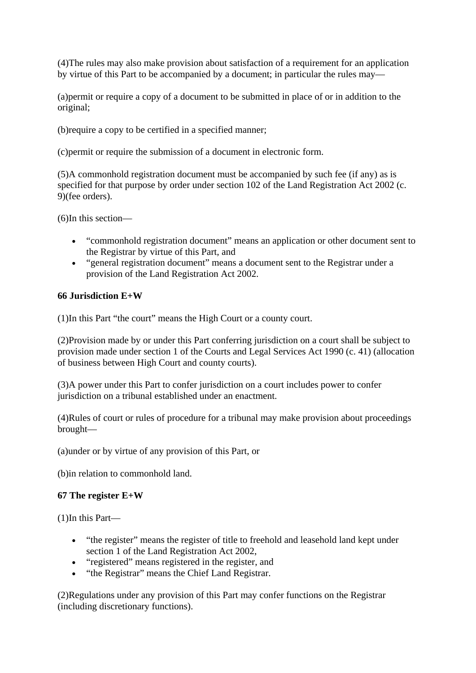(4)The rules may also make provision about satisfaction of a requirement for an application by virtue of this Part to be accompanied by a document; in particular the rules may—

(a)permit or require a copy of a document to be submitted in place of or in addition to the original;

(b)require a copy to be certified in a specified manner;

(c)permit or require the submission of a document in electronic form.

(5)A commonhold registration document must be accompanied by such fee (if any) as is specified for that purpose by order under section 102 of the Land Registration Act 2002 (c. 9)(fee orders).

(6)In this section—

- "commonhold registration document" means an application or other document sent to the Registrar by virtue of this Part, and
- "general registration document" means a document sent to the Registrar under a provision of the Land Registration Act 2002.

# **66 Jurisdiction E+W**

(1)In this Part "the court" means the High Court or a county court.

(2)Provision made by or under this Part conferring jurisdiction on a court shall be subject to provision made under section 1 of the Courts and Legal Services Act 1990 (c. 41) (allocation of business between High Court and county courts).

(3)A power under this Part to confer jurisdiction on a court includes power to confer jurisdiction on a tribunal established under an enactment.

(4)Rules of court or rules of procedure for a tribunal may make provision about proceedings brought—

(a)under or by virtue of any provision of this Part, or

(b)in relation to commonhold land.

# **67 The register E+W**

(1)In this Part—

- "the register" means the register of title to freehold and leasehold land kept under section 1 of the Land Registration Act 2002,
- "registered" means registered in the register, and
- "the Registrar" means the Chief Land Registrar.

(2)Regulations under any provision of this Part may confer functions on the Registrar (including discretionary functions).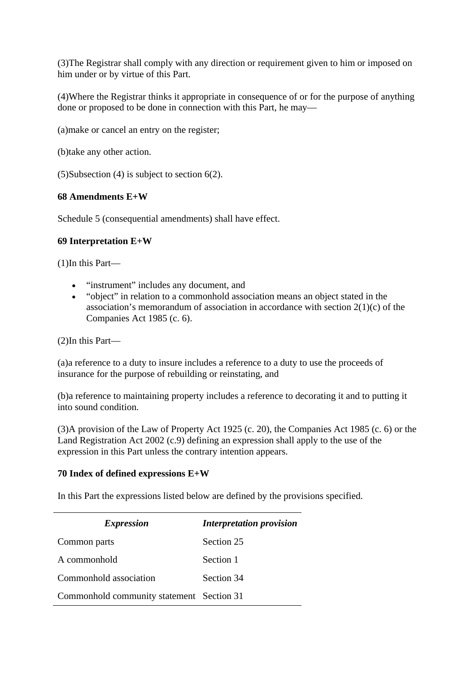(3)The Registrar shall comply with any direction or requirement given to him or imposed on him under or by virtue of this Part.

(4)Where the Registrar thinks it appropriate in consequence of or for the purpose of anything done or proposed to be done in connection with this Part, he may—

(a)make or cancel an entry on the register;

(b)take any other action.

(5)Subsection (4) is subject to section 6(2).

# **68 Amendments E+W**

Schedule 5 (consequential amendments) shall have effect.

# **69 Interpretation E+W**

(1)In this Part—

- "instrument" includes any document, and
- "object" in relation to a commonhold association means an object stated in the association's memorandum of association in accordance with section 2(1)(c) of the Companies Act 1985 (c. 6).

(2)In this Part—

(a)a reference to a duty to insure includes a reference to a duty to use the proceeds of insurance for the purpose of rebuilding or reinstating, and

(b)a reference to maintaining property includes a reference to decorating it and to putting it into sound condition.

(3)A provision of the Law of Property Act 1925 (c. 20), the Companies Act 1985 (c. 6) or the Land Registration Act 2002 (c.9) defining an expression shall apply to the use of the expression in this Part unless the contrary intention appears.

# **70 Index of defined expressions E+W**

In this Part the expressions listed below are defined by the provisions specified.

| <i>Expression</i>                         | <b>Interpretation provision</b> |
|-------------------------------------------|---------------------------------|
| Common parts                              | Section 25                      |
| A commonhold                              | Section 1                       |
| Commonhold association                    | Section 34                      |
| Commonhold community statement Section 31 |                                 |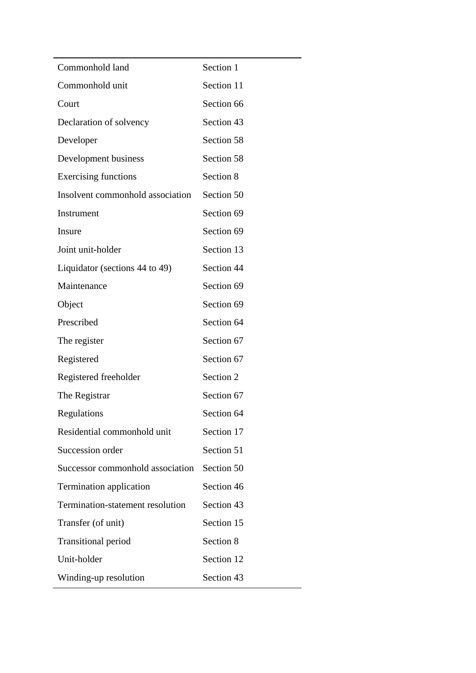| Section 1  |
|------------|
| Section 11 |
| Section 66 |
| Section 43 |
| Section 58 |
| Section 58 |
| Section 8  |
| Section 50 |
| Section 69 |
| Section 69 |
| Section 13 |
| Section 44 |
| Section 69 |
| Section 69 |
| Section 64 |
| Section 67 |
| Section 67 |
| Section 2  |
| Section 67 |
| Section 64 |
| Section 17 |
| Section 51 |
| Section 50 |
| Section 46 |
| Section 43 |
| Section 15 |
| Section 8  |
| Section 12 |
| Section 43 |
|            |

÷,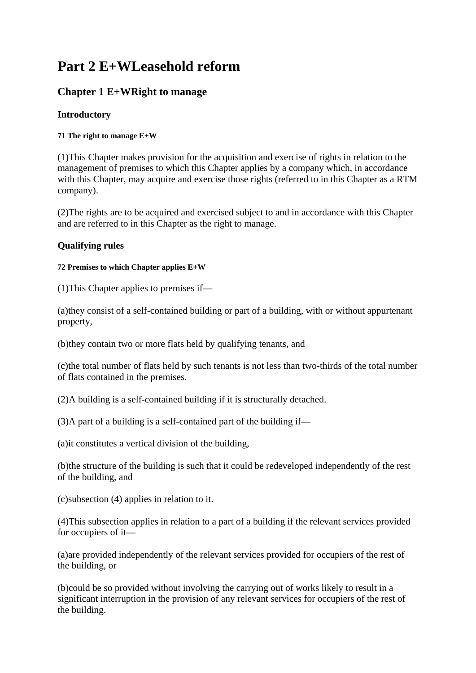# **Part 2 E+WLeasehold reform**

# **Chapter 1 E+WRight to manage**

# **Introductory**

# **71 The right to manage E+W**

(1)This Chapter makes provision for the acquisition and exercise of rights in relation to the management of premises to which this Chapter applies by a company which, in accordance with this Chapter, may acquire and exercise those rights (referred to in this Chapter as a RTM company).

(2)The rights are to be acquired and exercised subject to and in accordance with this Chapter and are referred to in this Chapter as the right to manage.

# **Qualifying rules**

# **72 Premises to which Chapter applies E+W**

(1)This Chapter applies to premises if—

(a)they consist of a self-contained building or part of a building, with or without appurtenant property,

(b)they contain two or more flats held by qualifying tenants, and

(c)the total number of flats held by such tenants is not less than two-thirds of the total number of flats contained in the premises.

(2)A building is a self-contained building if it is structurally detached.

(3)A part of a building is a self-contained part of the building if—

(a)it constitutes a vertical division of the building,

(b)the structure of the building is such that it could be redeveloped independently of the rest of the building, and

(c)subsection (4) applies in relation to it.

(4)This subsection applies in relation to a part of a building if the relevant services provided for occupiers of it—

(a)are provided independently of the relevant services provided for occupiers of the rest of the building, or

(b)could be so provided without involving the carrying out of works likely to result in a significant interruption in the provision of any relevant services for occupiers of the rest of the building.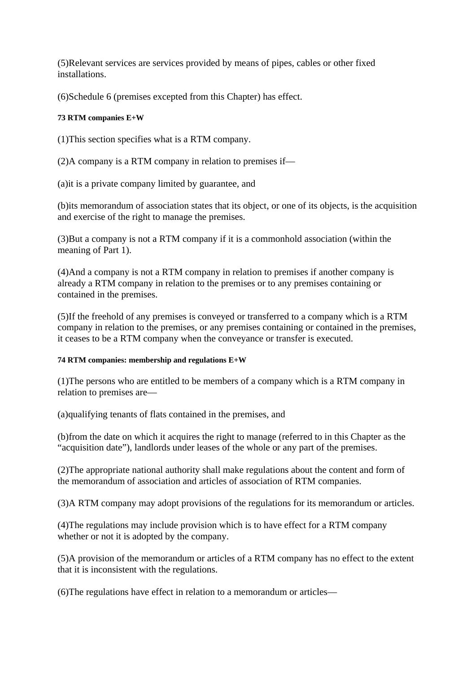(5)Relevant services are services provided by means of pipes, cables or other fixed installations.

(6)Schedule 6 (premises excepted from this Chapter) has effect.

# **73 RTM companies E+W**

(1)This section specifies what is a RTM company.

(2)A company is a RTM company in relation to premises if—

(a)it is a private company limited by guarantee, and

(b)its memorandum of association states that its object, or one of its objects, is the acquisition and exercise of the right to manage the premises.

(3)But a company is not a RTM company if it is a commonhold association (within the meaning of Part 1).

(4)And a company is not a RTM company in relation to premises if another company is already a RTM company in relation to the premises or to any premises containing or contained in the premises.

(5)If the freehold of any premises is conveyed or transferred to a company which is a RTM company in relation to the premises, or any premises containing or contained in the premises, it ceases to be a RTM company when the conveyance or transfer is executed.

# **74 RTM companies: membership and regulations E+W**

(1)The persons who are entitled to be members of a company which is a RTM company in relation to premises are—

(a)qualifying tenants of flats contained in the premises, and

(b)from the date on which it acquires the right to manage (referred to in this Chapter as the "acquisition date"), landlords under leases of the whole or any part of the premises.

(2)The appropriate national authority shall make regulations about the content and form of the memorandum of association and articles of association of RTM companies.

(3)A RTM company may adopt provisions of the regulations for its memorandum or articles.

(4)The regulations may include provision which is to have effect for a RTM company whether or not it is adopted by the company.

(5)A provision of the memorandum or articles of a RTM company has no effect to the extent that it is inconsistent with the regulations.

(6)The regulations have effect in relation to a memorandum or articles—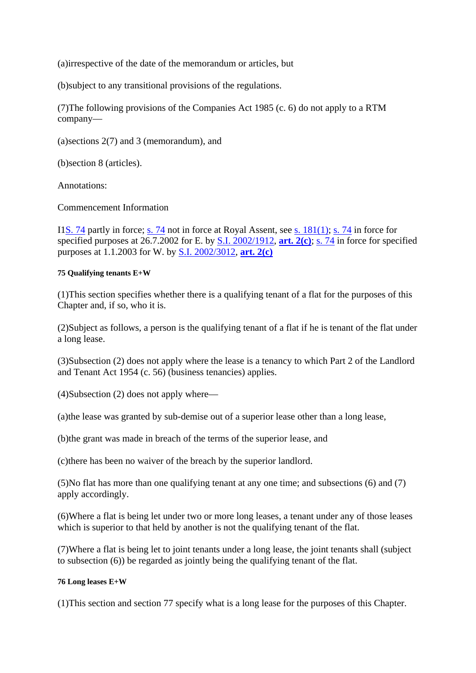(a)irrespective of the date of the memorandum or articles, but

(b)subject to any transitional provisions of the regulations.

(7)The following provisions of the Companies Act 1985 (c. 6) do not apply to a RTM company—

(a)sections 2(7) and 3 (memorandum), and

(b)section 8 (articles).

Annotations:

Commencement Information

I1S. 74 partly in force; s. 74 not in force at Royal Assent, see s. 181(1); s. 74 in force for specified purposes at 26.7.2002 for E. by S.I. 2002/1912, **art. 2(c)**; s. 74 in force for specified purposes at 1.1.2003 for W. by S.I. 2002/3012, **art. 2(c)**

# **75 Qualifying tenants E+W**

(1)This section specifies whether there is a qualifying tenant of a flat for the purposes of this Chapter and, if so, who it is.

(2)Subject as follows, a person is the qualifying tenant of a flat if he is tenant of the flat under a long lease.

(3)Subsection (2) does not apply where the lease is a tenancy to which Part 2 of the Landlord and Tenant Act 1954 (c. 56) (business tenancies) applies.

(4)Subsection (2) does not apply where—

(a)the lease was granted by sub-demise out of a superior lease other than a long lease,

(b)the grant was made in breach of the terms of the superior lease, and

(c)there has been no waiver of the breach by the superior landlord.

(5)No flat has more than one qualifying tenant at any one time; and subsections (6) and (7) apply accordingly.

(6)Where a flat is being let under two or more long leases, a tenant under any of those leases which is superior to that held by another is not the qualifying tenant of the flat.

(7)Where a flat is being let to joint tenants under a long lease, the joint tenants shall (subject to subsection (6)) be regarded as jointly being the qualifying tenant of the flat.

# **76 Long leases E+W**

(1)This section and section 77 specify what is a long lease for the purposes of this Chapter.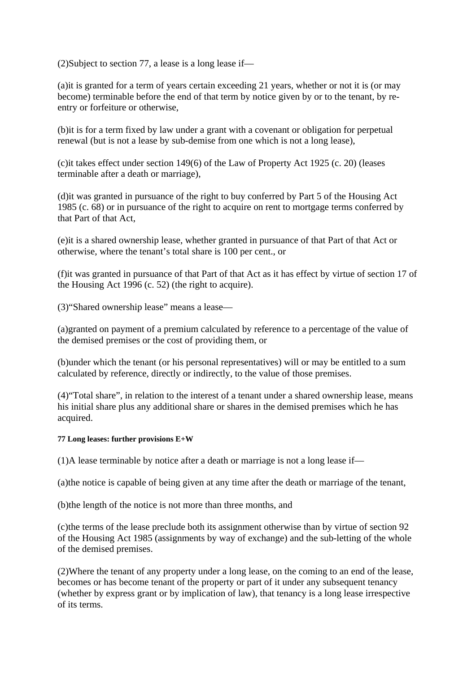(2)Subject to section 77, a lease is a long lease if—

(a)it is granted for a term of years certain exceeding 21 years, whether or not it is (or may become) terminable before the end of that term by notice given by or to the tenant, by reentry or forfeiture or otherwise,

(b)it is for a term fixed by law under a grant with a covenant or obligation for perpetual renewal (but is not a lease by sub-demise from one which is not a long lease),

(c)it takes effect under section 149(6) of the Law of Property Act 1925 (c. 20) (leases terminable after a death or marriage),

(d)it was granted in pursuance of the right to buy conferred by Part 5 of the Housing Act 1985 (c. 68) or in pursuance of the right to acquire on rent to mortgage terms conferred by that Part of that Act,

(e)it is a shared ownership lease, whether granted in pursuance of that Part of that Act or otherwise, where the tenant's total share is 100 per cent., or

(f)it was granted in pursuance of that Part of that Act as it has effect by virtue of section 17 of the Housing Act 1996 (c. 52) (the right to acquire).

(3)"Shared ownership lease" means a lease—

(a)granted on payment of a premium calculated by reference to a percentage of the value of the demised premises or the cost of providing them, or

(b)under which the tenant (or his personal representatives) will or may be entitled to a sum calculated by reference, directly or indirectly, to the value of those premises.

(4)"Total share", in relation to the interest of a tenant under a shared ownership lease, means his initial share plus any additional share or shares in the demised premises which he has acquired.

# **77 Long leases: further provisions E+W**

(1)A lease terminable by notice after a death or marriage is not a long lease if—

(a)the notice is capable of being given at any time after the death or marriage of the tenant,

(b)the length of the notice is not more than three months, and

(c)the terms of the lease preclude both its assignment otherwise than by virtue of section 92 of the Housing Act 1985 (assignments by way of exchange) and the sub-letting of the whole of the demised premises.

(2)Where the tenant of any property under a long lease, on the coming to an end of the lease, becomes or has become tenant of the property or part of it under any subsequent tenancy (whether by express grant or by implication of law), that tenancy is a long lease irrespective of its terms.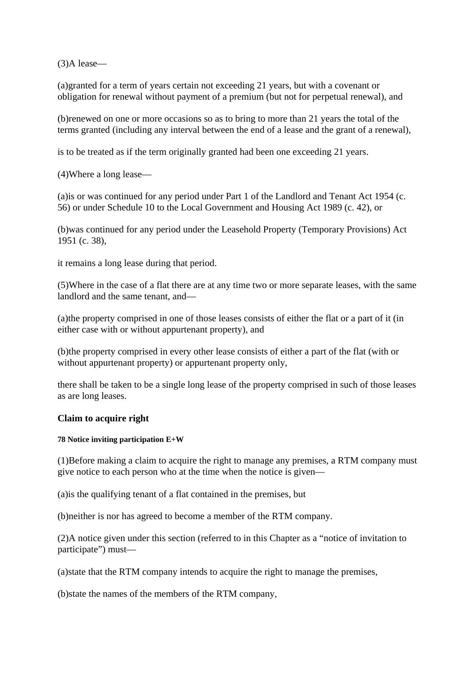(3)A lease—

(a)granted for a term of years certain not exceeding 21 years, but with a covenant or obligation for renewal without payment of a premium (but not for perpetual renewal), and

(b)renewed on one or more occasions so as to bring to more than 21 years the total of the terms granted (including any interval between the end of a lease and the grant of a renewal),

is to be treated as if the term originally granted had been one exceeding 21 years.

(4)Where a long lease—

(a)is or was continued for any period under Part 1 of the Landlord and Tenant Act 1954 (c. 56) or under Schedule 10 to the Local Government and Housing Act 1989 (c. 42), or

(b)was continued for any period under the Leasehold Property (Temporary Provisions) Act 1951 (c. 38),

it remains a long lease during that period.

(5)Where in the case of a flat there are at any time two or more separate leases, with the same landlord and the same tenant, and—

(a)the property comprised in one of those leases consists of either the flat or a part of it (in either case with or without appurtenant property), and

(b)the property comprised in every other lease consists of either a part of the flat (with or without appurtenant property) or appurtenant property only,

there shall be taken to be a single long lease of the property comprised in such of those leases as are long leases.

# **Claim to acquire right**

# **78 Notice inviting participation E+W**

(1)Before making a claim to acquire the right to manage any premises, a RTM company must give notice to each person who at the time when the notice is given—

(a)is the qualifying tenant of a flat contained in the premises, but

(b)neither is nor has agreed to become a member of the RTM company.

(2)A notice given under this section (referred to in this Chapter as a "notice of invitation to participate") must—

(a)state that the RTM company intends to acquire the right to manage the premises,

(b)state the names of the members of the RTM company,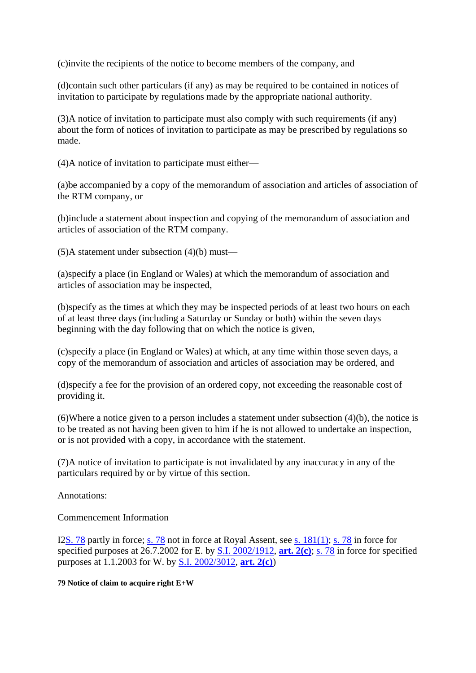(c)invite the recipients of the notice to become members of the company, and

(d)contain such other particulars (if any) as may be required to be contained in notices of invitation to participate by regulations made by the appropriate national authority.

(3)A notice of invitation to participate must also comply with such requirements (if any) about the form of notices of invitation to participate as may be prescribed by regulations so made.

(4)A notice of invitation to participate must either—

(a)be accompanied by a copy of the memorandum of association and articles of association of the RTM company, or

(b)include a statement about inspection and copying of the memorandum of association and articles of association of the RTM company.

(5)A statement under subsection (4)(b) must—

(a)specify a place (in England or Wales) at which the memorandum of association and articles of association may be inspected,

(b)specify as the times at which they may be inspected periods of at least two hours on each of at least three days (including a Saturday or Sunday or both) within the seven days beginning with the day following that on which the notice is given,

(c)specify a place (in England or Wales) at which, at any time within those seven days, a copy of the memorandum of association and articles of association may be ordered, and

(d)specify a fee for the provision of an ordered copy, not exceeding the reasonable cost of providing it.

(6)Where a notice given to a person includes a statement under subsection (4)(b), the notice is to be treated as not having been given to him if he is not allowed to undertake an inspection, or is not provided with a copy, in accordance with the statement.

(7)A notice of invitation to participate is not invalidated by any inaccuracy in any of the particulars required by or by virtue of this section.

Annotations:

Commencement Information

I2S. 78 partly in force; s. 78 not in force at Royal Assent, see s. 181(1); s. 78 in force for specified purposes at 26.7.2002 for E. by S.I. 2002/1912, **art. 2(c)**; s. 78 in force for specified purposes at 1.1.2003 for W. by S.I. 2002/3012, **art. 2(c)**)

**79 Notice of claim to acquire right E+W**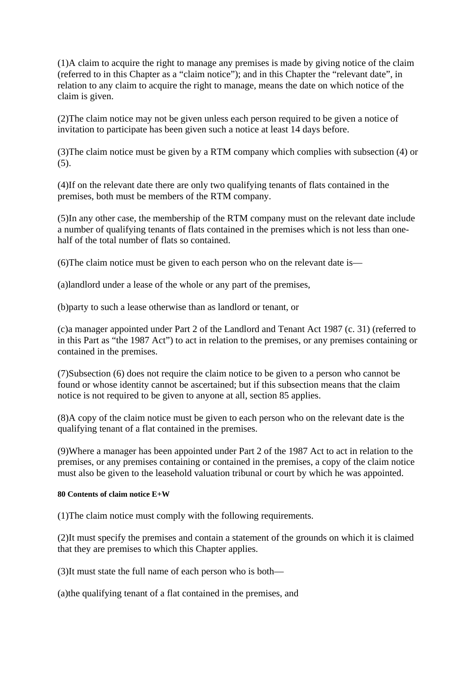(1)A claim to acquire the right to manage any premises is made by giving notice of the claim (referred to in this Chapter as a "claim notice"); and in this Chapter the "relevant date", in relation to any claim to acquire the right to manage, means the date on which notice of the claim is given.

(2)The claim notice may not be given unless each person required to be given a notice of invitation to participate has been given such a notice at least 14 days before.

(3)The claim notice must be given by a RTM company which complies with subsection (4) or (5).

(4)If on the relevant date there are only two qualifying tenants of flats contained in the premises, both must be members of the RTM company.

(5)In any other case, the membership of the RTM company must on the relevant date include a number of qualifying tenants of flats contained in the premises which is not less than onehalf of the total number of flats so contained.

(6)The claim notice must be given to each person who on the relevant date is—

(a)landlord under a lease of the whole or any part of the premises,

(b)party to such a lease otherwise than as landlord or tenant, or

(c)a manager appointed under Part 2 of the Landlord and Tenant Act 1987 (c. 31) (referred to in this Part as "the 1987 Act") to act in relation to the premises, or any premises containing or contained in the premises.

(7)Subsection (6) does not require the claim notice to be given to a person who cannot be found or whose identity cannot be ascertained; but if this subsection means that the claim notice is not required to be given to anyone at all, section 85 applies.

(8)A copy of the claim notice must be given to each person who on the relevant date is the qualifying tenant of a flat contained in the premises.

(9)Where a manager has been appointed under Part 2 of the 1987 Act to act in relation to the premises, or any premises containing or contained in the premises, a copy of the claim notice must also be given to the leasehold valuation tribunal or court by which he was appointed.

#### **80 Contents of claim notice E+W**

(1)The claim notice must comply with the following requirements.

(2)It must specify the premises and contain a statement of the grounds on which it is claimed that they are premises to which this Chapter applies.

(3)It must state the full name of each person who is both—

(a)the qualifying tenant of a flat contained in the premises, and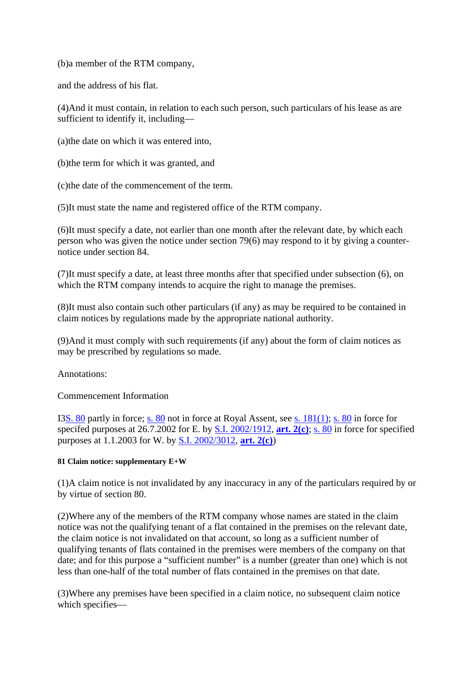(b)a member of the RTM company,

and the address of his flat.

(4)And it must contain, in relation to each such person, such particulars of his lease as are sufficient to identify it, including—

(a)the date on which it was entered into,

(b)the term for which it was granted, and

(c)the date of the commencement of the term.

(5)It must state the name and registered office of the RTM company.

(6)It must specify a date, not earlier than one month after the relevant date, by which each person who was given the notice under section 79(6) may respond to it by giving a counternotice under section 84.

(7)It must specify a date, at least three months after that specified under subsection (6), on which the RTM company intends to acquire the right to manage the premises.

(8)It must also contain such other particulars (if any) as may be required to be contained in claim notices by regulations made by the appropriate national authority.

(9)And it must comply with such requirements (if any) about the form of claim notices as may be prescribed by regulations so made.

Annotations:

Commencement Information

I3S. 80 partly in force; s. 80 not in force at Royal Assent, see s. 181(1); s. 80 in force for specifed purposes at 26.7.2002 for E. by S.I. 2002/1912, **art. 2(c)**; s. 80 in force for specified purposes at 1.1.2003 for W. by S.I. 2002/3012, **art. 2(c)**)

# **81 Claim notice: supplementary E+W**

(1)A claim notice is not invalidated by any inaccuracy in any of the particulars required by or by virtue of section 80.

(2)Where any of the members of the RTM company whose names are stated in the claim notice was not the qualifying tenant of a flat contained in the premises on the relevant date, the claim notice is not invalidated on that account, so long as a sufficient number of qualifying tenants of flats contained in the premises were members of the company on that date; and for this purpose a "sufficient number" is a number (greater than one) which is not less than one-half of the total number of flats contained in the premises on that date.

(3)Where any premises have been specified in a claim notice, no subsequent claim notice which specifies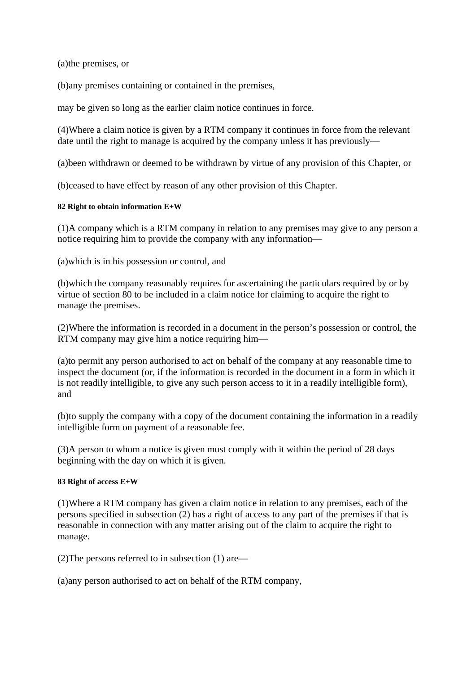(a)the premises, or

(b)any premises containing or contained in the premises,

may be given so long as the earlier claim notice continues in force.

(4)Where a claim notice is given by a RTM company it continues in force from the relevant date until the right to manage is acquired by the company unless it has previously—

(a)been withdrawn or deemed to be withdrawn by virtue of any provision of this Chapter, or

(b)ceased to have effect by reason of any other provision of this Chapter.

#### **82 Right to obtain information E+W**

(1)A company which is a RTM company in relation to any premises may give to any person a notice requiring him to provide the company with any information—

(a)which is in his possession or control, and

(b)which the company reasonably requires for ascertaining the particulars required by or by virtue of section 80 to be included in a claim notice for claiming to acquire the right to manage the premises.

(2)Where the information is recorded in a document in the person's possession or control, the RTM company may give him a notice requiring him—

(a)to permit any person authorised to act on behalf of the company at any reasonable time to inspect the document (or, if the information is recorded in the document in a form in which it is not readily intelligible, to give any such person access to it in a readily intelligible form), and

(b)to supply the company with a copy of the document containing the information in a readily intelligible form on payment of a reasonable fee.

(3)A person to whom a notice is given must comply with it within the period of 28 days beginning with the day on which it is given.

#### **83 Right of access E+W**

(1)Where a RTM company has given a claim notice in relation to any premises, each of the persons specified in subsection (2) has a right of access to any part of the premises if that is reasonable in connection with any matter arising out of the claim to acquire the right to manage.

(2)The persons referred to in subsection (1) are—

(a)any person authorised to act on behalf of the RTM company,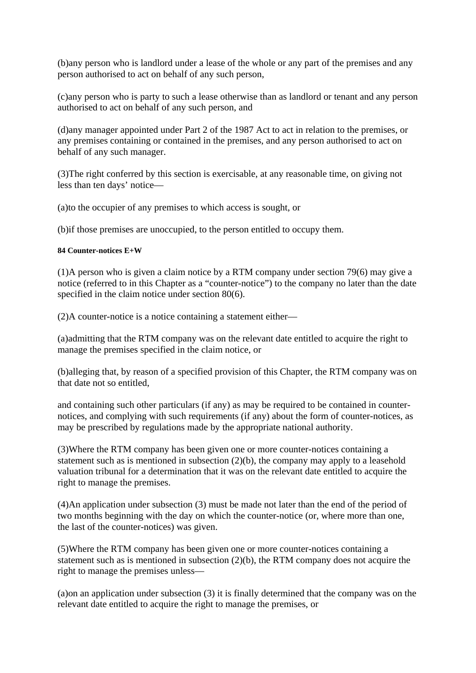(b)any person who is landlord under a lease of the whole or any part of the premises and any person authorised to act on behalf of any such person,

(c)any person who is party to such a lease otherwise than as landlord or tenant and any person authorised to act on behalf of any such person, and

(d)any manager appointed under Part 2 of the 1987 Act to act in relation to the premises, or any premises containing or contained in the premises, and any person authorised to act on behalf of any such manager.

(3)The right conferred by this section is exercisable, at any reasonable time, on giving not less than ten days' notice—

(a)to the occupier of any premises to which access is sought, or

(b)if those premises are unoccupied, to the person entitled to occupy them.

# **84 Counter-notices E+W**

(1)A person who is given a claim notice by a RTM company under section 79(6) may give a notice (referred to in this Chapter as a "counter-notice") to the company no later than the date specified in the claim notice under section 80(6).

(2)A counter-notice is a notice containing a statement either—

(a)admitting that the RTM company was on the relevant date entitled to acquire the right to manage the premises specified in the claim notice, or

(b)alleging that, by reason of a specified provision of this Chapter, the RTM company was on that date not so entitled,

and containing such other particulars (if any) as may be required to be contained in counternotices, and complying with such requirements (if any) about the form of counter-notices, as may be prescribed by regulations made by the appropriate national authority.

(3)Where the RTM company has been given one or more counter-notices containing a statement such as is mentioned in subsection (2)(b), the company may apply to a leasehold valuation tribunal for a determination that it was on the relevant date entitled to acquire the right to manage the premises.

(4)An application under subsection (3) must be made not later than the end of the period of two months beginning with the day on which the counter-notice (or, where more than one, the last of the counter-notices) was given.

(5)Where the RTM company has been given one or more counter-notices containing a statement such as is mentioned in subsection (2)(b), the RTM company does not acquire the right to manage the premises unless—

(a)on an application under subsection (3) it is finally determined that the company was on the relevant date entitled to acquire the right to manage the premises, or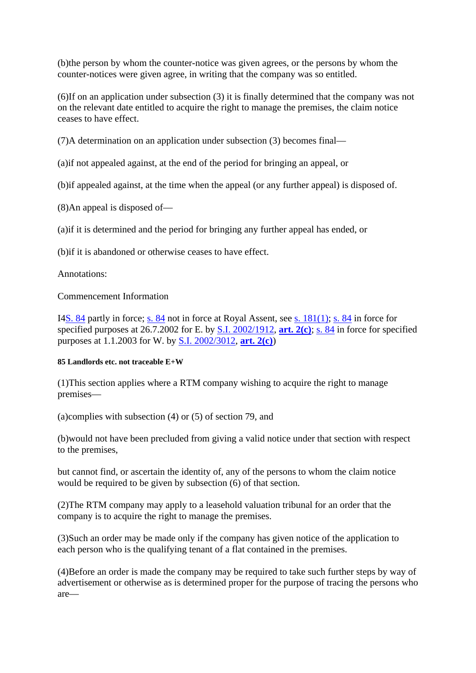(b)the person by whom the counter-notice was given agrees, or the persons by whom the counter-notices were given agree, in writing that the company was so entitled.

(6)If on an application under subsection (3) it is finally determined that the company was not on the relevant date entitled to acquire the right to manage the premises, the claim notice ceases to have effect.

(7)A determination on an application under subsection (3) becomes final—

(a)if not appealed against, at the end of the period for bringing an appeal, or

(b)if appealed against, at the time when the appeal (or any further appeal) is disposed of.

(8)An appeal is disposed of—

(a)if it is determined and the period for bringing any further appeal has ended, or

(b)if it is abandoned or otherwise ceases to have effect.

Annotations:

# Commencement Information

I4S. 84 partly in force; s. 84 not in force at Royal Assent, see s. 181(1); s. 84 in force for specified purposes at 26.7.2002 for E. by S.I. 2002/1912, **art. 2(c)**; s. 84 in force for specified purposes at 1.1.2003 for W. by S.I. 2002/3012, **art. 2(c)**)

# **85 Landlords etc. not traceable E+W**

(1)This section applies where a RTM company wishing to acquire the right to manage premises—

(a)complies with subsection (4) or (5) of section 79, and

(b)would not have been precluded from giving a valid notice under that section with respect to the premises,

but cannot find, or ascertain the identity of, any of the persons to whom the claim notice would be required to be given by subsection (6) of that section.

(2)The RTM company may apply to a leasehold valuation tribunal for an order that the company is to acquire the right to manage the premises.

(3)Such an order may be made only if the company has given notice of the application to each person who is the qualifying tenant of a flat contained in the premises.

(4)Before an order is made the company may be required to take such further steps by way of advertisement or otherwise as is determined proper for the purpose of tracing the persons who are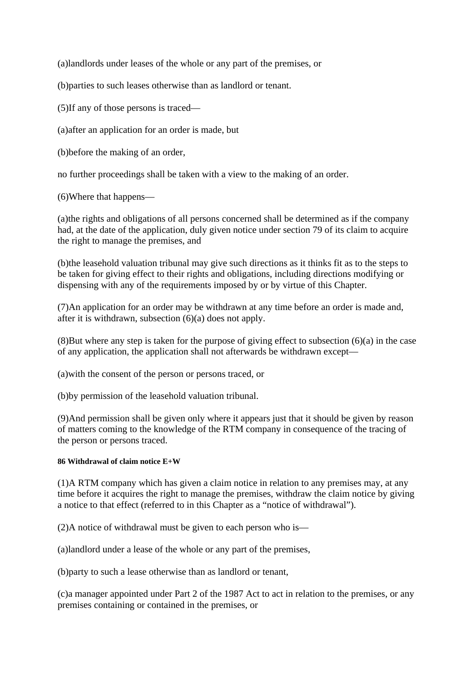(a)landlords under leases of the whole or any part of the premises, or

(b)parties to such leases otherwise than as landlord or tenant.

(5)If any of those persons is traced—

(a)after an application for an order is made, but

(b)before the making of an order,

no further proceedings shall be taken with a view to the making of an order.

(6)Where that happens—

(a)the rights and obligations of all persons concerned shall be determined as if the company had, at the date of the application, duly given notice under section 79 of its claim to acquire the right to manage the premises, and

(b)the leasehold valuation tribunal may give such directions as it thinks fit as to the steps to be taken for giving effect to their rights and obligations, including directions modifying or dispensing with any of the requirements imposed by or by virtue of this Chapter.

(7)An application for an order may be withdrawn at any time before an order is made and, after it is withdrawn, subsection (6)(a) does not apply.

(8)But where any step is taken for the purpose of giving effect to subsection (6)(a) in the case of any application, the application shall not afterwards be withdrawn except—

(a)with the consent of the person or persons traced, or

(b)by permission of the leasehold valuation tribunal.

(9)And permission shall be given only where it appears just that it should be given by reason of matters coming to the knowledge of the RTM company in consequence of the tracing of the person or persons traced.

# **86 Withdrawal of claim notice E+W**

(1)A RTM company which has given a claim notice in relation to any premises may, at any time before it acquires the right to manage the premises, withdraw the claim notice by giving a notice to that effect (referred to in this Chapter as a "notice of withdrawal").

(2)A notice of withdrawal must be given to each person who is—

(a)landlord under a lease of the whole or any part of the premises,

(b)party to such a lease otherwise than as landlord or tenant,

(c)a manager appointed under Part 2 of the 1987 Act to act in relation to the premises, or any premises containing or contained in the premises, or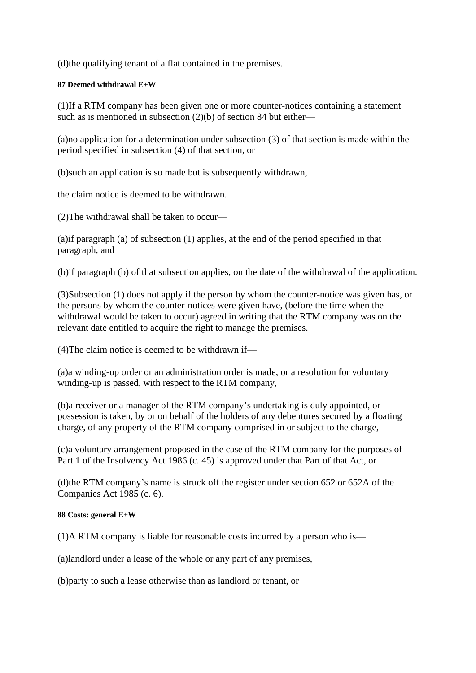(d)the qualifying tenant of a flat contained in the premises.

# **87 Deemed withdrawal E+W**

(1)If a RTM company has been given one or more counter-notices containing a statement such as is mentioned in subsection (2)(b) of section 84 but either—

(a)no application for a determination under subsection (3) of that section is made within the period specified in subsection (4) of that section, or

(b)such an application is so made but is subsequently withdrawn,

the claim notice is deemed to be withdrawn.

(2)The withdrawal shall be taken to occur—

(a)if paragraph (a) of subsection (1) applies, at the end of the period specified in that paragraph, and

(b)if paragraph (b) of that subsection applies, on the date of the withdrawal of the application.

(3)Subsection (1) does not apply if the person by whom the counter-notice was given has, or the persons by whom the counter-notices were given have, (before the time when the withdrawal would be taken to occur) agreed in writing that the RTM company was on the relevant date entitled to acquire the right to manage the premises.

 $(4)$ The claim notice is deemed to be withdrawn if—

(a)a winding-up order or an administration order is made, or a resolution for voluntary winding-up is passed, with respect to the RTM company,

(b)a receiver or a manager of the RTM company's undertaking is duly appointed, or possession is taken, by or on behalf of the holders of any debentures secured by a floating charge, of any property of the RTM company comprised in or subject to the charge,

(c)a voluntary arrangement proposed in the case of the RTM company for the purposes of Part 1 of the Insolvency Act 1986 (c. 45) is approved under that Part of that Act, or

(d)the RTM company's name is struck off the register under section 652 or 652A of the Companies Act 1985 (c. 6).

#### **88 Costs: general E+W**

(1)A RTM company is liable for reasonable costs incurred by a person who is—

(a)landlord under a lease of the whole or any part of any premises,

(b)party to such a lease otherwise than as landlord or tenant, or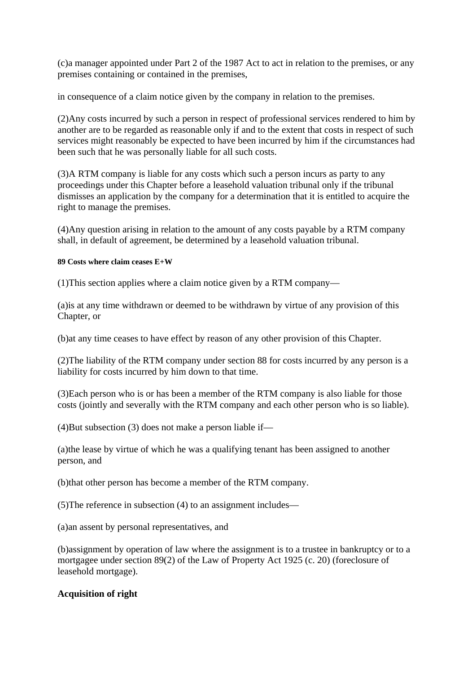(c)a manager appointed under Part 2 of the 1987 Act to act in relation to the premises, or any premises containing or contained in the premises,

in consequence of a claim notice given by the company in relation to the premises.

(2)Any costs incurred by such a person in respect of professional services rendered to him by another are to be regarded as reasonable only if and to the extent that costs in respect of such services might reasonably be expected to have been incurred by him if the circumstances had been such that he was personally liable for all such costs.

(3)A RTM company is liable for any costs which such a person incurs as party to any proceedings under this Chapter before a leasehold valuation tribunal only if the tribunal dismisses an application by the company for a determination that it is entitled to acquire the right to manage the premises.

(4)Any question arising in relation to the amount of any costs payable by a RTM company shall, in default of agreement, be determined by a leasehold valuation tribunal.

#### **89 Costs where claim ceases E+W**

(1)This section applies where a claim notice given by a RTM company—

(a)is at any time withdrawn or deemed to be withdrawn by virtue of any provision of this Chapter, or

(b)at any time ceases to have effect by reason of any other provision of this Chapter.

(2)The liability of the RTM company under section 88 for costs incurred by any person is a liability for costs incurred by him down to that time.

(3)Each person who is or has been a member of the RTM company is also liable for those costs (jointly and severally with the RTM company and each other person who is so liable).

(4)But subsection (3) does not make a person liable if—

(a)the lease by virtue of which he was a qualifying tenant has been assigned to another person, and

(b)that other person has become a member of the RTM company.

(5)The reference in subsection (4) to an assignment includes—

(a)an assent by personal representatives, and

(b)assignment by operation of law where the assignment is to a trustee in bankruptcy or to a mortgagee under section 89(2) of the Law of Property Act 1925 (c. 20) (foreclosure of leasehold mortgage).

# **Acquisition of right**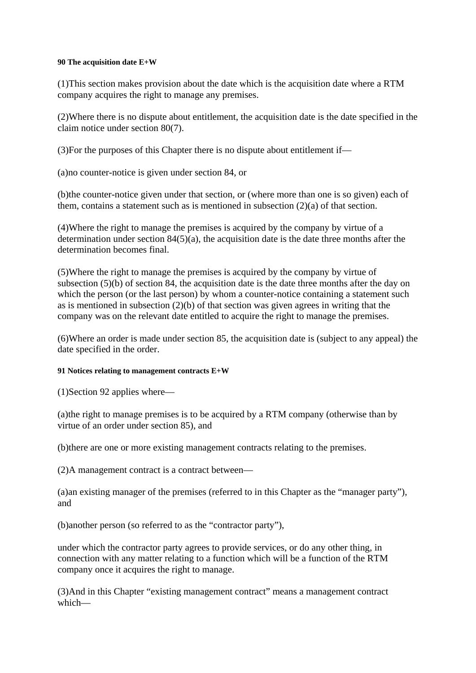#### **90 The acquisition date E+W**

(1)This section makes provision about the date which is the acquisition date where a RTM company acquires the right to manage any premises.

(2)Where there is no dispute about entitlement, the acquisition date is the date specified in the claim notice under section 80(7).

(3)For the purposes of this Chapter there is no dispute about entitlement if—

(a)no counter-notice is given under section 84, or

(b)the counter-notice given under that section, or (where more than one is so given) each of them, contains a statement such as is mentioned in subsection (2)(a) of that section.

(4)Where the right to manage the premises is acquired by the company by virtue of a determination under section  $84(5)(a)$ , the acquisition date is the date three months after the determination becomes final.

(5)Where the right to manage the premises is acquired by the company by virtue of subsection  $(5)(b)$  of section 84, the acquisition date is the date three months after the day on which the person (or the last person) by whom a counter-notice containing a statement such as is mentioned in subsection  $(2)(b)$  of that section was given agrees in writing that the company was on the relevant date entitled to acquire the right to manage the premises.

(6)Where an order is made under section 85, the acquisition date is (subject to any appeal) the date specified in the order.

# **91 Notices relating to management contracts E+W**

(1)Section 92 applies where—

(a)the right to manage premises is to be acquired by a RTM company (otherwise than by virtue of an order under section 85), and

(b)there are one or more existing management contracts relating to the premises.

(2)A management contract is a contract between—

(a)an existing manager of the premises (referred to in this Chapter as the "manager party"), and

(b)another person (so referred to as the "contractor party"),

under which the contractor party agrees to provide services, or do any other thing, in connection with any matter relating to a function which will be a function of the RTM company once it acquires the right to manage.

(3)And in this Chapter "existing management contract" means a management contract which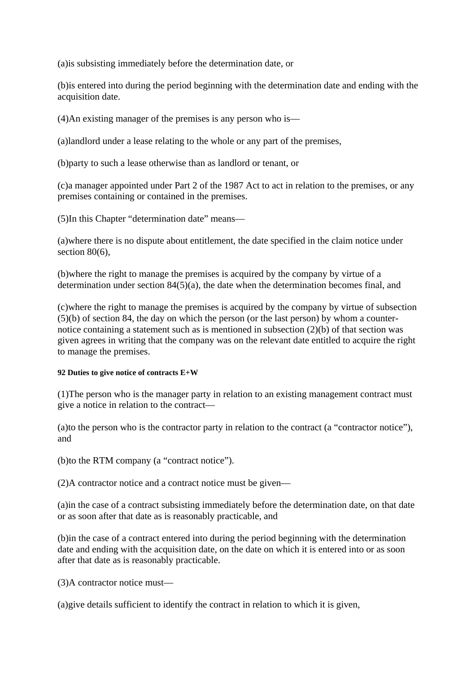(a)is subsisting immediately before the determination date, or

(b)is entered into during the period beginning with the determination date and ending with the acquisition date.

(4)An existing manager of the premises is any person who is—

(a)landlord under a lease relating to the whole or any part of the premises,

(b)party to such a lease otherwise than as landlord or tenant, or

(c)a manager appointed under Part 2 of the 1987 Act to act in relation to the premises, or any premises containing or contained in the premises.

(5)In this Chapter "determination date" means—

(a)where there is no dispute about entitlement, the date specified in the claim notice under section 80(6).

(b)where the right to manage the premises is acquired by the company by virtue of a determination under section 84(5)(a), the date when the determination becomes final, and

(c)where the right to manage the premises is acquired by the company by virtue of subsection (5)(b) of section 84, the day on which the person (or the last person) by whom a counternotice containing a statement such as is mentioned in subsection (2)(b) of that section was given agrees in writing that the company was on the relevant date entitled to acquire the right to manage the premises.

# **92 Duties to give notice of contracts E+W**

(1)The person who is the manager party in relation to an existing management contract must give a notice in relation to the contract—

(a)to the person who is the contractor party in relation to the contract (a "contractor notice"), and

(b)to the RTM company (a "contract notice").

(2)A contractor notice and a contract notice must be given—

(a)in the case of a contract subsisting immediately before the determination date, on that date or as soon after that date as is reasonably practicable, and

(b)in the case of a contract entered into during the period beginning with the determination date and ending with the acquisition date, on the date on which it is entered into or as soon after that date as is reasonably practicable.

(3)A contractor notice must—

(a)give details sufficient to identify the contract in relation to which it is given,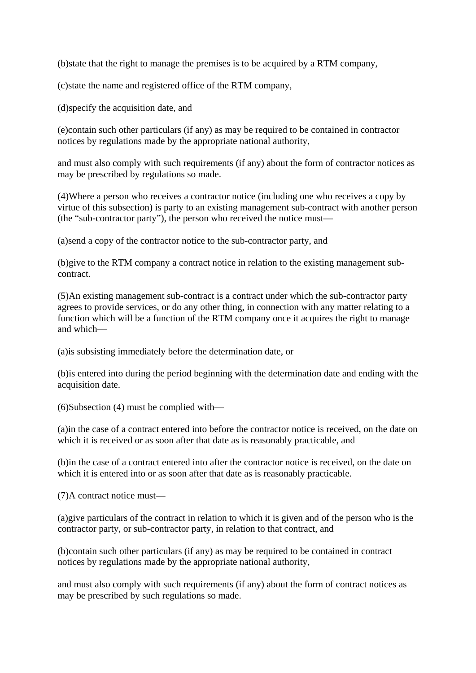(b)state that the right to manage the premises is to be acquired by a RTM company,

(c)state the name and registered office of the RTM company,

(d)specify the acquisition date, and

(e)contain such other particulars (if any) as may be required to be contained in contractor notices by regulations made by the appropriate national authority,

and must also comply with such requirements (if any) about the form of contractor notices as may be prescribed by regulations so made.

(4)Where a person who receives a contractor notice (including one who receives a copy by virtue of this subsection) is party to an existing management sub-contract with another person (the "sub-contractor party"), the person who received the notice must—

(a)send a copy of the contractor notice to the sub-contractor party, and

(b)give to the RTM company a contract notice in relation to the existing management subcontract.

(5)An existing management sub-contract is a contract under which the sub-contractor party agrees to provide services, or do any other thing, in connection with any matter relating to a function which will be a function of the RTM company once it acquires the right to manage and which—

(a)is subsisting immediately before the determination date, or

(b)is entered into during the period beginning with the determination date and ending with the acquisition date.

(6)Subsection (4) must be complied with—

(a)in the case of a contract entered into before the contractor notice is received, on the date on which it is received or as soon after that date as is reasonably practicable, and

(b)in the case of a contract entered into after the contractor notice is received, on the date on which it is entered into or as soon after that date as is reasonably practicable.

(7)A contract notice must—

(a)give particulars of the contract in relation to which it is given and of the person who is the contractor party, or sub-contractor party, in relation to that contract, and

(b)contain such other particulars (if any) as may be required to be contained in contract notices by regulations made by the appropriate national authority,

and must also comply with such requirements (if any) about the form of contract notices as may be prescribed by such regulations so made.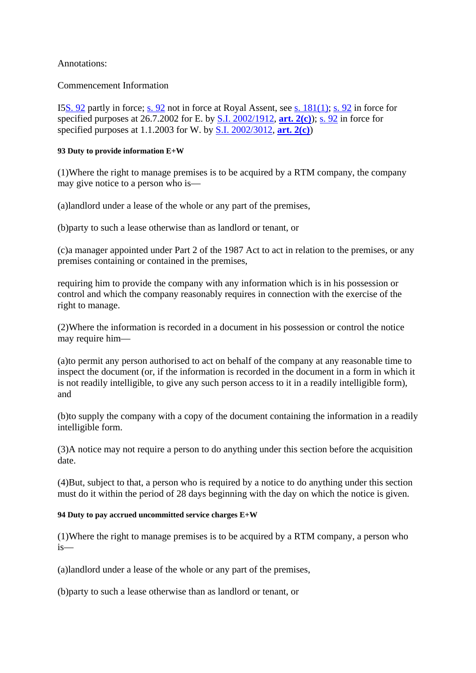# Annotations:

Commencement Information

I5S. 92 partly in force; s. 92 not in force at Royal Assent, see s. 181(1); s. 92 in force for specified purposes at 26.7.2002 for E. by S.I. 2002/1912, **art. 2(c)**); s. 92 in force for specified purposes at 1.1.2003 for W. by S.I. 2002/3012, **art. 2(c)**)

# **93 Duty to provide information E+W**

(1)Where the right to manage premises is to be acquired by a RTM company, the company may give notice to a person who is—

(a)landlord under a lease of the whole or any part of the premises,

(b)party to such a lease otherwise than as landlord or tenant, or

(c)a manager appointed under Part 2 of the 1987 Act to act in relation to the premises, or any premises containing or contained in the premises,

requiring him to provide the company with any information which is in his possession or control and which the company reasonably requires in connection with the exercise of the right to manage.

(2)Where the information is recorded in a document in his possession or control the notice may require him—

(a)to permit any person authorised to act on behalf of the company at any reasonable time to inspect the document (or, if the information is recorded in the document in a form in which it is not readily intelligible, to give any such person access to it in a readily intelligible form), and

(b)to supply the company with a copy of the document containing the information in a readily intelligible form.

(3)A notice may not require a person to do anything under this section before the acquisition date.

(4)But, subject to that, a person who is required by a notice to do anything under this section must do it within the period of 28 days beginning with the day on which the notice is given.

# **94 Duty to pay accrued uncommitted service charges E+W**

(1)Where the right to manage premises is to be acquired by a RTM company, a person who is—

(a)landlord under a lease of the whole or any part of the premises,

(b)party to such a lease otherwise than as landlord or tenant, or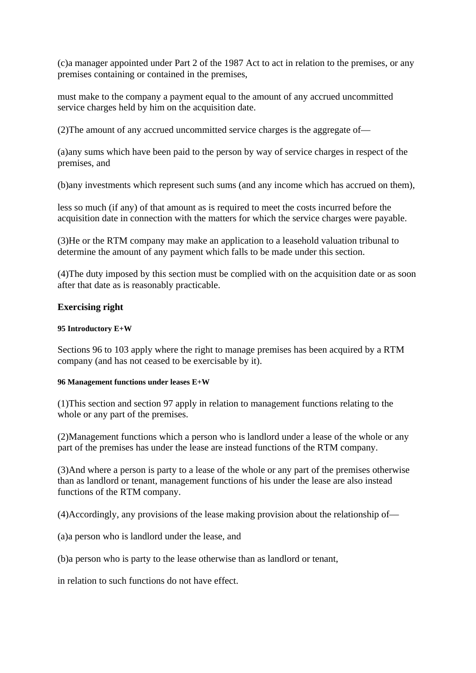(c)a manager appointed under Part 2 of the 1987 Act to act in relation to the premises, or any premises containing or contained in the premises,

must make to the company a payment equal to the amount of any accrued uncommitted service charges held by him on the acquisition date.

(2)The amount of any accrued uncommitted service charges is the aggregate of—

(a)any sums which have been paid to the person by way of service charges in respect of the premises, and

(b)any investments which represent such sums (and any income which has accrued on them),

less so much (if any) of that amount as is required to meet the costs incurred before the acquisition date in connection with the matters for which the service charges were payable.

(3)He or the RTM company may make an application to a leasehold valuation tribunal to determine the amount of any payment which falls to be made under this section.

(4)The duty imposed by this section must be complied with on the acquisition date or as soon after that date as is reasonably practicable.

#### **Exercising right**

#### **95 Introductory E+W**

Sections 96 to 103 apply where the right to manage premises has been acquired by a RTM company (and has not ceased to be exercisable by it).

#### **96 Management functions under leases E+W**

(1)This section and section 97 apply in relation to management functions relating to the whole or any part of the premises.

(2)Management functions which a person who is landlord under a lease of the whole or any part of the premises has under the lease are instead functions of the RTM company.

(3)And where a person is party to a lease of the whole or any part of the premises otherwise than as landlord or tenant, management functions of his under the lease are also instead functions of the RTM company.

(4)Accordingly, any provisions of the lease making provision about the relationship of—

(a)a person who is landlord under the lease, and

(b)a person who is party to the lease otherwise than as landlord or tenant,

in relation to such functions do not have effect.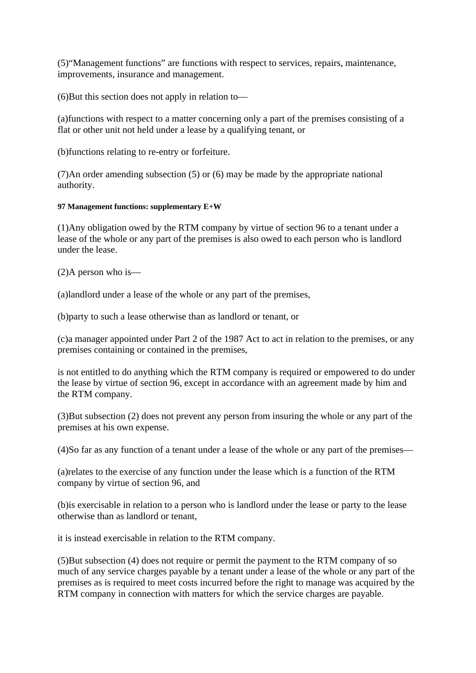(5)"Management functions" are functions with respect to services, repairs, maintenance, improvements, insurance and management.

(6)But this section does not apply in relation to—

(a)functions with respect to a matter concerning only a part of the premises consisting of a flat or other unit not held under a lease by a qualifying tenant, or

(b)functions relating to re-entry or forfeiture.

(7)An order amending subsection (5) or (6) may be made by the appropriate national authority.

# **97 Management functions: supplementary E+W**

(1)Any obligation owed by the RTM company by virtue of section 96 to a tenant under a lease of the whole or any part of the premises is also owed to each person who is landlord under the lease.

(2)A person who is—

(a)landlord under a lease of the whole or any part of the premises,

(b)party to such a lease otherwise than as landlord or tenant, or

(c)a manager appointed under Part 2 of the 1987 Act to act in relation to the premises, or any premises containing or contained in the premises,

is not entitled to do anything which the RTM company is required or empowered to do under the lease by virtue of section 96, except in accordance with an agreement made by him and the RTM company.

(3)But subsection (2) does not prevent any person from insuring the whole or any part of the premises at his own expense.

(4)So far as any function of a tenant under a lease of the whole or any part of the premises—

(a)relates to the exercise of any function under the lease which is a function of the RTM company by virtue of section 96, and

(b)is exercisable in relation to a person who is landlord under the lease or party to the lease otherwise than as landlord or tenant,

it is instead exercisable in relation to the RTM company.

(5)But subsection (4) does not require or permit the payment to the RTM company of so much of any service charges payable by a tenant under a lease of the whole or any part of the premises as is required to meet costs incurred before the right to manage was acquired by the RTM company in connection with matters for which the service charges are payable.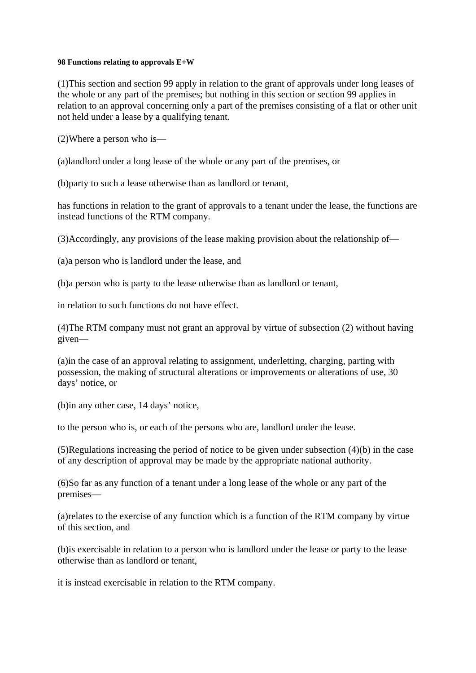#### **98 Functions relating to approvals E+W**

(1)This section and section 99 apply in relation to the grant of approvals under long leases of the whole or any part of the premises; but nothing in this section or section 99 applies in relation to an approval concerning only a part of the premises consisting of a flat or other unit not held under a lease by a qualifying tenant.

(2)Where a person who is—

(a)landlord under a long lease of the whole or any part of the premises, or

(b)party to such a lease otherwise than as landlord or tenant,

has functions in relation to the grant of approvals to a tenant under the lease, the functions are instead functions of the RTM company.

(3)Accordingly, any provisions of the lease making provision about the relationship of—

(a)a person who is landlord under the lease, and

(b)a person who is party to the lease otherwise than as landlord or tenant,

in relation to such functions do not have effect.

(4)The RTM company must not grant an approval by virtue of subsection (2) without having given—

(a)in the case of an approval relating to assignment, underletting, charging, parting with possession, the making of structural alterations or improvements or alterations of use, 30 days' notice, or

(b)in any other case, 14 days' notice,

to the person who is, or each of the persons who are, landlord under the lease.

(5)Regulations increasing the period of notice to be given under subsection (4)(b) in the case of any description of approval may be made by the appropriate national authority.

(6)So far as any function of a tenant under a long lease of the whole or any part of the premises—

(a)relates to the exercise of any function which is a function of the RTM company by virtue of this section, and

(b)is exercisable in relation to a person who is landlord under the lease or party to the lease otherwise than as landlord or tenant,

it is instead exercisable in relation to the RTM company.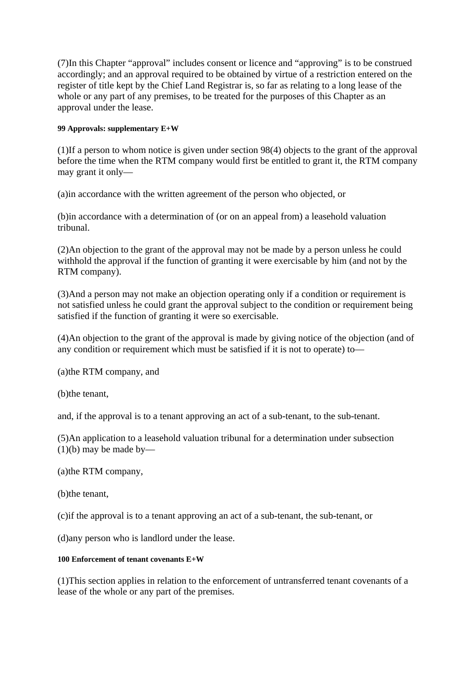(7)In this Chapter "approval" includes consent or licence and "approving" is to be construed accordingly; and an approval required to be obtained by virtue of a restriction entered on the register of title kept by the Chief Land Registrar is, so far as relating to a long lease of the whole or any part of any premises, to be treated for the purposes of this Chapter as an approval under the lease.

# **99 Approvals: supplementary E+W**

(1)If a person to whom notice is given under section 98(4) objects to the grant of the approval before the time when the RTM company would first be entitled to grant it, the RTM company may grant it only—

(a)in accordance with the written agreement of the person who objected, or

(b)in accordance with a determination of (or on an appeal from) a leasehold valuation tribunal.

(2)An objection to the grant of the approval may not be made by a person unless he could withhold the approval if the function of granting it were exercisable by him (and not by the RTM company).

(3)And a person may not make an objection operating only if a condition or requirement is not satisfied unless he could grant the approval subject to the condition or requirement being satisfied if the function of granting it were so exercisable.

(4)An objection to the grant of the approval is made by giving notice of the objection (and of any condition or requirement which must be satisfied if it is not to operate) to—

(a)the RTM company, and

(b)the tenant,

and, if the approval is to a tenant approving an act of a sub-tenant, to the sub-tenant.

(5)An application to a leasehold valuation tribunal for a determination under subsection  $(1)(b)$  may be made by—

(a)the RTM company,

(b)the tenant,

(c)if the approval is to a tenant approving an act of a sub-tenant, the sub-tenant, or

(d)any person who is landlord under the lease.

# **100 Enforcement of tenant covenants E+W**

(1)This section applies in relation to the enforcement of untransferred tenant covenants of a lease of the whole or any part of the premises.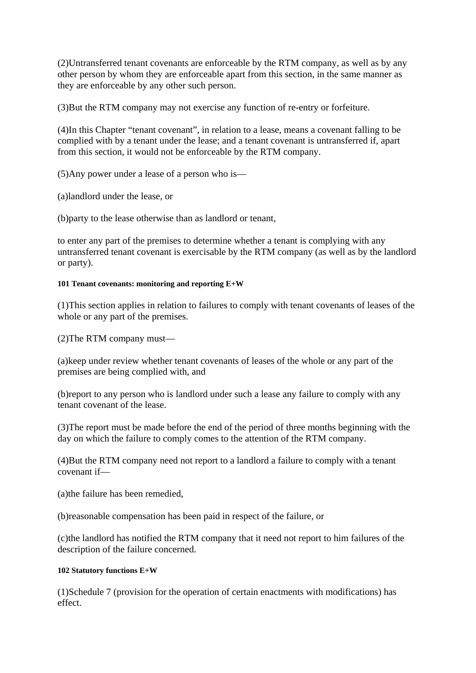(2)Untransferred tenant covenants are enforceable by the RTM company, as well as by any other person by whom they are enforceable apart from this section, in the same manner as they are enforceable by any other such person.

(3)But the RTM company may not exercise any function of re-entry or forfeiture.

(4)In this Chapter "tenant covenant", in relation to a lease, means a covenant falling to be complied with by a tenant under the lease; and a tenant covenant is untransferred if, apart from this section, it would not be enforceable by the RTM company.

(5)Any power under a lease of a person who is—

(a)landlord under the lease, or

(b)party to the lease otherwise than as landlord or tenant,

to enter any part of the premises to determine whether a tenant is complying with any untransferred tenant covenant is exercisable by the RTM company (as well as by the landlord or party).

# **101 Tenant covenants: monitoring and reporting E+W**

(1)This section applies in relation to failures to comply with tenant covenants of leases of the whole or any part of the premises.

(2)The RTM company must—

(a)keep under review whether tenant covenants of leases of the whole or any part of the premises are being complied with, and

(b)report to any person who is landlord under such a lease any failure to comply with any tenant covenant of the lease.

(3)The report must be made before the end of the period of three months beginning with the day on which the failure to comply comes to the attention of the RTM company.

(4)But the RTM company need not report to a landlord a failure to comply with a tenant covenant if—

(a)the failure has been remedied,

(b)reasonable compensation has been paid in respect of the failure, or

(c)the landlord has notified the RTM company that it need not report to him failures of the description of the failure concerned.

# **102 Statutory functions E+W**

(1)Schedule 7 (provision for the operation of certain enactments with modifications) has effect.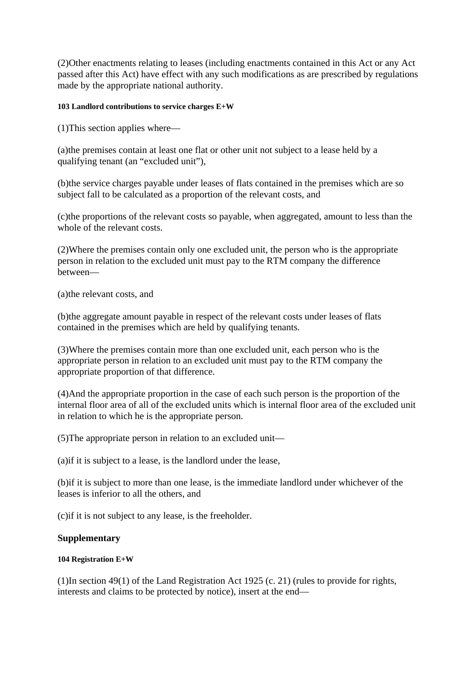(2)Other enactments relating to leases (including enactments contained in this Act or any Act passed after this Act) have effect with any such modifications as are prescribed by regulations made by the appropriate national authority.

## **103 Landlord contributions to service charges E+W**

(1)This section applies where—

(a)the premises contain at least one flat or other unit not subject to a lease held by a qualifying tenant (an "excluded unit"),

(b)the service charges payable under leases of flats contained in the premises which are so subject fall to be calculated as a proportion of the relevant costs, and

(c)the proportions of the relevant costs so payable, when aggregated, amount to less than the whole of the relevant costs.

(2)Where the premises contain only one excluded unit, the person who is the appropriate person in relation to the excluded unit must pay to the RTM company the difference between—

(a)the relevant costs, and

(b)the aggregate amount payable in respect of the relevant costs under leases of flats contained in the premises which are held by qualifying tenants.

(3)Where the premises contain more than one excluded unit, each person who is the appropriate person in relation to an excluded unit must pay to the RTM company the appropriate proportion of that difference.

(4)And the appropriate proportion in the case of each such person is the proportion of the internal floor area of all of the excluded units which is internal floor area of the excluded unit in relation to which he is the appropriate person.

(5)The appropriate person in relation to an excluded unit—

(a)if it is subject to a lease, is the landlord under the lease,

(b)if it is subject to more than one lease, is the immediate landlord under whichever of the leases is inferior to all the others, and

(c)if it is not subject to any lease, is the freeholder.

# **Supplementary**

# **104 Registration E+W**

(1)In section 49(1) of the Land Registration Act 1925 (c. 21) (rules to provide for rights, interests and claims to be protected by notice), insert at the end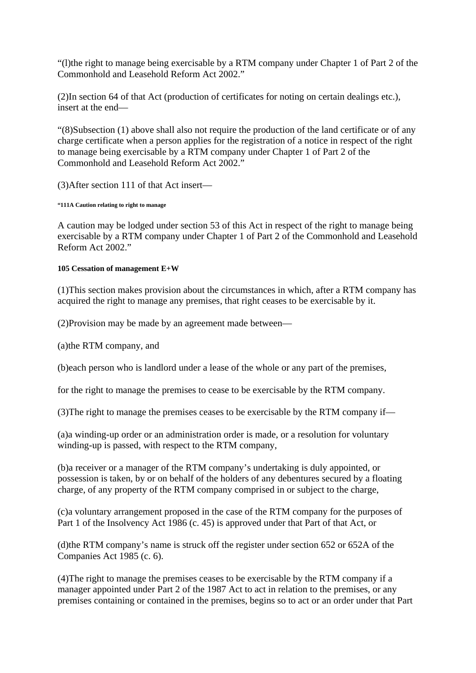"(l)the right to manage being exercisable by a RTM company under Chapter 1 of Part 2 of the Commonhold and Leasehold Reform Act 2002."

(2)In section 64 of that Act (production of certificates for noting on certain dealings etc.), insert at the end—

"(8)Subsection (1) above shall also not require the production of the land certificate or of any charge certificate when a person applies for the registration of a notice in respect of the right to manage being exercisable by a RTM company under Chapter 1 of Part 2 of the Commonhold and Leasehold Reform Act 2002."

(3)After section 111 of that Act insert—

**"111A Caution relating to right to manage** 

A caution may be lodged under section 53 of this Act in respect of the right to manage being exercisable by a RTM company under Chapter 1 of Part 2 of the Commonhold and Leasehold Reform Act 2002."

#### **105 Cessation of management E+W**

(1)This section makes provision about the circumstances in which, after a RTM company has acquired the right to manage any premises, that right ceases to be exercisable by it.

(2)Provision may be made by an agreement made between—

(a)the RTM company, and

(b)each person who is landlord under a lease of the whole or any part of the premises,

for the right to manage the premises to cease to be exercisable by the RTM company.

(3)The right to manage the premises ceases to be exercisable by the RTM company if—

(a)a winding-up order or an administration order is made, or a resolution for voluntary winding-up is passed, with respect to the RTM company,

(b)a receiver or a manager of the RTM company's undertaking is duly appointed, or possession is taken, by or on behalf of the holders of any debentures secured by a floating charge, of any property of the RTM company comprised in or subject to the charge,

(c)a voluntary arrangement proposed in the case of the RTM company for the purposes of Part 1 of the Insolvency Act 1986 (c. 45) is approved under that Part of that Act, or

(d)the RTM company's name is struck off the register under section 652 or 652A of the Companies Act 1985 (c. 6).

(4)The right to manage the premises ceases to be exercisable by the RTM company if a manager appointed under Part 2 of the 1987 Act to act in relation to the premises, or any premises containing or contained in the premises, begins so to act or an order under that Part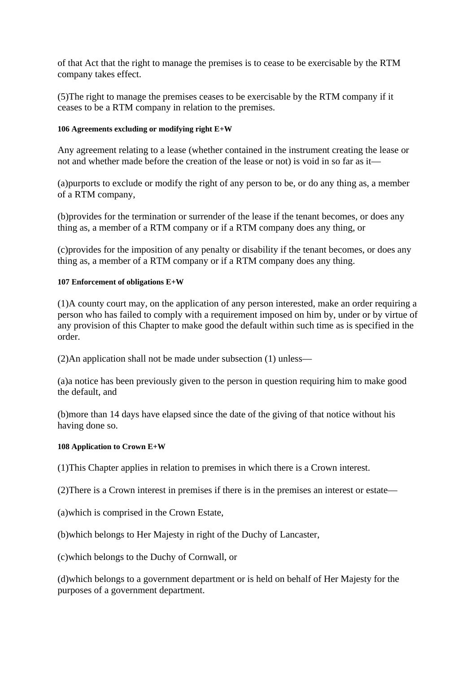of that Act that the right to manage the premises is to cease to be exercisable by the RTM company takes effect.

(5)The right to manage the premises ceases to be exercisable by the RTM company if it ceases to be a RTM company in relation to the premises.

# **106 Agreements excluding or modifying right E+W**

Any agreement relating to a lease (whether contained in the instrument creating the lease or not and whether made before the creation of the lease or not) is void in so far as it—

(a)purports to exclude or modify the right of any person to be, or do any thing as, a member of a RTM company,

(b)provides for the termination or surrender of the lease if the tenant becomes, or does any thing as, a member of a RTM company or if a RTM company does any thing, or

(c)provides for the imposition of any penalty or disability if the tenant becomes, or does any thing as, a member of a RTM company or if a RTM company does any thing.

#### **107 Enforcement of obligations E+W**

(1)A county court may, on the application of any person interested, make an order requiring a person who has failed to comply with a requirement imposed on him by, under or by virtue of any provision of this Chapter to make good the default within such time as is specified in the order.

(2)An application shall not be made under subsection (1) unless—

(a)a notice has been previously given to the person in question requiring him to make good the default, and

(b)more than 14 days have elapsed since the date of the giving of that notice without his having done so.

#### **108 Application to Crown E+W**

(1)This Chapter applies in relation to premises in which there is a Crown interest.

(2)There is a Crown interest in premises if there is in the premises an interest or estate—

(a)which is comprised in the Crown Estate,

(b)which belongs to Her Majesty in right of the Duchy of Lancaster,

(c)which belongs to the Duchy of Cornwall, or

(d)which belongs to a government department or is held on behalf of Her Majesty for the purposes of a government department.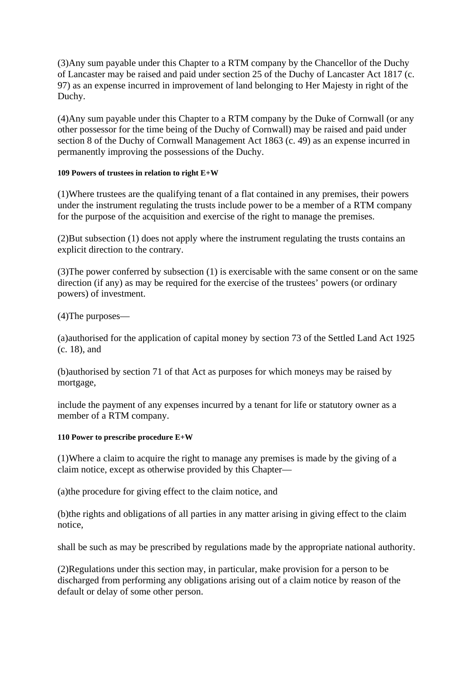(3)Any sum payable under this Chapter to a RTM company by the Chancellor of the Duchy of Lancaster may be raised and paid under section 25 of the Duchy of Lancaster Act 1817 (c. 97) as an expense incurred in improvement of land belonging to Her Majesty in right of the Duchy.

(4)Any sum payable under this Chapter to a RTM company by the Duke of Cornwall (or any other possessor for the time being of the Duchy of Cornwall) may be raised and paid under section 8 of the Duchy of Cornwall Management Act 1863 (c. 49) as an expense incurred in permanently improving the possessions of the Duchy.

#### **109 Powers of trustees in relation to right E+W**

(1)Where trustees are the qualifying tenant of a flat contained in any premises, their powers under the instrument regulating the trusts include power to be a member of a RTM company for the purpose of the acquisition and exercise of the right to manage the premises.

(2)But subsection (1) does not apply where the instrument regulating the trusts contains an explicit direction to the contrary.

(3)The power conferred by subsection (1) is exercisable with the same consent or on the same direction (if any) as may be required for the exercise of the trustees' powers (or ordinary powers) of investment.

(4)The purposes—

(a)authorised for the application of capital money by section 73 of the Settled Land Act 1925 (c. 18), and

(b)authorised by section 71 of that Act as purposes for which moneys may be raised by mortgage,

include the payment of any expenses incurred by a tenant for life or statutory owner as a member of a RTM company.

# **110 Power to prescribe procedure E+W**

(1)Where a claim to acquire the right to manage any premises is made by the giving of a claim notice, except as otherwise provided by this Chapter—

(a)the procedure for giving effect to the claim notice, and

(b)the rights and obligations of all parties in any matter arising in giving effect to the claim notice,

shall be such as may be prescribed by regulations made by the appropriate national authority.

(2)Regulations under this section may, in particular, make provision for a person to be discharged from performing any obligations arising out of a claim notice by reason of the default or delay of some other person.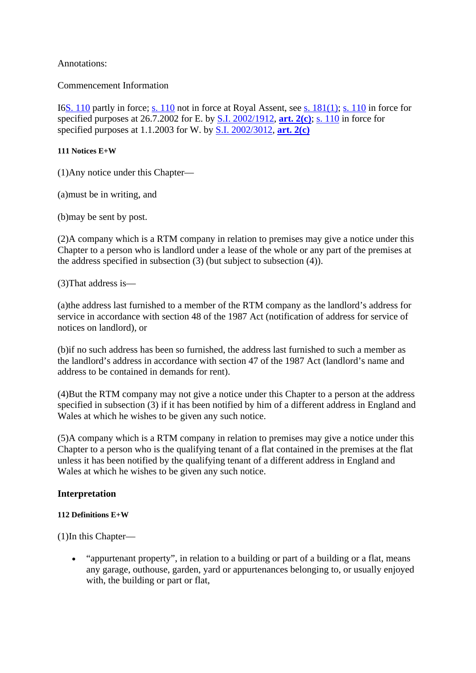Annotations:

Commencement Information

I6S. 110 partly in force; s. 110 not in force at Royal Assent, see s. 181(1); s. 110 in force for specified purposes at 26.7.2002 for E. by S.I. 2002/1912, **art. 2(c)**; s. 110 in force for specified purposes at 1.1.2003 for W. by S.I. 2002/3012, **art. 2(c)**

# **111 Notices E+W**

(1)Any notice under this Chapter—

(a)must be in writing, and

(b)may be sent by post.

(2)A company which is a RTM company in relation to premises may give a notice under this Chapter to a person who is landlord under a lease of the whole or any part of the premises at the address specified in subsection (3) (but subject to subsection (4)).

(3)That address is—

(a)the address last furnished to a member of the RTM company as the landlord's address for service in accordance with section 48 of the 1987 Act (notification of address for service of notices on landlord), or

(b)if no such address has been so furnished, the address last furnished to such a member as the landlord's address in accordance with section 47 of the 1987 Act (landlord's name and address to be contained in demands for rent).

(4)But the RTM company may not give a notice under this Chapter to a person at the address specified in subsection (3) if it has been notified by him of a different address in England and Wales at which he wishes to be given any such notice.

(5)A company which is a RTM company in relation to premises may give a notice under this Chapter to a person who is the qualifying tenant of a flat contained in the premises at the flat unless it has been notified by the qualifying tenant of a different address in England and Wales at which he wishes to be given any such notice.

# **Interpretation**

# **112 Definitions E+W**

(1)In this Chapter—

 "appurtenant property", in relation to a building or part of a building or a flat, means any garage, outhouse, garden, yard or appurtenances belonging to, or usually enjoyed with, the building or part or flat,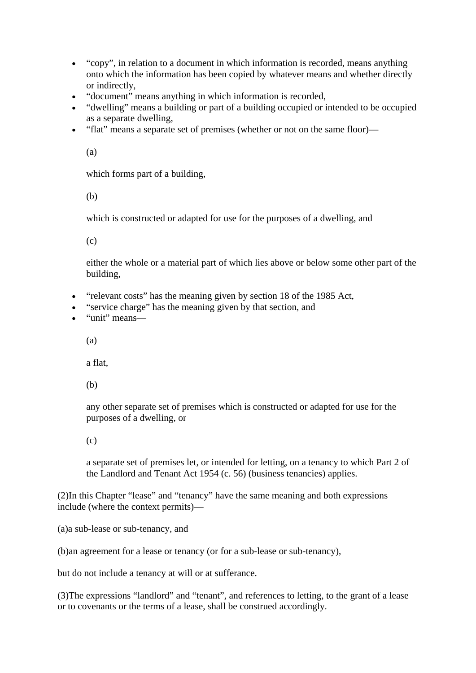- "copy", in relation to a document in which information is recorded, means anything onto which the information has been copied by whatever means and whether directly or indirectly,
- "document" means anything in which information is recorded,
- "dwelling" means a building or part of a building occupied or intended to be occupied as a separate dwelling,
- "flat" means a separate set of premises (whether or not on the same floor)—

(a)

which forms part of a building,

(b)

which is constructed or adapted for use for the purposes of a dwelling, and

(c)

either the whole or a material part of which lies above or below some other part of the building,

- "relevant costs" has the meaning given by section 18 of the 1985 Act,
- "service charge" has the meaning given by that section, and
- "unit" means—

(a)

a flat,

(b)

any other separate set of premises which is constructed or adapted for use for the purposes of a dwelling, or

(c)

a separate set of premises let, or intended for letting, on a tenancy to which Part 2 of the Landlord and Tenant Act 1954 (c. 56) (business tenancies) applies.

(2)In this Chapter "lease" and "tenancy" have the same meaning and both expressions include (where the context permits)—

(a)a sub-lease or sub-tenancy, and

(b)an agreement for a lease or tenancy (or for a sub-lease or sub-tenancy),

but do not include a tenancy at will or at sufferance.

(3)The expressions "landlord" and "tenant", and references to letting, to the grant of a lease or to covenants or the terms of a lease, shall be construed accordingly.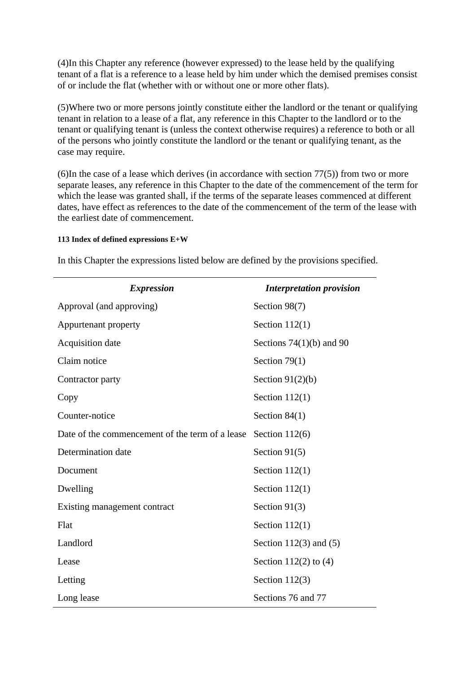(4)In this Chapter any reference (however expressed) to the lease held by the qualifying tenant of a flat is a reference to a lease held by him under which the demised premises consist of or include the flat (whether with or without one or more other flats).

(5)Where two or more persons jointly constitute either the landlord or the tenant or qualifying tenant in relation to a lease of a flat, any reference in this Chapter to the landlord or to the tenant or qualifying tenant is (unless the context otherwise requires) a reference to both or all of the persons who jointly constitute the landlord or the tenant or qualifying tenant, as the case may require.

(6)In the case of a lease which derives (in accordance with section 77(5)) from two or more separate leases, any reference in this Chapter to the date of the commencement of the term for which the lease was granted shall, if the terms of the separate leases commenced at different dates, have effect as references to the date of the commencement of the term of the lease with the earliest date of commencement.

#### **113 Index of defined expressions E+W**

| <b>Expression</b>                               | <b>Interpretation provision</b> |
|-------------------------------------------------|---------------------------------|
| Approval (and approving)                        | Section 98(7)                   |
| Appurtenant property                            | Section $112(1)$                |
| Acquisition date                                | Sections $74(1)(b)$ and 90      |
| Claim notice                                    | Section $79(1)$                 |
| Contractor party                                | Section $91(2)(b)$              |
| Copy                                            | Section $112(1)$                |
| Counter-notice                                  | Section $84(1)$                 |
| Date of the commencement of the term of a lease | Section $112(6)$                |
| Determination date                              | Section $91(5)$                 |
| Document                                        | Section $112(1)$                |
| Dwelling                                        | Section $112(1)$                |
| Existing management contract                    | Section $91(3)$                 |
| Flat                                            | Section $112(1)$                |
| Landlord                                        | Section 112 $(3)$ and $(5)$     |
| Lease                                           | Section $112(2)$ to $(4)$       |
| Letting                                         | Section $112(3)$                |
| Long lease                                      | Sections 76 and 77              |

In this Chapter the expressions listed below are defined by the provisions specified.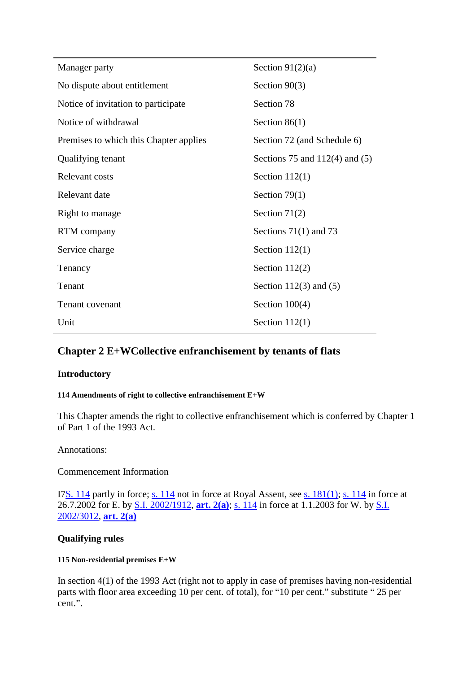| Manager party                          | Section $91(2)(a)$               |
|----------------------------------------|----------------------------------|
| No dispute about entitlement           | Section $90(3)$                  |
| Notice of invitation to participate    | Section 78                       |
| Notice of withdrawal                   | Section $86(1)$                  |
| Premises to which this Chapter applies | Section 72 (and Schedule 6)      |
| Qualifying tenant                      | Sections 75 and $112(4)$ and (5) |
| Relevant costs                         | Section $112(1)$                 |
| Relevant date                          | Section $79(1)$                  |
| Right to manage                        | Section $71(2)$                  |
| RTM company                            | Sections $71(1)$ and 73          |
| Service charge                         | Section $112(1)$                 |
| Tenancy                                | Section $112(2)$                 |
| Tenant                                 | Section 112(3) and $(5)$         |
| <b>Tenant covenant</b>                 | Section $100(4)$                 |
| Unit                                   | Section $112(1)$                 |

# **Chapter 2 E+WCollective enfranchisement by tenants of flats**

# **Introductory**

#### **114 Amendments of right to collective enfranchisement E+W**

This Chapter amends the right to collective enfranchisement which is conferred by Chapter 1 of Part 1 of the 1993 Act.

# Annotations:

Commencement Information

I7S. 114 partly in force; s. 114 not in force at Royal Assent, see s. 181(1); s. 114 in force at 26.7.2002 for E. by S.I. 2002/1912, **art. 2(a)**; s. 114 in force at 1.1.2003 for W. by S.I. 2002/3012, **art. 2(a)**

# **Qualifying rules**

#### **115 Non-residential premises E+W**

In section 4(1) of the 1993 Act (right not to apply in case of premises having non-residential parts with floor area exceeding 10 per cent. of total), for "10 per cent." substitute " 25 per cent.".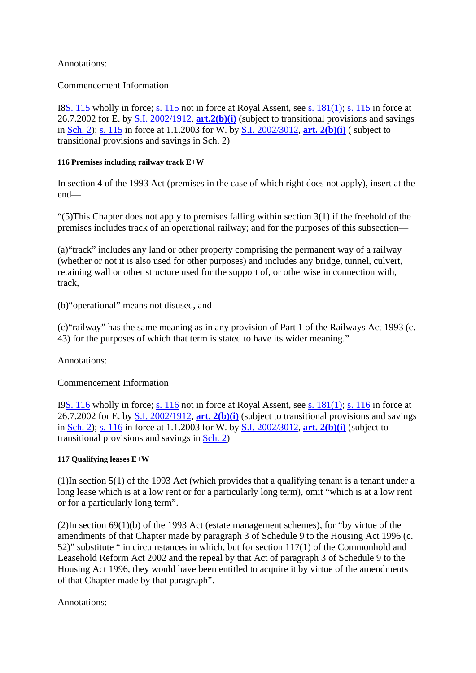# Annotations:

Commencement Information

I8S. 115 wholly in force; s. 115 not in force at Royal Assent, see s. 181(1); s. 115 in force at 26.7.2002 for E. by S.I. 2002/1912, **art.2(b)(i)** (subject to transitional provisions and savings in Sch. 2); s. 115 in force at 1.1.2003 for W. by S.I. 2002/3012, **art. 2(b)(i)** ( subject to transitional provisions and savings in Sch. 2)

# **116 Premises including railway track E+W**

In section 4 of the 1993 Act (premises in the case of which right does not apply), insert at the end—

" $(5)$ This Chapter does not apply to premises falling within section 3(1) if the freehold of the premises includes track of an operational railway; and for the purposes of this subsection—

(a)"track" includes any land or other property comprising the permanent way of a railway (whether or not it is also used for other purposes) and includes any bridge, tunnel, culvert, retaining wall or other structure used for the support of, or otherwise in connection with, track,

(b)"operational" means not disused, and

(c)"railway" has the same meaning as in any provision of Part 1 of the Railways Act 1993 (c. 43) for the purposes of which that term is stated to have its wider meaning."

Annotations:

Commencement Information

I9S. 116 wholly in force; s. 116 not in force at Royal Assent, see s. 181(1); s. 116 in force at 26.7.2002 for E. by S.I. 2002/1912, **art. 2(b)(i)** (subject to transitional provisions and savings in Sch. 2); s. 116 in force at 1.1.2003 for W. by S.I. 2002/3012, **art. 2(b)(i)** (subject to transitional provisions and savings in Sch. 2)

# **117 Qualifying leases E+W**

(1)In section 5(1) of the 1993 Act (which provides that a qualifying tenant is a tenant under a long lease which is at a low rent or for a particularly long term), omit "which is at a low rent or for a particularly long term".

(2)In section 69(1)(b) of the 1993 Act (estate management schemes), for "by virtue of the amendments of that Chapter made by paragraph 3 of Schedule 9 to the Housing Act 1996 (c. 52)" substitute " in circumstances in which, but for section 117(1) of the Commonhold and Leasehold Reform Act 2002 and the repeal by that Act of paragraph 3 of Schedule 9 to the Housing Act 1996, they would have been entitled to acquire it by virtue of the amendments of that Chapter made by that paragraph".

Annotations: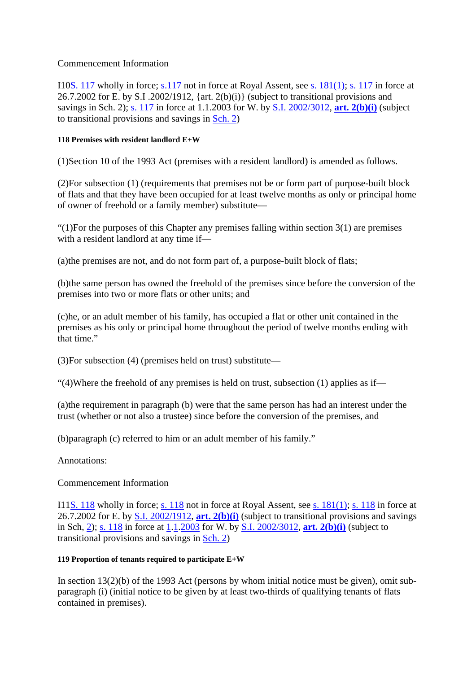### Commencement Information

I10S. 117 wholly in force; s.117 not in force at Royal Assent, see s. 181(1); s. 117 in force at 26.7.2002 for E. by S.I. 2002/1912, {art. 2(b)(i)} (subject to transitional provisions and savings in Sch. 2); s. 117 in force at 1.1.2003 for W. by S.I. 2002/3012, **art. 2(b)(i)** (subject to transitional provisions and savings in Sch. 2)

### **118 Premises with resident landlord E+W**

(1)Section 10 of the 1993 Act (premises with a resident landlord) is amended as follows.

(2)For subsection (1) (requirements that premises not be or form part of purpose-built block of flats and that they have been occupied for at least twelve months as only or principal home of owner of freehold or a family member) substitute—

"(1)For the purposes of this Chapter any premises falling within section  $3(1)$  are premises with a resident landlord at any time if—

(a)the premises are not, and do not form part of, a purpose-built block of flats;

(b)the same person has owned the freehold of the premises since before the conversion of the premises into two or more flats or other units; and

(c)he, or an adult member of his family, has occupied a flat or other unit contained in the premises as his only or principal home throughout the period of twelve months ending with that time."

(3)For subsection (4) (premises held on trust) substitute—

"(4)Where the freehold of any premises is held on trust, subsection  $(1)$  applies as if—

(a)the requirement in paragraph (b) were that the same person has had an interest under the trust (whether or not also a trustee) since before the conversion of the premises, and

(b)paragraph (c) referred to him or an adult member of his family."

Annotations:

# Commencement Information

I11S. 118 wholly in force; s. 118 not in force at Royal Assent, see s. 181(1); s. 118 in force at 26.7.2002 for E. by S.I. 2002/1912, **art. 2(b)(i)** (subject to transitional provisions and savings in Sch, 2); s. 118 in force at 1.1.2003 for W. by S.I. 2002/3012, **art. 2(b)(i)** (subject to transitional provisions and savings in Sch. 2)

### **119 Proportion of tenants required to participate E+W**

In section  $13(2)(b)$  of the 1993 Act (persons by whom initial notice must be given), omit subparagraph (i) (initial notice to be given by at least two-thirds of qualifying tenants of flats contained in premises).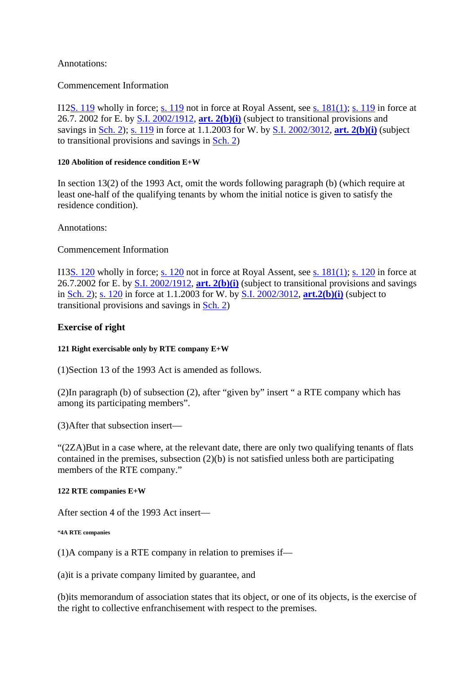# Annotations:

### Commencement Information

I12S. 119 wholly in force; s. 119 not in force at Royal Assent, see s. 181(1); s. 119 in force at 26.7. 2002 for E. by S.I. 2002/1912, **art. 2(b)(i)** (subject to transitional provisions and savings in Sch. 2); s. 119 in force at 1.1.2003 for W. by S.I. 2002/3012, **art. 2(b)(i)** (subject to transitional provisions and savings in Sch. 2)

#### **120 Abolition of residence condition E+W**

In section 13(2) of the 1993 Act, omit the words following paragraph (b) (which require at least one-half of the qualifying tenants by whom the initial notice is given to satisfy the residence condition).

Annotations:

Commencement Information

I13S. 120 wholly in force; s. 120 not in force at Royal Assent, see s. 181(1); s. 120 in force at 26.7.2002 for E. by S.I. 2002/1912, **art. 2(b)(i)** (subject to transitional provisions and savings in Sch. 2); s. 120 in force at 1.1.2003 for W. by S.I. 2002/3012, **art.2(b)(i)** (subject to transitional provisions and savings in Sch. 2)

# **Exercise of right**

### **121 Right exercisable only by RTE company E+W**

(1)Section 13 of the 1993 Act is amended as follows.

(2)In paragraph (b) of subsection (2), after "given by" insert " a RTE company which has among its participating members".

(3)After that subsection insert—

"(2ZA)But in a case where, at the relevant date, there are only two qualifying tenants of flats contained in the premises, subsection  $(2)(b)$  is not satisfied unless both are participating members of the RTE company."

### **122 RTE companies E+W**

After section 4 of the 1993 Act insert—

#### **"4A RTE companies**

(1)A company is a RTE company in relation to premises if—

(a)it is a private company limited by guarantee, and

(b)its memorandum of association states that its object, or one of its objects, is the exercise of the right to collective enfranchisement with respect to the premises.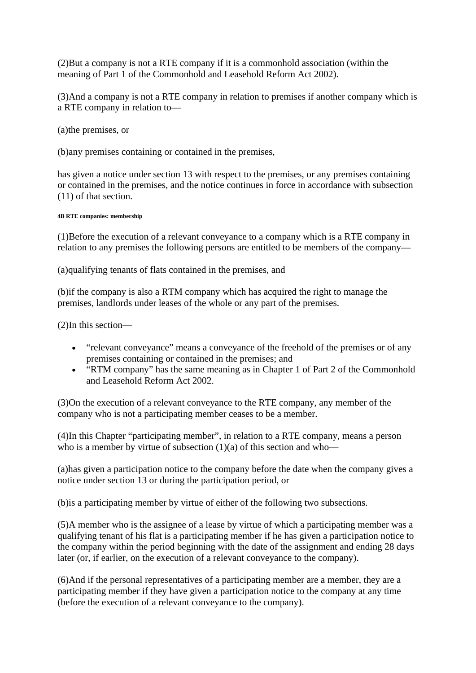(2)But a company is not a RTE company if it is a commonhold association (within the meaning of Part 1 of the Commonhold and Leasehold Reform Act 2002).

(3)And a company is not a RTE company in relation to premises if another company which is a RTE company in relation to—

(a)the premises, or

(b)any premises containing or contained in the premises,

has given a notice under section 13 with respect to the premises, or any premises containing or contained in the premises, and the notice continues in force in accordance with subsection (11) of that section.

#### **4B RTE companies: membership**

(1)Before the execution of a relevant conveyance to a company which is a RTE company in relation to any premises the following persons are entitled to be members of the company—

(a)qualifying tenants of flats contained in the premises, and

(b)if the company is also a RTM company which has acquired the right to manage the premises, landlords under leases of the whole or any part of the premises.

(2)In this section—

- "relevant conveyance" means a conveyance of the freehold of the premises or of any premises containing or contained in the premises; and
- "RTM company" has the same meaning as in Chapter 1 of Part 2 of the Commonhold and Leasehold Reform Act 2002.

(3)On the execution of a relevant conveyance to the RTE company, any member of the company who is not a participating member ceases to be a member.

(4)In this Chapter "participating member", in relation to a RTE company, means a person who is a member by virtue of subsection  $(1)(a)$  of this section and who—

(a)has given a participation notice to the company before the date when the company gives a notice under section 13 or during the participation period, or

(b)is a participating member by virtue of either of the following two subsections.

(5)A member who is the assignee of a lease by virtue of which a participating member was a qualifying tenant of his flat is a participating member if he has given a participation notice to the company within the period beginning with the date of the assignment and ending 28 days later (or, if earlier, on the execution of a relevant conveyance to the company).

(6)And if the personal representatives of a participating member are a member, they are a participating member if they have given a participation notice to the company at any time (before the execution of a relevant conveyance to the company).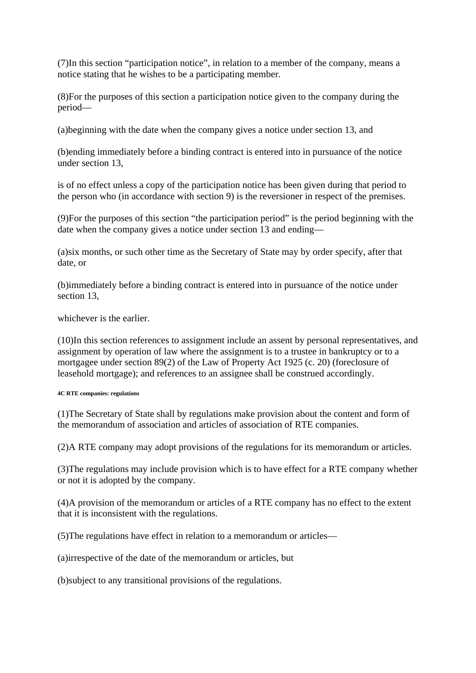(7)In this section "participation notice", in relation to a member of the company, means a notice stating that he wishes to be a participating member.

(8)For the purposes of this section a participation notice given to the company during the period—

(a)beginning with the date when the company gives a notice under section 13, and

(b)ending immediately before a binding contract is entered into in pursuance of the notice under section 13,

is of no effect unless a copy of the participation notice has been given during that period to the person who (in accordance with section 9) is the reversioner in respect of the premises.

(9)For the purposes of this section "the participation period" is the period beginning with the date when the company gives a notice under section 13 and ending—

(a)six months, or such other time as the Secretary of State may by order specify, after that date, or

(b)immediately before a binding contract is entered into in pursuance of the notice under section 13,

whichever is the earlier.

(10)In this section references to assignment include an assent by personal representatives, and assignment by operation of law where the assignment is to a trustee in bankruptcy or to a mortgagee under section 89(2) of the Law of Property Act 1925 (c. 20) (foreclosure of leasehold mortgage); and references to an assignee shall be construed accordingly.

#### **4C RTE companies: regulations**

(1)The Secretary of State shall by regulations make provision about the content and form of the memorandum of association and articles of association of RTE companies.

(2)A RTE company may adopt provisions of the regulations for its memorandum or articles.

(3)The regulations may include provision which is to have effect for a RTE company whether or not it is adopted by the company.

(4)A provision of the memorandum or articles of a RTE company has no effect to the extent that it is inconsistent with the regulations.

(5)The regulations have effect in relation to a memorandum or articles—

(a)irrespective of the date of the memorandum or articles, but

(b)subject to any transitional provisions of the regulations.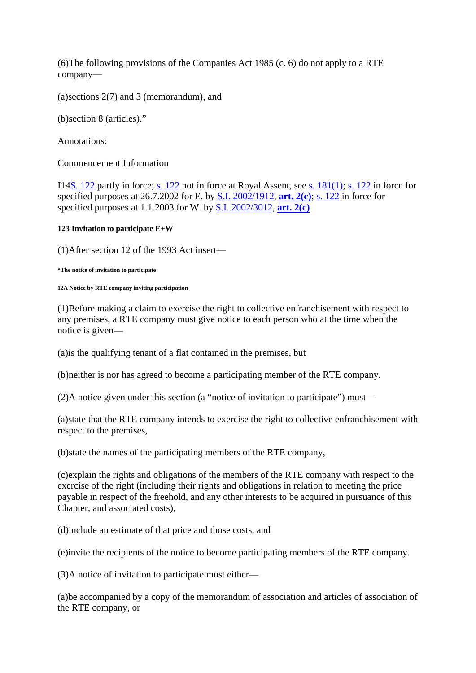(6)The following provisions of the Companies Act 1985 (c. 6) do not apply to a RTE company—

(a)sections 2(7) and 3 (memorandum), and

(b)section 8 (articles)."

Annotations:

Commencement Information

I14S. 122 partly in force; s. 122 not in force at Royal Assent, see s. 181(1); s. 122 in force for specified purposes at 26.7.2002 for E. by S.I. 2002/1912, **art. 2(c)**; s. 122 in force for specified purposes at 1.1.2003 for W. by S.I. 2002/3012, **art. 2(c)**

#### **123 Invitation to participate E+W**

(1)After section 12 of the 1993 Act insert—

**"The notice of invitation to participate** 

#### **12A Notice by RTE company inviting participation**

(1)Before making a claim to exercise the right to collective enfranchisement with respect to any premises, a RTE company must give notice to each person who at the time when the notice is given—

(a)is the qualifying tenant of a flat contained in the premises, but

(b)neither is nor has agreed to become a participating member of the RTE company.

(2)A notice given under this section (a "notice of invitation to participate") must—

(a)state that the RTE company intends to exercise the right to collective enfranchisement with respect to the premises,

(b)state the names of the participating members of the RTE company,

(c)explain the rights and obligations of the members of the RTE company with respect to the exercise of the right (including their rights and obligations in relation to meeting the price payable in respect of the freehold, and any other interests to be acquired in pursuance of this Chapter, and associated costs),

(d)include an estimate of that price and those costs, and

(e)invite the recipients of the notice to become participating members of the RTE company.

(3)A notice of invitation to participate must either—

(a)be accompanied by a copy of the memorandum of association and articles of association of the RTE company, or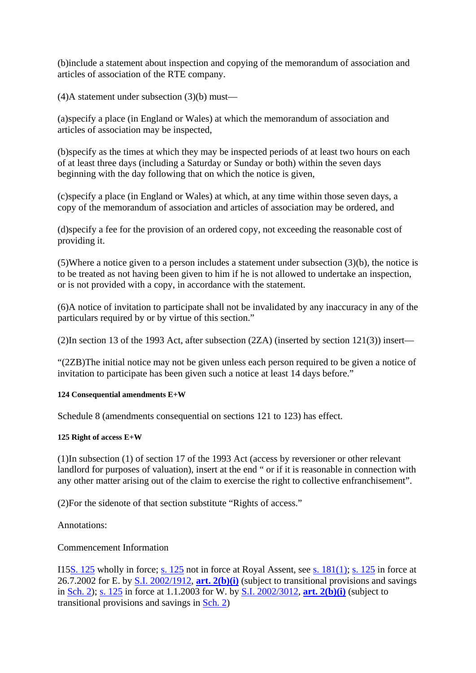(b)include a statement about inspection and copying of the memorandum of association and articles of association of the RTE company.

(4)A statement under subsection (3)(b) must—

(a)specify a place (in England or Wales) at which the memorandum of association and articles of association may be inspected,

(b)specify as the times at which they may be inspected periods of at least two hours on each of at least three days (including a Saturday or Sunday or both) within the seven days beginning with the day following that on which the notice is given,

(c)specify a place (in England or Wales) at which, at any time within those seven days, a copy of the memorandum of association and articles of association may be ordered, and

(d)specify a fee for the provision of an ordered copy, not exceeding the reasonable cost of providing it.

(5)Where a notice given to a person includes a statement under subsection (3)(b), the notice is to be treated as not having been given to him if he is not allowed to undertake an inspection, or is not provided with a copy, in accordance with the statement.

(6)A notice of invitation to participate shall not be invalidated by any inaccuracy in any of the particulars required by or by virtue of this section."

(2)In section 13 of the 1993 Act, after subsection (2ZA) (inserted by section 121(3)) insert—

"(2ZB)The initial notice may not be given unless each person required to be given a notice of invitation to participate has been given such a notice at least 14 days before."

### **124 Consequential amendments E+W**

Schedule 8 (amendments consequential on sections 121 to 123) has effect.

### **125 Right of access E+W**

(1)In subsection (1) of section 17 of the 1993 Act (access by reversioner or other relevant landlord for purposes of valuation), insert at the end " or if it is reasonable in connection with any other matter arising out of the claim to exercise the right to collective enfranchisement".

(2)For the sidenote of that section substitute "Rights of access."

Annotations:

Commencement Information

I15S. 125 wholly in force; s. 125 not in force at Royal Assent, see s. 181(1); s. 125 in force at 26.7.2002 for E. by S.I. 2002/1912, **art. 2(b)(i)** (subject to transitional provisions and savings in Sch. 2); s. 125 in force at 1.1.2003 for W. by S.I. 2002/3012, **art. 2(b)(i)** (subject to transitional provisions and savings in Sch. 2)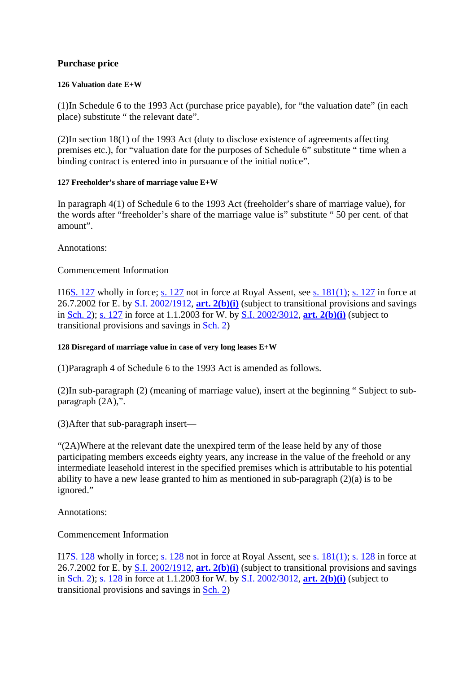# **Purchase price**

#### **126 Valuation date E+W**

(1)In Schedule 6 to the 1993 Act (purchase price payable), for "the valuation date" (in each place) substitute " the relevant date".

(2)In section 18(1) of the 1993 Act (duty to disclose existence of agreements affecting premises etc.), for "valuation date for the purposes of Schedule 6" substitute " time when a binding contract is entered into in pursuance of the initial notice".

#### **127 Freeholder's share of marriage value E+W**

In paragraph 4(1) of Schedule 6 to the 1993 Act (freeholder's share of marriage value), for the words after "freeholder's share of the marriage value is" substitute " 50 per cent. of that amount".

Annotations:

# Commencement Information

I16S. 127 wholly in force; s. 127 not in force at Royal Assent, see s. 181(1); s. 127 in force at 26.7.2002 for E. by S.I. 2002/1912, **art. 2(b)(i)** (subject to transitional provisions and savings in Sch. 2); s. 127 in force at 1.1.2003 for W. by S.I. 2002/3012, **art. 2(b)(i)** (subject to transitional provisions and savings in Sch. 2)

### **128 Disregard of marriage value in case of very long leases E+W**

(1)Paragraph 4 of Schedule 6 to the 1993 Act is amended as follows.

(2)In sub-paragraph (2) (meaning of marriage value), insert at the beginning " Subject to subparagraph (2A),".

(3)After that sub-paragraph insert—

"(2A)Where at the relevant date the unexpired term of the lease held by any of those participating members exceeds eighty years, any increase in the value of the freehold or any intermediate leasehold interest in the specified premises which is attributable to his potential ability to have a new lease granted to him as mentioned in sub-paragraph (2)(a) is to be ignored."

Annotations:

Commencement Information

I17S. 128 wholly in force; s. 128 not in force at Royal Assent, see s. 181(1); s. 128 in force at 26.7.2002 for E. by S.I. 2002/1912, **art. 2(b)(i)** (subject to transitional provisions and savings in Sch. 2); s. 128 in force at 1.1.2003 for W. by S.I. 2002/3012, **art. 2(b)(i)** (subject to transitional provisions and savings in Sch. 2)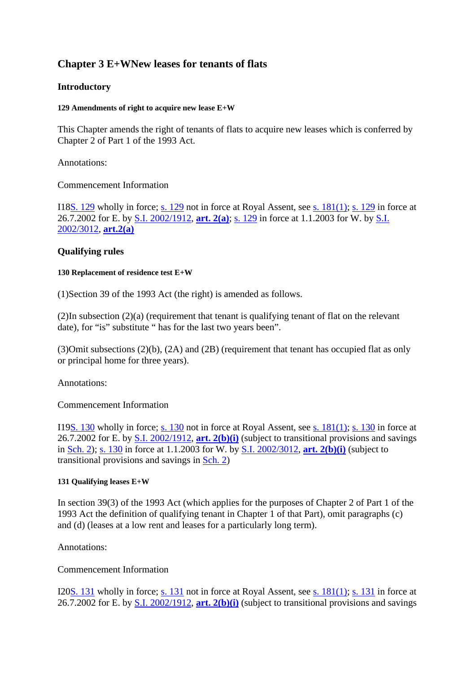# **Chapter 3 E+WNew leases for tenants of flats**

# **Introductory**

#### **129 Amendments of right to acquire new lease E+W**

This Chapter amends the right of tenants of flats to acquire new leases which is conferred by Chapter 2 of Part 1 of the 1993 Act.

Annotations:

### Commencement Information

I18S. 129 wholly in force; s. 129 not in force at Royal Assent, see s. 181(1); s. 129 in force at 26.7.2002 for E. by S.I. 2002/1912, **art. 2(a)**; s. 129 in force at 1.1.2003 for W. by S.I. 2002/3012, **art.2(a)**

# **Qualifying rules**

#### **130 Replacement of residence test E+W**

(1)Section 39 of the 1993 Act (the right) is amended as follows.

(2)In subsection (2)(a) (requirement that tenant is qualifying tenant of flat on the relevant date), for "is" substitute " has for the last two years been".

(3)Omit subsections (2)(b), (2A) and (2B) (requirement that tenant has occupied flat as only or principal home for three years).

Annotations:

Commencement Information

I19S. 130 wholly in force; s. 130 not in force at Royal Assent, see s. 181(1); s. 130 in force at 26.7.2002 for E. by S.I. 2002/1912, **art. 2(b)(i)** (subject to transitional provisions and savings in Sch. 2); s. 130 in force at 1.1.2003 for W. by S.I. 2002/3012, **art. 2(b)(i)** (subject to transitional provisions and savings in Sch. 2)

### **131 Qualifying leases E+W**

In section 39(3) of the 1993 Act (which applies for the purposes of Chapter 2 of Part 1 of the 1993 Act the definition of qualifying tenant in Chapter 1 of that Part), omit paragraphs (c) and (d) (leases at a low rent and leases for a particularly long term).

Annotations:

Commencement Information

I20S. 131 wholly in force; s. 131 not in force at Royal Assent, see s. 181(1); s. 131 in force at 26.7.2002 for E. by S.I. 2002/1912, **art. 2(b)(i)** (subject to transitional provisions and savings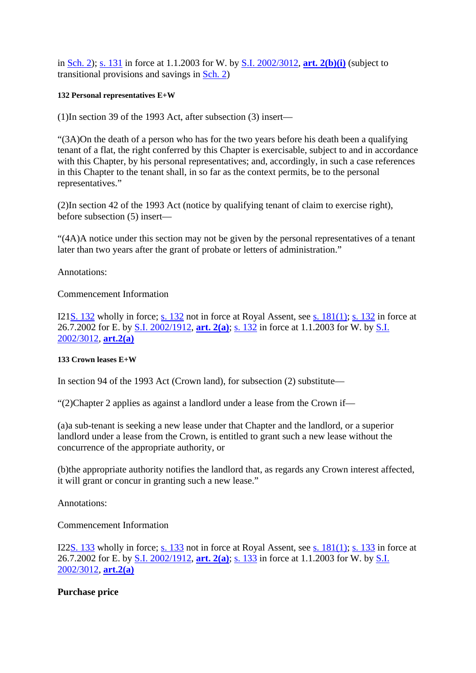in Sch. 2); s. 131 in force at 1.1.2003 for W. by S.I. 2002/3012, **art. 2(b)(i)** (subject to transitional provisions and savings in Sch. 2)

#### **132 Personal representatives E+W**

(1)In section 39 of the 1993 Act, after subsection (3) insert—

"(3A)On the death of a person who has for the two years before his death been a qualifying tenant of a flat, the right conferred by this Chapter is exercisable, subject to and in accordance with this Chapter, by his personal representatives; and, accordingly, in such a case references in this Chapter to the tenant shall, in so far as the context permits, be to the personal representatives."

(2)In section 42 of the 1993 Act (notice by qualifying tenant of claim to exercise right), before subsection (5) insert—

"(4A)A notice under this section may not be given by the personal representatives of a tenant later than two years after the grant of probate or letters of administration."

Annotations:

### Commencement Information

I21S. 132 wholly in force; s. 132 not in force at Royal Assent, see s. 181(1); s. 132 in force at 26.7.2002 for E. by S.I. 2002/1912, **art. 2(a)**; s. 132 in force at 1.1.2003 for W. by S.I. 2002/3012, **art.2(a)**

### **133 Crown leases E+W**

In section 94 of the 1993 Act (Crown land), for subsection (2) substitute—

"(2)Chapter 2 applies as against a landlord under a lease from the Crown if—

(a)a sub-tenant is seeking a new lease under that Chapter and the landlord, or a superior landlord under a lease from the Crown, is entitled to grant such a new lease without the concurrence of the appropriate authority, or

(b)the appropriate authority notifies the landlord that, as regards any Crown interest affected, it will grant or concur in granting such a new lease."

Annotations:

Commencement Information

I22S. 133 wholly in force; s. 133 not in force at Royal Assent, see s. 181(1); s. 133 in force at 26.7.2002 for E. by S.I. 2002/1912, **art. 2(a)**; s. 133 in force at 1.1.2003 for W. by S.I. 2002/3012, **art.2(a)**

### **Purchase price**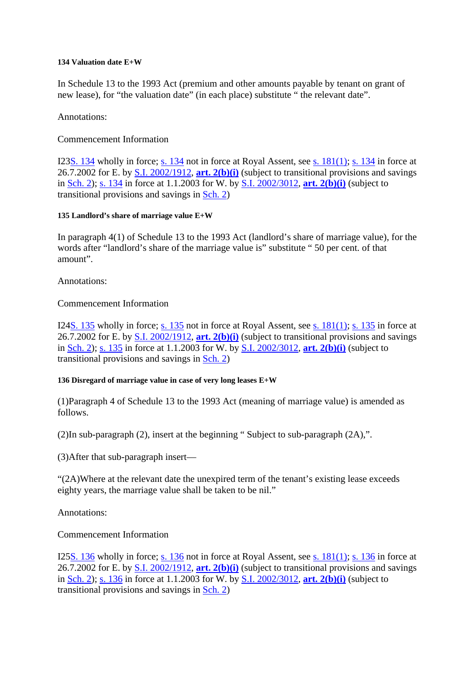#### **134 Valuation date E+W**

In Schedule 13 to the 1993 Act (premium and other amounts payable by tenant on grant of new lease), for "the valuation date" (in each place) substitute " the relevant date".

Annotations:

# Commencement Information

I23S. 134 wholly in force; s. 134 not in force at Royal Assent, see s. 181(1); s. 134 in force at 26.7.2002 for E. by S.I. 2002/1912, **art. 2(b)(i)** (subject to transitional provisions and savings in Sch. 2); s. 134 in force at 1.1.2003 for W. by S.I. 2002/3012, **art. 2(b)(i)** (subject to transitional provisions and savings in Sch. 2)

### **135 Landlord's share of marriage value E+W**

In paragraph 4(1) of Schedule 13 to the 1993 Act (landlord's share of marriage value), for the words after "landlord's share of the marriage value is" substitute " 50 per cent. of that amount".

Annotations:

Commencement Information

I24S. 135 wholly in force; s. 135 not in force at Royal Assent, see s. 181(1); s. 135 in force at 26.7.2002 for E. by S.I. 2002/1912, **art. 2(b)(i)** (subject to transitional provisions and savings in Sch. 2); s. 135 in force at 1.1.2003 for W. by S.I. 2002/3012, **art. 2(b)(i)** (subject to transitional provisions and savings in Sch. 2)

### **136 Disregard of marriage value in case of very long leases E+W**

(1)Paragraph 4 of Schedule 13 to the 1993 Act (meaning of marriage value) is amended as follows.

(2)In sub-paragraph (2), insert at the beginning " Subject to sub-paragraph (2A),".

(3)After that sub-paragraph insert—

"(2A)Where at the relevant date the unexpired term of the tenant's existing lease exceeds eighty years, the marriage value shall be taken to be nil."

Annotations:

Commencement Information

I25S. 136 wholly in force; s. 136 not in force at Royal Assent, see s. 181(1); s. 136 in force at 26.7.2002 for E. by S.I. 2002/1912, **art. 2(b)(i)** (subject to transitional provisions and savings in Sch. 2); s. 136 in force at 1.1.2003 for W. by S.I. 2002/3012, **art. 2(b)(i)** (subject to transitional provisions and savings in Sch. 2)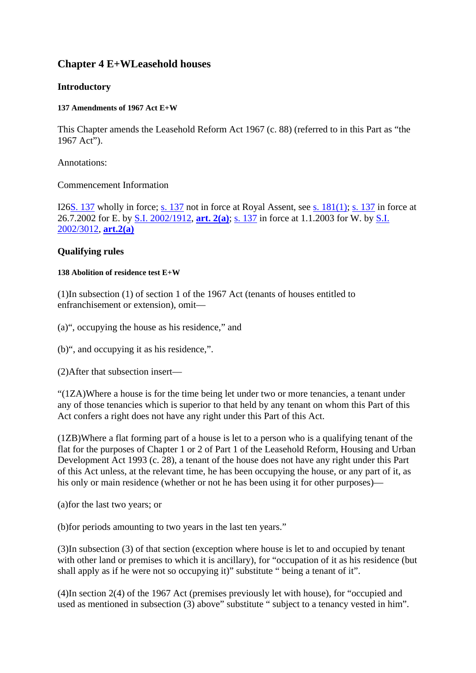# **Chapter 4 E+WLeasehold houses**

# **Introductory**

#### **137 Amendments of 1967 Act E+W**

This Chapter amends the Leasehold Reform Act 1967 (c. 88) (referred to in this Part as "the 1967 Act").

Annotations:

### Commencement Information

I26S. 137 wholly in force; s. 137 not in force at Royal Assent, see s. 181(1); s. 137 in force at 26.7.2002 for E. by S.I. 2002/1912, **art. 2(a)**; s. 137 in force at 1.1.2003 for W. by S.I. 2002/3012, **art.2(a)**

# **Qualifying rules**

#### **138 Abolition of residence test E+W**

(1)In subsection (1) of section 1 of the 1967 Act (tenants of houses entitled to enfranchisement or extension), omit—

(a)", occupying the house as his residence," and

(b)", and occupying it as his residence,".

(2)After that subsection insert—

"(1ZA)Where a house is for the time being let under two or more tenancies, a tenant under any of those tenancies which is superior to that held by any tenant on whom this Part of this Act confers a right does not have any right under this Part of this Act.

(1ZB)Where a flat forming part of a house is let to a person who is a qualifying tenant of the flat for the purposes of Chapter 1 or 2 of Part 1 of the Leasehold Reform, Housing and Urban Development Act 1993 (c. 28), a tenant of the house does not have any right under this Part of this Act unless, at the relevant time, he has been occupying the house, or any part of it, as his only or main residence (whether or not he has been using it for other purposes)—

(a)for the last two years; or

(b)for periods amounting to two years in the last ten years."

(3)In subsection (3) of that section (exception where house is let to and occupied by tenant with other land or premises to which it is ancillary), for "occupation of it as his residence (but shall apply as if he were not so occupying it)" substitute " being a tenant of it".

(4)In section 2(4) of the 1967 Act (premises previously let with house), for "occupied and used as mentioned in subsection (3) above" substitute " subject to a tenancy vested in him".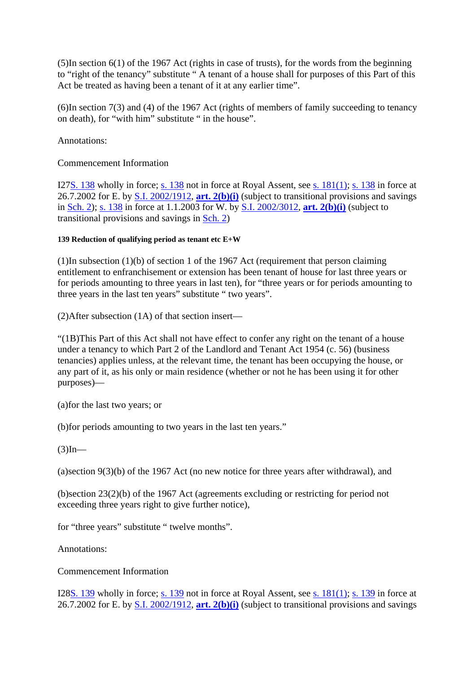(5)In section 6(1) of the 1967 Act (rights in case of trusts), for the words from the beginning to "right of the tenancy" substitute " A tenant of a house shall for purposes of this Part of this Act be treated as having been a tenant of it at any earlier time".

(6)In section 7(3) and (4) of the 1967 Act (rights of members of family succeeding to tenancy on death), for "with him" substitute " in the house".

Annotations:

Commencement Information

I27S. 138 wholly in force; s. 138 not in force at Royal Assent, see s. 181(1); s. 138 in force at 26.7.2002 for E. by S.I. 2002/1912, **art. 2(b)(i)** (subject to transitional provisions and savings in Sch. 2); s. 138 in force at 1.1.2003 for W. by S.I. 2002/3012, **art. 2(b)(i)** (subject to transitional provisions and savings in Sch. 2)

### **139 Reduction of qualifying period as tenant etc E+W**

(1)In subsection (1)(b) of section 1 of the 1967 Act (requirement that person claiming entitlement to enfranchisement or extension has been tenant of house for last three years or for periods amounting to three years in last ten), for "three years or for periods amounting to three years in the last ten years" substitute " two years".

(2)After subsection (1A) of that section insert—

"(1B)This Part of this Act shall not have effect to confer any right on the tenant of a house under a tenancy to which Part 2 of the Landlord and Tenant Act 1954 (c. 56) (business tenancies) applies unless, at the relevant time, the tenant has been occupying the house, or any part of it, as his only or main residence (whether or not he has been using it for other purposes)—

(a)for the last two years; or

(b)for periods amounting to two years in the last ten years."

 $(3)$ In—

(a)section 9(3)(b) of the 1967 Act (no new notice for three years after withdrawal), and

(b)section 23(2)(b) of the 1967 Act (agreements excluding or restricting for period not exceeding three years right to give further notice),

for "three years" substitute " twelve months".

Annotations:

Commencement Information

I28S. 139 wholly in force; s. 139 not in force at Royal Assent, see s. 181(1); s. 139 in force at 26.7.2002 for E. by S.I. 2002/1912, **art. 2(b)(i)** (subject to transitional provisions and savings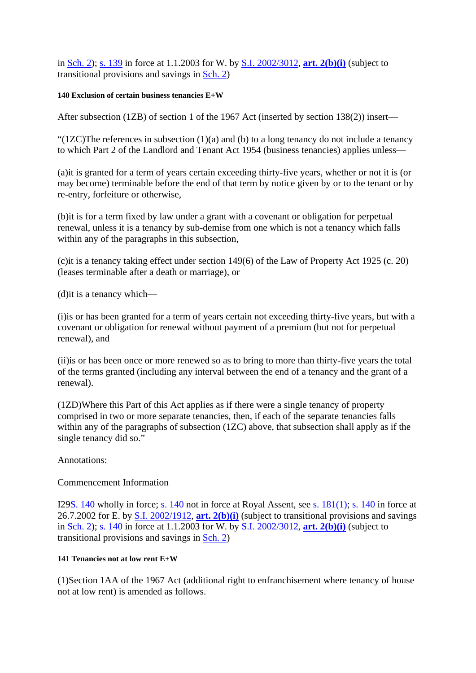in Sch. 2); s. 139 in force at 1.1.2003 for W. by S.I. 2002/3012, **art. 2(b)(i)** (subject to transitional provisions and savings in Sch. 2)

#### **140 Exclusion of certain business tenancies E+W**

After subsection (1ZB) of section 1 of the 1967 Act (inserted by section 138(2)) insert—

"(1ZC)The references in subsection  $(1)(a)$  and  $(b)$  to a long tenancy do not include a tenancy to which Part 2 of the Landlord and Tenant Act 1954 (business tenancies) applies unless—

(a)it is granted for a term of years certain exceeding thirty-five years, whether or not it is (or may become) terminable before the end of that term by notice given by or to the tenant or by re-entry, forfeiture or otherwise,

(b)it is for a term fixed by law under a grant with a covenant or obligation for perpetual renewal, unless it is a tenancy by sub-demise from one which is not a tenancy which falls within any of the paragraphs in this subsection,

(c)it is a tenancy taking effect under section 149(6) of the Law of Property Act 1925 (c. 20) (leases terminable after a death or marriage), or

(d)it is a tenancy which—

(i)is or has been granted for a term of years certain not exceeding thirty-five years, but with a covenant or obligation for renewal without payment of a premium (but not for perpetual renewal), and

(ii)is or has been once or more renewed so as to bring to more than thirty-five years the total of the terms granted (including any interval between the end of a tenancy and the grant of a renewal).

(1ZD)Where this Part of this Act applies as if there were a single tenancy of property comprised in two or more separate tenancies, then, if each of the separate tenancies falls within any of the paragraphs of subsection (1ZC) above, that subsection shall apply as if the single tenancy did so."

Annotations:

### Commencement Information

I29S. 140 wholly in force; s. 140 not in force at Royal Assent, see s. 181(1); s. 140 in force at 26.7.2002 for E. by S.I. 2002/1912, **art. 2(b)(i)** (subject to transitional provisions and savings in Sch. 2); s. 140 in force at 1.1.2003 for W. by S.I. 2002/3012, **art. 2(b)(i)** (subject to transitional provisions and savings in Sch. 2)

### **141 Tenancies not at low rent E+W**

(1)Section 1AA of the 1967 Act (additional right to enfranchisement where tenancy of house not at low rent) is amended as follows.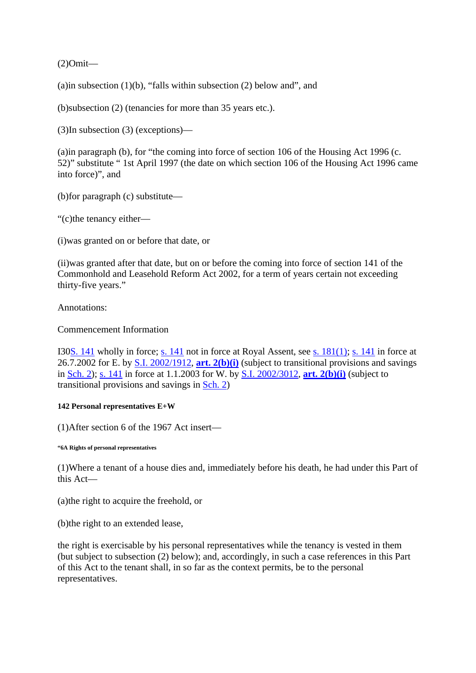(2)Omit—

(a)in subsection  $(1)(b)$ , "falls within subsection  $(2)$  below and", and

(b)subsection (2) (tenancies for more than 35 years etc.).

(3)In subsection (3) (exceptions)—

(a)in paragraph (b), for "the coming into force of section 106 of the Housing Act 1996 (c. 52)" substitute " 1st April 1997 (the date on which section 106 of the Housing Act 1996 came into force)", and

(b)for paragraph (c) substitute—

"(c)the tenancy either—

(i)was granted on or before that date, or

(ii)was granted after that date, but on or before the coming into force of section 141 of the Commonhold and Leasehold Reform Act 2002, for a term of years certain not exceeding thirty-five years."

Annotations:

Commencement Information

I30S. 141 wholly in force; s. 141 not in force at Royal Assent, see s. 181(1); s. 141 in force at 26.7.2002 for E. by S.I. 2002/1912, **art. 2(b)(i)** (subject to transitional provisions and savings in Sch. 2); s. 141 in force at 1.1.2003 for W. by S.I. 2002/3012, **art. 2(b)(i)** (subject to transitional provisions and savings in Sch. 2)

#### **142 Personal representatives E+W**

(1)After section 6 of the 1967 Act insert—

**"6A Rights of personal representatives** 

(1)Where a tenant of a house dies and, immediately before his death, he had under this Part of this Act—

(a)the right to acquire the freehold, or

(b)the right to an extended lease,

the right is exercisable by his personal representatives while the tenancy is vested in them (but subject to subsection (2) below); and, accordingly, in such a case references in this Part of this Act to the tenant shall, in so far as the context permits, be to the personal representatives.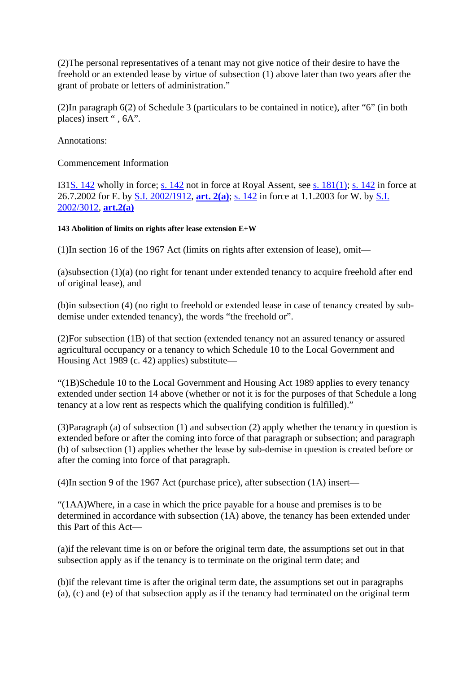(2)The personal representatives of a tenant may not give notice of their desire to have the freehold or an extended lease by virtue of subsection (1) above later than two years after the grant of probate or letters of administration."

(2)In paragraph 6(2) of Schedule 3 (particulars to be contained in notice), after "6" (in both places) insert ", 6A".

Annotations:

Commencement Information

I31S. 142 wholly in force; s. 142 not in force at Royal Assent, see s. 181(1); s. 142 in force at 26.7.2002 for E. by S.I. 2002/1912, **art. 2(a)**; s. 142 in force at 1.1.2003 for W. by S.I. 2002/3012, **art.2(a)**

### **143 Abolition of limits on rights after lease extension E+W**

(1)In section 16 of the 1967 Act (limits on rights after extension of lease), omit—

(a)subsection (1)(a) (no right for tenant under extended tenancy to acquire freehold after end of original lease), and

(b)in subsection (4) (no right to freehold or extended lease in case of tenancy created by subdemise under extended tenancy), the words "the freehold or".

(2)For subsection (1B) of that section (extended tenancy not an assured tenancy or assured agricultural occupancy or a tenancy to which Schedule 10 to the Local Government and Housing Act 1989 (c. 42) applies) substitute—

"(1B)Schedule 10 to the Local Government and Housing Act 1989 applies to every tenancy extended under section 14 above (whether or not it is for the purposes of that Schedule a long tenancy at a low rent as respects which the qualifying condition is fulfilled)."

(3)Paragraph (a) of subsection (1) and subsection (2) apply whether the tenancy in question is extended before or after the coming into force of that paragraph or subsection; and paragraph (b) of subsection (1) applies whether the lease by sub-demise in question is created before or after the coming into force of that paragraph.

(4)In section 9 of the 1967 Act (purchase price), after subsection (1A) insert—

"(1AA)Where, in a case in which the price payable for a house and premises is to be determined in accordance with subsection (1A) above, the tenancy has been extended under this Part of this Act—

(a)if the relevant time is on or before the original term date, the assumptions set out in that subsection apply as if the tenancy is to terminate on the original term date; and

(b)if the relevant time is after the original term date, the assumptions set out in paragraphs (a), (c) and (e) of that subsection apply as if the tenancy had terminated on the original term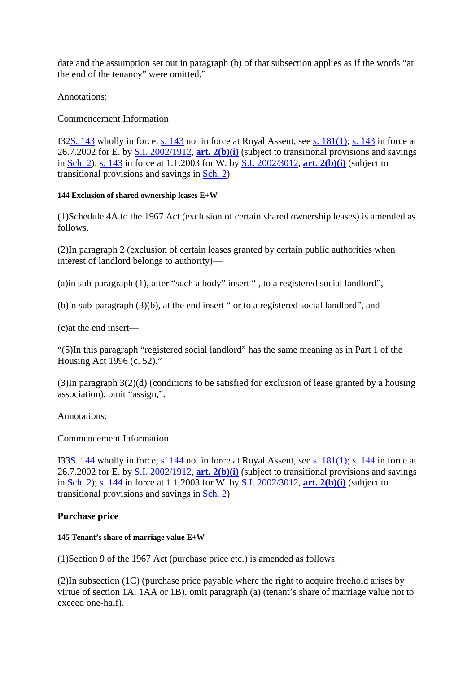date and the assumption set out in paragraph (b) of that subsection applies as if the words "at the end of the tenancy" were omitted."

### Annotations:

# Commencement Information

I32S. 143 wholly in force; s. 143 not in force at Royal Assent, see s. 181(1); s. 143 in force at 26.7.2002 for E. by S.I. 2002/1912, **art. 2(b)(i)** (subject to transitional provisions and savings in Sch. 2); s. 143 in force at 1.1.2003 for W. by S.I. 2002/3012, **art. 2(b)(i)** (subject to transitional provisions and savings in Sch. 2)

### **144 Exclusion of shared ownership leases E+W**

(1)Schedule 4A to the 1967 Act (exclusion of certain shared ownership leases) is amended as follows.

(2)In paragraph 2 (exclusion of certain leases granted by certain public authorities when interest of landlord belongs to authority)—

(a)in sub-paragraph (1), after "such a body" insert " , to a registered social landlord",

(b)in sub-paragraph (3)(b), at the end insert " or to a registered social landlord", and

(c)at the end insert—

"(5)In this paragraph "registered social landlord" has the same meaning as in Part 1 of the Housing Act 1996 (c. 52)."

(3)In paragraph 3(2)(d) (conditions to be satisfied for exclusion of lease granted by a housing association), omit "assign,".

### Annotations:

### Commencement Information

I33S. 144 wholly in force; s. 144 not in force at Royal Assent, see s. 181(1); s. 144 in force at 26.7.2002 for E. by S.I. 2002/1912, **art. 2(b)(i)** (subject to transitional provisions and savings in Sch. 2); s. 144 in force at 1.1.2003 for W. by S.I. 2002/3012, **art. 2(b)(i)** (subject to transitional provisions and savings in Sch. 2)

### **Purchase price**

### **145 Tenant's share of marriage value E+W**

(1)Section 9 of the 1967 Act (purchase price etc.) is amended as follows.

(2)In subsection (1C) (purchase price payable where the right to acquire freehold arises by virtue of section 1A, 1AA or 1B), omit paragraph (a) (tenant's share of marriage value not to exceed one-half).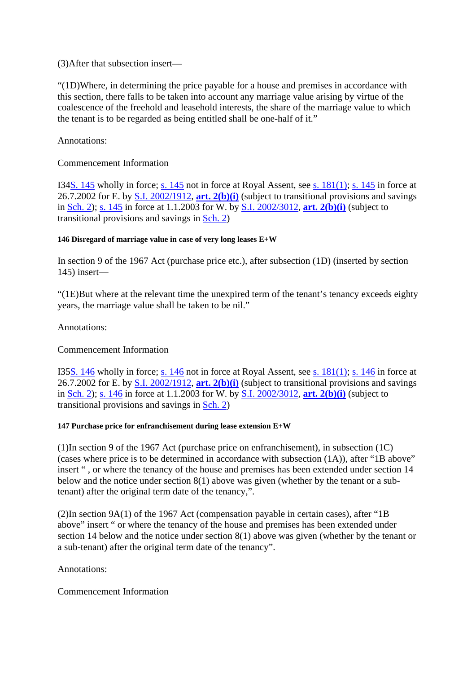(3)After that subsection insert—

"(1D)Where, in determining the price payable for a house and premises in accordance with this section, there falls to be taken into account any marriage value arising by virtue of the coalescence of the freehold and leasehold interests, the share of the marriage value to which the tenant is to be regarded as being entitled shall be one-half of it."

Annotations:

Commencement Information

I34S. 145 wholly in force; s. 145 not in force at Royal Assent, see s. 181(1); s. 145 in force at 26.7.2002 for E. by S.I. 2002/1912, **art. 2(b)(i)** (subject to transitional provisions and savings in Sch. 2); s. 145 in force at 1.1.2003 for W. by S.I. 2002/3012, **art. 2(b)(i)** (subject to transitional provisions and savings in Sch. 2)

### **146 Disregard of marriage value in case of very long leases E+W**

In section 9 of the 1967 Act (purchase price etc.), after subsection (1D) (inserted by section 145) insert—

"(1E)But where at the relevant time the unexpired term of the tenant's tenancy exceeds eighty years, the marriage value shall be taken to be nil."

Annotations:

### Commencement Information

I35S. 146 wholly in force; s. 146 not in force at Royal Assent, see s. 181(1); s. 146 in force at 26.7.2002 for E. by S.I. 2002/1912, **art. 2(b)(i)** (subject to transitional provisions and savings in Sch. 2); s. 146 in force at 1.1.2003 for W. by S.I. 2002/3012, **art. 2(b)(i)** (subject to transitional provisions and savings in Sch. 2)

### **147 Purchase price for enfranchisement during lease extension E+W**

(1)In section 9 of the 1967 Act (purchase price on enfranchisement), in subsection (1C) (cases where price is to be determined in accordance with subsection (1A)), after "1B above" insert " , or where the tenancy of the house and premises has been extended under section 14 below and the notice under section 8(1) above was given (whether by the tenant or a subtenant) after the original term date of the tenancy,".

(2)In section 9A(1) of the 1967 Act (compensation payable in certain cases), after "1B above" insert " or where the tenancy of the house and premises has been extended under section 14 below and the notice under section 8(1) above was given (whether by the tenant or a sub-tenant) after the original term date of the tenancy".

Annotations:

Commencement Information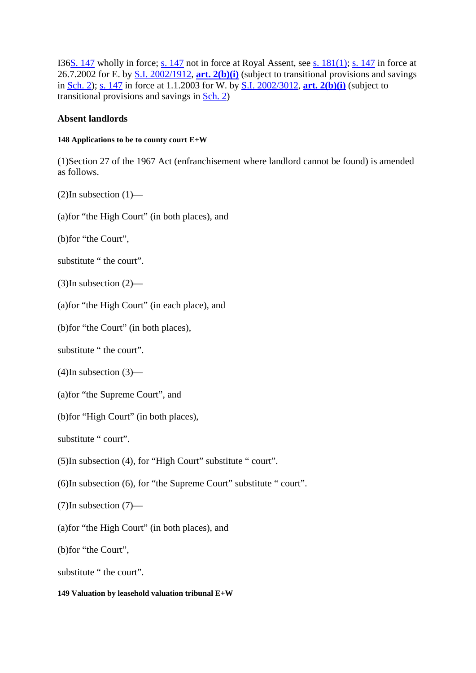I36S. 147 wholly in force; s. 147 not in force at Royal Assent, see s. 181(1); s. 147 in force at 26.7.2002 for E. by S.I. 2002/1912, **art. 2(b)(i)** (subject to transitional provisions and savings in Sch. 2); s. 147 in force at 1.1.2003 for W. by S.I. 2002/3012, **art. 2(b)(i)** (subject to transitional provisions and savings in Sch. 2)

### **Absent landlords**

#### **148 Applications to be to county court E+W**

(1)Section 27 of the 1967 Act (enfranchisement where landlord cannot be found) is amended as follows.

 $(2)$ In subsection  $(1)$ —

(a)for "the High Court" (in both places), and

(b)for "the Court",

substitute " the court".

(3)In subsection (2)—

(a)for "the High Court" (in each place), and

(b)for "the Court" (in both places),

substitute " the court".

(4)In subsection (3)—

(a)for "the Supreme Court", and

(b)for "High Court" (in both places),

substitute " court".

(5)In subsection (4), for "High Court" substitute " court".

(6)In subsection (6), for "the Supreme Court" substitute " court".

(7)In subsection (7)—

(a)for "the High Court" (in both places), and

(b)for "the Court",

substitute " the court".

#### **149 Valuation by leasehold valuation tribunal E+W**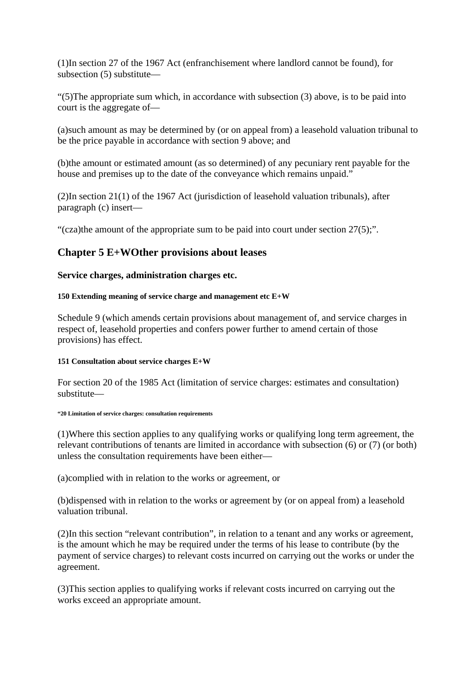(1)In section 27 of the 1967 Act (enfranchisement where landlord cannot be found), for subsection (5) substitute—

"(5)The appropriate sum which, in accordance with subsection (3) above, is to be paid into court is the aggregate of—

(a)such amount as may be determined by (or on appeal from) a leasehold valuation tribunal to be the price payable in accordance with section 9 above; and

(b)the amount or estimated amount (as so determined) of any pecuniary rent payable for the house and premises up to the date of the conveyance which remains unpaid."

(2)In section 21(1) of the 1967 Act (jurisdiction of leasehold valuation tribunals), after paragraph (c) insert—

"(cza)the amount of the appropriate sum to be paid into court under section 27(5);".

# **Chapter 5 E+WOther provisions about leases**

### **Service charges, administration charges etc.**

### **150 Extending meaning of service charge and management etc E+W**

Schedule 9 (which amends certain provisions about management of, and service charges in respect of, leasehold properties and confers power further to amend certain of those provisions) has effect.

### **151 Consultation about service charges E+W**

For section 20 of the 1985 Act (limitation of service charges: estimates and consultation) substitute—

#### **"20 Limitation of service charges: consultation requirements**

(1)Where this section applies to any qualifying works or qualifying long term agreement, the relevant contributions of tenants are limited in accordance with subsection (6) or (7) (or both) unless the consultation requirements have been either—

(a)complied with in relation to the works or agreement, or

(b)dispensed with in relation to the works or agreement by (or on appeal from) a leasehold valuation tribunal.

(2)In this section "relevant contribution", in relation to a tenant and any works or agreement, is the amount which he may be required under the terms of his lease to contribute (by the payment of service charges) to relevant costs incurred on carrying out the works or under the agreement.

(3)This section applies to qualifying works if relevant costs incurred on carrying out the works exceed an appropriate amount.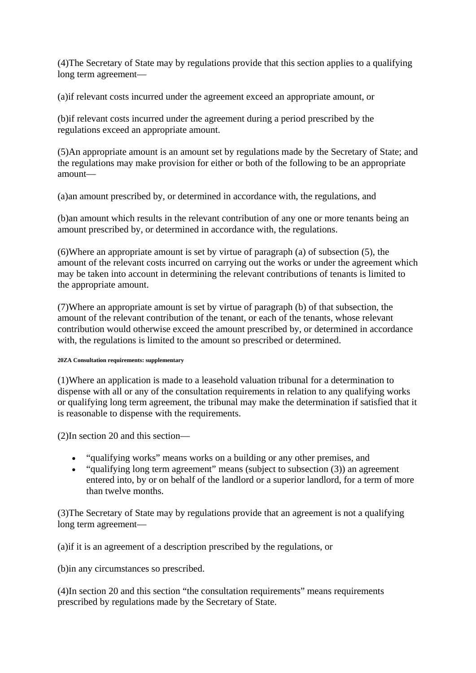(4)The Secretary of State may by regulations provide that this section applies to a qualifying long term agreement—

(a)if relevant costs incurred under the agreement exceed an appropriate amount, or

(b)if relevant costs incurred under the agreement during a period prescribed by the regulations exceed an appropriate amount.

(5)An appropriate amount is an amount set by regulations made by the Secretary of State; and the regulations may make provision for either or both of the following to be an appropriate amount—

(a)an amount prescribed by, or determined in accordance with, the regulations, and

(b)an amount which results in the relevant contribution of any one or more tenants being an amount prescribed by, or determined in accordance with, the regulations.

(6)Where an appropriate amount is set by virtue of paragraph (a) of subsection (5), the amount of the relevant costs incurred on carrying out the works or under the agreement which may be taken into account in determining the relevant contributions of tenants is limited to the appropriate amount.

(7)Where an appropriate amount is set by virtue of paragraph (b) of that subsection, the amount of the relevant contribution of the tenant, or each of the tenants, whose relevant contribution would otherwise exceed the amount prescribed by, or determined in accordance with, the regulations is limited to the amount so prescribed or determined.

#### **20ZA Consultation requirements: supplementary**

(1)Where an application is made to a leasehold valuation tribunal for a determination to dispense with all or any of the consultation requirements in relation to any qualifying works or qualifying long term agreement, the tribunal may make the determination if satisfied that it is reasonable to dispense with the requirements.

(2)In section 20 and this section—

- "qualifying works" means works on a building or any other premises, and
- "qualifying long term agreement" means (subject to subsection (3)) an agreement entered into, by or on behalf of the landlord or a superior landlord, for a term of more than twelve months.

(3)The Secretary of State may by regulations provide that an agreement is not a qualifying long term agreement—

(a)if it is an agreement of a description prescribed by the regulations, or

(b)in any circumstances so prescribed.

(4)In section 20 and this section "the consultation requirements" means requirements prescribed by regulations made by the Secretary of State.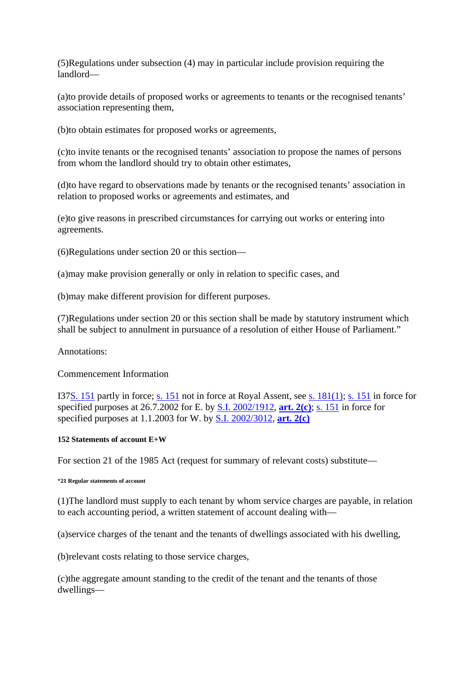(5)Regulations under subsection (4) may in particular include provision requiring the landlord—

(a)to provide details of proposed works or agreements to tenants or the recognised tenants' association representing them,

(b)to obtain estimates for proposed works or agreements,

(c)to invite tenants or the recognised tenants' association to propose the names of persons from whom the landlord should try to obtain other estimates,

(d)to have regard to observations made by tenants or the recognised tenants' association in relation to proposed works or agreements and estimates, and

(e)to give reasons in prescribed circumstances for carrying out works or entering into agreements.

(6)Regulations under section 20 or this section—

(a)may make provision generally or only in relation to specific cases, and

(b)may make different provision for different purposes.

(7)Regulations under section 20 or this section shall be made by statutory instrument which shall be subject to annulment in pursuance of a resolution of either House of Parliament."

Annotations:

#### Commencement Information

I37S. 151 partly in force; s. 151 not in force at Royal Assent, see s. 181(1); s. 151 in force for specified purposes at 26.7.2002 for E. by S.I. 2002/1912, **art. 2(c)**; s. 151 in force for specified purposes at 1.1.2003 for W. by S.I. 2002/3012, **art. 2(c)**

#### **152 Statements of account E+W**

For section 21 of the 1985 Act (request for summary of relevant costs) substitute—

#### **"21 Regular statements of account**

(1)The landlord must supply to each tenant by whom service charges are payable, in relation to each accounting period, a written statement of account dealing with—

(a)service charges of the tenant and the tenants of dwellings associated with his dwelling,

(b)relevant costs relating to those service charges,

(c)the aggregate amount standing to the credit of the tenant and the tenants of those dwellings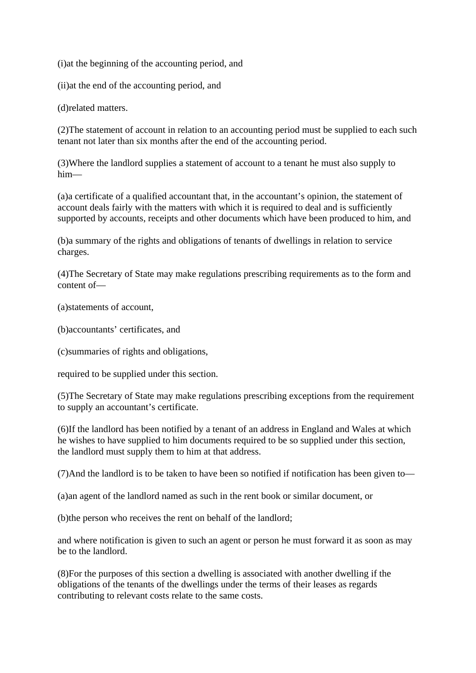(i)at the beginning of the accounting period, and

(ii)at the end of the accounting period, and

(d)related matters.

(2)The statement of account in relation to an accounting period must be supplied to each such tenant not later than six months after the end of the accounting period.

(3)Where the landlord supplies a statement of account to a tenant he must also supply to him—

(a)a certificate of a qualified accountant that, in the accountant's opinion, the statement of account deals fairly with the matters with which it is required to deal and is sufficiently supported by accounts, receipts and other documents which have been produced to him, and

(b)a summary of the rights and obligations of tenants of dwellings in relation to service charges.

(4)The Secretary of State may make regulations prescribing requirements as to the form and content of—

(a)statements of account,

(b)accountants' certificates, and

(c)summaries of rights and obligations,

required to be supplied under this section.

(5)The Secretary of State may make regulations prescribing exceptions from the requirement to supply an accountant's certificate.

(6)If the landlord has been notified by a tenant of an address in England and Wales at which he wishes to have supplied to him documents required to be so supplied under this section, the landlord must supply them to him at that address.

(7)And the landlord is to be taken to have been so notified if notification has been given to—

(a)an agent of the landlord named as such in the rent book or similar document, or

(b)the person who receives the rent on behalf of the landlord;

and where notification is given to such an agent or person he must forward it as soon as may be to the landlord.

(8)For the purposes of this section a dwelling is associated with another dwelling if the obligations of the tenants of the dwellings under the terms of their leases as regards contributing to relevant costs relate to the same costs.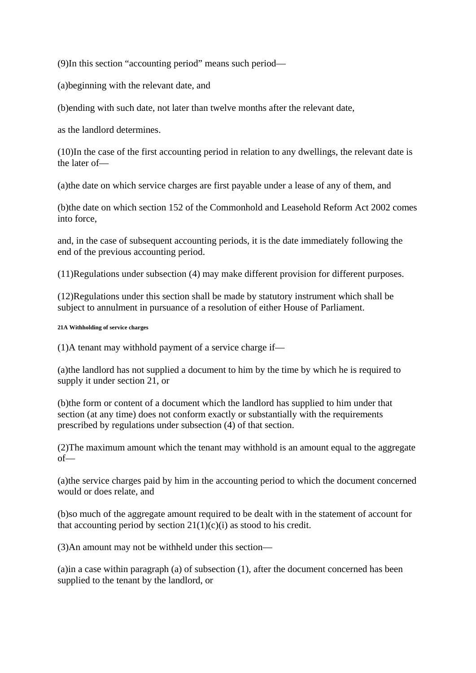(9)In this section "accounting period" means such period—

(a)beginning with the relevant date, and

(b)ending with such date, not later than twelve months after the relevant date,

as the landlord determines.

(10)In the case of the first accounting period in relation to any dwellings, the relevant date is the later of—

(a)the date on which service charges are first payable under a lease of any of them, and

(b)the date on which section 152 of the Commonhold and Leasehold Reform Act 2002 comes into force,

and, in the case of subsequent accounting periods, it is the date immediately following the end of the previous accounting period.

(11)Regulations under subsection (4) may make different provision for different purposes.

(12)Regulations under this section shall be made by statutory instrument which shall be subject to annulment in pursuance of a resolution of either House of Parliament.

#### **21A Withholding of service charges**

 $(1)$ A tenant may withhold payment of a service charge if—

(a)the landlord has not supplied a document to him by the time by which he is required to supply it under section 21, or

(b)the form or content of a document which the landlord has supplied to him under that section (at any time) does not conform exactly or substantially with the requirements prescribed by regulations under subsection (4) of that section.

(2)The maximum amount which the tenant may withhold is an amount equal to the aggregate of—

(a)the service charges paid by him in the accounting period to which the document concerned would or does relate, and

(b)so much of the aggregate amount required to be dealt with in the statement of account for that accounting period by section  $21(1)(c)(i)$  as stood to his credit.

(3)An amount may not be withheld under this section—

(a)in a case within paragraph (a) of subsection (1), after the document concerned has been supplied to the tenant by the landlord, or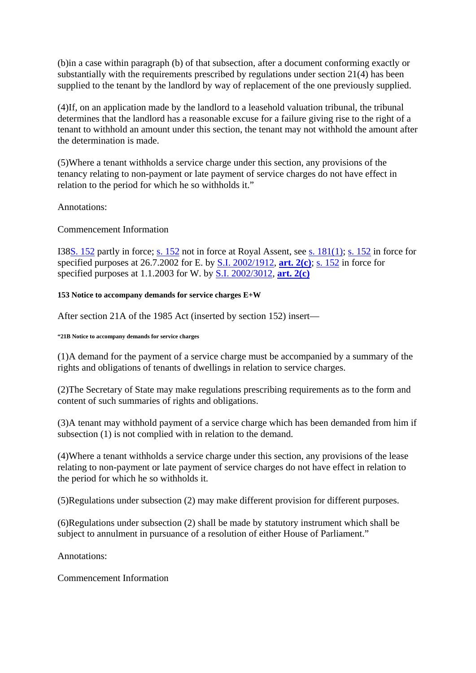(b)in a case within paragraph (b) of that subsection, after a document conforming exactly or substantially with the requirements prescribed by regulations under section 21(4) has been supplied to the tenant by the landlord by way of replacement of the one previously supplied.

(4)If, on an application made by the landlord to a leasehold valuation tribunal, the tribunal determines that the landlord has a reasonable excuse for a failure giving rise to the right of a tenant to withhold an amount under this section, the tenant may not withhold the amount after the determination is made.

(5)Where a tenant withholds a service charge under this section, any provisions of the tenancy relating to non-payment or late payment of service charges do not have effect in relation to the period for which he so withholds it."

Annotations:

Commencement Information

I38S. 152 partly in force; s. 152 not in force at Royal Assent, see s. 181(1); s. 152 in force for specified purposes at 26.7.2002 for E. by S.I. 2002/1912, **art. 2(c)**; s. 152 in force for specified purposes at 1.1.2003 for W. by S.I. 2002/3012, **art. 2(c)**

**153 Notice to accompany demands for service charges E+W** 

After section 21A of the 1985 Act (inserted by section 152) insert—

#### **"21B Notice to accompany demands for service charges**

(1)A demand for the payment of a service charge must be accompanied by a summary of the rights and obligations of tenants of dwellings in relation to service charges.

(2)The Secretary of State may make regulations prescribing requirements as to the form and content of such summaries of rights and obligations.

(3)A tenant may withhold payment of a service charge which has been demanded from him if subsection (1) is not complied with in relation to the demand.

(4)Where a tenant withholds a service charge under this section, any provisions of the lease relating to non-payment or late payment of service charges do not have effect in relation to the period for which he so withholds it.

(5)Regulations under subsection (2) may make different provision for different purposes.

(6)Regulations under subsection (2) shall be made by statutory instrument which shall be subject to annulment in pursuance of a resolution of either House of Parliament."

Annotations:

Commencement Information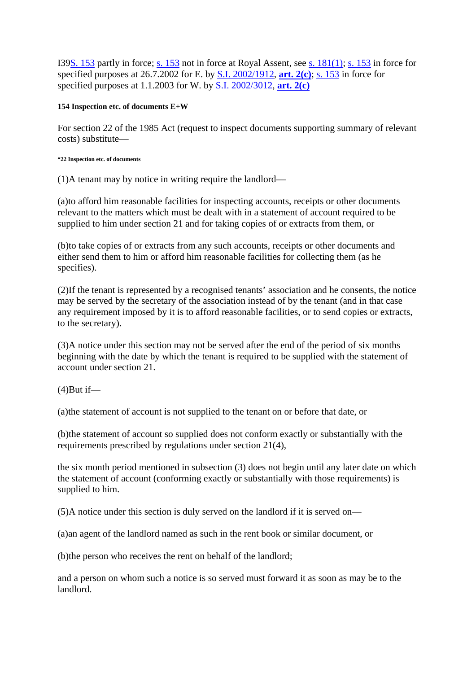I39S. 153 partly in force; s. 153 not in force at Royal Assent, see s. 181(1); s. 153 in force for specified purposes at 26.7.2002 for E. by S.I. 2002/1912, **art. 2(c)**; s. 153 in force for specified purposes at 1.1.2003 for W. by S.I. 2002/3012, **art. 2(c)**

#### **154 Inspection etc. of documents E+W**

For section 22 of the 1985 Act (request to inspect documents supporting summary of relevant costs) substitute—

#### **"22 Inspection etc. of documents**

(1)A tenant may by notice in writing require the landlord—

(a)to afford him reasonable facilities for inspecting accounts, receipts or other documents relevant to the matters which must be dealt with in a statement of account required to be supplied to him under section 21 and for taking copies of or extracts from them, or

(b)to take copies of or extracts from any such accounts, receipts or other documents and either send them to him or afford him reasonable facilities for collecting them (as he specifies).

(2)If the tenant is represented by a recognised tenants' association and he consents, the notice may be served by the secretary of the association instead of by the tenant (and in that case any requirement imposed by it is to afford reasonable facilities, or to send copies or extracts, to the secretary).

(3)A notice under this section may not be served after the end of the period of six months beginning with the date by which the tenant is required to be supplied with the statement of account under section 21.

 $(4)$ But if—

(a)the statement of account is not supplied to the tenant on or before that date, or

(b)the statement of account so supplied does not conform exactly or substantially with the requirements prescribed by regulations under section 21(4),

the six month period mentioned in subsection (3) does not begin until any later date on which the statement of account (conforming exactly or substantially with those requirements) is supplied to him.

(5)A notice under this section is duly served on the landlord if it is served on—

(a)an agent of the landlord named as such in the rent book or similar document, or

(b)the person who receives the rent on behalf of the landlord;

and a person on whom such a notice is so served must forward it as soon as may be to the landlord.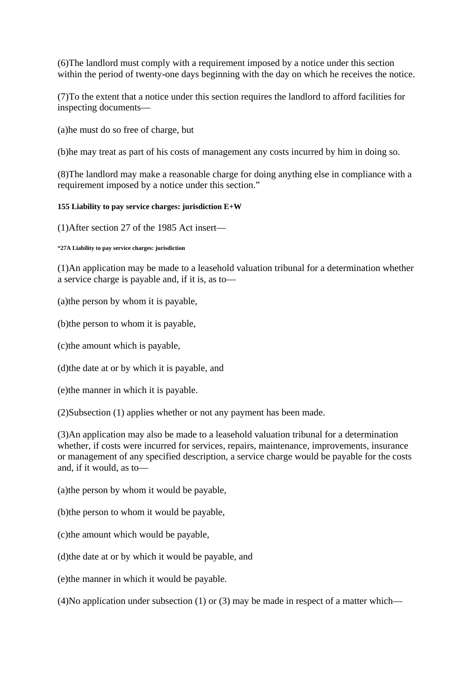(6)The landlord must comply with a requirement imposed by a notice under this section within the period of twenty-one days beginning with the day on which he receives the notice.

(7)To the extent that a notice under this section requires the landlord to afford facilities for inspecting documents—

(a)he must do so free of charge, but

(b)he may treat as part of his costs of management any costs incurred by him in doing so.

(8)The landlord may make a reasonable charge for doing anything else in compliance with a requirement imposed by a notice under this section."

#### **155 Liability to pay service charges: jurisdiction E+W**

(1)After section 27 of the 1985 Act insert—

**"27A Liability to pay service charges: jurisdiction** 

(1)An application may be made to a leasehold valuation tribunal for a determination whether a service charge is payable and, if it is, as to—

(a)the person by whom it is payable,

(b)the person to whom it is payable,

(c)the amount which is payable,

(d)the date at or by which it is payable, and

(e)the manner in which it is payable.

(2)Subsection (1) applies whether or not any payment has been made.

(3)An application may also be made to a leasehold valuation tribunal for a determination whether, if costs were incurred for services, repairs, maintenance, improvements, insurance or management of any specified description, a service charge would be payable for the costs and, if it would, as to—

(a)the person by whom it would be payable,

(b)the person to whom it would be payable,

(c)the amount which would be payable,

(d)the date at or by which it would be payable, and

(e)the manner in which it would be payable.

(4)No application under subsection (1) or (3) may be made in respect of a matter which—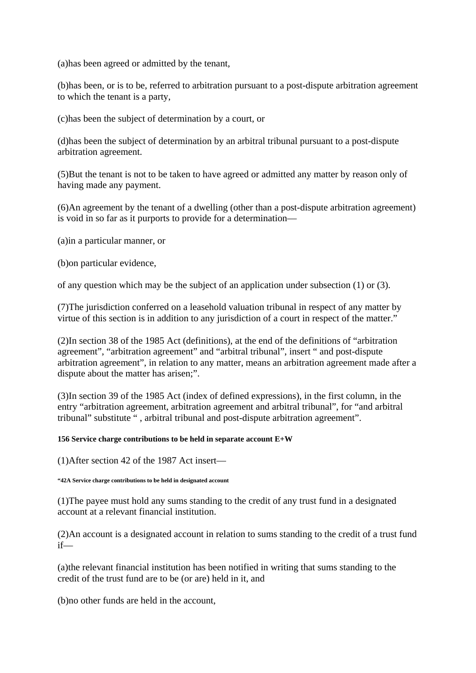(a)has been agreed or admitted by the tenant,

(b)has been, or is to be, referred to arbitration pursuant to a post-dispute arbitration agreement to which the tenant is a party,

(c)has been the subject of determination by a court, or

(d)has been the subject of determination by an arbitral tribunal pursuant to a post-dispute arbitration agreement.

(5)But the tenant is not to be taken to have agreed or admitted any matter by reason only of having made any payment.

(6)An agreement by the tenant of a dwelling (other than a post-dispute arbitration agreement) is void in so far as it purports to provide for a determination—

(a)in a particular manner, or

(b)on particular evidence,

of any question which may be the subject of an application under subsection (1) or (3).

(7)The jurisdiction conferred on a leasehold valuation tribunal in respect of any matter by virtue of this section is in addition to any jurisdiction of a court in respect of the matter."

(2)In section 38 of the 1985 Act (definitions), at the end of the definitions of "arbitration agreement", "arbitration agreement" and "arbitral tribunal", insert " and post-dispute arbitration agreement", in relation to any matter, means an arbitration agreement made after a dispute about the matter has arisen;".

(3)In section 39 of the 1985 Act (index of defined expressions), in the first column, in the entry "arbitration agreement, arbitration agreement and arbitral tribunal", for "and arbitral tribunal" substitute " , arbitral tribunal and post-dispute arbitration agreement".

#### **156 Service charge contributions to be held in separate account E+W**

(1)After section 42 of the 1987 Act insert—

**"42A Service charge contributions to be held in designated account** 

(1)The payee must hold any sums standing to the credit of any trust fund in a designated account at a relevant financial institution.

(2)An account is a designated account in relation to sums standing to the credit of a trust fund if—

(a)the relevant financial institution has been notified in writing that sums standing to the credit of the trust fund are to be (or are) held in it, and

(b)no other funds are held in the account,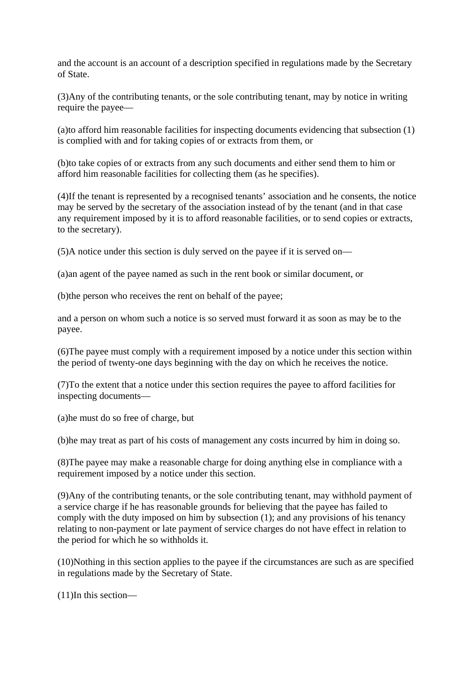and the account is an account of a description specified in regulations made by the Secretary of State.

(3)Any of the contributing tenants, or the sole contributing tenant, may by notice in writing require the payee—

(a)to afford him reasonable facilities for inspecting documents evidencing that subsection (1) is complied with and for taking copies of or extracts from them, or

(b)to take copies of or extracts from any such documents and either send them to him or afford him reasonable facilities for collecting them (as he specifies).

(4)If the tenant is represented by a recognised tenants' association and he consents, the notice may be served by the secretary of the association instead of by the tenant (and in that case any requirement imposed by it is to afford reasonable facilities, or to send copies or extracts, to the secretary).

(5)A notice under this section is duly served on the payee if it is served on—

(a)an agent of the payee named as such in the rent book or similar document, or

(b)the person who receives the rent on behalf of the payee;

and a person on whom such a notice is so served must forward it as soon as may be to the payee.

(6)The payee must comply with a requirement imposed by a notice under this section within the period of twenty-one days beginning with the day on which he receives the notice.

(7)To the extent that a notice under this section requires the payee to afford facilities for inspecting documents—

(a)he must do so free of charge, but

(b)he may treat as part of his costs of management any costs incurred by him in doing so.

(8)The payee may make a reasonable charge for doing anything else in compliance with a requirement imposed by a notice under this section.

(9)Any of the contributing tenants, or the sole contributing tenant, may withhold payment of a service charge if he has reasonable grounds for believing that the payee has failed to comply with the duty imposed on him by subsection (1); and any provisions of his tenancy relating to non-payment or late payment of service charges do not have effect in relation to the period for which he so withholds it.

(10)Nothing in this section applies to the payee if the circumstances are such as are specified in regulations made by the Secretary of State.

(11)In this section—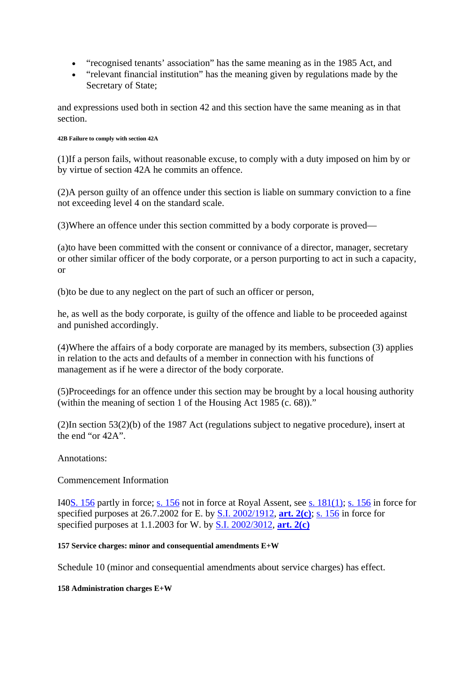- "recognised tenants' association" has the same meaning as in the 1985 Act, and
- "relevant financial institution" has the meaning given by regulations made by the Secretary of State;

and expressions used both in section 42 and this section have the same meaning as in that section.

#### **42B Failure to comply with section 42A**

(1)If a person fails, without reasonable excuse, to comply with a duty imposed on him by or by virtue of section 42A he commits an offence.

(2)A person guilty of an offence under this section is liable on summary conviction to a fine not exceeding level 4 on the standard scale.

(3)Where an offence under this section committed by a body corporate is proved—

(a)to have been committed with the consent or connivance of a director, manager, secretary or other similar officer of the body corporate, or a person purporting to act in such a capacity, or

(b)to be due to any neglect on the part of such an officer or person,

he, as well as the body corporate, is guilty of the offence and liable to be proceeded against and punished accordingly.

(4)Where the affairs of a body corporate are managed by its members, subsection (3) applies in relation to the acts and defaults of a member in connection with his functions of management as if he were a director of the body corporate.

(5)Proceedings for an offence under this section may be brought by a local housing authority (within the meaning of section 1 of the Housing Act 1985 (c. 68))."

(2)In section 53(2)(b) of the 1987 Act (regulations subject to negative procedure), insert at the end "or 42A".

### Annotations:

# Commencement Information

I40S. 156 partly in force; s. 156 not in force at Royal Assent, see s. 181(1); s. 156 in force for specified purposes at 26.7.2002 for E. by S.I. 2002/1912, **art. 2(c)**; s. 156 in force for specified purposes at 1.1.2003 for W. by S.I. 2002/3012, **art. 2(c)**

### **157 Service charges: minor and consequential amendments E+W**

Schedule 10 (minor and consequential amendments about service charges) has effect.

### **158 Administration charges E+W**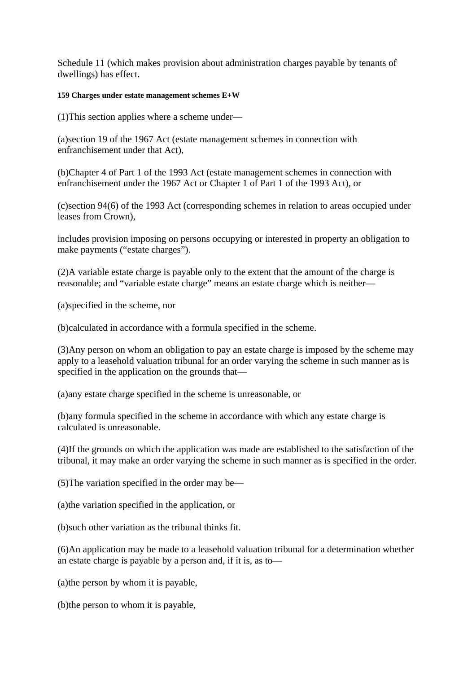Schedule 11 (which makes provision about administration charges payable by tenants of dwellings) has effect.

#### **159 Charges under estate management schemes E+W**

(1)This section applies where a scheme under—

(a)section 19 of the 1967 Act (estate management schemes in connection with enfranchisement under that Act),

(b)Chapter 4 of Part 1 of the 1993 Act (estate management schemes in connection with enfranchisement under the 1967 Act or Chapter 1 of Part 1 of the 1993 Act), or

(c)section 94(6) of the 1993 Act (corresponding schemes in relation to areas occupied under leases from Crown),

includes provision imposing on persons occupying or interested in property an obligation to make payments ("estate charges").

(2)A variable estate charge is payable only to the extent that the amount of the charge is reasonable; and "variable estate charge" means an estate charge which is neither—

(a)specified in the scheme, nor

(b)calculated in accordance with a formula specified in the scheme.

(3)Any person on whom an obligation to pay an estate charge is imposed by the scheme may apply to a leasehold valuation tribunal for an order varying the scheme in such manner as is specified in the application on the grounds that—

(a)any estate charge specified in the scheme is unreasonable, or

(b)any formula specified in the scheme in accordance with which any estate charge is calculated is unreasonable.

(4)If the grounds on which the application was made are established to the satisfaction of the tribunal, it may make an order varying the scheme in such manner as is specified in the order.

(5)The variation specified in the order may be—

(a)the variation specified in the application, or

(b)such other variation as the tribunal thinks fit.

(6)An application may be made to a leasehold valuation tribunal for a determination whether an estate charge is payable by a person and, if it is, as to—

(a)the person by whom it is payable,

(b)the person to whom it is payable,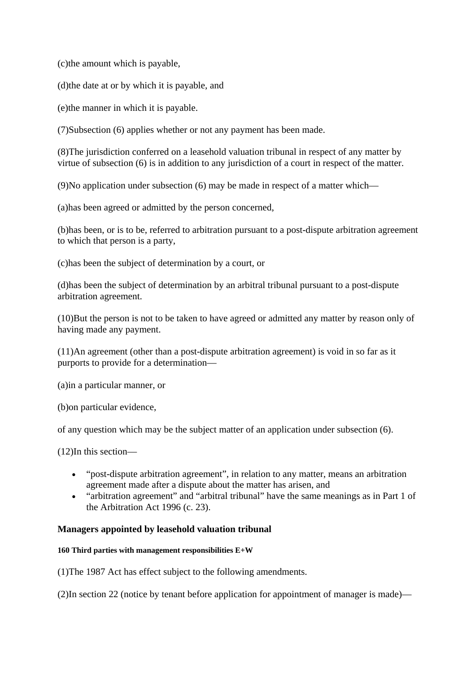(c)the amount which is payable,

(d)the date at or by which it is payable, and

(e)the manner in which it is payable.

(7)Subsection (6) applies whether or not any payment has been made.

(8)The jurisdiction conferred on a leasehold valuation tribunal in respect of any matter by virtue of subsection (6) is in addition to any jurisdiction of a court in respect of the matter.

(9)No application under subsection (6) may be made in respect of a matter which—

(a)has been agreed or admitted by the person concerned,

(b)has been, or is to be, referred to arbitration pursuant to a post-dispute arbitration agreement to which that person is a party,

(c)has been the subject of determination by a court, or

(d)has been the subject of determination by an arbitral tribunal pursuant to a post-dispute arbitration agreement.

(10)But the person is not to be taken to have agreed or admitted any matter by reason only of having made any payment.

(11)An agreement (other than a post-dispute arbitration agreement) is void in so far as it purports to provide for a determination—

(a)in a particular manner, or

(b)on particular evidence,

of any question which may be the subject matter of an application under subsection (6).

(12)In this section—

- "post-dispute arbitration agreement", in relation to any matter, means an arbitration agreement made after a dispute about the matter has arisen, and
- "arbitration agreement" and "arbitral tribunal" have the same meanings as in Part 1 of the Arbitration Act 1996 (c. 23).

# **Managers appointed by leasehold valuation tribunal**

### **160 Third parties with management responsibilities E+W**

(1)The 1987 Act has effect subject to the following amendments.

(2)In section 22 (notice by tenant before application for appointment of manager is made)—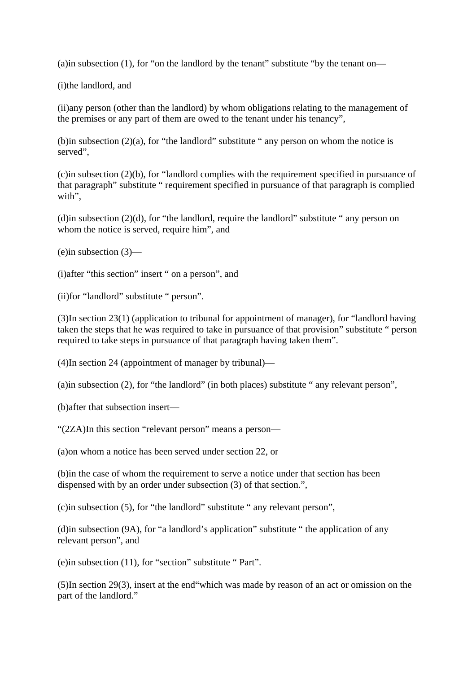(a)in subsection (1), for "on the landlord by the tenant" substitute "by the tenant on—

(i)the landlord, and

(ii)any person (other than the landlord) by whom obligations relating to the management of the premises or any part of them are owed to the tenant under his tenancy",

(b)in subsection  $(2)(a)$ , for "the landlord" substitute " any person on whom the notice is served",

(c)in subsection (2)(b), for "landlord complies with the requirement specified in pursuance of that paragraph" substitute " requirement specified in pursuance of that paragraph is complied with".

(d)in subsection  $(2)(d)$ , for "the landlord, require the landlord" substitute " any person on whom the notice is served, require him", and

(e)in subsection (3)—

(i)after "this section" insert " on a person", and

(ii)for "landlord" substitute " person".

(3)In section 23(1) (application to tribunal for appointment of manager), for "landlord having taken the steps that he was required to take in pursuance of that provision" substitute " person required to take steps in pursuance of that paragraph having taken them".

(4)In section 24 (appointment of manager by tribunal)—

(a)in subsection (2), for "the landlord" (in both places) substitute " any relevant person",

(b)after that subsection insert—

"(2ZA)In this section "relevant person" means a person—

(a)on whom a notice has been served under section 22, or

(b)in the case of whom the requirement to serve a notice under that section has been dispensed with by an order under subsection (3) of that section.",

(c)in subsection (5), for "the landlord" substitute " any relevant person",

(d)in subsection (9A), for "a landlord's application" substitute " the application of any relevant person", and

(e)in subsection (11), for "section" substitute " Part".

(5)In section 29(3), insert at the end"which was made by reason of an act or omission on the part of the landlord."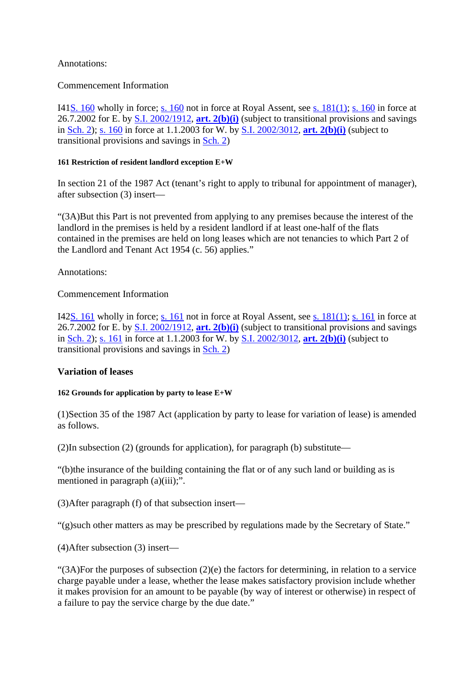# Annotations:

# Commencement Information

I41S. 160 wholly in force; s. 160 not in force at Royal Assent, see s. 181(1); s. 160 in force at 26.7.2002 for E. by S.I. 2002/1912, **art. 2(b)(i)** (subject to transitional provisions and savings in Sch. 2); s. 160 in force at 1.1.2003 for W. by S.I. 2002/3012, **art. 2(b)(i)** (subject to transitional provisions and savings in Sch. 2)

### **161 Restriction of resident landlord exception E+W**

In section 21 of the 1987 Act (tenant's right to apply to tribunal for appointment of manager), after subsection (3) insert—

"(3A)But this Part is not prevented from applying to any premises because the interest of the landlord in the premises is held by a resident landlord if at least one-half of the flats contained in the premises are held on long leases which are not tenancies to which Part 2 of the Landlord and Tenant Act 1954 (c. 56) applies."

Annotations:

# Commencement Information

I42S. 161 wholly in force; s. 161 not in force at Royal Assent, see s. 181(1); s. 161 in force at 26.7.2002 for E. by S.I. 2002/1912, **art. 2(b)(i)** (subject to transitional provisions and savings in Sch. 2); s. 161 in force at 1.1.2003 for W. by S.I. 2002/3012, **art. 2(b)(i)** (subject to transitional provisions and savings in Sch. 2)

### **Variation of leases**

### **162 Grounds for application by party to lease E+W**

(1)Section 35 of the 1987 Act (application by party to lease for variation of lease) is amended as follows.

(2)In subsection (2) (grounds for application), for paragraph (b) substitute—

"(b)the insurance of the building containing the flat or of any such land or building as is mentioned in paragraph (a)(iii);".

(3)After paragraph (f) of that subsection insert—

"(g)such other matters as may be prescribed by regulations made by the Secretary of State."

(4)After subsection (3) insert—

" $(3A)$ For the purposes of subsection  $(2)(e)$  the factors for determining, in relation to a service charge payable under a lease, whether the lease makes satisfactory provision include whether it makes provision for an amount to be payable (by way of interest or otherwise) in respect of a failure to pay the service charge by the due date."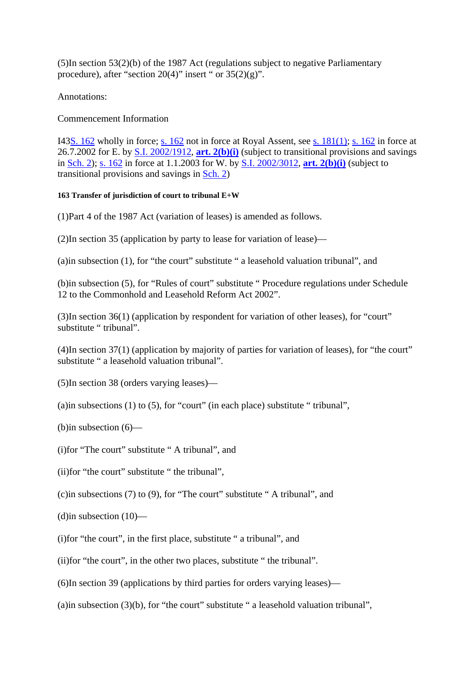(5)In section 53(2)(b) of the 1987 Act (regulations subject to negative Parliamentary procedure), after "section  $20(4)$ " insert " or  $35(2)(g)$ ".

Annotations:

# Commencement Information

I43S. 162 wholly in force; s. 162 not in force at Royal Assent, see s. 181(1); s. 162 in force at 26.7.2002 for E. by S.I. 2002/1912, **art. 2(b)(i)** (subject to transitional provisions and savings in Sch. 2); s. 162 in force at 1.1.2003 for W. by S.I. 2002/3012, **art. 2(b)(i)** (subject to transitional provisions and savings in Sch. 2)

### **163 Transfer of jurisdiction of court to tribunal E+W**

(1)Part 4 of the 1987 Act (variation of leases) is amended as follows.

(2)In section 35 (application by party to lease for variation of lease)—

(a)in subsection (1), for "the court" substitute " a leasehold valuation tribunal", and

(b)in subsection (5), for "Rules of court" substitute " Procedure regulations under Schedule 12 to the Commonhold and Leasehold Reform Act 2002".

(3)In section 36(1) (application by respondent for variation of other leases), for "court" substitute " tribunal".

(4)In section 37(1) (application by majority of parties for variation of leases), for "the court" substitute " a leasehold valuation tribunal".

(5)In section 38 (orders varying leases)—

(a)in subsections (1) to (5), for "court" (in each place) substitute " tribunal",

(b)in subsection (6)—

(i)for "The court" substitute " A tribunal", and

(ii)for "the court" substitute " the tribunal",

(c)in subsections (7) to (9), for "The court" substitute " A tribunal", and

 $(d)$ in subsection  $(10)$ —

(i)for "the court", in the first place, substitute " a tribunal", and

(ii)for "the court", in the other two places, substitute " the tribunal".

(6)In section 39 (applications by third parties for orders varying leases)—

(a)in subsection  $(3)(b)$ , for "the court" substitute " a leasehold valuation tribunal",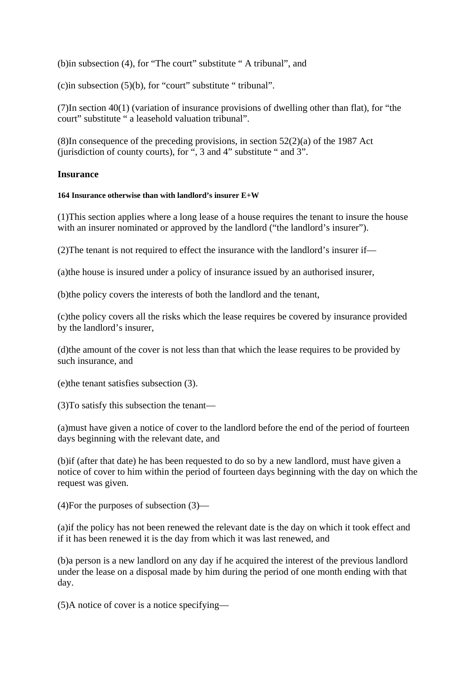(b)in subsection (4), for "The court" substitute " A tribunal", and

(c)in subsection  $(5)(b)$ , for "court" substitute " tribunal".

(7)In section 40(1) (variation of insurance provisions of dwelling other than flat), for "the court" substitute " a leasehold valuation tribunal".

(8)In consequence of the preceding provisions, in section  $52(2)(a)$  of the 1987 Act (jurisdiction of county courts), for ", 3 and 4" substitute " and 3".

### **Insurance**

#### **164 Insurance otherwise than with landlord's insurer E+W**

(1)This section applies where a long lease of a house requires the tenant to insure the house with an insurer nominated or approved by the landlord ("the landlord's insurer").

(2)The tenant is not required to effect the insurance with the landlord's insurer if—

(a)the house is insured under a policy of insurance issued by an authorised insurer,

(b)the policy covers the interests of both the landlord and the tenant,

(c)the policy covers all the risks which the lease requires be covered by insurance provided by the landlord's insurer,

(d)the amount of the cover is not less than that which the lease requires to be provided by such insurance, and

(e)the tenant satisfies subsection (3).

(3)To satisfy this subsection the tenant—

(a)must have given a notice of cover to the landlord before the end of the period of fourteen days beginning with the relevant date, and

(b)if (after that date) he has been requested to do so by a new landlord, must have given a notice of cover to him within the period of fourteen days beginning with the day on which the request was given.

(4)For the purposes of subsection (3)—

(a)if the policy has not been renewed the relevant date is the day on which it took effect and if it has been renewed it is the day from which it was last renewed, and

(b)a person is a new landlord on any day if he acquired the interest of the previous landlord under the lease on a disposal made by him during the period of one month ending with that day.

(5)A notice of cover is a notice specifying—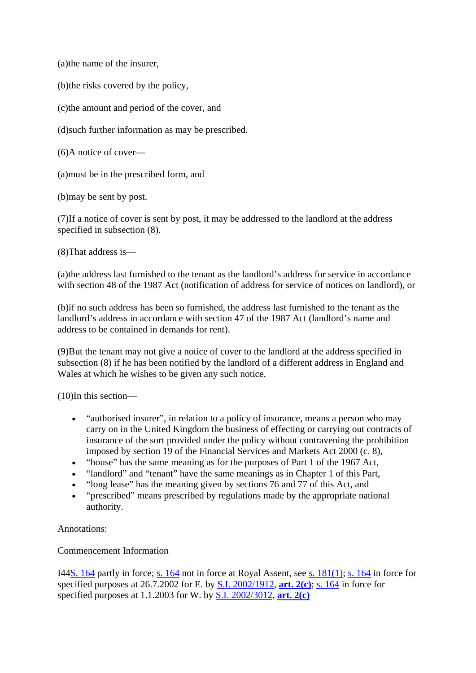(a)the name of the insurer,

(b)the risks covered by the policy,

(c)the amount and period of the cover, and

(d)such further information as may be prescribed.

(6)A notice of cover—

(a)must be in the prescribed form, and

(b)may be sent by post.

(7)If a notice of cover is sent by post, it may be addressed to the landlord at the address specified in subsection (8).

(8)That address is—

(a)the address last furnished to the tenant as the landlord's address for service in accordance with section 48 of the 1987 Act (notification of address for service of notices on landlord), or

(b)if no such address has been so furnished, the address last furnished to the tenant as the landlord's address in accordance with section 47 of the 1987 Act (landlord's name and address to be contained in demands for rent).

(9)But the tenant may not give a notice of cover to the landlord at the address specified in subsection (8) if he has been notified by the landlord of a different address in England and Wales at which he wishes to be given any such notice.

(10)In this section—

- "authorised insurer", in relation to a policy of insurance, means a person who may carry on in the United Kingdom the business of effecting or carrying out contracts of insurance of the sort provided under the policy without contravening the prohibition imposed by section 19 of the Financial Services and Markets Act 2000 (c. 8),
- "house" has the same meaning as for the purposes of Part 1 of the 1967 Act,
- "landlord" and "tenant" have the same meanings as in Chapter 1 of this Part,
- "long lease" has the meaning given by sections 76 and 77 of this Act, and
- "prescribed" means prescribed by regulations made by the appropriate national authority.

Annotations:

Commencement Information

I44S. 164 partly in force; s. 164 not in force at Royal Assent, see s. 181(1); s. 164 in force for specified purposes at 26.7.2002 for E. by S.I. 2002/1912, **art. 2(c)**; s. 164 in force for specified purposes at 1.1.2003 for W. by S.I. 2002/3012, **art. 2(c)**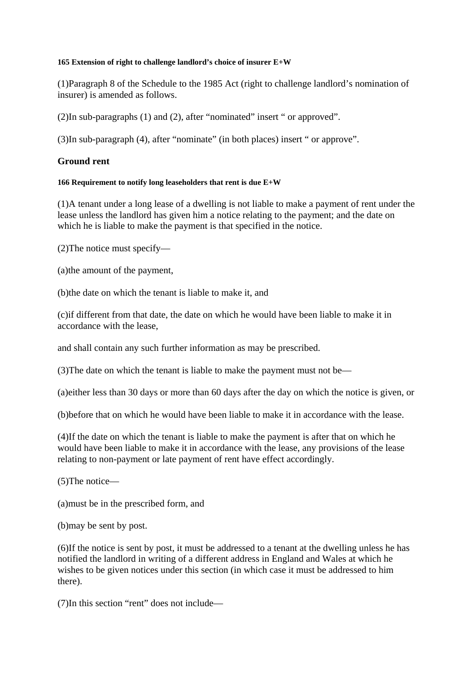#### **165 Extension of right to challenge landlord's choice of insurer E+W**

(1)Paragraph 8 of the Schedule to the 1985 Act (right to challenge landlord's nomination of insurer) is amended as follows.

(2)In sub-paragraphs (1) and (2), after "nominated" insert " or approved".

(3)In sub-paragraph (4), after "nominate" (in both places) insert " or approve".

#### **Ground rent**

#### **166 Requirement to notify long leaseholders that rent is due E+W**

(1)A tenant under a long lease of a dwelling is not liable to make a payment of rent under the lease unless the landlord has given him a notice relating to the payment; and the date on which he is liable to make the payment is that specified in the notice.

(2)The notice must specify—

(a)the amount of the payment,

(b)the date on which the tenant is liable to make it, and

(c)if different from that date, the date on which he would have been liable to make it in accordance with the lease,

and shall contain any such further information as may be prescribed.

(3)The date on which the tenant is liable to make the payment must not be—

(a)either less than 30 days or more than 60 days after the day on which the notice is given, or

(b)before that on which he would have been liable to make it in accordance with the lease.

(4)If the date on which the tenant is liable to make the payment is after that on which he would have been liable to make it in accordance with the lease, any provisions of the lease relating to non-payment or late payment of rent have effect accordingly.

(5)The notice—

(a)must be in the prescribed form, and

(b)may be sent by post.

(6)If the notice is sent by post, it must be addressed to a tenant at the dwelling unless he has notified the landlord in writing of a different address in England and Wales at which he wishes to be given notices under this section (in which case it must be addressed to him there).

(7)In this section "rent" does not include—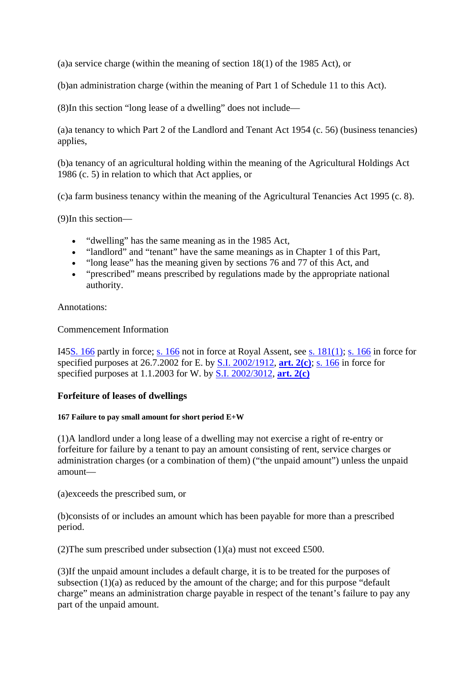(a)a service charge (within the meaning of section 18(1) of the 1985 Act), or

(b)an administration charge (within the meaning of Part 1 of Schedule 11 to this Act).

(8)In this section "long lease of a dwelling" does not include—

(a)a tenancy to which Part 2 of the Landlord and Tenant Act 1954 (c. 56) (business tenancies) applies,

(b)a tenancy of an agricultural holding within the meaning of the Agricultural Holdings Act 1986 (c. 5) in relation to which that Act applies, or

(c)a farm business tenancy within the meaning of the Agricultural Tenancies Act 1995 (c. 8).

(9)In this section—

- "dwelling" has the same meaning as in the 1985 Act,
- "landlord" and "tenant" have the same meanings as in Chapter 1 of this Part,
- "long lease" has the meaning given by sections 76 and 77 of this Act, and
- "prescribed" means prescribed by regulations made by the appropriate national authority.

Annotations:

Commencement Information

I45S. 166 partly in force; s. 166 not in force at Royal Assent, see s. 181(1); s. 166 in force for specified purposes at 26.7.2002 for E. by S.I. 2002/1912, **art. 2(c)**; s. 166 in force for specified purposes at 1.1.2003 for W. by S.I. 2002/3012, **art. 2(c)**

#### **Forfeiture of leases of dwellings**

#### **167 Failure to pay small amount for short period E+W**

(1)A landlord under a long lease of a dwelling may not exercise a right of re-entry or forfeiture for failure by a tenant to pay an amount consisting of rent, service charges or administration charges (or a combination of them) ("the unpaid amount") unless the unpaid amount—

(a)exceeds the prescribed sum, or

(b)consists of or includes an amount which has been payable for more than a prescribed period.

(2) The sum prescribed under subsection  $(1)(a)$  must not exceed £500.

(3)If the unpaid amount includes a default charge, it is to be treated for the purposes of subsection  $(1)(a)$  as reduced by the amount of the charge; and for this purpose "default" charge" means an administration charge payable in respect of the tenant's failure to pay any part of the unpaid amount.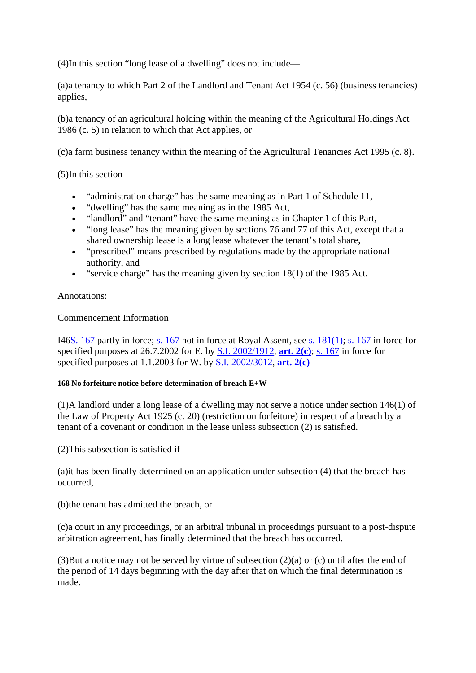(4)In this section "long lease of a dwelling" does not include—

(a)a tenancy to which Part 2 of the Landlord and Tenant Act 1954 (c. 56) (business tenancies) applies,

(b)a tenancy of an agricultural holding within the meaning of the Agricultural Holdings Act 1986 (c. 5) in relation to which that Act applies, or

(c)a farm business tenancy within the meaning of the Agricultural Tenancies Act 1995 (c. 8).

(5)In this section—

- "administration charge" has the same meaning as in Part 1 of Schedule 11,
- "dwelling" has the same meaning as in the 1985 Act,
- "landlord" and "tenant" have the same meaning as in Chapter 1 of this Part,
- "long lease" has the meaning given by sections 76 and 77 of this Act, except that a shared ownership lease is a long lease whatever the tenant's total share,
- "prescribed" means prescribed by regulations made by the appropriate national authority, and
- $\bullet$  "service charge" has the meaning given by section 18(1) of the 1985 Act.

Annotations:

Commencement Information

I46S. 167 partly in force; s. 167 not in force at Royal Assent, see s. 181(1); s. 167 in force for specified purposes at 26.7.2002 for E. by S.I. 2002/1912, **art. 2(c)**; s. 167 in force for specified purposes at 1.1.2003 for W. by S.I. 2002/3012, **art. 2(c)**

#### **168 No forfeiture notice before determination of breach E+W**

(1)A landlord under a long lease of a dwelling may not serve a notice under section 146(1) of the Law of Property Act 1925 (c. 20) (restriction on forfeiture) in respect of a breach by a tenant of a covenant or condition in the lease unless subsection (2) is satisfied.

(2)This subsection is satisfied if—

(a)it has been finally determined on an application under subsection (4) that the breach has occurred,

(b)the tenant has admitted the breach, or

(c)a court in any proceedings, or an arbitral tribunal in proceedings pursuant to a post-dispute arbitration agreement, has finally determined that the breach has occurred.

(3)But a notice may not be served by virtue of subsection  $(2)(a)$  or  $(c)$  until after the end of the period of 14 days beginning with the day after that on which the final determination is made.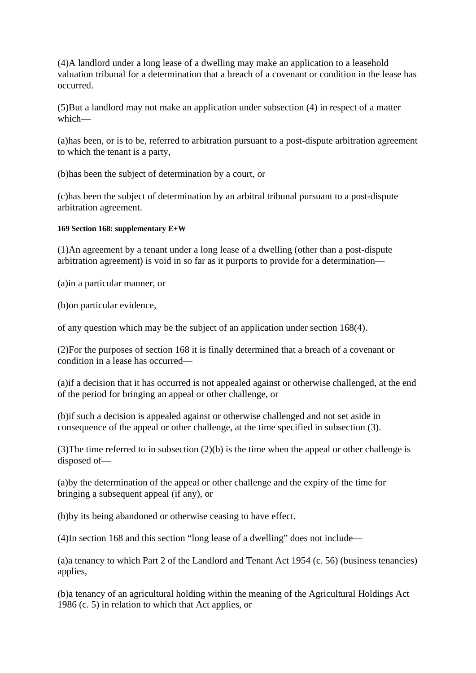(4)A landlord under a long lease of a dwelling may make an application to a leasehold valuation tribunal for a determination that a breach of a covenant or condition in the lease has occurred.

(5)But a landlord may not make an application under subsection (4) in respect of a matter which—

(a)has been, or is to be, referred to arbitration pursuant to a post-dispute arbitration agreement to which the tenant is a party,

(b)has been the subject of determination by a court, or

(c)has been the subject of determination by an arbitral tribunal pursuant to a post-dispute arbitration agreement.

#### **169 Section 168: supplementary E+W**

(1)An agreement by a tenant under a long lease of a dwelling (other than a post-dispute arbitration agreement) is void in so far as it purports to provide for a determination—

(a)in a particular manner, or

(b)on particular evidence,

of any question which may be the subject of an application under section 168(4).

(2)For the purposes of section 168 it is finally determined that a breach of a covenant or condition in a lease has occurred—

(a)if a decision that it has occurred is not appealed against or otherwise challenged, at the end of the period for bringing an appeal or other challenge, or

(b)if such a decision is appealed against or otherwise challenged and not set aside in consequence of the appeal or other challenge, at the time specified in subsection (3).

(3)The time referred to in subsection (2)(b) is the time when the appeal or other challenge is disposed of—

(a)by the determination of the appeal or other challenge and the expiry of the time for bringing a subsequent appeal (if any), or

(b)by its being abandoned or otherwise ceasing to have effect.

(4)In section 168 and this section "long lease of a dwelling" does not include—

(a)a tenancy to which Part 2 of the Landlord and Tenant Act 1954 (c. 56) (business tenancies) applies,

(b)a tenancy of an agricultural holding within the meaning of the Agricultural Holdings Act 1986 (c. 5) in relation to which that Act applies, or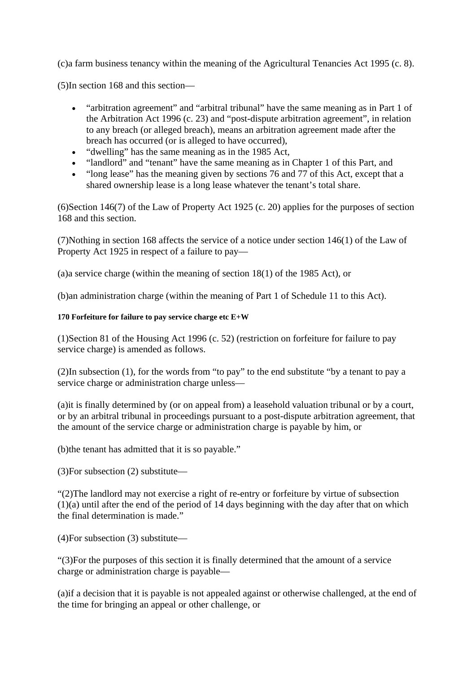(c)a farm business tenancy within the meaning of the Agricultural Tenancies Act 1995 (c. 8).

(5)In section 168 and this section—

- "arbitration agreement" and "arbitral tribunal" have the same meaning as in Part 1 of the Arbitration Act 1996 (c. 23) and "post-dispute arbitration agreement", in relation to any breach (or alleged breach), means an arbitration agreement made after the breach has occurred (or is alleged to have occurred),
- "dwelling" has the same meaning as in the 1985 Act,
- "landlord" and "tenant" have the same meaning as in Chapter 1 of this Part, and
- "long lease" has the meaning given by sections 76 and 77 of this Act, except that a shared ownership lease is a long lease whatever the tenant's total share.

(6)Section 146(7) of the Law of Property Act 1925 (c. 20) applies for the purposes of section 168 and this section.

(7)Nothing in section 168 affects the service of a notice under section 146(1) of the Law of Property Act 1925 in respect of a failure to pay—

(a)a service charge (within the meaning of section 18(1) of the 1985 Act), or

(b)an administration charge (within the meaning of Part 1 of Schedule 11 to this Act).

#### **170 Forfeiture for failure to pay service charge etc E+W**

(1)Section 81 of the Housing Act 1996 (c. 52) (restriction on forfeiture for failure to pay service charge) is amended as follows.

(2)In subsection (1), for the words from "to pay" to the end substitute "by a tenant to pay a service charge or administration charge unless—

(a)it is finally determined by (or on appeal from) a leasehold valuation tribunal or by a court, or by an arbitral tribunal in proceedings pursuant to a post-dispute arbitration agreement, that the amount of the service charge or administration charge is payable by him, or

(b)the tenant has admitted that it is so payable."

(3)For subsection (2) substitute—

"(2)The landlord may not exercise a right of re-entry or forfeiture by virtue of subsection (1)(a) until after the end of the period of 14 days beginning with the day after that on which the final determination is made."

(4)For subsection (3) substitute—

"(3)For the purposes of this section it is finally determined that the amount of a service charge or administration charge is payable—

(a)if a decision that it is payable is not appealed against or otherwise challenged, at the end of the time for bringing an appeal or other challenge, or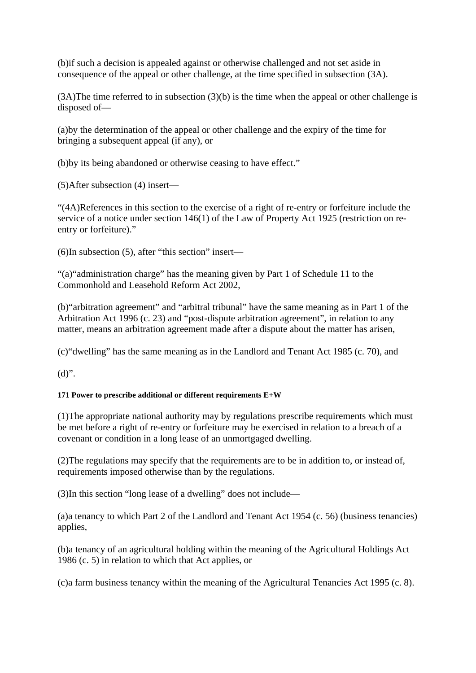(b)if such a decision is appealed against or otherwise challenged and not set aside in consequence of the appeal or other challenge, at the time specified in subsection (3A).

(3A)The time referred to in subsection (3)(b) is the time when the appeal or other challenge is disposed of—

(a)by the determination of the appeal or other challenge and the expiry of the time for bringing a subsequent appeal (if any), or

(b)by its being abandoned or otherwise ceasing to have effect."

(5)After subsection (4) insert—

"(4A)References in this section to the exercise of a right of re-entry or forfeiture include the service of a notice under section 146(1) of the Law of Property Act 1925 (restriction on reentry or forfeiture)."

(6)In subsection (5), after "this section" insert—

"(a)"administration charge" has the meaning given by Part 1 of Schedule 11 to the Commonhold and Leasehold Reform Act 2002,

(b)"arbitration agreement" and "arbitral tribunal" have the same meaning as in Part 1 of the Arbitration Act 1996 (c. 23) and "post-dispute arbitration agreement", in relation to any matter, means an arbitration agreement made after a dispute about the matter has arisen,

(c)"dwelling" has the same meaning as in the Landlord and Tenant Act 1985 (c. 70), and

 $(d)$ ".

#### **171 Power to prescribe additional or different requirements E+W**

(1)The appropriate national authority may by regulations prescribe requirements which must be met before a right of re-entry or forfeiture may be exercised in relation to a breach of a covenant or condition in a long lease of an unmortgaged dwelling.

(2)The regulations may specify that the requirements are to be in addition to, or instead of, requirements imposed otherwise than by the regulations.

(3)In this section "long lease of a dwelling" does not include—

(a)a tenancy to which Part 2 of the Landlord and Tenant Act 1954 (c. 56) (business tenancies) applies,

(b)a tenancy of an agricultural holding within the meaning of the Agricultural Holdings Act 1986 (c. 5) in relation to which that Act applies, or

(c)a farm business tenancy within the meaning of the Agricultural Tenancies Act 1995 (c. 8).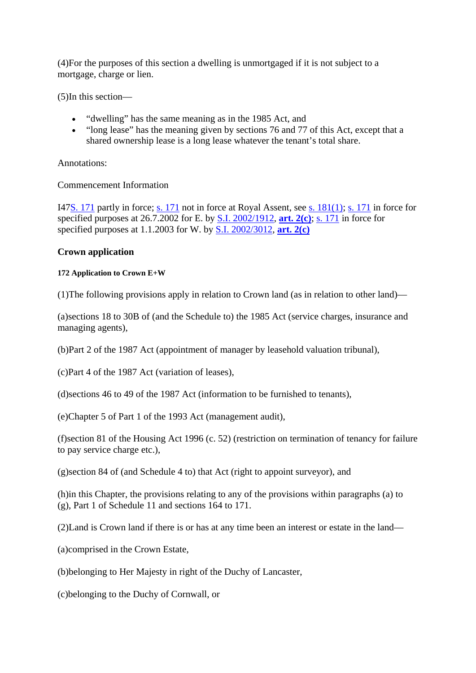(4)For the purposes of this section a dwelling is unmortgaged if it is not subject to a mortgage, charge or lien.

(5)In this section—

- "dwelling" has the same meaning as in the 1985 Act, and
- "long lease" has the meaning given by sections 76 and 77 of this Act, except that a shared ownership lease is a long lease whatever the tenant's total share.

Annotations:

#### Commencement Information

I47S. 171 partly in force; s. 171 not in force at Royal Assent, see s. 181(1); s. 171 in force for specified purposes at 26.7.2002 for E. by S.I. 2002/1912, **art. 2(c)**; s. 171 in force for specified purposes at 1.1.2003 for W. by S.I. 2002/3012, **art. 2(c)**

#### **Crown application**

#### **172 Application to Crown E+W**

(1)The following provisions apply in relation to Crown land (as in relation to other land)—

(a)sections 18 to 30B of (and the Schedule to) the 1985 Act (service charges, insurance and managing agents),

(b)Part 2 of the 1987 Act (appointment of manager by leasehold valuation tribunal),

(c)Part 4 of the 1987 Act (variation of leases),

(d)sections 46 to 49 of the 1987 Act (information to be furnished to tenants),

(e)Chapter 5 of Part 1 of the 1993 Act (management audit),

(f)section 81 of the Housing Act 1996 (c. 52) (restriction on termination of tenancy for failure to pay service charge etc.),

(g)section 84 of (and Schedule 4 to) that Act (right to appoint surveyor), and

(h)in this Chapter, the provisions relating to any of the provisions within paragraphs (a) to (g), Part 1 of Schedule 11 and sections 164 to 171.

(2)Land is Crown land if there is or has at any time been an interest or estate in the land—

(a)comprised in the Crown Estate,

(b)belonging to Her Majesty in right of the Duchy of Lancaster,

(c)belonging to the Duchy of Cornwall, or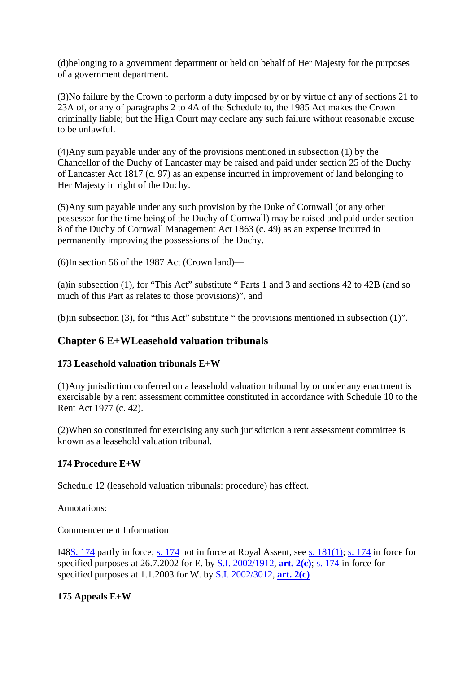(d)belonging to a government department or held on behalf of Her Majesty for the purposes of a government department.

(3)No failure by the Crown to perform a duty imposed by or by virtue of any of sections 21 to 23A of, or any of paragraphs 2 to 4A of the Schedule to, the 1985 Act makes the Crown criminally liable; but the High Court may declare any such failure without reasonable excuse to be unlawful.

(4)Any sum payable under any of the provisions mentioned in subsection (1) by the Chancellor of the Duchy of Lancaster may be raised and paid under section 25 of the Duchy of Lancaster Act 1817 (c. 97) as an expense incurred in improvement of land belonging to Her Majesty in right of the Duchy.

(5)Any sum payable under any such provision by the Duke of Cornwall (or any other possessor for the time being of the Duchy of Cornwall) may be raised and paid under section 8 of the Duchy of Cornwall Management Act 1863 (c. 49) as an expense incurred in permanently improving the possessions of the Duchy.

(6)In section 56 of the 1987 Act (Crown land)—

(a)in subsection (1), for "This Act" substitute " Parts 1 and 3 and sections 42 to 42B (and so much of this Part as relates to those provisions)", and

(b)in subsection (3), for "this Act" substitute " the provisions mentioned in subsection (1)".

## **Chapter 6 E+WLeasehold valuation tribunals**

#### **173 Leasehold valuation tribunals E+W**

(1)Any jurisdiction conferred on a leasehold valuation tribunal by or under any enactment is exercisable by a rent assessment committee constituted in accordance with Schedule 10 to the Rent Act 1977 (c. 42).

(2)When so constituted for exercising any such jurisdiction a rent assessment committee is known as a leasehold valuation tribunal.

#### **174 Procedure E+W**

Schedule 12 (leasehold valuation tribunals: procedure) has effect.

Annotations:

Commencement Information

I48S. 174 partly in force; s. 174 not in force at Royal Assent, see s. 181(1); s. 174 in force for specified purposes at 26.7.2002 for E. by S.I. 2002/1912, **art. 2(c)**; s. 174 in force for specified purposes at 1.1.2003 for W. by S.I. 2002/3012, **art. 2(c)**

## **175 Appeals E+W**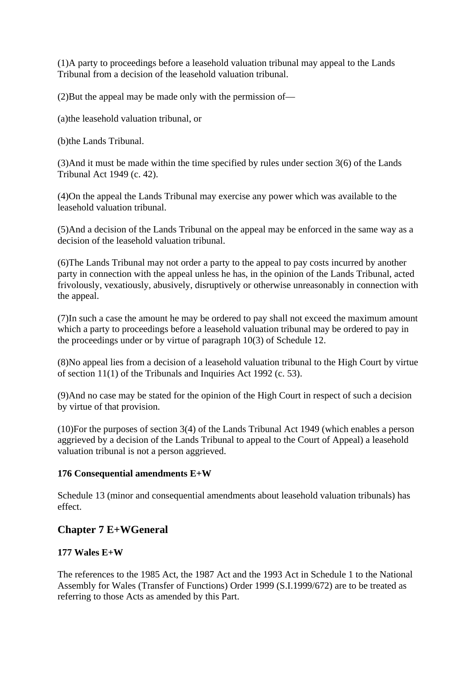(1)A party to proceedings before a leasehold valuation tribunal may appeal to the Lands Tribunal from a decision of the leasehold valuation tribunal.

(2)But the appeal may be made only with the permission of—

(a)the leasehold valuation tribunal, or

(b)the Lands Tribunal.

(3)And it must be made within the time specified by rules under section 3(6) of the Lands Tribunal Act 1949 (c. 42).

(4)On the appeal the Lands Tribunal may exercise any power which was available to the leasehold valuation tribunal.

(5)And a decision of the Lands Tribunal on the appeal may be enforced in the same way as a decision of the leasehold valuation tribunal.

(6)The Lands Tribunal may not order a party to the appeal to pay costs incurred by another party in connection with the appeal unless he has, in the opinion of the Lands Tribunal, acted frivolously, vexatiously, abusively, disruptively or otherwise unreasonably in connection with the appeal.

(7)In such a case the amount he may be ordered to pay shall not exceed the maximum amount which a party to proceedings before a leasehold valuation tribunal may be ordered to pay in the proceedings under or by virtue of paragraph 10(3) of Schedule 12.

(8)No appeal lies from a decision of a leasehold valuation tribunal to the High Court by virtue of section 11(1) of the Tribunals and Inquiries Act 1992 (c. 53).

(9)And no case may be stated for the opinion of the High Court in respect of such a decision by virtue of that provision.

(10)For the purposes of section 3(4) of the Lands Tribunal Act 1949 (which enables a person aggrieved by a decision of the Lands Tribunal to appeal to the Court of Appeal) a leasehold valuation tribunal is not a person aggrieved.

#### **176 Consequential amendments E+W**

Schedule 13 (minor and consequential amendments about leasehold valuation tribunals) has effect.

## **Chapter 7 E+WGeneral**

#### **177 Wales E+W**

The references to the 1985 Act, the 1987 Act and the 1993 Act in Schedule 1 to the National Assembly for Wales (Transfer of Functions) Order 1999 (S.I.1999/672) are to be treated as referring to those Acts as amended by this Part.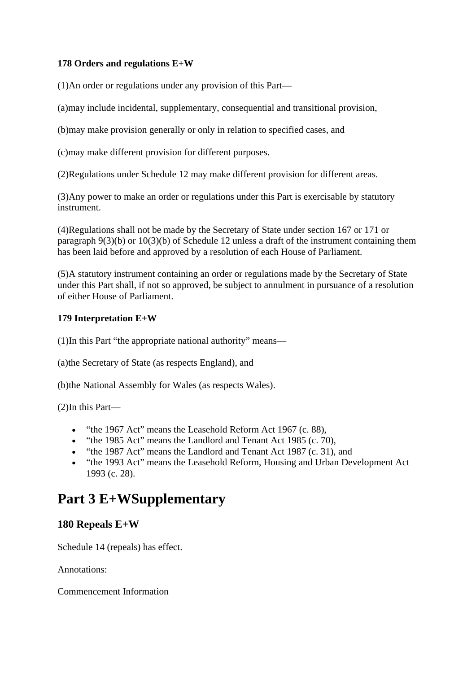#### **178 Orders and regulations E+W**

(1)An order or regulations under any provision of this Part—

(a)may include incidental, supplementary, consequential and transitional provision,

(b)may make provision generally or only in relation to specified cases, and

(c)may make different provision for different purposes.

(2)Regulations under Schedule 12 may make different provision for different areas.

(3)Any power to make an order or regulations under this Part is exercisable by statutory instrument.

(4)Regulations shall not be made by the Secretary of State under section 167 or 171 or paragraph 9(3)(b) or 10(3)(b) of Schedule 12 unless a draft of the instrument containing them has been laid before and approved by a resolution of each House of Parliament.

(5)A statutory instrument containing an order or regulations made by the Secretary of State under this Part shall, if not so approved, be subject to annulment in pursuance of a resolution of either House of Parliament.

#### **179 Interpretation E+W**

(1)In this Part "the appropriate national authority" means—

(a)the Secretary of State (as respects England), and

(b)the National Assembly for Wales (as respects Wales).

(2)In this Part—

- "the 1967 Act" means the Leasehold Reform Act 1967 (c. 88),
- "the 1985 Act" means the Landlord and Tenant Act 1985 (c. 70),
- "the 1987 Act" means the Landlord and Tenant Act 1987 (c. 31), and
- "the 1993 Act" means the Leasehold Reform, Housing and Urban Development Act 1993 (c. 28).

## **Part 3 E+WSupplementary**

## **180 Repeals E+W**

Schedule 14 (repeals) has effect.

Annotations:

Commencement Information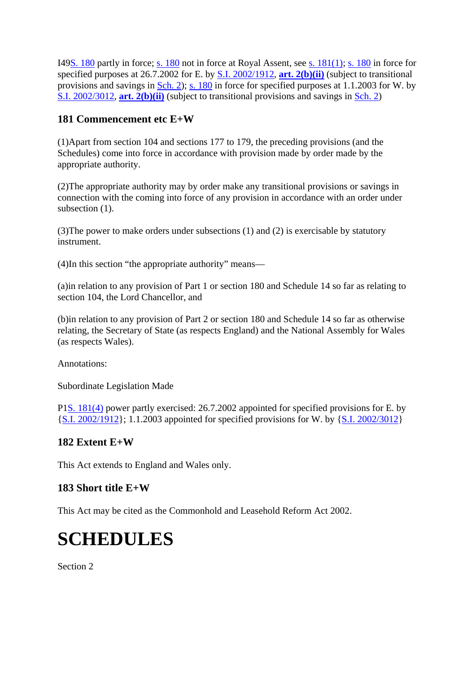I49S. 180 partly in force; s. 180 not in force at Royal Assent, see s. 181(1); s. 180 in force for specified purposes at 26.7.2002 for E. by S.I. 2002/1912, **art. 2(b)(ii)** (subject to transitional provisions and savings in  $Sch. 2$ ; s. 180 in force for specified purposes at 1.1.2003 for W. by S.I. 2002/3012, **art. 2(b)(ii)** (subject to transitional provisions and savings in Sch. 2)

## **181 Commencement etc E+W**

(1)Apart from section 104 and sections 177 to 179, the preceding provisions (and the Schedules) come into force in accordance with provision made by order made by the appropriate authority.

(2)The appropriate authority may by order make any transitional provisions or savings in connection with the coming into force of any provision in accordance with an order under subsection (1).

(3)The power to make orders under subsections (1) and (2) is exercisable by statutory instrument.

(4)In this section "the appropriate authority" means—

(a)in relation to any provision of Part 1 or section 180 and Schedule 14 so far as relating to section 104, the Lord Chancellor, and

(b)in relation to any provision of Part 2 or section 180 and Schedule 14 so far as otherwise relating, the Secretary of State (as respects England) and the National Assembly for Wales (as respects Wales).

Annotations:

Subordinate Legislation Made

P1S. 181(4) power partly exercised: 26.7.2002 appointed for specified provisions for E. by {S.I. 2002/1912}; 1.1.2003 appointed for specified provisions for W. by {S.I. 2002/3012}

## **182 Extent E+W**

This Act extends to England and Wales only.

## **183 Short title E+W**

This Act may be cited as the Commonhold and Leasehold Reform Act 2002.

# **SCHEDULES**

Section<sub>2</sub>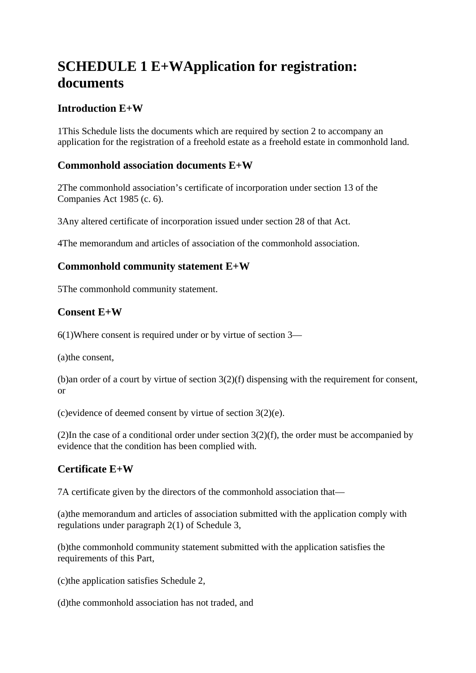## **SCHEDULE 1 E+WApplication for registration: documents**

## **Introduction E+W**

1This Schedule lists the documents which are required by section 2 to accompany an application for the registration of a freehold estate as a freehold estate in commonhold land.

## **Commonhold association documents E+W**

2The commonhold association's certificate of incorporation under section 13 of the Companies Act 1985 (c. 6).

3Any altered certificate of incorporation issued under section 28 of that Act.

4The memorandum and articles of association of the commonhold association.

## **Commonhold community statement E+W**

5The commonhold community statement.

## **Consent E+W**

6(1)Where consent is required under or by virtue of section 3—

(a)the consent,

(b)an order of a court by virtue of section 3(2)(f) dispensing with the requirement for consent, or

(c)evidence of deemed consent by virtue of section 3(2)(e).

(2)In the case of a conditional order under section  $3(2)(f)$ , the order must be accompanied by evidence that the condition has been complied with.

## **Certificate E+W**

7A certificate given by the directors of the commonhold association that—

(a)the memorandum and articles of association submitted with the application comply with regulations under paragraph 2(1) of Schedule 3,

(b)the commonhold community statement submitted with the application satisfies the requirements of this Part,

(c)the application satisfies Schedule 2,

(d)the commonhold association has not traded, and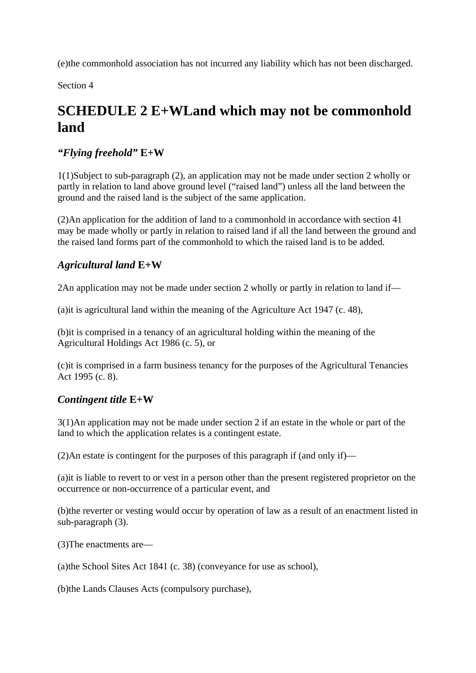(e)the commonhold association has not incurred any liability which has not been discharged.

Section 4

## **SCHEDULE 2 E+WLand which may not be commonhold land**

## *"Flying freehold"* **E+W**

1(1)Subject to sub-paragraph (2), an application may not be made under section 2 wholly or partly in relation to land above ground level ("raised land") unless all the land between the ground and the raised land is the subject of the same application.

(2)An application for the addition of land to a commonhold in accordance with section 41 may be made wholly or partly in relation to raised land if all the land between the ground and the raised land forms part of the commonhold to which the raised land is to be added.

## *Agricultural land* **E+W**

2An application may not be made under section 2 wholly or partly in relation to land if—

(a)it is agricultural land within the meaning of the Agriculture Act 1947 (c. 48),

(b)it is comprised in a tenancy of an agricultural holding within the meaning of the Agricultural Holdings Act 1986 (c. 5), or

(c)it is comprised in a farm business tenancy for the purposes of the Agricultural Tenancies Act 1995 (c. 8).

## *Contingent title* **E+W**

3(1)An application may not be made under section 2 if an estate in the whole or part of the land to which the application relates is a contingent estate.

(2)An estate is contingent for the purposes of this paragraph if (and only if)—

(a)it is liable to revert to or vest in a person other than the present registered proprietor on the occurrence or non-occurrence of a particular event, and

(b)the reverter or vesting would occur by operation of law as a result of an enactment listed in sub-paragraph (3).

(3)The enactments are—

(a)the School Sites Act 1841 (c. 38) (conveyance for use as school),

(b)the Lands Clauses Acts (compulsory purchase),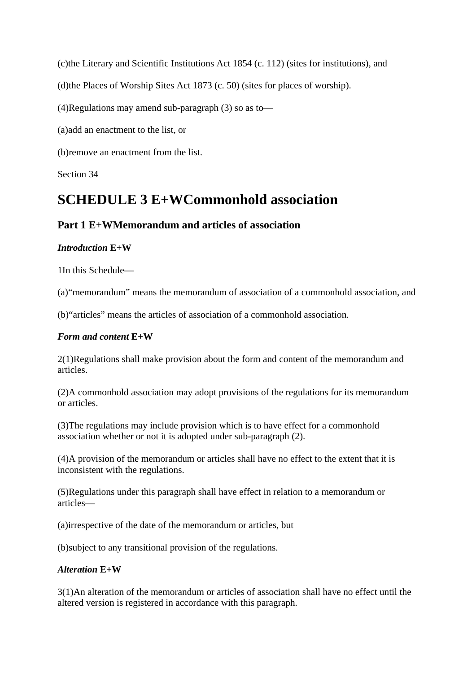(c)the Literary and Scientific Institutions Act 1854 (c. 112) (sites for institutions), and

(d)the Places of Worship Sites Act 1873 (c. 50) (sites for places of worship).

(4)Regulations may amend sub-paragraph (3) so as to—

(a)add an enactment to the list, or

(b)remove an enactment from the list.

Section 34

## **SCHEDULE 3 E+WCommonhold association**

## **Part 1 E+WMemorandum and articles of association**

#### *Introduction* **E+W**

1In this Schedule—

(a)"memorandum" means the memorandum of association of a commonhold association, and

(b)"articles" means the articles of association of a commonhold association.

#### *Form and content* **E+W**

2(1)Regulations shall make provision about the form and content of the memorandum and articles.

(2)A commonhold association may adopt provisions of the regulations for its memorandum or articles.

(3)The regulations may include provision which is to have effect for a commonhold association whether or not it is adopted under sub-paragraph (2).

(4)A provision of the memorandum or articles shall have no effect to the extent that it is inconsistent with the regulations.

(5)Regulations under this paragraph shall have effect in relation to a memorandum or articles—

(a)irrespective of the date of the memorandum or articles, but

(b)subject to any transitional provision of the regulations.

#### *Alteration* **E+W**

3(1)An alteration of the memorandum or articles of association shall have no effect until the altered version is registered in accordance with this paragraph.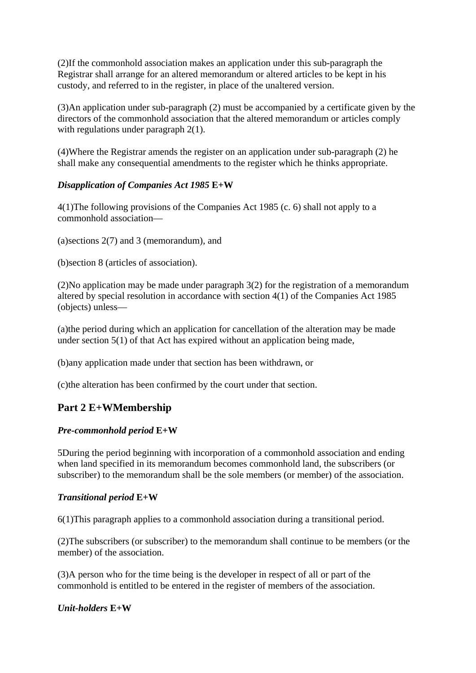(2)If the commonhold association makes an application under this sub-paragraph the Registrar shall arrange for an altered memorandum or altered articles to be kept in his custody, and referred to in the register, in place of the unaltered version.

(3)An application under sub-paragraph (2) must be accompanied by a certificate given by the directors of the commonhold association that the altered memorandum or articles comply with regulations under paragraph 2(1).

(4)Where the Registrar amends the register on an application under sub-paragraph (2) he shall make any consequential amendments to the register which he thinks appropriate.

#### *Disapplication of Companies Act 1985* **E+W**

4(1)The following provisions of the Companies Act 1985 (c. 6) shall not apply to a commonhold association—

(a)sections 2(7) and 3 (memorandum), and

(b)section 8 (articles of association).

(2)No application may be made under paragraph 3(2) for the registration of a memorandum altered by special resolution in accordance with section 4(1) of the Companies Act 1985 (objects) unless—

(a)the period during which an application for cancellation of the alteration may be made under section 5(1) of that Act has expired without an application being made,

(b)any application made under that section has been withdrawn, or

(c)the alteration has been confirmed by the court under that section.

## **Part 2 E+WMembership**

#### *Pre-commonhold period* **E+W**

5During the period beginning with incorporation of a commonhold association and ending when land specified in its memorandum becomes commonhold land, the subscribers (or subscriber) to the memorandum shall be the sole members (or member) of the association.

#### *Transitional period* **E+W**

6(1)This paragraph applies to a commonhold association during a transitional period.

(2)The subscribers (or subscriber) to the memorandum shall continue to be members (or the member) of the association.

(3)A person who for the time being is the developer in respect of all or part of the commonhold is entitled to be entered in the register of members of the association.

#### *Unit-holders* **E+W**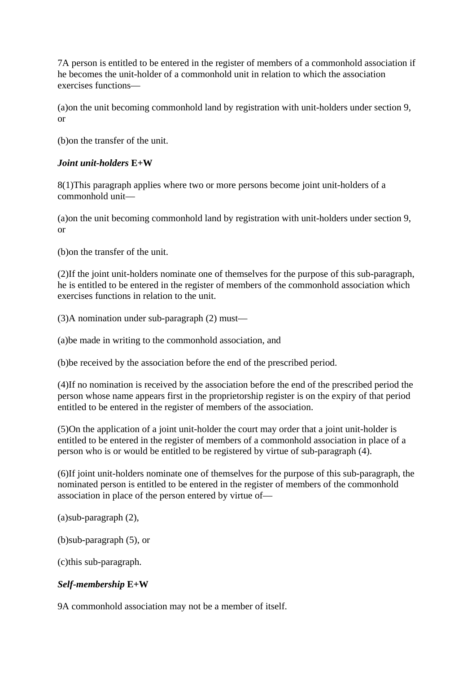7A person is entitled to be entered in the register of members of a commonhold association if he becomes the unit-holder of a commonhold unit in relation to which the association exercises functions—

(a)on the unit becoming commonhold land by registration with unit-holders under section 9, or

(b)on the transfer of the unit.

#### *Joint unit-holders* **E+W**

8(1)This paragraph applies where two or more persons become joint unit-holders of a commonhold unit—

(a)on the unit becoming commonhold land by registration with unit-holders under section 9, or

(b)on the transfer of the unit.

(2)If the joint unit-holders nominate one of themselves for the purpose of this sub-paragraph, he is entitled to be entered in the register of members of the commonhold association which exercises functions in relation to the unit.

(3)A nomination under sub-paragraph (2) must—

(a)be made in writing to the commonhold association, and

(b)be received by the association before the end of the prescribed period.

(4)If no nomination is received by the association before the end of the prescribed period the person whose name appears first in the proprietorship register is on the expiry of that period entitled to be entered in the register of members of the association.

(5)On the application of a joint unit-holder the court may order that a joint unit-holder is entitled to be entered in the register of members of a commonhold association in place of a person who is or would be entitled to be registered by virtue of sub-paragraph (4).

(6)If joint unit-holders nominate one of themselves for the purpose of this sub-paragraph, the nominated person is entitled to be entered in the register of members of the commonhold association in place of the person entered by virtue of—

(a)sub-paragraph (2),

(b)sub-paragraph (5), or

(c)this sub-paragraph.

## *Self-membership* **E+W**

9A commonhold association may not be a member of itself.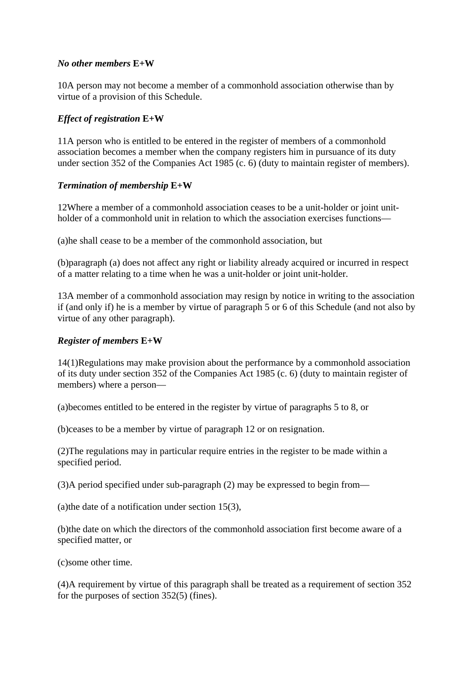#### *No other members* **E+W**

10A person may not become a member of a commonhold association otherwise than by virtue of a provision of this Schedule.

#### *Effect of registration* **E+W**

11A person who is entitled to be entered in the register of members of a commonhold association becomes a member when the company registers him in pursuance of its duty under section 352 of the Companies Act 1985 (c. 6) (duty to maintain register of members).

#### *Termination of membership* **E+W**

12Where a member of a commonhold association ceases to be a unit-holder or joint unitholder of a commonhold unit in relation to which the association exercises functions—

(a)he shall cease to be a member of the commonhold association, but

(b)paragraph (a) does not affect any right or liability already acquired or incurred in respect of a matter relating to a time when he was a unit-holder or joint unit-holder.

13A member of a commonhold association may resign by notice in writing to the association if (and only if) he is a member by virtue of paragraph 5 or 6 of this Schedule (and not also by virtue of any other paragraph).

#### *Register of members* **E+W**

14(1)Regulations may make provision about the performance by a commonhold association of its duty under section 352 of the Companies Act 1985 (c. 6) (duty to maintain register of members) where a person—

(a)becomes entitled to be entered in the register by virtue of paragraphs 5 to 8, or

(b)ceases to be a member by virtue of paragraph 12 or on resignation.

(2)The regulations may in particular require entries in the register to be made within a specified period.

(3)A period specified under sub-paragraph (2) may be expressed to begin from—

(a)the date of a notification under section 15(3),

(b)the date on which the directors of the commonhold association first become aware of a specified matter, or

(c)some other time.

(4)A requirement by virtue of this paragraph shall be treated as a requirement of section 352 for the purposes of section 352(5) (fines).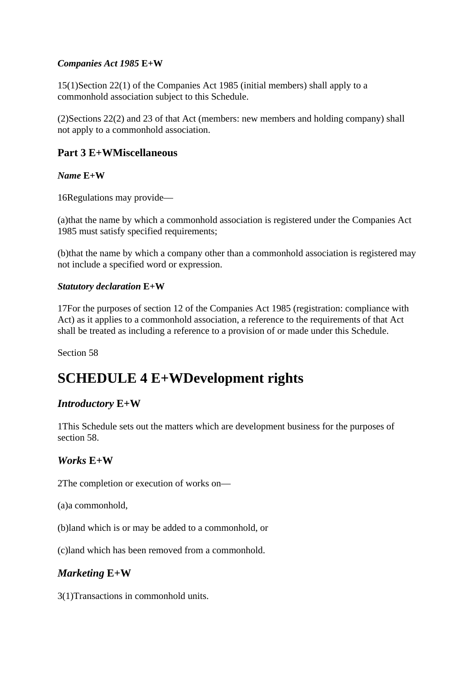#### *Companies Act 1985* **E+W**

15(1)Section 22(1) of the Companies Act 1985 (initial members) shall apply to a commonhold association subject to this Schedule.

(2)Sections 22(2) and 23 of that Act (members: new members and holding company) shall not apply to a commonhold association.

#### **Part 3 E+WMiscellaneous**

#### *Name* **E+W**

16Regulations may provide—

(a)that the name by which a commonhold association is registered under the Companies Act 1985 must satisfy specified requirements;

(b)that the name by which a company other than a commonhold association is registered may not include a specified word or expression.

#### *Statutory declaration* **E+W**

17For the purposes of section 12 of the Companies Act 1985 (registration: compliance with Act) as it applies to a commonhold association, a reference to the requirements of that Act shall be treated as including a reference to a provision of or made under this Schedule.

Section 58

## **SCHEDULE 4 E+WDevelopment rights**

#### *Introductory* **E+W**

1This Schedule sets out the matters which are development business for the purposes of section 58.

#### *Works* **E+W**

2The completion or execution of works on—

(a)a commonhold,

(b)land which is or may be added to a commonhold, or

(c)land which has been removed from a commonhold.

## *Marketing* **E+W**

3(1)Transactions in commonhold units.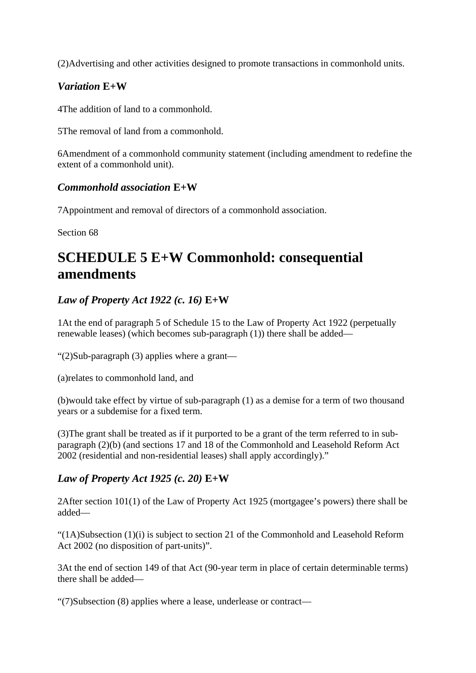(2)Advertising and other activities designed to promote transactions in commonhold units.

## *Variation* **E+W**

4The addition of land to a commonhold.

5The removal of land from a commonhold.

6Amendment of a commonhold community statement (including amendment to redefine the extent of a commonhold unit).

## *Commonhold association* **E+W**

7Appointment and removal of directors of a commonhold association.

Section 68

## **SCHEDULE 5 E+W Commonhold: consequential amendments**

## *Law of Property Act 1922 (c. 16)* **E+W**

1At the end of paragraph 5 of Schedule 15 to the Law of Property Act 1922 (perpetually renewable leases) (which becomes sub-paragraph (1)) there shall be added—

"(2)Sub-paragraph (3) applies where a grant—

(a)relates to commonhold land, and

(b)would take effect by virtue of sub-paragraph (1) as a demise for a term of two thousand years or a subdemise for a fixed term.

(3)The grant shall be treated as if it purported to be a grant of the term referred to in subparagraph (2)(b) (and sections 17 and 18 of the Commonhold and Leasehold Reform Act 2002 (residential and non-residential leases) shall apply accordingly)."

## *Law of Property Act 1925 (c. 20)* **E+W**

2After section 101(1) of the Law of Property Act 1925 (mortgagee's powers) there shall be added—

"(1A)Subsection (1)(i) is subject to section 21 of the Commonhold and Leasehold Reform Act 2002 (no disposition of part-units)".

3At the end of section 149 of that Act (90-year term in place of certain determinable terms) there shall be added—

"(7)Subsection (8) applies where a lease, underlease or contract—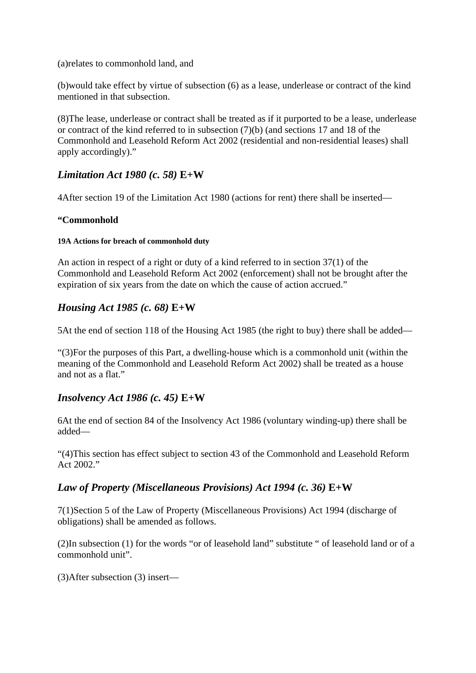(a)relates to commonhold land, and

(b)would take effect by virtue of subsection (6) as a lease, underlease or contract of the kind mentioned in that subsection.

(8)The lease, underlease or contract shall be treated as if it purported to be a lease, underlease or contract of the kind referred to in subsection (7)(b) (and sections 17 and 18 of the Commonhold and Leasehold Reform Act 2002 (residential and non-residential leases) shall apply accordingly)."

## *Limitation Act 1980 (c. 58)* **E+W**

4After section 19 of the Limitation Act 1980 (actions for rent) there shall be inserted—

#### **"Commonhold**

#### **19A Actions for breach of commonhold duty**

An action in respect of a right or duty of a kind referred to in section 37(1) of the Commonhold and Leasehold Reform Act 2002 (enforcement) shall not be brought after the expiration of six years from the date on which the cause of action accrued."

## *Housing Act 1985 (c. 68)* **E+W**

5At the end of section 118 of the Housing Act 1985 (the right to buy) there shall be added—

"(3)For the purposes of this Part, a dwelling-house which is a commonhold unit (within the meaning of the Commonhold and Leasehold Reform Act 2002) shall be treated as a house and not as a flat."

## *Insolvency Act 1986 (c. 45)* **E+W**

6At the end of section 84 of the Insolvency Act 1986 (voluntary winding-up) there shall be added—

"(4)This section has effect subject to section 43 of the Commonhold and Leasehold Reform Act 2002."

## *Law of Property (Miscellaneous Provisions) Act 1994 (c. 36)* **E+W**

7(1)Section 5 of the Law of Property (Miscellaneous Provisions) Act 1994 (discharge of obligations) shall be amended as follows.

(2)In subsection (1) for the words "or of leasehold land" substitute " of leasehold land or of a commonhold unit".

(3)After subsection (3) insert—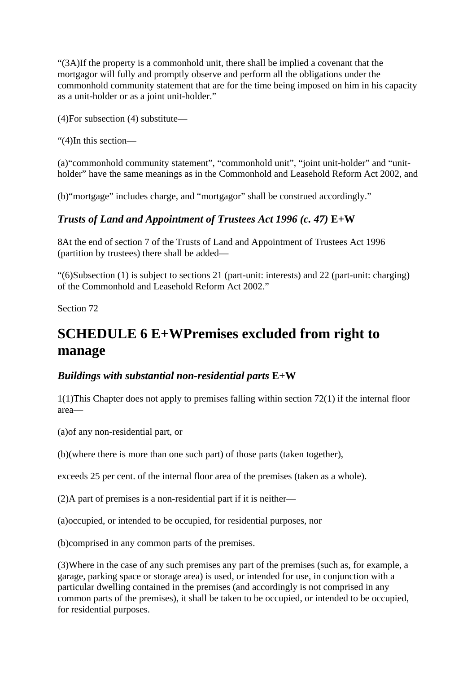"(3A)If the property is a commonhold unit, there shall be implied a covenant that the mortgagor will fully and promptly observe and perform all the obligations under the commonhold community statement that are for the time being imposed on him in his capacity as a unit-holder or as a joint unit-holder."

(4)For subsection (4) substitute—

"(4)In this section—

(a)"commonhold community statement", "commonhold unit", "joint unit-holder" and "unitholder" have the same meanings as in the Commonhold and Leasehold Reform Act 2002, and

(b)"mortgage" includes charge, and "mortgagor" shall be construed accordingly."

## *Trusts of Land and Appointment of Trustees Act 1996 (c. 47)* **E+W**

8At the end of section 7 of the Trusts of Land and Appointment of Trustees Act 1996 (partition by trustees) there shall be added—

"(6)Subsection (1) is subject to sections 21 (part-unit: interests) and 22 (part-unit: charging) of the Commonhold and Leasehold Reform Act 2002."

Section 72

## **SCHEDULE 6 E+WPremises excluded from right to manage**

## *Buildings with substantial non-residential parts* **E+W**

1(1)This Chapter does not apply to premises falling within section 72(1) if the internal floor area—

(a)of any non-residential part, or

(b)(where there is more than one such part) of those parts (taken together),

exceeds 25 per cent. of the internal floor area of the premises (taken as a whole).

(2)A part of premises is a non-residential part if it is neither—

(a)occupied, or intended to be occupied, for residential purposes, nor

(b)comprised in any common parts of the premises.

(3)Where in the case of any such premises any part of the premises (such as, for example, a garage, parking space or storage area) is used, or intended for use, in conjunction with a particular dwelling contained in the premises (and accordingly is not comprised in any common parts of the premises), it shall be taken to be occupied, or intended to be occupied, for residential purposes.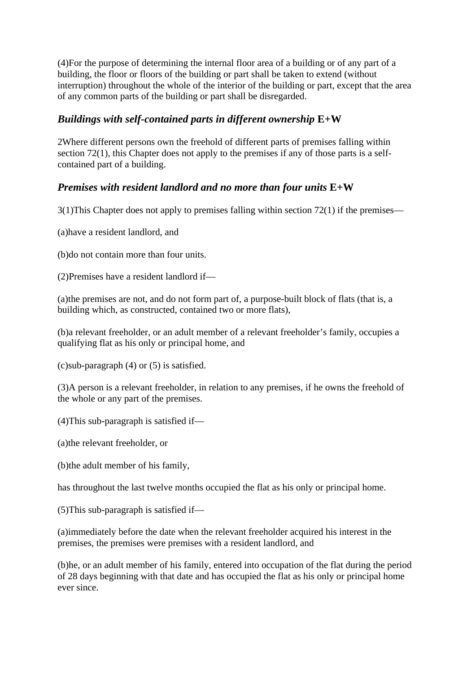(4)For the purpose of determining the internal floor area of a building or of any part of a building, the floor or floors of the building or part shall be taken to extend (without interruption) throughout the whole of the interior of the building or part, except that the area of any common parts of the building or part shall be disregarded.

## *Buildings with self-contained parts in different ownership* **E+W**

2Where different persons own the freehold of different parts of premises falling within section 72(1), this Chapter does not apply to the premises if any of those parts is a selfcontained part of a building.

## *Premises with resident landlord and no more than four units* **E+W**

3(1)This Chapter does not apply to premises falling within section 72(1) if the premises—

(a)have a resident landlord, and

(b)do not contain more than four units.

(2)Premises have a resident landlord if—

(a)the premises are not, and do not form part of, a purpose-built block of flats (that is, a building which, as constructed, contained two or more flats),

(b)a relevant freeholder, or an adult member of a relevant freeholder's family, occupies a qualifying flat as his only or principal home, and

(c)sub-paragraph (4) or (5) is satisfied.

(3)A person is a relevant freeholder, in relation to any premises, if he owns the freehold of the whole or any part of the premises.

(4)This sub-paragraph is satisfied if—

(a)the relevant freeholder, or

(b)the adult member of his family,

has throughout the last twelve months occupied the flat as his only or principal home.

(5)This sub-paragraph is satisfied if—

(a)immediately before the date when the relevant freeholder acquired his interest in the premises, the premises were premises with a resident landlord, and

(b)he, or an adult member of his family, entered into occupation of the flat during the period of 28 days beginning with that date and has occupied the flat as his only or principal home ever since.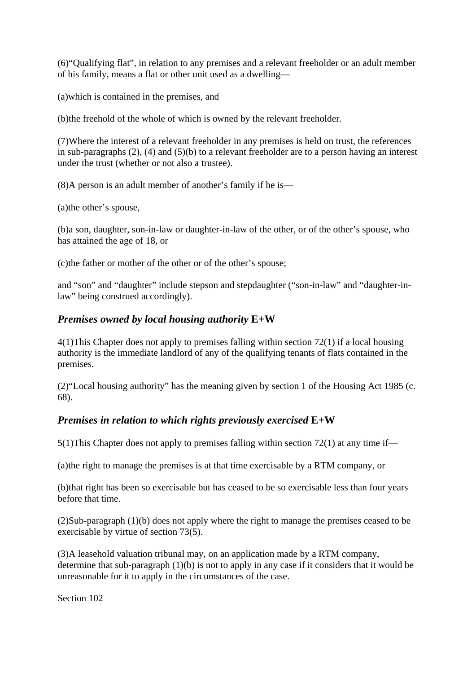(6)"Qualifying flat", in relation to any premises and a relevant freeholder or an adult member of his family, means a flat or other unit used as a dwelling—

(a)which is contained in the premises, and

(b)the freehold of the whole of which is owned by the relevant freeholder.

(7)Where the interest of a relevant freeholder in any premises is held on trust, the references in sub-paragraphs (2), (4) and (5)(b) to a relevant freeholder are to a person having an interest under the trust (whether or not also a trustee).

(8)A person is an adult member of another's family if he is—

(a)the other's spouse,

(b)a son, daughter, son-in-law or daughter-in-law of the other, or of the other's spouse, who has attained the age of 18, or

(c)the father or mother of the other or of the other's spouse;

and "son" and "daughter" include stepson and stepdaughter ("son-in-law" and "daughter-inlaw" being construed accordingly).

## *Premises owned by local housing authority* **E+W**

4(1)This Chapter does not apply to premises falling within section 72(1) if a local housing authority is the immediate landlord of any of the qualifying tenants of flats contained in the premises.

(2)"Local housing authority" has the meaning given by section 1 of the Housing Act 1985 (c. 68).

## *Premises in relation to which rights previously exercised* **E+W**

5(1)This Chapter does not apply to premises falling within section 72(1) at any time if—

(a)the right to manage the premises is at that time exercisable by a RTM company, or

(b)that right has been so exercisable but has ceased to be so exercisable less than four years before that time.

(2)Sub-paragraph (1)(b) does not apply where the right to manage the premises ceased to be exercisable by virtue of section 73(5).

(3)A leasehold valuation tribunal may, on an application made by a RTM company, determine that sub-paragraph (1)(b) is not to apply in any case if it considers that it would be unreasonable for it to apply in the circumstances of the case.

Section 102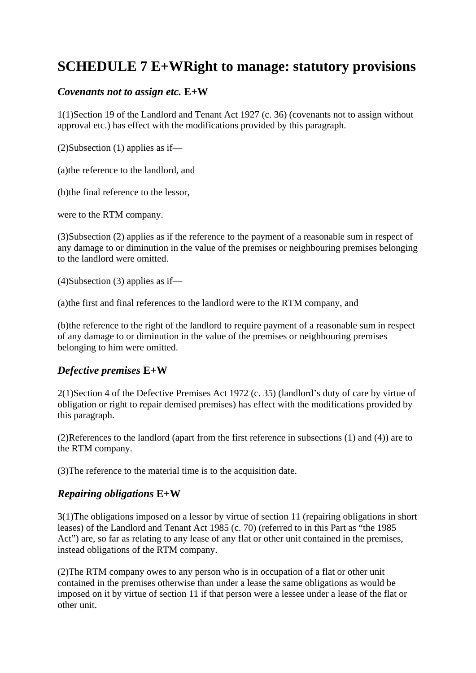## **SCHEDULE 7 E+WRight to manage: statutory provisions**

## *Covenants not to assign etc.* **E+W**

1(1)Section 19 of the Landlord and Tenant Act 1927 (c. 36) (covenants not to assign without approval etc.) has effect with the modifications provided by this paragraph.

(2)Subsection (1) applies as if—

(a)the reference to the landlord, and

(b)the final reference to the lessor,

were to the RTM company.

(3)Subsection (2) applies as if the reference to the payment of a reasonable sum in respect of any damage to or diminution in the value of the premises or neighbouring premises belonging to the landlord were omitted.

(4)Subsection (3) applies as if—

(a)the first and final references to the landlord were to the RTM company, and

(b)the reference to the right of the landlord to require payment of a reasonable sum in respect of any damage to or diminution in the value of the premises or neighbouring premises belonging to him were omitted.

## *Defective premises* **E+W**

2(1)Section 4 of the Defective Premises Act 1972 (c. 35) (landlord's duty of care by virtue of obligation or right to repair demised premises) has effect with the modifications provided by this paragraph.

(2)References to the landlord (apart from the first reference in subsections (1) and (4)) are to the RTM company.

(3)The reference to the material time is to the acquisition date.

## *Repairing obligations* **E+W**

3(1)The obligations imposed on a lessor by virtue of section 11 (repairing obligations in short leases) of the Landlord and Tenant Act 1985 (c. 70) (referred to in this Part as "the 1985 Act") are, so far as relating to any lease of any flat or other unit contained in the premises, instead obligations of the RTM company.

(2)The RTM company owes to any person who is in occupation of a flat or other unit contained in the premises otherwise than under a lease the same obligations as would be imposed on it by virtue of section 11 if that person were a lessee under a lease of the flat or other unit.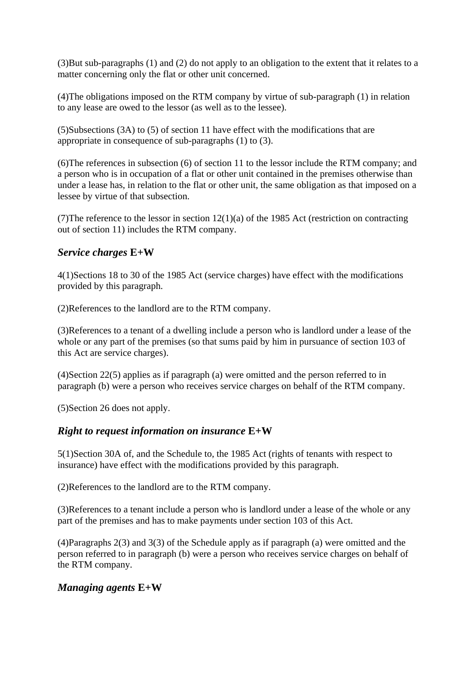(3)But sub-paragraphs (1) and (2) do not apply to an obligation to the extent that it relates to a matter concerning only the flat or other unit concerned.

(4)The obligations imposed on the RTM company by virtue of sub-paragraph (1) in relation to any lease are owed to the lessor (as well as to the lessee).

(5)Subsections (3A) to (5) of section 11 have effect with the modifications that are appropriate in consequence of sub-paragraphs (1) to (3).

(6)The references in subsection (6) of section 11 to the lessor include the RTM company; and a person who is in occupation of a flat or other unit contained in the premises otherwise than under a lease has, in relation to the flat or other unit, the same obligation as that imposed on a lessee by virtue of that subsection.

(7) The reference to the lessor in section  $12(1)(a)$  of the 1985 Act (restriction on contracting out of section 11) includes the RTM company.

## *Service charges* **E+W**

4(1)Sections 18 to 30 of the 1985 Act (service charges) have effect with the modifications provided by this paragraph.

(2)References to the landlord are to the RTM company.

(3)References to a tenant of a dwelling include a person who is landlord under a lease of the whole or any part of the premises (so that sums paid by him in pursuance of section 103 of this Act are service charges).

(4)Section 22(5) applies as if paragraph (a) were omitted and the person referred to in paragraph (b) were a person who receives service charges on behalf of the RTM company.

(5)Section 26 does not apply.

#### *Right to request information on insurance* **E+W**

5(1)Section 30A of, and the Schedule to, the 1985 Act (rights of tenants with respect to insurance) have effect with the modifications provided by this paragraph.

(2)References to the landlord are to the RTM company.

(3)References to a tenant include a person who is landlord under a lease of the whole or any part of the premises and has to make payments under section 103 of this Act.

(4)Paragraphs 2(3) and 3(3) of the Schedule apply as if paragraph (a) were omitted and the person referred to in paragraph (b) were a person who receives service charges on behalf of the RTM company.

## *Managing agents* **E+W**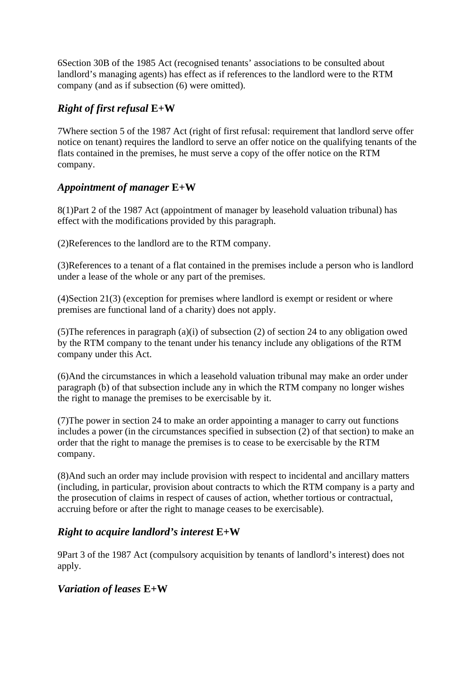6Section 30B of the 1985 Act (recognised tenants' associations to be consulted about landlord's managing agents) has effect as if references to the landlord were to the RTM company (and as if subsection (6) were omitted).

## *Right of first refusal* **E+W**

7Where section 5 of the 1987 Act (right of first refusal: requirement that landlord serve offer notice on tenant) requires the landlord to serve an offer notice on the qualifying tenants of the flats contained in the premises, he must serve a copy of the offer notice on the RTM company.

## *Appointment of manager* **E+W**

8(1)Part 2 of the 1987 Act (appointment of manager by leasehold valuation tribunal) has effect with the modifications provided by this paragraph.

(2)References to the landlord are to the RTM company.

(3)References to a tenant of a flat contained in the premises include a person who is landlord under a lease of the whole or any part of the premises.

(4)Section 21(3) (exception for premises where landlord is exempt or resident or where premises are functional land of a charity) does not apply.

(5) The references in paragraph (a)(i) of subsection (2) of section 24 to any obligation owed by the RTM company to the tenant under his tenancy include any obligations of the RTM company under this Act.

(6)And the circumstances in which a leasehold valuation tribunal may make an order under paragraph (b) of that subsection include any in which the RTM company no longer wishes the right to manage the premises to be exercisable by it.

(7)The power in section 24 to make an order appointing a manager to carry out functions includes a power (in the circumstances specified in subsection (2) of that section) to make an order that the right to manage the premises is to cease to be exercisable by the RTM company.

(8)And such an order may include provision with respect to incidental and ancillary matters (including, in particular, provision about contracts to which the RTM company is a party and the prosecution of claims in respect of causes of action, whether tortious or contractual, accruing before or after the right to manage ceases to be exercisable).

## *Right to acquire landlord's interest* **E+W**

9Part 3 of the 1987 Act (compulsory acquisition by tenants of landlord's interest) does not apply.

## *Variation of leases* **E+W**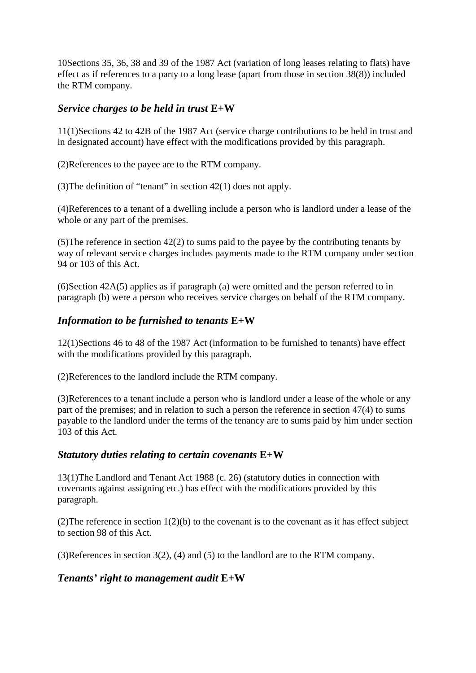10Sections 35, 36, 38 and 39 of the 1987 Act (variation of long leases relating to flats) have effect as if references to a party to a long lease (apart from those in section 38(8)) included the RTM company.

## *Service charges to be held in trust* **E+W**

11(1)Sections 42 to 42B of the 1987 Act (service charge contributions to be held in trust and in designated account) have effect with the modifications provided by this paragraph.

(2)References to the payee are to the RTM company.

(3)The definition of "tenant" in section 42(1) does not apply.

(4)References to a tenant of a dwelling include a person who is landlord under a lease of the whole or any part of the premises.

(5)The reference in section 42(2) to sums paid to the payee by the contributing tenants by way of relevant service charges includes payments made to the RTM company under section 94 or 103 of this Act.

(6)Section 42A(5) applies as if paragraph (a) were omitted and the person referred to in paragraph (b) were a person who receives service charges on behalf of the RTM company.

## *Information to be furnished to tenants* **E+W**

12(1)Sections 46 to 48 of the 1987 Act (information to be furnished to tenants) have effect with the modifications provided by this paragraph.

(2)References to the landlord include the RTM company.

(3)References to a tenant include a person who is landlord under a lease of the whole or any part of the premises; and in relation to such a person the reference in section 47(4) to sums payable to the landlord under the terms of the tenancy are to sums paid by him under section 103 of this Act.

## *Statutory duties relating to certain covenants* **E+W**

13(1)The Landlord and Tenant Act 1988 (c. 26) (statutory duties in connection with covenants against assigning etc.) has effect with the modifications provided by this paragraph.

(2) The reference in section  $1(2)(b)$  to the covenant is to the covenant as it has effect subject to section 98 of this Act.

(3)References in section 3(2), (4) and (5) to the landlord are to the RTM company.

## *Tenants' right to management audit* **E+W**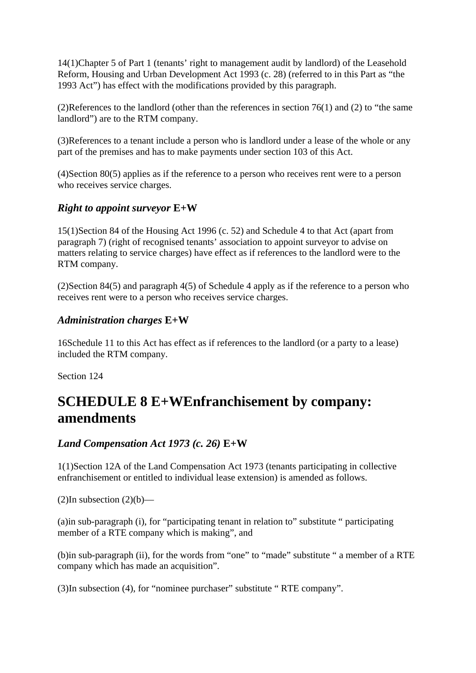14(1)Chapter 5 of Part 1 (tenants' right to management audit by landlord) of the Leasehold Reform, Housing and Urban Development Act 1993 (c. 28) (referred to in this Part as "the 1993 Act") has effect with the modifications provided by this paragraph.

(2)References to the landlord (other than the references in section 76(1) and (2) to "the same landlord") are to the RTM company.

(3)References to a tenant include a person who is landlord under a lease of the whole or any part of the premises and has to make payments under section 103 of this Act.

(4)Section 80(5) applies as if the reference to a person who receives rent were to a person who receives service charges.

#### *Right to appoint surveyor* **E+W**

15(1)Section 84 of the Housing Act 1996 (c. 52) and Schedule 4 to that Act (apart from paragraph 7) (right of recognised tenants' association to appoint surveyor to advise on matters relating to service charges) have effect as if references to the landlord were to the RTM company.

(2)Section 84(5) and paragraph 4(5) of Schedule 4 apply as if the reference to a person who receives rent were to a person who receives service charges.

#### *Administration charges* **E+W**

16Schedule 11 to this Act has effect as if references to the landlord (or a party to a lease) included the RTM company.

Section 124

## **SCHEDULE 8 E+WEnfranchisement by company: amendments**

#### *Land Compensation Act 1973 (c. 26)* **E+W**

1(1)Section 12A of the Land Compensation Act 1973 (tenants participating in collective enfranchisement or entitled to individual lease extension) is amended as follows.

 $(2)$ In subsection  $(2)(b)$ —

(a)in sub-paragraph (i), for "participating tenant in relation to" substitute " participating member of a RTE company which is making", and

(b)in sub-paragraph (ii), for the words from "one" to "made" substitute " a member of a RTE company which has made an acquisition".

(3)In subsection (4), for "nominee purchaser" substitute " RTE company".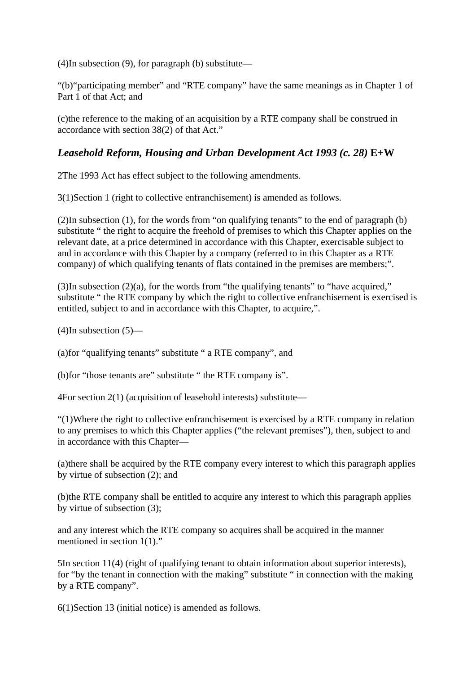(4)In subsection (9), for paragraph (b) substitute—

"(b)"participating member" and "RTE company" have the same meanings as in Chapter 1 of Part 1 of that Act; and

(c)the reference to the making of an acquisition by a RTE company shall be construed in accordance with section 38(2) of that Act."

## *Leasehold Reform, Housing and Urban Development Act 1993 (c. 28)* **E+W**

2The 1993 Act has effect subject to the following amendments.

3(1)Section 1 (right to collective enfranchisement) is amended as follows.

(2)In subsection (1), for the words from "on qualifying tenants" to the end of paragraph (b) substitute " the right to acquire the freehold of premises to which this Chapter applies on the relevant date, at a price determined in accordance with this Chapter, exercisable subject to and in accordance with this Chapter by a company (referred to in this Chapter as a RTE company) of which qualifying tenants of flats contained in the premises are members;".

(3)In subsection (2)(a), for the words from "the qualifying tenants" to "have acquired," substitute " the RTE company by which the right to collective enfranchisement is exercised is entitled, subject to and in accordance with this Chapter, to acquire,".

 $(4)$ In subsection  $(5)$ —

(a)for "qualifying tenants" substitute " a RTE company", and

(b)for "those tenants are" substitute " the RTE company is".

4For section 2(1) (acquisition of leasehold interests) substitute—

"(1)Where the right to collective enfranchisement is exercised by a RTE company in relation to any premises to which this Chapter applies ("the relevant premises"), then, subject to and in accordance with this Chapter—

(a)there shall be acquired by the RTE company every interest to which this paragraph applies by virtue of subsection (2); and

(b)the RTE company shall be entitled to acquire any interest to which this paragraph applies by virtue of subsection (3);

and any interest which the RTE company so acquires shall be acquired in the manner mentioned in section 1(1)."

5In section 11(4) (right of qualifying tenant to obtain information about superior interests), for "by the tenant in connection with the making" substitute " in connection with the making by a RTE company".

6(1)Section 13 (initial notice) is amended as follows.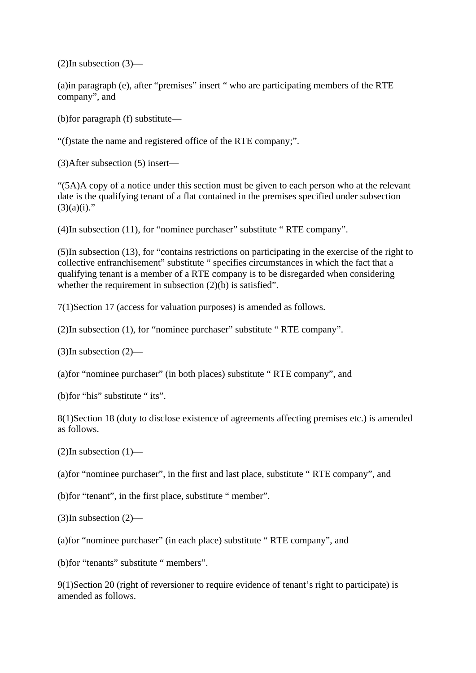(2)In subsection (3)—

(a)in paragraph (e), after "premises" insert " who are participating members of the RTE company", and

(b)for paragraph (f) substitute—

"(f)state the name and registered office of the RTE company;".

(3)After subsection (5) insert—

"(5A)A copy of a notice under this section must be given to each person who at the relevant date is the qualifying tenant of a flat contained in the premises specified under subsection  $(3)(a)(i)$ ."

(4)In subsection (11), for "nominee purchaser" substitute " RTE company".

(5)In subsection (13), for "contains restrictions on participating in the exercise of the right to collective enfranchisement" substitute " specifies circumstances in which the fact that a qualifying tenant is a member of a RTE company is to be disregarded when considering whether the requirement in subsection (2)(b) is satisfied".

7(1)Section 17 (access for valuation purposes) is amended as follows.

(2)In subsection (1), for "nominee purchaser" substitute " RTE company".

 $(3)$ In subsection  $(2)$ —

(a)for "nominee purchaser" (in both places) substitute " RTE company", and

(b)for "his" substitute " its".

8(1)Section 18 (duty to disclose existence of agreements affecting premises etc.) is amended as follows.

 $(2)$ In subsection  $(1)$ —

(a)for "nominee purchaser", in the first and last place, substitute " RTE company", and

(b)for "tenant", in the first place, substitute " member".

(3)In subsection (2)—

(a)for "nominee purchaser" (in each place) substitute " RTE company", and

(b)for "tenants" substitute " members".

9(1)Section 20 (right of reversioner to require evidence of tenant's right to participate) is amended as follows.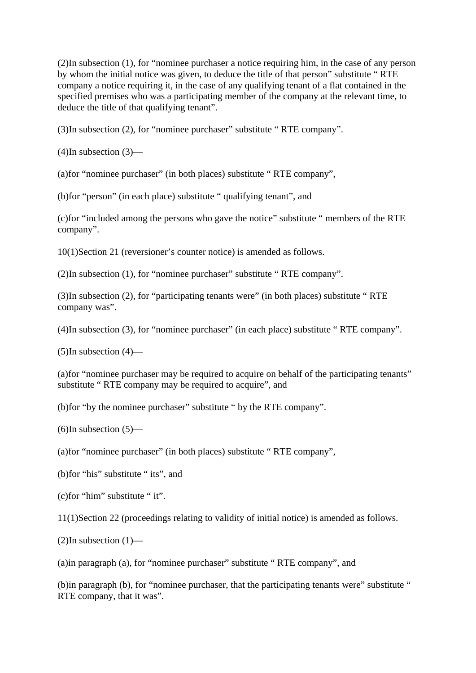(2)In subsection (1), for "nominee purchaser a notice requiring him, in the case of any person by whom the initial notice was given, to deduce the title of that person" substitute " RTE company a notice requiring it, in the case of any qualifying tenant of a flat contained in the specified premises who was a participating member of the company at the relevant time, to deduce the title of that qualifying tenant".

(3)In subsection (2), for "nominee purchaser" substitute " RTE company".

 $(4)$ In subsection  $(3)$ —

(a)for "nominee purchaser" (in both places) substitute " RTE company",

(b)for "person" (in each place) substitute " qualifying tenant", and

(c)for "included among the persons who gave the notice" substitute " members of the RTE company".

10(1)Section 21 (reversioner's counter notice) is amended as follows.

(2)In subsection (1), for "nominee purchaser" substitute " RTE company".

(3)In subsection (2), for "participating tenants were" (in both places) substitute " RTE company was".

(4)In subsection (3), for "nominee purchaser" (in each place) substitute " RTE company".

 $(5)$ In subsection  $(4)$ —

(a)for "nominee purchaser may be required to acquire on behalf of the participating tenants" substitute " RTE company may be required to acquire", and

(b)for "by the nominee purchaser" substitute " by the RTE company".

 $(6)$ In subsection  $(5)$ —

(a)for "nominee purchaser" (in both places) substitute " RTE company",

(b)for "his" substitute " its", and

(c)for "him" substitute " it".

11(1)Section 22 (proceedings relating to validity of initial notice) is amended as follows.

 $(2)$ In subsection  $(1)$ —

(a)in paragraph (a), for "nominee purchaser" substitute " RTE company", and

(b)in paragraph (b), for "nominee purchaser, that the participating tenants were" substitute " RTE company, that it was".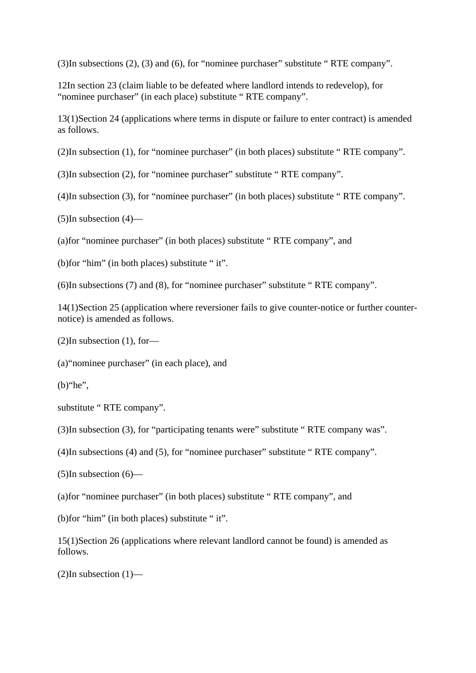(3)In subsections (2), (3) and (6), for "nominee purchaser" substitute " RTE company".

12In section 23 (claim liable to be defeated where landlord intends to redevelop), for "nominee purchaser" (in each place) substitute " RTE company".

13(1)Section 24 (applications where terms in dispute or failure to enter contract) is amended as follows.

(2)In subsection (1), for "nominee purchaser" (in both places) substitute " RTE company".

(3)In subsection (2), for "nominee purchaser" substitute " RTE company".

(4)In subsection (3), for "nominee purchaser" (in both places) substitute " RTE company".

 $(5)$ In subsection  $(4)$ —

(a)for "nominee purchaser" (in both places) substitute " RTE company", and

(b)for "him" (in both places) substitute " it".

(6)In subsections (7) and (8), for "nominee purchaser" substitute " RTE company".

14(1)Section 25 (application where reversioner fails to give counter-notice or further counternotice) is amended as follows.

(2)In subsection (1), for—

(a)"nominee purchaser" (in each place), and

 $(b)$ "he",

substitute " RTE company".

(3)In subsection (3), for "participating tenants were" substitute " RTE company was".

(4)In subsections (4) and (5), for "nominee purchaser" substitute " RTE company".

 $(5)$ In subsection  $(6)$ —

(a)for "nominee purchaser" (in both places) substitute " RTE company", and

(b)for "him" (in both places) substitute " it".

15(1)Section 26 (applications where relevant landlord cannot be found) is amended as follows.

 $(2)$ In subsection  $(1)$ —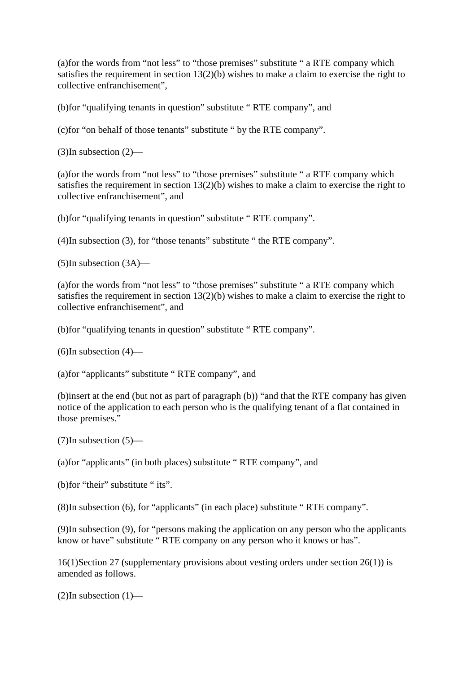(a)for the words from "not less" to "those premises" substitute " a RTE company which satisfies the requirement in section 13(2)(b) wishes to make a claim to exercise the right to collective enfranchisement",

(b)for "qualifying tenants in question" substitute " RTE company", and

(c)for "on behalf of those tenants" substitute " by the RTE company".

(3)In subsection (2)—

(a)for the words from "not less" to "those premises" substitute " a RTE company which satisfies the requirement in section 13(2)(b) wishes to make a claim to exercise the right to collective enfranchisement", and

(b)for "qualifying tenants in question" substitute " RTE company".

(4)In subsection (3), for "those tenants" substitute " the RTE company".

(5)In subsection (3A)—

(a)for the words from "not less" to "those premises" substitute " a RTE company which satisfies the requirement in section  $13(2)(b)$  wishes to make a claim to exercise the right to collective enfranchisement", and

(b)for "qualifying tenants in question" substitute " RTE company".

 $(6)$ In subsection  $(4)$ —

(a)for "applicants" substitute " RTE company", and

(b)insert at the end (but not as part of paragraph (b)) "and that the RTE company has given notice of the application to each person who is the qualifying tenant of a flat contained in those premises."

(7)In subsection (5)—

(a)for "applicants" (in both places) substitute " RTE company", and

(b)for "their" substitute " its".

(8)In subsection (6), for "applicants" (in each place) substitute " RTE company".

(9)In subsection (9), for "persons making the application on any person who the applicants know or have" substitute " RTE company on any person who it knows or has".

16(1)Section 27 (supplementary provisions about vesting orders under section 26(1)) is amended as follows.

 $(2)$ In subsection  $(1)$ —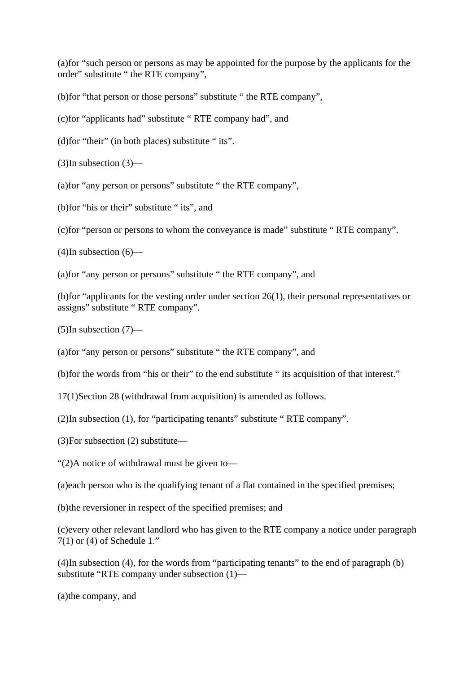(a)for "such person or persons as may be appointed for the purpose by the applicants for the order" substitute " the RTE company",

(b)for "that person or those persons" substitute " the RTE company",

(c)for "applicants had" substitute " RTE company had", and

(d)for "their" (in both places) substitute " its".

 $(3)$ In subsection  $(3)$ —

(a)for "any person or persons" substitute " the RTE company",

(b)for "his or their" substitute " its", and

(c)for "person or persons to whom the conveyance is made" substitute " RTE company".

 $(4)$ In subsection  $(6)$ —

(a)for "any person or persons" substitute " the RTE company", and

(b)for "applicants for the vesting order under section 26(1), their personal representatives or assigns" substitute " RTE company".

(5)In subsection (7)—

(a)for "any person or persons" substitute " the RTE company", and

(b)for the words from "his or their" to the end substitute " its acquisition of that interest."

17(1)Section 28 (withdrawal from acquisition) is amended as follows.

(2)In subsection (1), for "participating tenants" substitute " RTE company".

(3)For subsection (2) substitute—

"(2)A notice of withdrawal must be given to—

(a)each person who is the qualifying tenant of a flat contained in the specified premises;

(b)the reversioner in respect of the specified premises; and

(c)every other relevant landlord who has given to the RTE company a notice under paragraph  $7(1)$  or (4) of Schedule 1."

(4)In subsection (4), for the words from "participating tenants" to the end of paragraph (b) substitute "RTE company under subsection (1)—

(a)the company, and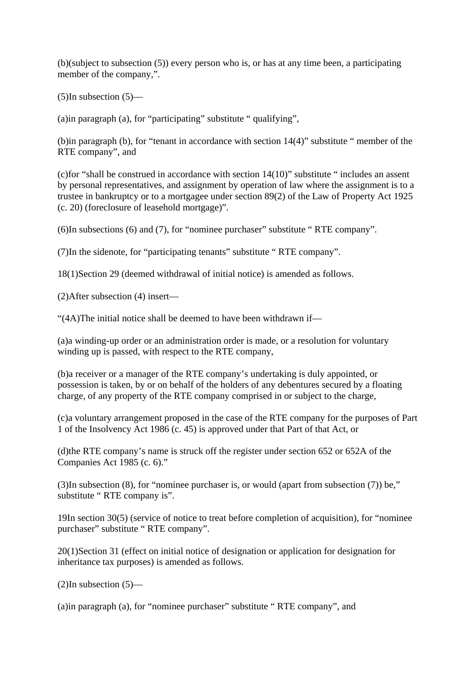(b)(subject to subsection (5)) every person who is, or has at any time been, a participating member of the company,".

 $(5)$ In subsection  $(5)$ —

(a)in paragraph (a), for "participating" substitute " qualifying",

(b)in paragraph (b), for "tenant in accordance with section 14(4)" substitute " member of the RTE company", and

(c)for "shall be construed in accordance with section 14(10)" substitute " includes an assent by personal representatives, and assignment by operation of law where the assignment is to a trustee in bankruptcy or to a mortgagee under section 89(2) of the Law of Property Act 1925 (c. 20) (foreclosure of leasehold mortgage)".

(6)In subsections (6) and (7), for "nominee purchaser" substitute " RTE company".

(7)In the sidenote, for "participating tenants" substitute " RTE company".

18(1)Section 29 (deemed withdrawal of initial notice) is amended as follows.

(2)After subsection (4) insert—

"(4A)The initial notice shall be deemed to have been withdrawn if—

(a)a winding-up order or an administration order is made, or a resolution for voluntary winding up is passed, with respect to the RTE company,

(b)a receiver or a manager of the RTE company's undertaking is duly appointed, or possession is taken, by or on behalf of the holders of any debentures secured by a floating charge, of any property of the RTE company comprised in or subject to the charge,

(c)a voluntary arrangement proposed in the case of the RTE company for the purposes of Part 1 of the Insolvency Act 1986 (c. 45) is approved under that Part of that Act, or

(d)the RTE company's name is struck off the register under section 652 or 652A of the Companies Act 1985 (c. 6)."

(3)In subsection (8), for "nominee purchaser is, or would (apart from subsection (7)) be," substitute " RTE company is".

19In section 30(5) (service of notice to treat before completion of acquisition), for "nominee purchaser" substitute " RTE company".

20(1)Section 31 (effect on initial notice of designation or application for designation for inheritance tax purposes) is amended as follows.

 $(2)$ In subsection  $(5)$ —

(a)in paragraph (a), for "nominee purchaser" substitute " RTE company", and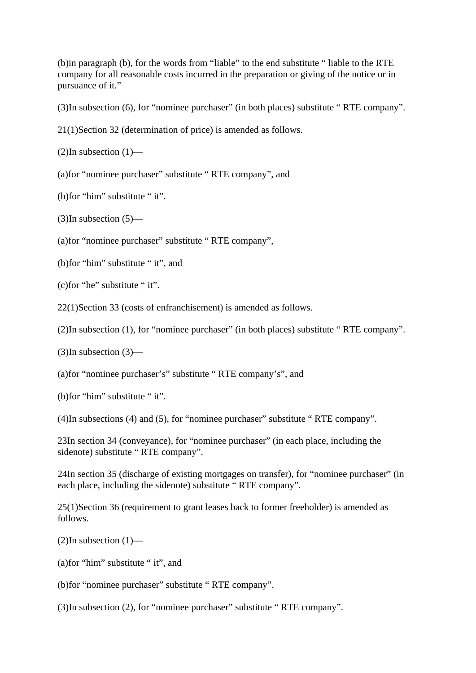(b)in paragraph (b), for the words from "liable" to the end substitute " liable to the RTE company for all reasonable costs incurred in the preparation or giving of the notice or in pursuance of it."

(3)In subsection (6), for "nominee purchaser" (in both places) substitute " RTE company".

21(1)Section 32 (determination of price) is amended as follows.

 $(2)$ In subsection  $(1)$ —

(a)for "nominee purchaser" substitute " RTE company", and

(b)for "him" substitute " it".

 $(3)$ In subsection  $(5)$ —

(a)for "nominee purchaser" substitute " RTE company",

(b)for "him" substitute " it", and

(c)for "he" substitute " it".

22(1)Section 33 (costs of enfranchisement) is amended as follows.

(2)In subsection (1), for "nominee purchaser" (in both places) substitute " RTE company".

 $(3)$ In subsection  $(3)$ —

(a)for "nominee purchaser's" substitute " RTE company's", and

(b)for "him" substitute " it".

(4)In subsections (4) and (5), for "nominee purchaser" substitute " RTE company".

23In section 34 (conveyance), for "nominee purchaser" (in each place, including the sidenote) substitute " RTE company".

24In section 35 (discharge of existing mortgages on transfer), for "nominee purchaser" (in each place, including the sidenote) substitute " RTE company".

25(1)Section 36 (requirement to grant leases back to former freeholder) is amended as follows.

 $(2)$ In subsection  $(1)$ —

(a)for "him" substitute " it", and

(b)for "nominee purchaser" substitute " RTE company".

(3)In subsection (2), for "nominee purchaser" substitute " RTE company".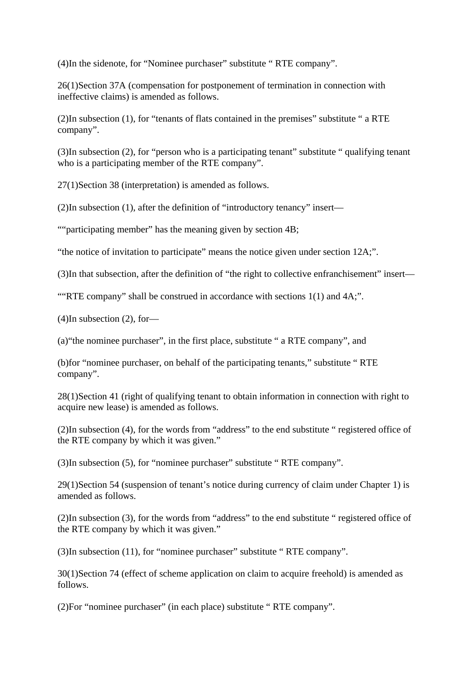(4)In the sidenote, for "Nominee purchaser" substitute " RTE company".

26(1)Section 37A (compensation for postponement of termination in connection with ineffective claims) is amended as follows.

(2)In subsection (1), for "tenants of flats contained in the premises" substitute " a RTE company".

(3)In subsection (2), for "person who is a participating tenant" substitute " qualifying tenant who is a participating member of the RTE company".

27(1)Section 38 (interpretation) is amended as follows.

(2)In subsection (1), after the definition of "introductory tenancy" insert—

""participating member" has the meaning given by section 4B;

"the notice of invitation to participate" means the notice given under section 12A;".

(3)In that subsection, after the definition of "the right to collective enfranchisement" insert—

""RTE company" shall be construed in accordance with sections 1(1) and 4A;".

(4)In subsection (2), for—

(a)"the nominee purchaser", in the first place, substitute " a RTE company", and

(b)for "nominee purchaser, on behalf of the participating tenants," substitute " RTE company".

28(1)Section 41 (right of qualifying tenant to obtain information in connection with right to acquire new lease) is amended as follows.

(2)In subsection (4), for the words from "address" to the end substitute " registered office of the RTE company by which it was given."

(3)In subsection (5), for "nominee purchaser" substitute " RTE company".

29(1)Section 54 (suspension of tenant's notice during currency of claim under Chapter 1) is amended as follows.

(2)In subsection (3), for the words from "address" to the end substitute " registered office of the RTE company by which it was given."

(3)In subsection (11), for "nominee purchaser" substitute " RTE company".

30(1)Section 74 (effect of scheme application on claim to acquire freehold) is amended as follows.

(2)For "nominee purchaser" (in each place) substitute " RTE company".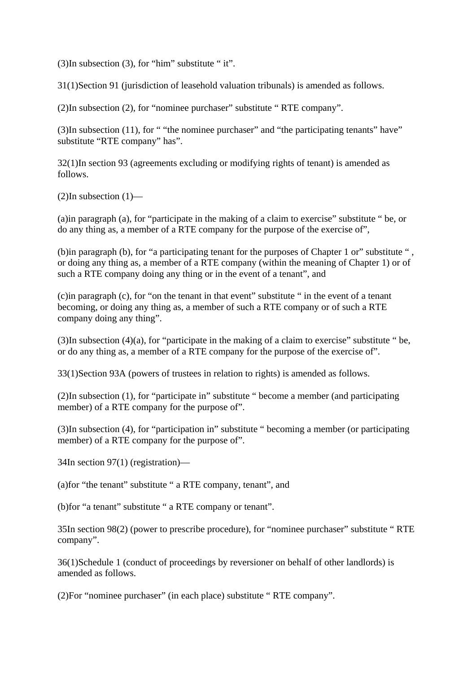$(3)$ In subsection  $(3)$ , for "him" substitute " it".

31(1)Section 91 (jurisdiction of leasehold valuation tribunals) is amended as follows.

(2)In subsection (2), for "nominee purchaser" substitute " RTE company".

(3)In subsection (11), for " "the nominee purchaser" and "the participating tenants" have" substitute "RTE company" has".

32(1)In section 93 (agreements excluding or modifying rights of tenant) is amended as follows.

(2)In subsection (1)—

(a)in paragraph (a), for "participate in the making of a claim to exercise" substitute " be, or do any thing as, a member of a RTE company for the purpose of the exercise of",

(b)in paragraph (b), for "a participating tenant for the purposes of Chapter 1 or" substitute " , or doing any thing as, a member of a RTE company (within the meaning of Chapter 1) or of such a RTE company doing any thing or in the event of a tenant", and

(c)in paragraph (c), for "on the tenant in that event" substitute " in the event of a tenant becoming, or doing any thing as, a member of such a RTE company or of such a RTE company doing any thing".

(3)In subsection  $(4)(a)$ , for "participate in the making of a claim to exercise" substitute " be, or do any thing as, a member of a RTE company for the purpose of the exercise of".

33(1)Section 93A (powers of trustees in relation to rights) is amended as follows.

(2)In subsection (1), for "participate in" substitute " become a member (and participating member) of a RTE company for the purpose of".

(3)In subsection (4), for "participation in" substitute " becoming a member (or participating member) of a RTE company for the purpose of".

34In section 97(1) (registration)—

(a)for "the tenant" substitute " a RTE company, tenant", and

(b)for "a tenant" substitute " a RTE company or tenant".

35In section 98(2) (power to prescribe procedure), for "nominee purchaser" substitute " RTE company".

36(1)Schedule 1 (conduct of proceedings by reversioner on behalf of other landlords) is amended as follows.

(2)For "nominee purchaser" (in each place) substitute " RTE company".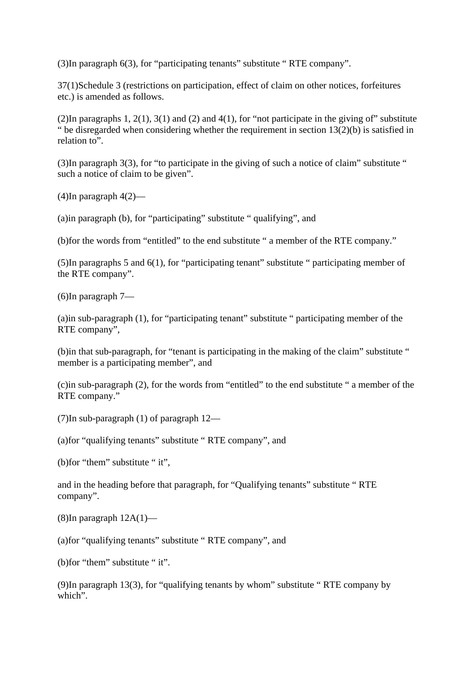(3)In paragraph 6(3), for "participating tenants" substitute " RTE company".

37(1)Schedule 3 (restrictions on participation, effect of claim on other notices, forfeitures etc.) is amended as follows.

(2)In paragraphs 1, 2(1), 3(1) and (2) and 4(1), for "not participate in the giving of" substitute " be disregarded when considering whether the requirement in section  $13(2)(b)$  is satisfied in relation to".

(3)In paragraph 3(3), for "to participate in the giving of such a notice of claim" substitute " such a notice of claim to be given".

(4)In paragraph 4(2)—

(a)in paragraph (b), for "participating" substitute " qualifying", and

(b)for the words from "entitled" to the end substitute " a member of the RTE company."

(5)In paragraphs 5 and 6(1), for "participating tenant" substitute " participating member of the RTE company".

(6)In paragraph 7—

(a)in sub-paragraph (1), for "participating tenant" substitute " participating member of the RTE company",

(b)in that sub-paragraph, for "tenant is participating in the making of the claim" substitute " member is a participating member", and

(c)in sub-paragraph (2), for the words from "entitled" to the end substitute " a member of the RTE company."

(7)In sub-paragraph (1) of paragraph 12—

(a)for "qualifying tenants" substitute " RTE company", and

(b)for "them" substitute " it",

and in the heading before that paragraph, for "Qualifying tenants" substitute " RTE company".

(8)In paragraph 12A(1)—

(a)for "qualifying tenants" substitute " RTE company", and

(b)for "them" substitute " it".

(9)In paragraph 13(3), for "qualifying tenants by whom" substitute " RTE company by which".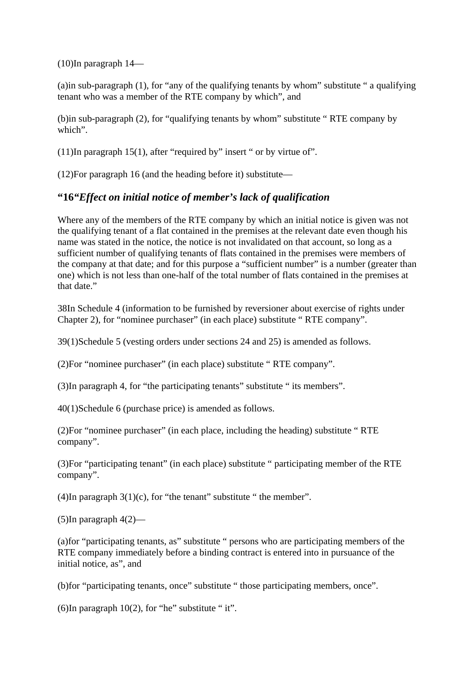(10)In paragraph 14—

(a)in sub-paragraph (1), for "any of the qualifying tenants by whom" substitute " a qualifying tenant who was a member of the RTE company by which", and

(b)in sub-paragraph (2), for "qualifying tenants by whom" substitute " RTE company by which".

(11)In paragraph 15(1), after "required by" insert " or by virtue of".

(12)For paragraph 16 (and the heading before it) substitute—

## **"16***"Effect on initial notice of member's lack of qualification*

Where any of the members of the RTE company by which an initial notice is given was not the qualifying tenant of a flat contained in the premises at the relevant date even though his name was stated in the notice, the notice is not invalidated on that account, so long as a sufficient number of qualifying tenants of flats contained in the premises were members of the company at that date; and for this purpose a "sufficient number" is a number (greater than one) which is not less than one-half of the total number of flats contained in the premises at that date."

38In Schedule 4 (information to be furnished by reversioner about exercise of rights under Chapter 2), for "nominee purchaser" (in each place) substitute " RTE company".

39(1)Schedule 5 (vesting orders under sections 24 and 25) is amended as follows.

(2)For "nominee purchaser" (in each place) substitute " RTE company".

(3)In paragraph 4, for "the participating tenants" substitute " its members".

40(1)Schedule 6 (purchase price) is amended as follows.

(2)For "nominee purchaser" (in each place, including the heading) substitute " RTE company".

(3)For "participating tenant" (in each place) substitute " participating member of the RTE company".

(4)In paragraph  $3(1)(c)$ , for "the tenant" substitute " the member".

 $(5)$ In paragraph  $4(2)$ —

(a)for "participating tenants, as" substitute " persons who are participating members of the RTE company immediately before a binding contract is entered into in pursuance of the initial notice, as", and

(b)for "participating tenants, once" substitute " those participating members, once".

(6)In paragraph  $10(2)$ , for "he" substitute " it".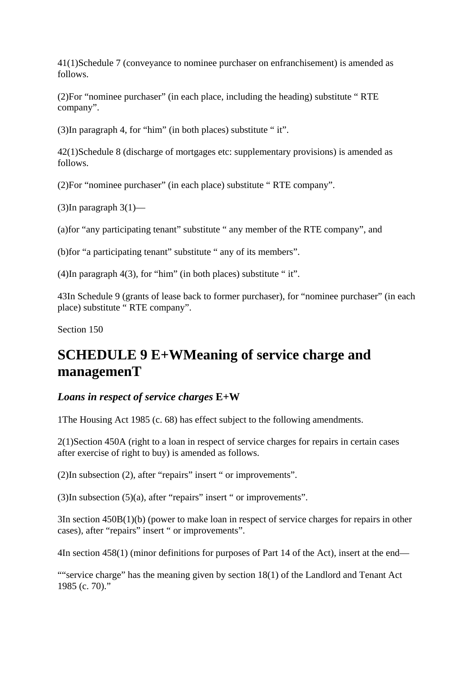41(1)Schedule 7 (conveyance to nominee purchaser on enfranchisement) is amended as follows.

(2)For "nominee purchaser" (in each place, including the heading) substitute " RTE company".

(3)In paragraph 4, for "him" (in both places) substitute " it".

42(1)Schedule 8 (discharge of mortgages etc: supplementary provisions) is amended as follows.

(2)For "nominee purchaser" (in each place) substitute " RTE company".

(3)In paragraph  $3(1)$ —

(a)for "any participating tenant" substitute " any member of the RTE company", and

(b)for "a participating tenant" substitute " any of its members".

(4)In paragraph 4(3), for "him" (in both places) substitute " it".

43In Schedule 9 (grants of lease back to former purchaser), for "nominee purchaser" (in each place) substitute " RTE company".

Section 150

## **SCHEDULE 9 E+WMeaning of service charge and managemenT**

#### *Loans in respect of service charges* **E+W**

1The Housing Act 1985 (c. 68) has effect subject to the following amendments.

2(1)Section 450A (right to a loan in respect of service charges for repairs in certain cases after exercise of right to buy) is amended as follows.

(2)In subsection (2), after "repairs" insert " or improvements".

(3)In subsection (5)(a), after "repairs" insert " or improvements".

3In section 450B(1)(b) (power to make loan in respect of service charges for repairs in other cases), after "repairs" insert " or improvements".

4In section 458(1) (minor definitions for purposes of Part 14 of the Act), insert at the end—

""service charge" has the meaning given by section 18(1) of the Landlord and Tenant Act 1985 (c. 70)."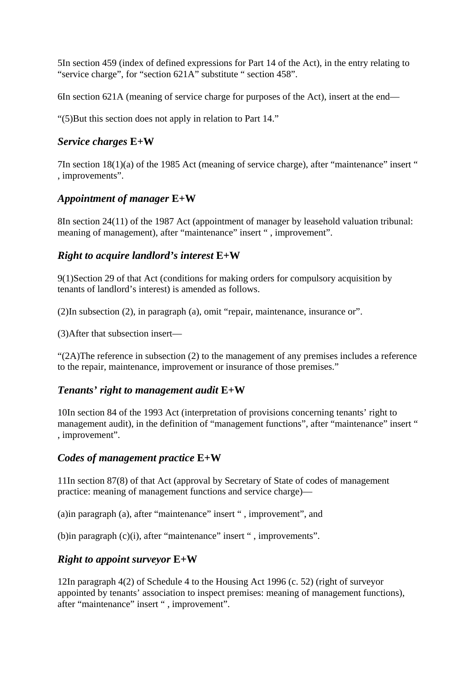5In section 459 (index of defined expressions for Part 14 of the Act), in the entry relating to "service charge", for "section 621A" substitute " section 458".

6In section 621A (meaning of service charge for purposes of the Act), insert at the end—

"(5)But this section does not apply in relation to Part 14."

## *Service charges* **E+W**

7In section 18(1)(a) of the 1985 Act (meaning of service charge), after "maintenance" insert " , improvements".

## *Appointment of manager* **E+W**

8In section 24(11) of the 1987 Act (appointment of manager by leasehold valuation tribunal: meaning of management), after "maintenance" insert ", improvement".

## *Right to acquire landlord's interest* **E+W**

9(1)Section 29 of that Act (conditions for making orders for compulsory acquisition by tenants of landlord's interest) is amended as follows.

(2)In subsection (2), in paragraph (a), omit "repair, maintenance, insurance or".

(3)After that subsection insert—

" $(2)$ The reference in subsection (2) to the management of any premises includes a reference to the repair, maintenance, improvement or insurance of those premises."

#### *Tenants' right to management audit* **E+W**

10In section 84 of the 1993 Act (interpretation of provisions concerning tenants' right to management audit), in the definition of "management functions", after "maintenance" insert " , improvement".

## *Codes of management practice* **E+W**

11In section 87(8) of that Act (approval by Secretary of State of codes of management practice: meaning of management functions and service charge)—

(a)in paragraph (a), after "maintenance" insert " , improvement", and

(b)in paragraph (c)(i), after "maintenance" insert " , improvements".

## *Right to appoint surveyor* **E+W**

12In paragraph 4(2) of Schedule 4 to the Housing Act 1996 (c. 52) (right of surveyor appointed by tenants' association to inspect premises: meaning of management functions), after "maintenance" insert " , improvement".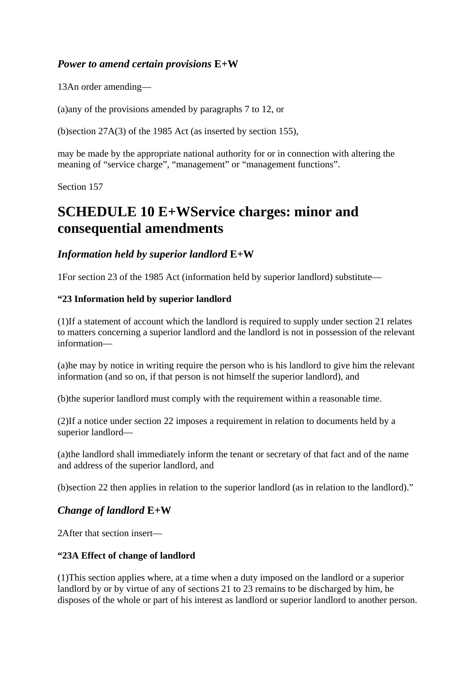## *Power to amend certain provisions* **E+W**

13An order amending—

(a)any of the provisions amended by paragraphs 7 to 12, or

(b)section 27A(3) of the 1985 Act (as inserted by section 155),

may be made by the appropriate national authority for or in connection with altering the meaning of "service charge", "management" or "management functions".

Section 157

# **SCHEDULE 10 E+WService charges: minor and consequential amendments**

## *Information held by superior landlord* **E+W**

1For section 23 of the 1985 Act (information held by superior landlord) substitute—

## **"23 Information held by superior landlord**

(1)If a statement of account which the landlord is required to supply under section 21 relates to matters concerning a superior landlord and the landlord is not in possession of the relevant information—

(a)he may by notice in writing require the person who is his landlord to give him the relevant information (and so on, if that person is not himself the superior landlord), and

(b)the superior landlord must comply with the requirement within a reasonable time.

(2)If a notice under section 22 imposes a requirement in relation to documents held by a superior landlord—

(a)the landlord shall immediately inform the tenant or secretary of that fact and of the name and address of the superior landlord, and

(b)section 22 then applies in relation to the superior landlord (as in relation to the landlord)."

## *Change of landlord* **E+W**

2After that section insert—

#### **"23A Effect of change of landlord**

(1)This section applies where, at a time when a duty imposed on the landlord or a superior landlord by or by virtue of any of sections 21 to 23 remains to be discharged by him, he disposes of the whole or part of his interest as landlord or superior landlord to another person.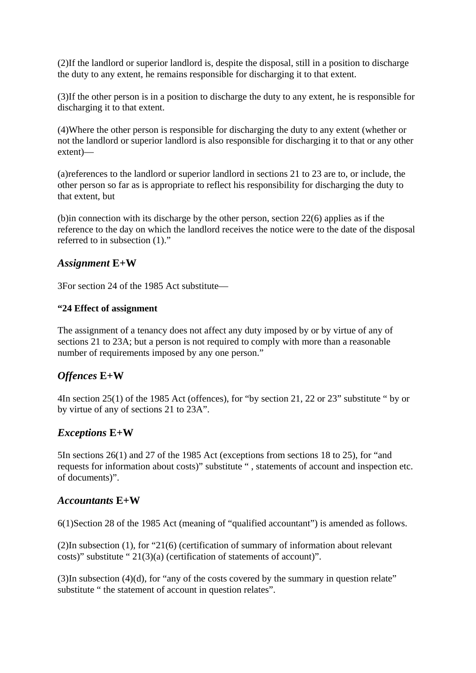(2)If the landlord or superior landlord is, despite the disposal, still in a position to discharge the duty to any extent, he remains responsible for discharging it to that extent.

(3)If the other person is in a position to discharge the duty to any extent, he is responsible for discharging it to that extent.

(4)Where the other person is responsible for discharging the duty to any extent (whether or not the landlord or superior landlord is also responsible for discharging it to that or any other extent)—

(a)references to the landlord or superior landlord in sections 21 to 23 are to, or include, the other person so far as is appropriate to reflect his responsibility for discharging the duty to that extent, but

(b)in connection with its discharge by the other person, section 22(6) applies as if the reference to the day on which the landlord receives the notice were to the date of the disposal referred to in subsection (1)."

## *Assignment* **E+W**

3For section 24 of the 1985 Act substitute—

#### **"24 Effect of assignment**

The assignment of a tenancy does not affect any duty imposed by or by virtue of any of sections 21 to 23A; but a person is not required to comply with more than a reasonable number of requirements imposed by any one person."

## *Offences* **E+W**

4In section 25(1) of the 1985 Act (offences), for "by section 21, 22 or 23" substitute " by or by virtue of any of sections 21 to 23A".

## *Exceptions* **E+W**

5In sections 26(1) and 27 of the 1985 Act (exceptions from sections 18 to 25), for "and requests for information about costs)" substitute " , statements of account and inspection etc. of documents)".

#### *Accountants* **E+W**

6(1)Section 28 of the 1985 Act (meaning of "qualified accountant") is amended as follows.

(2)In subsection (1), for "21(6) (certification of summary of information about relevant costs)" substitute " 21(3)(a) (certification of statements of account)".

 $(3)$ In subsection  $(4)(d)$ , for "any of the costs covered by the summary in question relate" substitute " the statement of account in question relates".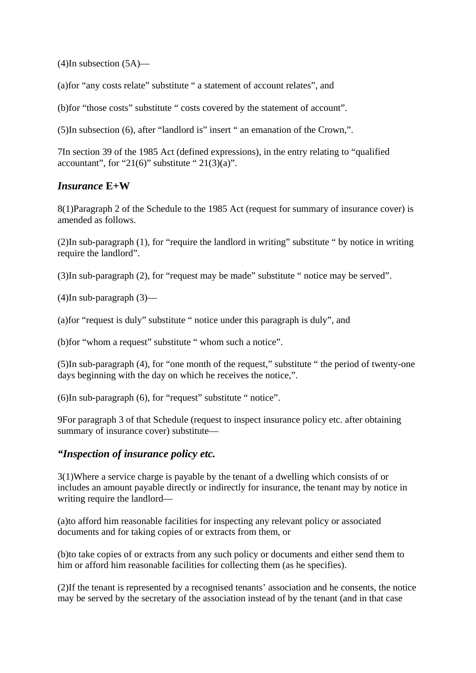$(4)$ In subsection  $(5A)$ —

(a)for "any costs relate" substitute " a statement of account relates", and

(b)for "those costs" substitute " costs covered by the statement of account".

(5)In subsection (6), after "landlord is" insert " an emanation of the Crown,".

7In section 39 of the 1985 Act (defined expressions), in the entry relating to "qualified accountant", for "21(6)" substitute "  $21(3)(a)$ ".

## *Insurance* **E+W**

8(1)Paragraph 2 of the Schedule to the 1985 Act (request for summary of insurance cover) is amended as follows.

(2)In sub-paragraph (1), for "require the landlord in writing" substitute " by notice in writing require the landlord".

(3)In sub-paragraph (2), for "request may be made" substitute " notice may be served".

(4)In sub-paragraph (3)—

(a)for "request is duly" substitute " notice under this paragraph is duly", and

(b)for "whom a request" substitute " whom such a notice".

(5)In sub-paragraph (4), for "one month of the request," substitute " the period of twenty-one days beginning with the day on which he receives the notice,".

(6)In sub-paragraph (6), for "request" substitute " notice".

9For paragraph 3 of that Schedule (request to inspect insurance policy etc. after obtaining summary of insurance cover) substitute—

#### *"Inspection of insurance policy etc.*

3(1)Where a service charge is payable by the tenant of a dwelling which consists of or includes an amount payable directly or indirectly for insurance, the tenant may by notice in writing require the landlord—

(a)to afford him reasonable facilities for inspecting any relevant policy or associated documents and for taking copies of or extracts from them, or

(b)to take copies of or extracts from any such policy or documents and either send them to him or afford him reasonable facilities for collecting them (as he specifies).

(2)If the tenant is represented by a recognised tenants' association and he consents, the notice may be served by the secretary of the association instead of by the tenant (and in that case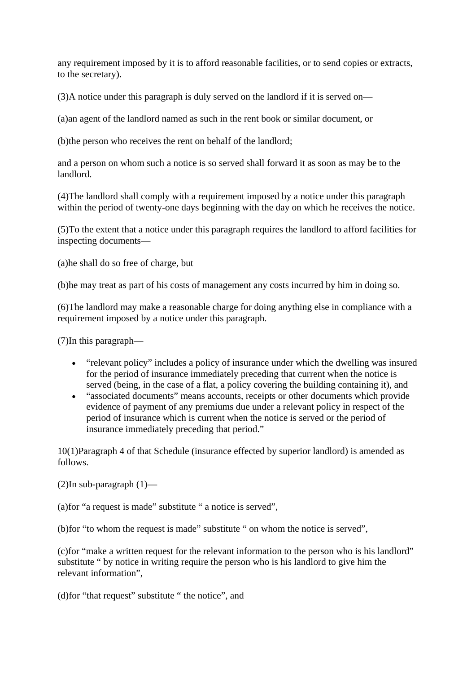any requirement imposed by it is to afford reasonable facilities, or to send copies or extracts, to the secretary).

(3)A notice under this paragraph is duly served on the landlord if it is served on—

(a)an agent of the landlord named as such in the rent book or similar document, or

(b)the person who receives the rent on behalf of the landlord;

and a person on whom such a notice is so served shall forward it as soon as may be to the landlord.

(4)The landlord shall comply with a requirement imposed by a notice under this paragraph within the period of twenty-one days beginning with the day on which he receives the notice.

(5)To the extent that a notice under this paragraph requires the landlord to afford facilities for inspecting documents—

(a)he shall do so free of charge, but

(b)he may treat as part of his costs of management any costs incurred by him in doing so.

(6)The landlord may make a reasonable charge for doing anything else in compliance with a requirement imposed by a notice under this paragraph.

(7)In this paragraph—

- "relevant policy" includes a policy of insurance under which the dwelling was insured for the period of insurance immediately preceding that current when the notice is served (being, in the case of a flat, a policy covering the building containing it), and
- "associated documents" means accounts, receipts or other documents which provide evidence of payment of any premiums due under a relevant policy in respect of the period of insurance which is current when the notice is served or the period of insurance immediately preceding that period."

10(1)Paragraph 4 of that Schedule (insurance effected by superior landlord) is amended as follows.

 $(2)$ In sub-paragraph  $(1)$ —

(a)for "a request is made" substitute " a notice is served",

(b)for "to whom the request is made" substitute " on whom the notice is served",

(c)for "make a written request for the relevant information to the person who is his landlord" substitute " by notice in writing require the person who is his landlord to give him the relevant information",

(d)for "that request" substitute " the notice", and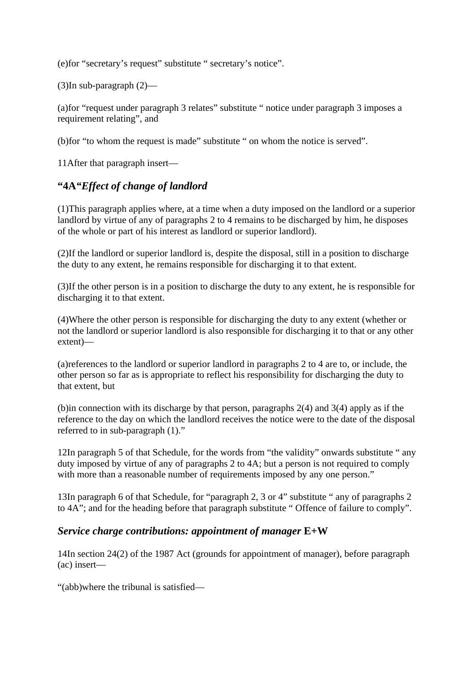(e)for "secretary's request" substitute " secretary's notice".

(3)In sub-paragraph (2)—

(a)for "request under paragraph 3 relates" substitute " notice under paragraph 3 imposes a requirement relating", and

(b)for "to whom the request is made" substitute " on whom the notice is served".

11After that paragraph insert—

## **"4A***"Effect of change of landlord*

(1)This paragraph applies where, at a time when a duty imposed on the landlord or a superior landlord by virtue of any of paragraphs 2 to 4 remains to be discharged by him, he disposes of the whole or part of his interest as landlord or superior landlord).

(2)If the landlord or superior landlord is, despite the disposal, still in a position to discharge the duty to any extent, he remains responsible for discharging it to that extent.

(3)If the other person is in a position to discharge the duty to any extent, he is responsible for discharging it to that extent.

(4)Where the other person is responsible for discharging the duty to any extent (whether or not the landlord or superior landlord is also responsible for discharging it to that or any other extent)—

(a)references to the landlord or superior landlord in paragraphs 2 to 4 are to, or include, the other person so far as is appropriate to reflect his responsibility for discharging the duty to that extent, but

(b)in connection with its discharge by that person, paragraphs 2(4) and 3(4) apply as if the reference to the day on which the landlord receives the notice were to the date of the disposal referred to in sub-paragraph (1)."

12In paragraph 5 of that Schedule, for the words from "the validity" onwards substitute " any duty imposed by virtue of any of paragraphs 2 to 4A; but a person is not required to comply with more than a reasonable number of requirements imposed by any one person."

13In paragraph 6 of that Schedule, for "paragraph 2, 3 or 4" substitute " any of paragraphs 2 to 4A"; and for the heading before that paragraph substitute " Offence of failure to comply".

#### *Service charge contributions: appointment of manager* **E+W**

14In section 24(2) of the 1987 Act (grounds for appointment of manager), before paragraph (ac) insert—

"(abb)where the tribunal is satisfied—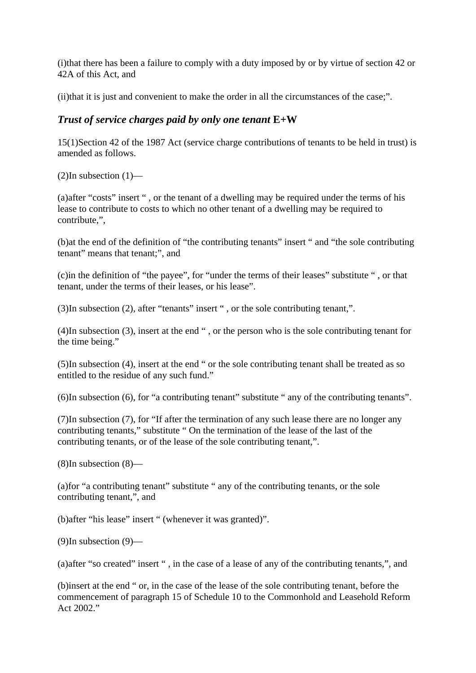(i)that there has been a failure to comply with a duty imposed by or by virtue of section 42 or 42A of this Act, and

(ii)that it is just and convenient to make the order in all the circumstances of the case;".

## *Trust of service charges paid by only one tenant* **E+W**

15(1)Section 42 of the 1987 Act (service charge contributions of tenants to be held in trust) is amended as follows.

 $(2)$ In subsection  $(1)$ —

(a)after "costs" insert " , or the tenant of a dwelling may be required under the terms of his lease to contribute to costs to which no other tenant of a dwelling may be required to contribute,",

(b)at the end of the definition of "the contributing tenants" insert " and "the sole contributing tenant" means that tenant;", and

(c)in the definition of "the payee", for "under the terms of their leases" substitute " , or that tenant, under the terms of their leases, or his lease".

(3)In subsection (2), after "tenants" insert " , or the sole contributing tenant,".

(4)In subsection (3), insert at the end " , or the person who is the sole contributing tenant for the time being."

(5)In subsection (4), insert at the end " or the sole contributing tenant shall be treated as so entitled to the residue of any such fund."

(6)In subsection (6), for "a contributing tenant" substitute " any of the contributing tenants".

(7)In subsection (7), for "If after the termination of any such lease there are no longer any contributing tenants," substitute " On the termination of the lease of the last of the contributing tenants, or of the lease of the sole contributing tenant,".

(8)In subsection (8)—

(a)for "a contributing tenant" substitute " any of the contributing tenants, or the sole contributing tenant,", and

(b)after "his lease" insert " (whenever it was granted)".

(9)In subsection (9)—

(a)after "so created" insert " , in the case of a lease of any of the contributing tenants,", and

(b)insert at the end " or, in the case of the lease of the sole contributing tenant, before the commencement of paragraph 15 of Schedule 10 to the Commonhold and Leasehold Reform Act 2002."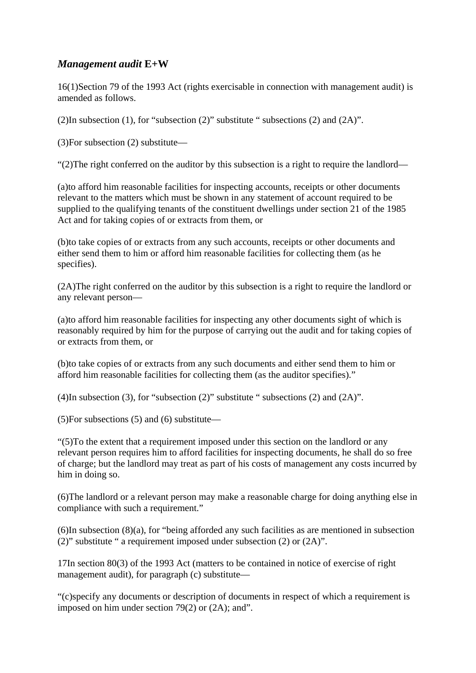## *Management audit* **E+W**

16(1)Section 79 of the 1993 Act (rights exercisable in connection with management audit) is amended as follows.

(2)In subsection (1), for "subsection (2)" substitute " subsections (2) and (2A)".

(3)For subsection (2) substitute—

"(2)The right conferred on the auditor by this subsection is a right to require the landlord—

(a)to afford him reasonable facilities for inspecting accounts, receipts or other documents relevant to the matters which must be shown in any statement of account required to be supplied to the qualifying tenants of the constituent dwellings under section 21 of the 1985 Act and for taking copies of or extracts from them, or

(b)to take copies of or extracts from any such accounts, receipts or other documents and either send them to him or afford him reasonable facilities for collecting them (as he specifies).

(2A)The right conferred on the auditor by this subsection is a right to require the landlord or any relevant person—

(a)to afford him reasonable facilities for inspecting any other documents sight of which is reasonably required by him for the purpose of carrying out the audit and for taking copies of or extracts from them, or

(b)to take copies of or extracts from any such documents and either send them to him or afford him reasonable facilities for collecting them (as the auditor specifies)."

(4)In subsection (3), for "subsection (2)" substitute " subsections (2) and (2A)".

(5)For subsections (5) and (6) substitute—

"(5)To the extent that a requirement imposed under this section on the landlord or any relevant person requires him to afford facilities for inspecting documents, he shall do so free of charge; but the landlord may treat as part of his costs of management any costs incurred by him in doing so.

(6)The landlord or a relevant person may make a reasonable charge for doing anything else in compliance with such a requirement."

(6)In subsection (8)(a), for "being afforded any such facilities as are mentioned in subsection (2)" substitute " a requirement imposed under subsection (2) or (2A)".

17In section 80(3) of the 1993 Act (matters to be contained in notice of exercise of right management audit), for paragraph (c) substitute—

"(c)specify any documents or description of documents in respect of which a requirement is imposed on him under section 79(2) or (2A); and".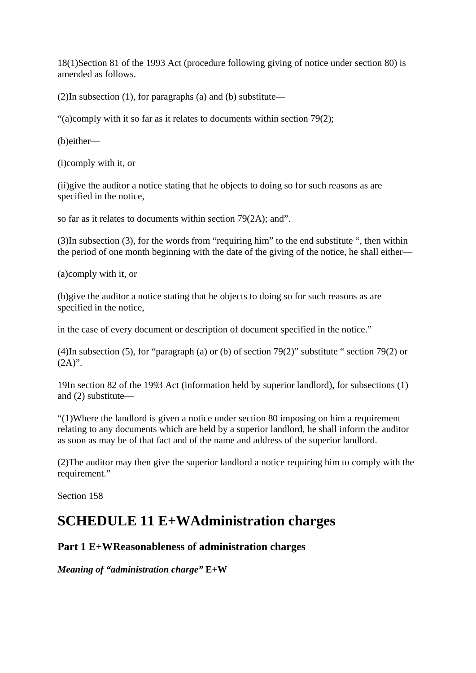18(1)Section 81 of the 1993 Act (procedure following giving of notice under section 80) is amended as follows.

(2)In subsection (1), for paragraphs (a) and (b) substitute—

"(a)comply with it so far as it relates to documents within section 79(2);

(b)either—

(i)comply with it, or

(ii)give the auditor a notice stating that he objects to doing so for such reasons as are specified in the notice,

so far as it relates to documents within section 79(2A); and".

(3)In subsection (3), for the words from "requiring him" to the end substitute ", then within the period of one month beginning with the date of the giving of the notice, he shall either—

(a)comply with it, or

(b)give the auditor a notice stating that he objects to doing so for such reasons as are specified in the notice,

in the case of every document or description of document specified in the notice."

(4)In subsection (5), for "paragraph (a) or (b) of section 79(2)" substitute " section 79(2) or  $(2A)$ ".

19In section 82 of the 1993 Act (information held by superior landlord), for subsections (1) and (2) substitute—

"(1)Where the landlord is given a notice under section 80 imposing on him a requirement relating to any documents which are held by a superior landlord, he shall inform the auditor as soon as may be of that fact and of the name and address of the superior landlord.

(2)The auditor may then give the superior landlord a notice requiring him to comply with the requirement."

Section 158

## **SCHEDULE 11 E+WAdministration charges**

## **Part 1 E+WReasonableness of administration charges**

*Meaning of "administration charge"* **E+W**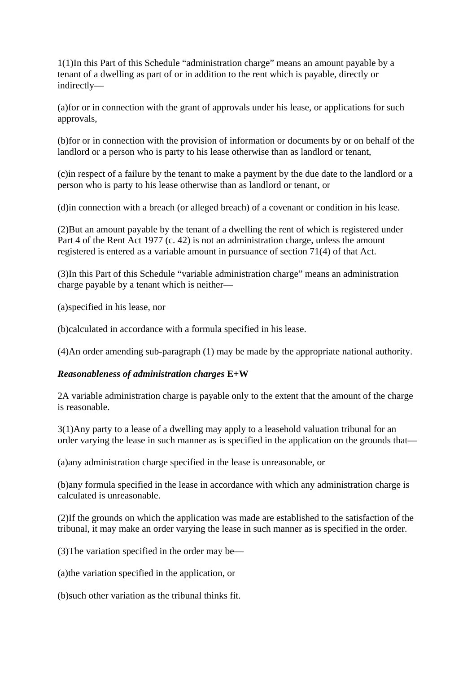1(1)In this Part of this Schedule "administration charge" means an amount payable by a tenant of a dwelling as part of or in addition to the rent which is payable, directly or indirectly—

(a)for or in connection with the grant of approvals under his lease, or applications for such approvals,

(b)for or in connection with the provision of information or documents by or on behalf of the landlord or a person who is party to his lease otherwise than as landlord or tenant,

(c)in respect of a failure by the tenant to make a payment by the due date to the landlord or a person who is party to his lease otherwise than as landlord or tenant, or

(d)in connection with a breach (or alleged breach) of a covenant or condition in his lease.

(2)But an amount payable by the tenant of a dwelling the rent of which is registered under Part 4 of the Rent Act 1977 (c. 42) is not an administration charge, unless the amount registered is entered as a variable amount in pursuance of section 71(4) of that Act.

(3)In this Part of this Schedule "variable administration charge" means an administration charge payable by a tenant which is neither—

(a)specified in his lease, nor

(b)calculated in accordance with a formula specified in his lease.

(4)An order amending sub-paragraph (1) may be made by the appropriate national authority.

#### *Reasonableness of administration charges* **E+W**

2A variable administration charge is payable only to the extent that the amount of the charge is reasonable.

3(1)Any party to a lease of a dwelling may apply to a leasehold valuation tribunal for an order varying the lease in such manner as is specified in the application on the grounds that—

(a)any administration charge specified in the lease is unreasonable, or

(b)any formula specified in the lease in accordance with which any administration charge is calculated is unreasonable.

(2)If the grounds on which the application was made are established to the satisfaction of the tribunal, it may make an order varying the lease in such manner as is specified in the order.

(3)The variation specified in the order may be—

(a)the variation specified in the application, or

(b)such other variation as the tribunal thinks fit.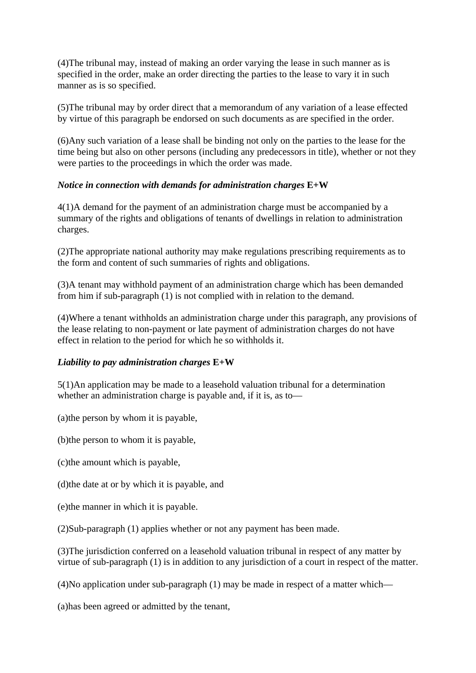(4)The tribunal may, instead of making an order varying the lease in such manner as is specified in the order, make an order directing the parties to the lease to vary it in such manner as is so specified.

(5)The tribunal may by order direct that a memorandum of any variation of a lease effected by virtue of this paragraph be endorsed on such documents as are specified in the order.

(6)Any such variation of a lease shall be binding not only on the parties to the lease for the time being but also on other persons (including any predecessors in title), whether or not they were parties to the proceedings in which the order was made.

#### *Notice in connection with demands for administration charges* **E+W**

4(1)A demand for the payment of an administration charge must be accompanied by a summary of the rights and obligations of tenants of dwellings in relation to administration charges.

(2)The appropriate national authority may make regulations prescribing requirements as to the form and content of such summaries of rights and obligations.

(3)A tenant may withhold payment of an administration charge which has been demanded from him if sub-paragraph (1) is not complied with in relation to the demand.

(4)Where a tenant withholds an administration charge under this paragraph, any provisions of the lease relating to non-payment or late payment of administration charges do not have effect in relation to the period for which he so withholds it.

#### *Liability to pay administration charges* **E+W**

5(1)An application may be made to a leasehold valuation tribunal for a determination whether an administration charge is payable and, if it is, as to—

(a)the person by whom it is payable,

(b)the person to whom it is payable,

- (c)the amount which is payable,
- (d)the date at or by which it is payable, and
- (e)the manner in which it is payable.

(2)Sub-paragraph (1) applies whether or not any payment has been made.

(3)The jurisdiction conferred on a leasehold valuation tribunal in respect of any matter by virtue of sub-paragraph (1) is in addition to any jurisdiction of a court in respect of the matter.

(4)No application under sub-paragraph (1) may be made in respect of a matter which—

(a)has been agreed or admitted by the tenant,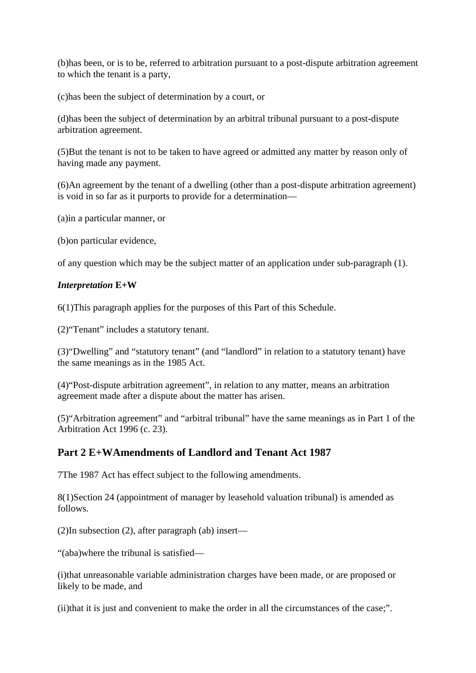(b)has been, or is to be, referred to arbitration pursuant to a post-dispute arbitration agreement to which the tenant is a party,

(c)has been the subject of determination by a court, or

(d)has been the subject of determination by an arbitral tribunal pursuant to a post-dispute arbitration agreement.

(5)But the tenant is not to be taken to have agreed or admitted any matter by reason only of having made any payment.

(6)An agreement by the tenant of a dwelling (other than a post-dispute arbitration agreement) is void in so far as it purports to provide for a determination—

(a)in a particular manner, or

(b)on particular evidence,

of any question which may be the subject matter of an application under sub-paragraph (1).

#### *Interpretation* **E+W**

6(1)This paragraph applies for the purposes of this Part of this Schedule.

(2)"Tenant" includes a statutory tenant.

(3)"Dwelling" and "statutory tenant" (and "landlord" in relation to a statutory tenant) have the same meanings as in the 1985 Act.

(4)"Post-dispute arbitration agreement", in relation to any matter, means an arbitration agreement made after a dispute about the matter has arisen.

(5)"Arbitration agreement" and "arbitral tribunal" have the same meanings as in Part 1 of the Arbitration Act 1996 (c. 23).

## **Part 2 E+WAmendments of Landlord and Tenant Act 1987**

7The 1987 Act has effect subject to the following amendments.

8(1)Section 24 (appointment of manager by leasehold valuation tribunal) is amended as follows.

(2)In subsection (2), after paragraph (ab) insert—

"(aba)where the tribunal is satisfied—

(i)that unreasonable variable administration charges have been made, or are proposed or likely to be made, and

(ii)that it is just and convenient to make the order in all the circumstances of the case;".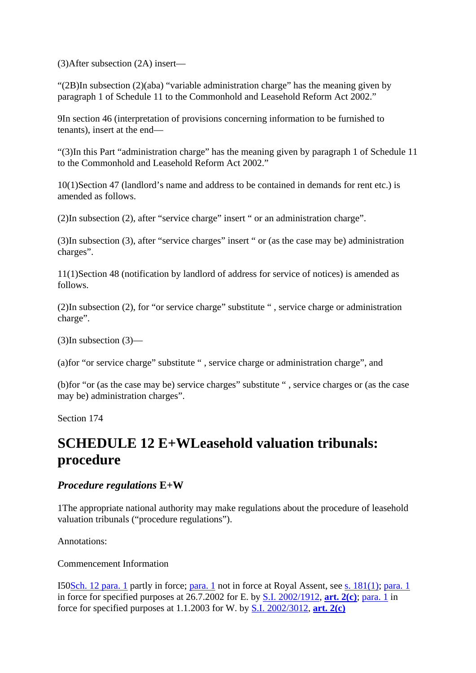(3)After subsection (2A) insert—

"(2B)In subsection (2)(aba) "variable administration charge" has the meaning given by paragraph 1 of Schedule 11 to the Commonhold and Leasehold Reform Act 2002."

9In section 46 (interpretation of provisions concerning information to be furnished to tenants), insert at the end—

"(3)In this Part "administration charge" has the meaning given by paragraph 1 of Schedule 11 to the Commonhold and Leasehold Reform Act 2002."

10(1)Section 47 (landlord's name and address to be contained in demands for rent etc.) is amended as follows.

(2)In subsection (2), after "service charge" insert " or an administration charge".

(3)In subsection (3), after "service charges" insert " or (as the case may be) administration charges".

11(1)Section 48 (notification by landlord of address for service of notices) is amended as follows.

(2)In subsection (2), for "or service charge" substitute " , service charge or administration charge".

(3)In subsection (3)—

(a)for "or service charge" substitute " , service charge or administration charge", and

(b)for "or (as the case may be) service charges" substitute " , service charges or (as the case may be) administration charges".

Section 174

# **SCHEDULE 12 E+WLeasehold valuation tribunals: procedure**

#### *Procedure regulations* **E+W**

1The appropriate national authority may make regulations about the procedure of leasehold valuation tribunals ("procedure regulations").

Annotations:

Commencement Information

I50Sch. 12 para. 1 partly in force; para. 1 not in force at Royal Assent, see s. 181(1); para. 1 in force for specified purposes at 26.7.2002 for E. by S.I. 2002/1912, **art. 2(c)**; para. 1 in force for specified purposes at 1.1.2003 for W. by S.I. 2002/3012, **art. 2(c)**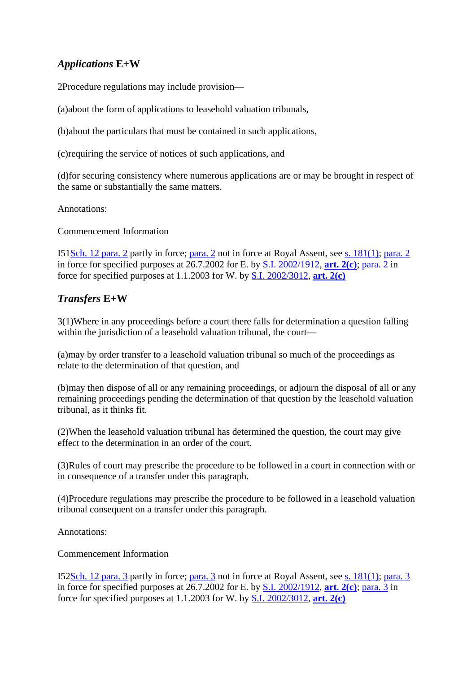## *Applications* **E+W**

2Procedure regulations may include provision—

(a)about the form of applications to leasehold valuation tribunals,

(b)about the particulars that must be contained in such applications,

(c)requiring the service of notices of such applications, and

(d)for securing consistency where numerous applications are or may be brought in respect of the same or substantially the same matters.

Annotations:

Commencement Information

I51Sch. 12 para. 2 partly in force; para. 2 not in force at Royal Assent, see s. 181(1); para. 2 in force for specified purposes at 26.7.2002 for E. by S.I. 2002/1912, **art. 2(c)**; para. 2 in force for specified purposes at 1.1.2003 for W. by S.I. 2002/3012, **art. 2(c)**

## *Transfers* **E+W**

3(1)Where in any proceedings before a court there falls for determination a question falling within the jurisdiction of a leasehold valuation tribunal, the court—

(a)may by order transfer to a leasehold valuation tribunal so much of the proceedings as relate to the determination of that question, and

(b)may then dispose of all or any remaining proceedings, or adjourn the disposal of all or any remaining proceedings pending the determination of that question by the leasehold valuation tribunal, as it thinks fit.

(2)When the leasehold valuation tribunal has determined the question, the court may give effect to the determination in an order of the court.

(3)Rules of court may prescribe the procedure to be followed in a court in connection with or in consequence of a transfer under this paragraph.

(4)Procedure regulations may prescribe the procedure to be followed in a leasehold valuation tribunal consequent on a transfer under this paragraph.

Annotations:

Commencement Information

I52Sch. 12 para. 3 partly in force; para. 3 not in force at Royal Assent, see s. 181(1); para. 3 in force for specified purposes at 26.7.2002 for E. by S.I. 2002/1912, **art. 2(c)**; para. 3 in force for specified purposes at 1.1.2003 for W. by S.I. 2002/3012, **art. 2(c)**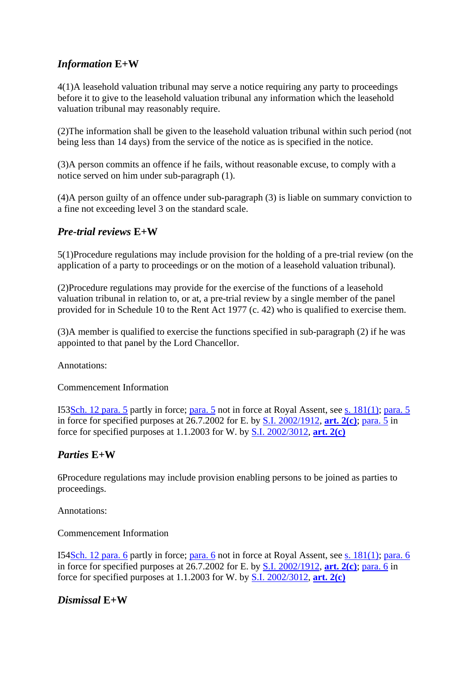## *Information* **E+W**

4(1)A leasehold valuation tribunal may serve a notice requiring any party to proceedings before it to give to the leasehold valuation tribunal any information which the leasehold valuation tribunal may reasonably require.

(2)The information shall be given to the leasehold valuation tribunal within such period (not being less than 14 days) from the service of the notice as is specified in the notice.

(3)A person commits an offence if he fails, without reasonable excuse, to comply with a notice served on him under sub-paragraph (1).

(4)A person guilty of an offence under sub-paragraph (3) is liable on summary conviction to a fine not exceeding level 3 on the standard scale.

## *Pre-trial reviews* **E+W**

5(1)Procedure regulations may include provision for the holding of a pre-trial review (on the application of a party to proceedings or on the motion of a leasehold valuation tribunal).

(2)Procedure regulations may provide for the exercise of the functions of a leasehold valuation tribunal in relation to, or at, a pre-trial review by a single member of the panel provided for in Schedule 10 to the Rent Act 1977 (c. 42) who is qualified to exercise them.

(3)A member is qualified to exercise the functions specified in sub-paragraph (2) if he was appointed to that panel by the Lord Chancellor.

Annotations:

Commencement Information

I53Sch. 12 para. 5 partly in force; para. 5 not in force at Royal Assent, see s. 181(1); para. 5 in force for specified purposes at 26.7.2002 for E. by S.I. 2002/1912, **art. 2(c)**; para. 5 in force for specified purposes at 1.1.2003 for W. by S.I. 2002/3012, **art. 2(c)**

#### *Parties* **E+W**

6Procedure regulations may include provision enabling persons to be joined as parties to proceedings.

Annotations:

Commencement Information

I54Sch. 12 para. 6 partly in force; para. 6 not in force at Royal Assent, see s. 181(1); para. 6 in force for specified purposes at 26.7.2002 for E. by S.I. 2002/1912, **art. 2(c)**; para. 6 in force for specified purposes at 1.1.2003 for W. by S.I. 2002/3012, **art. 2(c)**

## *Dismissal* **E+W**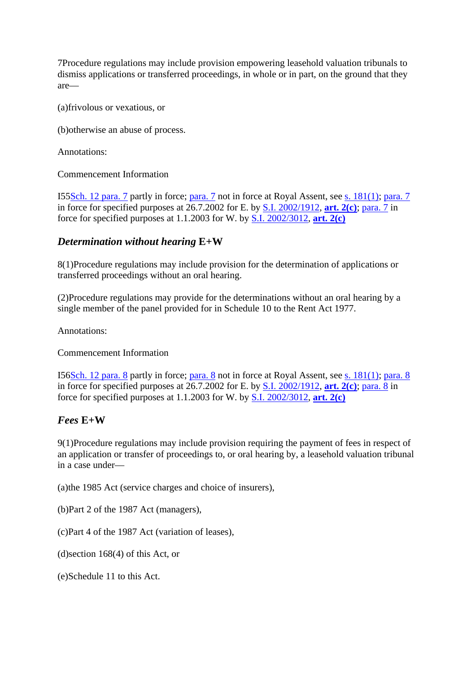7Procedure regulations may include provision empowering leasehold valuation tribunals to dismiss applications or transferred proceedings, in whole or in part, on the ground that they are—

(a)frivolous or vexatious, or

(b)otherwise an abuse of process.

Annotations:

Commencement Information

I55Sch. 12 para. 7 partly in force; para. 7 not in force at Royal Assent, see s. 181(1); para. 7 in force for specified purposes at 26.7.2002 for E. by S.I. 2002/1912, **art. 2(c)**; para. 7 in force for specified purposes at 1.1.2003 for W. by S.I. 2002/3012, **art. 2(c)**

## *Determination without hearing* **E+W**

8(1)Procedure regulations may include provision for the determination of applications or transferred proceedings without an oral hearing.

(2)Procedure regulations may provide for the determinations without an oral hearing by a single member of the panel provided for in Schedule 10 to the Rent Act 1977.

Annotations:

Commencement Information

I56Sch. 12 para. 8 partly in force; para. 8 not in force at Royal Assent, see s. 181(1); para. 8 in force for specified purposes at 26.7.2002 for E. by S.I. 2002/1912, **art. 2(c)**; para. 8 in force for specified purposes at 1.1.2003 for W. by S.I. 2002/3012, **art. 2(c)**

## *Fees* **E+W**

9(1)Procedure regulations may include provision requiring the payment of fees in respect of an application or transfer of proceedings to, or oral hearing by, a leasehold valuation tribunal in a case under—

(a)the 1985 Act (service charges and choice of insurers),

(b)Part 2 of the 1987 Act (managers),

(c)Part 4 of the 1987 Act (variation of leases),

(d)section 168(4) of this Act, or

(e)Schedule 11 to this Act.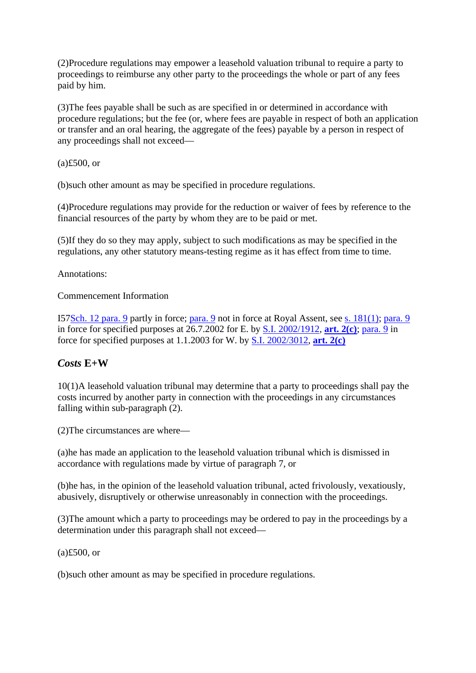(2)Procedure regulations may empower a leasehold valuation tribunal to require a party to proceedings to reimburse any other party to the proceedings the whole or part of any fees paid by him.

(3)The fees payable shall be such as are specified in or determined in accordance with procedure regulations; but the fee (or, where fees are payable in respect of both an application or transfer and an oral hearing, the aggregate of the fees) payable by a person in respect of any proceedings shall not exceed—

(a)£500, or

(b)such other amount as may be specified in procedure regulations.

(4)Procedure regulations may provide for the reduction or waiver of fees by reference to the financial resources of the party by whom they are to be paid or met.

(5)If they do so they may apply, subject to such modifications as may be specified in the regulations, any other statutory means-testing regime as it has effect from time to time.

Annotations:

Commencement Information

I57Sch. 12 para. 9 partly in force; para. 9 not in force at Royal Assent, see s. 181(1); para. 9 in force for specified purposes at 26.7.2002 for E. by S.I. 2002/1912, **art. 2(c)**; para. 9 in force for specified purposes at 1.1.2003 for W. by S.I. 2002/3012, **art. 2(c)**

## *Costs* **E+W**

10(1)A leasehold valuation tribunal may determine that a party to proceedings shall pay the costs incurred by another party in connection with the proceedings in any circumstances falling within sub-paragraph (2).

(2)The circumstances are where—

(a)he has made an application to the leasehold valuation tribunal which is dismissed in accordance with regulations made by virtue of paragraph 7, or

(b)he has, in the opinion of the leasehold valuation tribunal, acted frivolously, vexatiously, abusively, disruptively or otherwise unreasonably in connection with the proceedings.

(3)The amount which a party to proceedings may be ordered to pay in the proceedings by a determination under this paragraph shall not exceed—

(a)£500, or

(b)such other amount as may be specified in procedure regulations.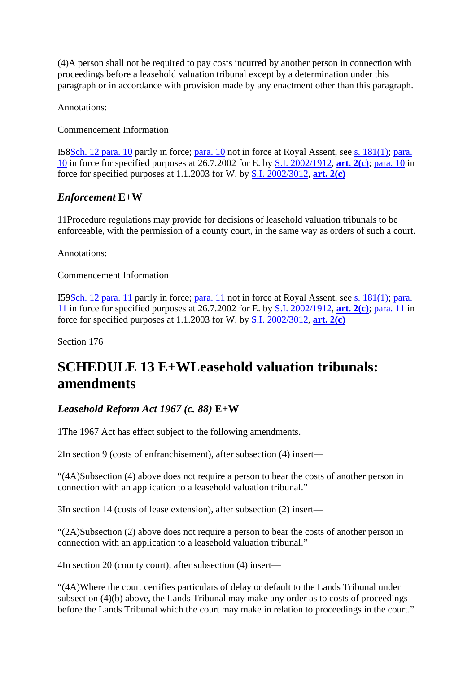(4)A person shall not be required to pay costs incurred by another person in connection with proceedings before a leasehold valuation tribunal except by a determination under this paragraph or in accordance with provision made by any enactment other than this paragraph.

Annotations:

Commencement Information

I58Sch. 12 para. 10 partly in force; para. 10 not in force at Royal Assent, see s. 181(1); para. 10 in force for specified purposes at 26.7.2002 for E. by S.I. 2002/1912, **art. 2(c)**; para. 10 in force for specified purposes at 1.1.2003 for W. by S.I. 2002/3012, **art. 2(c)**

## *Enforcement* **E+W**

11Procedure regulations may provide for decisions of leasehold valuation tribunals to be enforceable, with the permission of a county court, in the same way as orders of such a court.

Annotations:

Commencement Information

I59Sch. 12 para. 11 partly in force; para. 11 not in force at Royal Assent, see s. 181(1); para. 11 in force for specified purposes at 26.7.2002 for E. by S.I. 2002/1912, **art. 2(c)**; para. 11 in force for specified purposes at 1.1.2003 for W. by S.I. 2002/3012, **art. 2(c)**

Section 176

# **SCHEDULE 13 E+WLeasehold valuation tribunals: amendments**

## *Leasehold Reform Act 1967 (c. 88)* **E+W**

1The 1967 Act has effect subject to the following amendments.

2In section 9 (costs of enfranchisement), after subsection (4) insert—

"(4A)Subsection (4) above does not require a person to bear the costs of another person in connection with an application to a leasehold valuation tribunal."

3In section 14 (costs of lease extension), after subsection (2) insert—

"(2A)Subsection (2) above does not require a person to bear the costs of another person in connection with an application to a leasehold valuation tribunal."

4In section 20 (county court), after subsection (4) insert—

"(4A)Where the court certifies particulars of delay or default to the Lands Tribunal under subsection (4)(b) above, the Lands Tribunal may make any order as to costs of proceedings before the Lands Tribunal which the court may make in relation to proceedings in the court."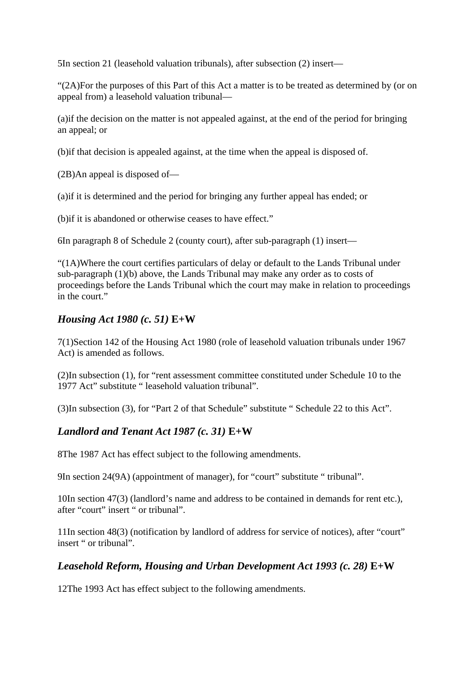5In section 21 (leasehold valuation tribunals), after subsection (2) insert—

"(2A)For the purposes of this Part of this Act a matter is to be treated as determined by (or on appeal from) a leasehold valuation tribunal—

(a)if the decision on the matter is not appealed against, at the end of the period for bringing an appeal; or

(b)if that decision is appealed against, at the time when the appeal is disposed of.

(2B)An appeal is disposed of—

(a)if it is determined and the period for bringing any further appeal has ended; or

(b)if it is abandoned or otherwise ceases to have effect."

6In paragraph 8 of Schedule 2 (county court), after sub-paragraph (1) insert—

"(1A)Where the court certifies particulars of delay or default to the Lands Tribunal under sub-paragraph (1)(b) above, the Lands Tribunal may make any order as to costs of proceedings before the Lands Tribunal which the court may make in relation to proceedings in the court."

## *Housing Act 1980 (c. 51)* **E+W**

7(1)Section 142 of the Housing Act 1980 (role of leasehold valuation tribunals under 1967 Act) is amended as follows.

(2)In subsection (1), for "rent assessment committee constituted under Schedule 10 to the 1977 Act" substitute " leasehold valuation tribunal".

(3)In subsection (3), for "Part 2 of that Schedule" substitute " Schedule 22 to this Act".

## *Landlord and Tenant Act 1987 (c. 31)* **E+W**

8The 1987 Act has effect subject to the following amendments.

9In section 24(9A) (appointment of manager), for "court" substitute " tribunal".

10In section 47(3) (landlord's name and address to be contained in demands for rent etc.), after "court" insert " or tribunal".

11In section 48(3) (notification by landlord of address for service of notices), after "court" insert " or tribunal".

## *Leasehold Reform, Housing and Urban Development Act 1993 (c. 28)* **E+W**

12The 1993 Act has effect subject to the following amendments.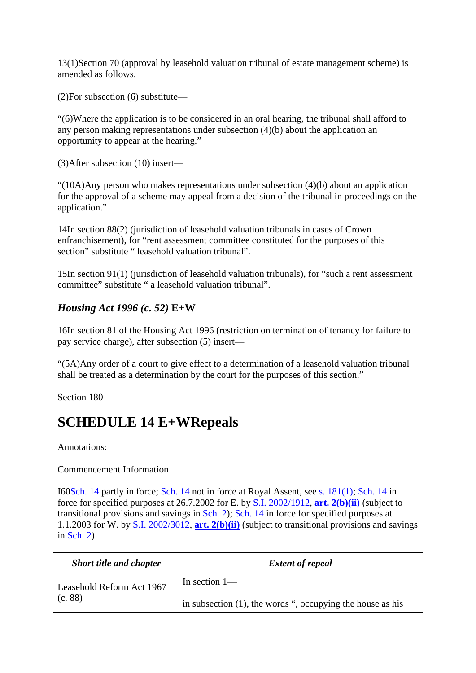13(1)Section 70 (approval by leasehold valuation tribunal of estate management scheme) is amended as follows.

(2)For subsection (6) substitute—

"(6)Where the application is to be considered in an oral hearing, the tribunal shall afford to any person making representations under subsection (4)(b) about the application an opportunity to appear at the hearing."

(3)After subsection (10) insert—

" $(10A)$ Any person who makes representations under subsection  $(4)(b)$  about an application for the approval of a scheme may appeal from a decision of the tribunal in proceedings on the application."

14In section 88(2) (jurisdiction of leasehold valuation tribunals in cases of Crown enfranchisement), for "rent assessment committee constituted for the purposes of this section" substitute " leasehold valuation tribunal".

15In section 91(1) (jurisdiction of leasehold valuation tribunals), for "such a rent assessment committee" substitute " a leasehold valuation tribunal".

## *Housing Act 1996 (c. 52)* **E+W**

16In section 81 of the Housing Act 1996 (restriction on termination of tenancy for failure to pay service charge), after subsection (5) insert—

"(5A)Any order of a court to give effect to a determination of a leasehold valuation tribunal shall be treated as a determination by the court for the purposes of this section."

Section 180

## **SCHEDULE 14 E+WRepeals**

Annotations:

#### Commencement Information

I60Sch. 14 partly in force; Sch. 14 not in force at Royal Assent, see s. 181(1); Sch. 14 in force for specified purposes at 26.7.2002 for E. by S.I. 2002/1912, **art. 2(b)(ii)** (subject to transitional provisions and savings in Sch. 2); Sch. 14 in force for specified purposes at 1.1.2003 for W. by S.I. 2002/3012, **art. 2(b)(ii)** (subject to transitional provisions and savings in  $Sch. 2$ 

| <b>Short title and chapter</b>       | <b>Extent of repeal</b>                                       |
|--------------------------------------|---------------------------------------------------------------|
| Leasehold Reform Act 1967<br>(c. 88) | In section $1-$                                               |
|                                      | in subsection $(1)$ , the words ", occupying the house as his |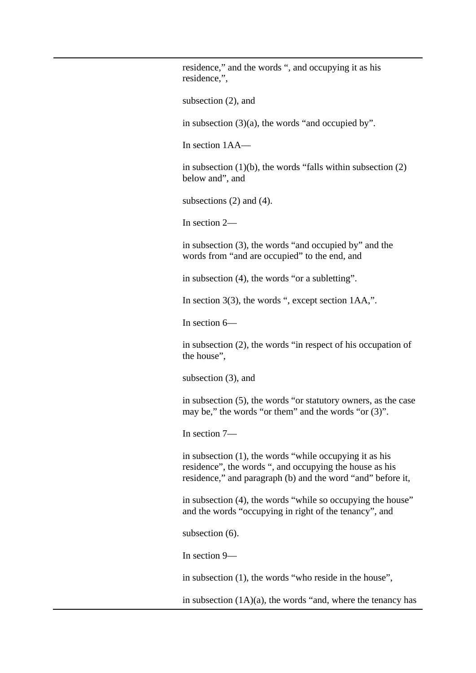residence," and the words ", and occupying it as his residence,",

subsection (2), and

in subsection  $(3)(a)$ , the words "and occupied by".

In section 1AA—

in subsection  $(1)(b)$ , the words "falls within subsection  $(2)$ below and", and

subsections (2) and (4).

In section 2—

in subsection (3), the words "and occupied by" and the words from "and are occupied" to the end, and

in subsection (4), the words "or a subletting".

In section 3(3), the words ", except section 1AA,".

In section 6—

in subsection (2), the words "in respect of his occupation of the house",

subsection (3), and

in subsection (5), the words "or statutory owners, as the case may be," the words "or them" and the words "or (3)".

In section 7—

in subsection (1), the words "while occupying it as his residence", the words ", and occupying the house as his residence," and paragraph (b) and the word "and" before it,

in subsection (4), the words "while so occupying the house" and the words "occupying in right of the tenancy", and

subsection (6).

In section 9—

in subsection (1), the words "who reside in the house",

in subsection  $(1A)(a)$ , the words "and, where the tenancy has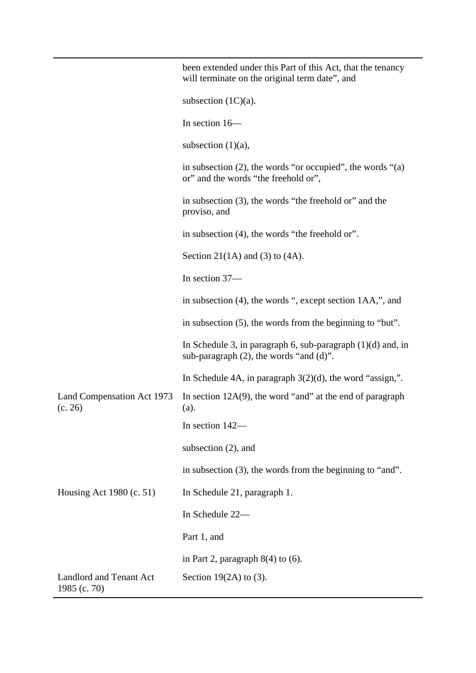|                                                | been extended under this Part of this Act, that the tenancy<br>will terminate on the original term date", and  |
|------------------------------------------------|----------------------------------------------------------------------------------------------------------------|
|                                                | subsection $(1C)(a)$ .                                                                                         |
|                                                | In section 16-                                                                                                 |
|                                                | subsection $(1)(a)$ ,                                                                                          |
|                                                | in subsection $(2)$ , the words "or occupied", the words " $(a)$<br>or" and the words "the freehold or",       |
|                                                | in subsection (3), the words "the freehold or" and the<br>proviso, and                                         |
|                                                | in subsection (4), the words "the freehold or".                                                                |
|                                                | Section 21(1A) and (3) to $(4A)$ .                                                                             |
|                                                | In section 37-                                                                                                 |
|                                                | in subsection (4), the words ", except section 1AA,", and                                                      |
|                                                | in subsection (5), the words from the beginning to "but".                                                      |
|                                                | In Schedule 3, in paragraph 6, sub-paragraph $(1)(d)$ and, in<br>sub-paragraph $(2)$ , the words "and $(d)$ ". |
|                                                | In Schedule 4A, in paragraph $3(2)(d)$ , the word "assign,".                                                   |
| Land Compensation Act 1973<br>(c. 26)          | In section $12A(9)$ , the word "and" at the end of paragraph<br>(a).                                           |
|                                                | In section 142-                                                                                                |
|                                                | subsection $(2)$ , and                                                                                         |
|                                                | in subsection $(3)$ , the words from the beginning to "and".                                                   |
| Housing Act 1980 (c. 51)                       | In Schedule 21, paragraph 1.                                                                                   |
|                                                | In Schedule 22-                                                                                                |
|                                                | Part 1, and                                                                                                    |
|                                                | in Part 2, paragraph $8(4)$ to (6).                                                                            |
| <b>Landlord and Tenant Act</b><br>1985 (c. 70) | Section 19 $(2A)$ to $(3)$ .                                                                                   |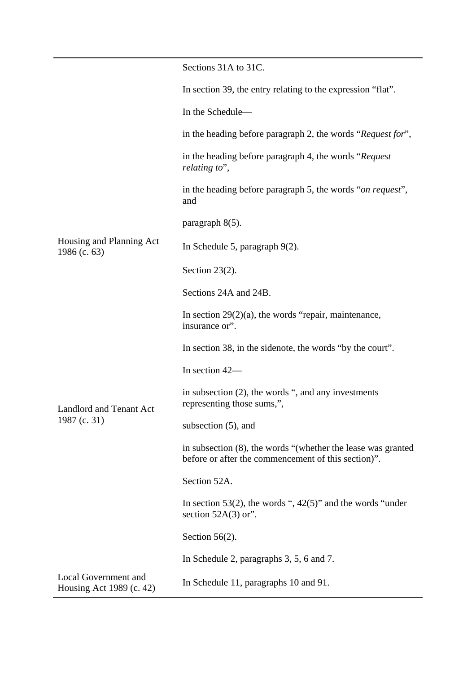|                                                         | Sections 31A to 31C.                                                                                                   |
|---------------------------------------------------------|------------------------------------------------------------------------------------------------------------------------|
|                                                         | In section 39, the entry relating to the expression "flat".                                                            |
|                                                         | In the Schedule-                                                                                                       |
|                                                         | in the heading before paragraph 2, the words "Request for",                                                            |
|                                                         | in the heading before paragraph 4, the words "Request"<br>relating to",                                                |
| Housing and Planning Act<br>1986 (c. $63$ )             | in the heading before paragraph 5, the words "on request",<br>and                                                      |
|                                                         | paragraph $8(5)$ .                                                                                                     |
|                                                         | In Schedule 5, paragraph $9(2)$ .                                                                                      |
|                                                         | Section $23(2)$ .                                                                                                      |
|                                                         | Sections 24A and 24B.                                                                                                  |
|                                                         | In section $29(2)(a)$ , the words "repair, maintenance,<br>insurance or".                                              |
| <b>Landlord and Tenant Act</b><br>1987 (c. 31)          | In section 38, in the sidenote, the words "by the court".                                                              |
|                                                         | In section 42-                                                                                                         |
|                                                         | in subsection $(2)$ , the words ", and any investments<br>representing those sums,",                                   |
|                                                         | subsection (5), and                                                                                                    |
|                                                         | in subsection $(8)$ , the words "(whether the lease was granted<br>before or after the commencement of this section)". |
|                                                         | Section 52A.                                                                                                           |
|                                                         | In section 53(2), the words ", $42(5)$ " and the words "under<br>section $52A(3)$ or".                                 |
|                                                         | Section $56(2)$ .                                                                                                      |
|                                                         | In Schedule 2, paragraphs 3, 5, 6 and 7.                                                                               |
| <b>Local Government and</b><br>Housing Act 1989 (c. 42) | In Schedule 11, paragraphs 10 and 91.                                                                                  |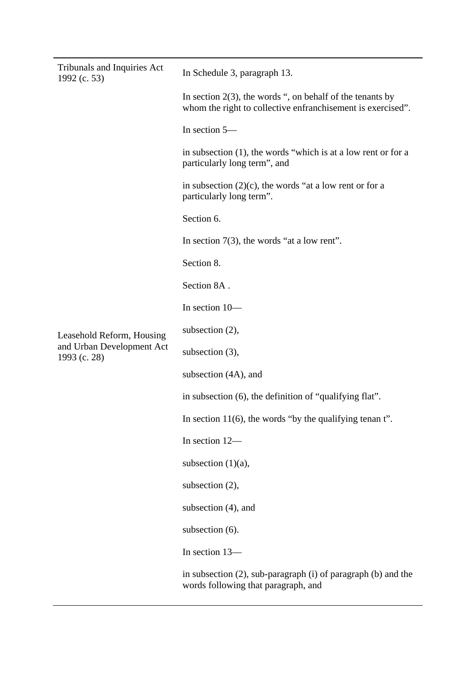| <b>Tribunals and Inquiries Act</b><br>1992 (c. 53)                     | In Schedule 3, paragraph 13.                                                                                                |
|------------------------------------------------------------------------|-----------------------------------------------------------------------------------------------------------------------------|
| Leasehold Reform, Housing<br>and Urban Development Act<br>1993 (c. 28) | In section $2(3)$ , the words ", on behalf of the tenants by<br>whom the right to collective enfranchisement is exercised". |
|                                                                        | In section 5-                                                                                                               |
|                                                                        | in subsection $(1)$ , the words "which is at a low rent or for a<br>particularly long term", and                            |
|                                                                        | in subsection $(2)(c)$ , the words "at a low rent or for a<br>particularly long term".                                      |
|                                                                        | Section 6.                                                                                                                  |
|                                                                        | In section $7(3)$ , the words "at a low rent".                                                                              |
|                                                                        | Section 8.                                                                                                                  |
|                                                                        | Section 8A.                                                                                                                 |
|                                                                        | In section 10-                                                                                                              |
|                                                                        | subsection $(2)$ ,                                                                                                          |
|                                                                        | subsection $(3)$ ,                                                                                                          |
|                                                                        | subsection (4A), and                                                                                                        |
|                                                                        | in subsection (6), the definition of "qualifying flat".                                                                     |
|                                                                        | In section $11(6)$ , the words "by the qualifying tenan t".                                                                 |
|                                                                        | In section 12-                                                                                                              |
|                                                                        | subsection $(1)(a)$ ,                                                                                                       |
|                                                                        | subsection (2),                                                                                                             |
|                                                                        | subsection $(4)$ , and                                                                                                      |
|                                                                        | subsection (6).                                                                                                             |
|                                                                        | In section 13-                                                                                                              |
|                                                                        | in subsection (2), sub-paragraph (i) of paragraph (b) and the<br>words following that paragraph, and                        |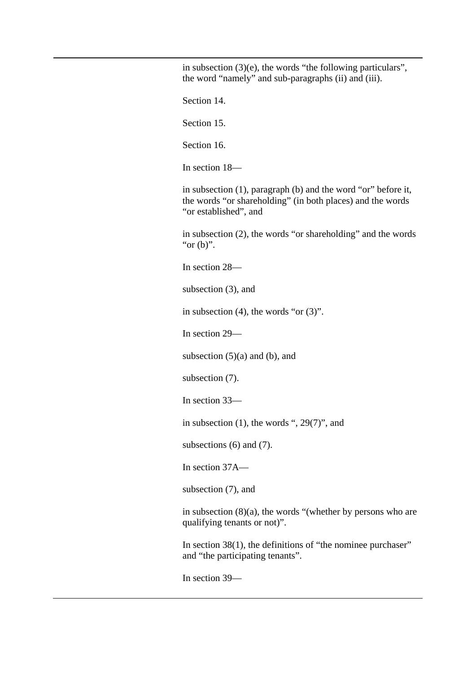in subsection  $(3)(e)$ , the words "the following particulars", the word "namely" and sub-paragraphs (ii) and (iii).

Section 14.

Section 15.

Section 16.

In section 18—

in subsection (1), paragraph (b) and the word "or" before it, the words "or shareholding" (in both places) and the words "or established", and

in subsection (2), the words "or shareholding" and the words " $or (b)$ ".

In section 28—

subsection (3), and

in subsection  $(4)$ , the words "or  $(3)$ ".

In section 29—

subsection  $(5)(a)$  and  $(b)$ , and

subsection (7).

In section 33—

in subsection (1), the words ", 29(7)", and

subsections (6) and (7).

In section 37A—

subsection (7), and

in subsection (8)(a), the words "(whether by persons who are qualifying tenants or not)".

In section 38(1), the definitions of "the nominee purchaser" and "the participating tenants".

In section 39—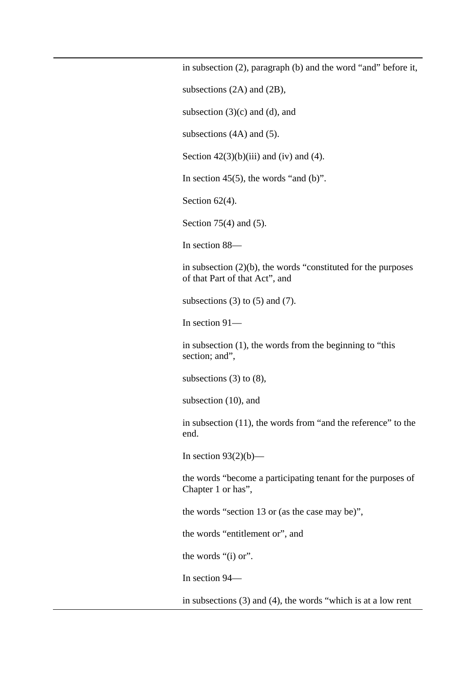in subsection (2), paragraph (b) and the word "and" before it,

subsections (2A) and (2B),

subsection  $(3)(c)$  and  $(d)$ , and

subsections (4A) and (5).

Section  $42(3)(b)(iii)$  and (iv) and (4).

In section  $45(5)$ , the words "and (b)".

Section 62(4).

Section 75(4) and (5).

In section 88—

in subsection (2)(b), the words "constituted for the purposes of that Part of that Act", and

subsections  $(3)$  to  $(5)$  and  $(7)$ .

In section 91—

in subsection (1), the words from the beginning to "this section; and",

subsections  $(3)$  to  $(8)$ ,

subsection (10), and

in subsection (11), the words from "and the reference" to the end.

In section  $93(2)(b)$ —

the words "become a participating tenant for the purposes of Chapter 1 or has",

the words "section 13 or (as the case may be)",

the words "entitlement or", and

the words "(i) or".

In section 94—

in subsections (3) and (4), the words "which is at a low rent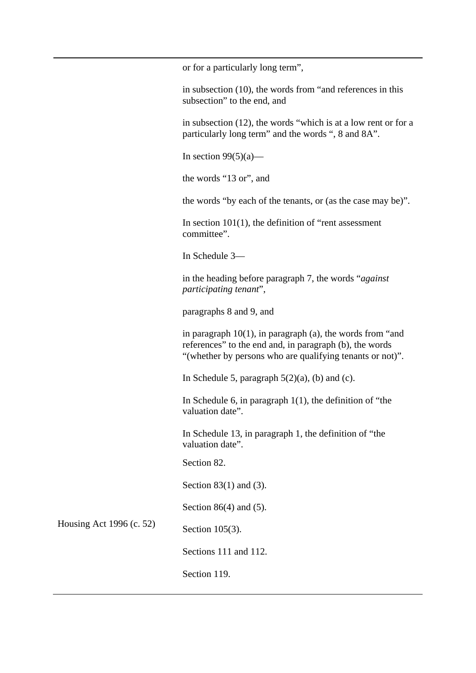or for a particularly long term",

in subsection (10), the words from "and references in this subsection" to the end, and

in subsection (12), the words "which is at a low rent or for a particularly long term" and the words ", 8 and 8A".

In section  $99(5)(a)$ —

the words "13 or", and

the words "by each of the tenants, or (as the case may be)".

In section  $101(1)$ , the definition of "rent assessment" committee".

In Schedule 3—

in the heading before paragraph 7, the words "*against participating tenant*",

paragraphs 8 and 9, and

in paragraph  $10(1)$ , in paragraph (a), the words from "and references" to the end and, in paragraph (b), the words "(whether by persons who are qualifying tenants or not)".

In Schedule 5, paragraph  $5(2)(a)$ , (b) and (c).

In Schedule 6, in paragraph  $1(1)$ , the definition of "the valuation date".

In Schedule 13, in paragraph 1, the definition of "the valuation date".

Section 82.

Section 83(1) and (3).

Section 86(4) and (5).

Housing Act 1996 (c. 52)

Section 105(3).

Sections 111 and 112.

Section 119.